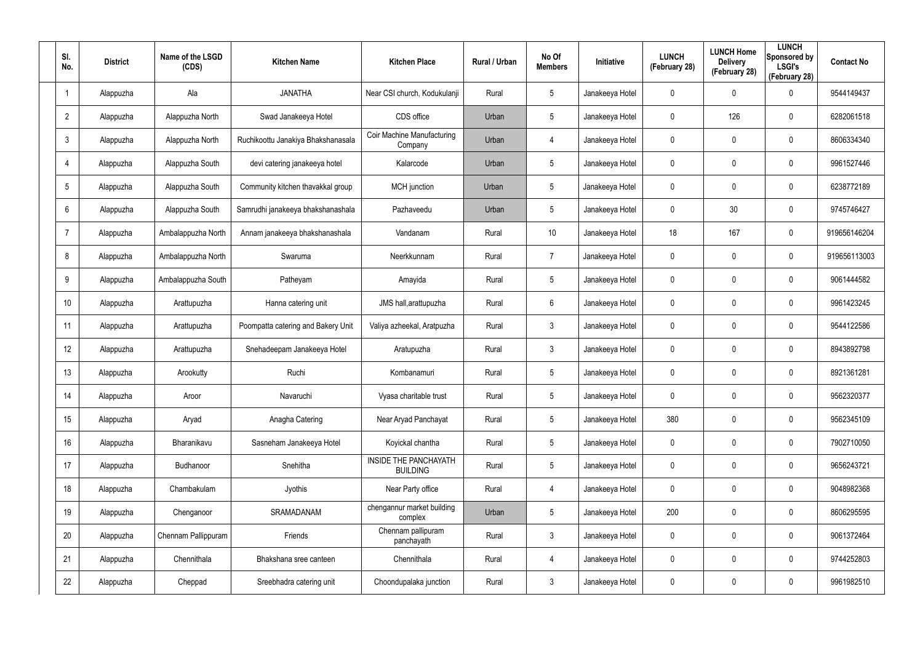| SI.<br>No.      | <b>District</b> | Name of the LSGD<br>(CDS) | <b>Kitchen Name</b>                | <b>Kitchen Place</b>                            | Rural / Urban | No Of<br><b>Members</b> | Initiative      | <b>LUNCH</b><br>(February 28) | <b>LUNCH Home</b><br><b>Delivery</b><br>(February 28) | <b>LUNCH</b><br>Sponsored by<br><b>LSGI's</b><br>(February 28) | <b>Contact No</b> |
|-----------------|-----------------|---------------------------|------------------------------------|-------------------------------------------------|---------------|-------------------------|-----------------|-------------------------------|-------------------------------------------------------|----------------------------------------------------------------|-------------------|
| $\mathbf{1}$    | Alappuzha       | Ala                       | <b>JANATHA</b>                     | Near CSI church, Kodukulanji                    | Rural         | 5                       | Janakeeya Hotel | 0                             | $\mathbf 0$                                           | $\mathbf 0$                                                    | 9544149437        |
| $\overline{2}$  | Alappuzha       | Alappuzha North           | Swad Janakeeya Hotel               | CDS office                                      | Urban         | 5                       | Janakeeya Hotel | 0                             | 126                                                   | $\mathbf 0$                                                    | 6282061518        |
| $\mathfrak{Z}$  | Alappuzha       | Alappuzha North           | Ruchikoottu Janakiya Bhakshanasala | Coir Machine Manufacturing<br>Company           | Urban         | 4                       | Janakeeya Hotel | 0                             | 0                                                     | $\mathbf 0$                                                    | 8606334340        |
| $\overline{4}$  | Alappuzha       | Alappuzha South           | devi catering janakeeya hotel      | Kalarcode                                       | Urban         | 5                       | Janakeeya Hotel | 0                             | 0                                                     | $\mathbf 0$                                                    | 9961527446        |
| $5\phantom{.0}$ | Alappuzha       | Alappuzha South           | Community kitchen thavakkal group  | MCH junction                                    | Urban         | $5\phantom{.0}$         | Janakeeya Hotel | 0                             | 0                                                     | $\mathbf 0$                                                    | 6238772189        |
| 6               | Alappuzha       | Alappuzha South           | Samrudhi janakeeya bhakshanashala  | Pazhaveedu                                      | Urban         | $5\overline{)}$         | Janakeeya Hotel | 0                             | 30                                                    | $\mathbf 0$                                                    | 9745746427        |
| $\overline{7}$  | Alappuzha       | Ambalappuzha North        | Annam janakeeya bhakshanashala     | Vandanam                                        | Rural         | 10                      | Janakeeya Hotel | 18                            | 167                                                   | $\mathbf 0$                                                    | 919656146204      |
| 8               | Alappuzha       | Ambalappuzha North        | Swaruma                            | Neerkkunnam                                     | Rural         | $\overline{7}$          | Janakeeya Hotel | 0                             | 0                                                     | $\mathbf 0$                                                    | 919656113003      |
| 9               | Alappuzha       | Ambalappuzha South        | Patheyam                           | Amayida                                         | Rural         | 5                       | Janakeeya Hotel | 0                             | 0                                                     | $\mathbf 0$                                                    | 9061444582        |
| 10 <sup>°</sup> | Alappuzha       | Arattupuzha               | Hanna catering unit                | JMS hall, arattupuzha                           | Rural         | 6                       | Janakeeya Hotel | 0                             | 0                                                     | $\mathbf 0$                                                    | 9961423245        |
| 11              | Alappuzha       | Arattupuzha               | Poompatta catering and Bakery Unit | Valiya azheekal, Aratpuzha                      | Rural         | $\mathbf{3}$            | Janakeeya Hotel | 0                             | 0                                                     | $\mathbf 0$                                                    | 9544122586        |
| 12              | Alappuzha       | Arattupuzha               | Snehadeepam Janakeeya Hotel        | Aratupuzha                                      | Rural         | $\mathbf{3}$            | Janakeeya Hotel | 0                             | 0                                                     | $\mathbf 0$                                                    | 8943892798        |
| 13              | Alappuzha       | Arookutty                 | Ruchi                              | Kombanamuri                                     | Rural         | 5                       | Janakeeya Hotel | 0                             | 0                                                     | $\mathbf 0$                                                    | 8921361281        |
| 14              | Alappuzha       | Aroor                     | Navaruchi                          | Vyasa charitable trust                          | Rural         | 5                       | Janakeeya Hotel | 0                             | 0                                                     | $\mathbf 0$                                                    | 9562320377        |
| 15              | Alappuzha       | Aryad                     | Anagha Catering                    | Near Aryad Panchayat                            | Rural         | $5\phantom{.0}$         | Janakeeya Hotel | 380                           | 0                                                     | $\mathbf 0$                                                    | 9562345109        |
| 16              | Alappuzha       | Bharanikavu               | Sasneham Janakeeya Hotel           | Koyickal chantha                                | Rural         | $5\phantom{.0}$         | Janakeeya Hotel | $\mathbf 0$                   | 0                                                     | $\mathbf 0$                                                    | 7902710050        |
| 17              | Alappuzha       | Budhanoor                 | Snehitha                           | <b>INSIDE THE PANCHAYATH</b><br><b>BUILDING</b> | Rural         | $5\phantom{.0}$         | Janakeeya Hotel | 0                             | 0                                                     | $\mathbf 0$                                                    | 9656243721        |
| 18              | Alappuzha       | Chambakulam               | Jyothis                            | Near Party office                               | Rural         | 4                       | Janakeeya Hotel | $\pmb{0}$                     | 0                                                     | $\mathsf{0}$                                                   | 9048982368        |
| 19              | Alappuzha       | Chenganoor                | SRAMADANAM                         | chengannur market building<br>complex           | Urban         | $5\phantom{.0}$         | Janakeeya Hotel | 200                           | 0                                                     | $\mathbf 0$                                                    | 8606295595        |
| $20\,$          | Alappuzha       | Chennam Pallippuram       | Friends                            | Chennam pallipuram<br>panchayath                | Rural         | $\mathfrak{Z}$          | Janakeeya Hotel | $\pmb{0}$                     | 0                                                     | $\mathsf{0}$                                                   | 9061372464        |
| 21              | Alappuzha       | Chennithala               | Bhakshana sree canteen             | Chennithala                                     | Rural         | 4                       | Janakeeya Hotel | 0                             | 0                                                     | $\mathbf 0$                                                    | 9744252803        |
| 22              | Alappuzha       | Cheppad                   | Sreebhadra catering unit           | Choondupalaka junction                          | Rural         | $\mathfrak{Z}$          | Janakeeya Hotel | 0                             | 0                                                     | $\pmb{0}$                                                      | 9961982510        |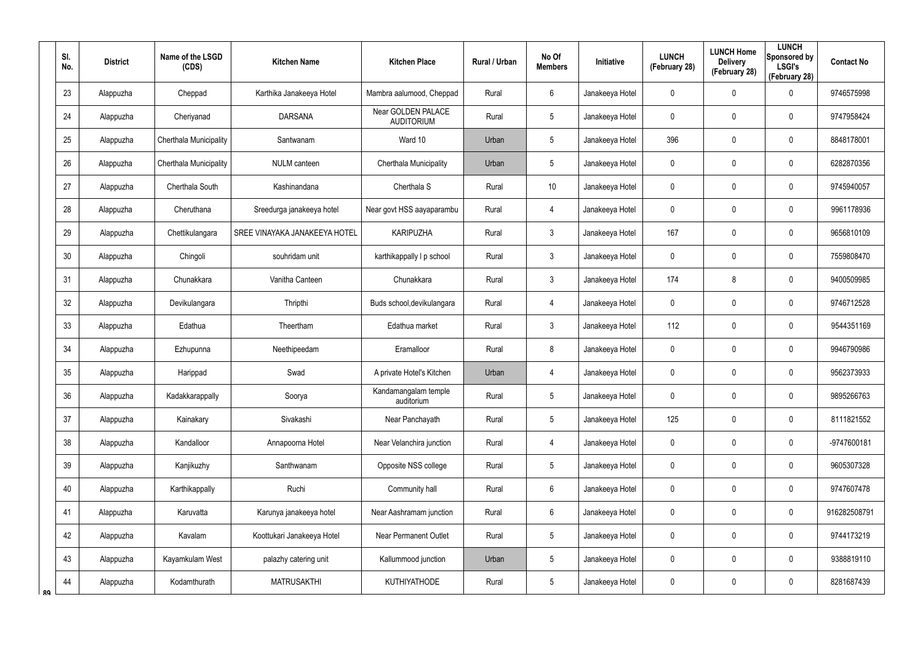|    | SI.<br>No. | <b>District</b> | Name of the LSGD<br>(CDS)     | <b>Kitchen Name</b>           | <b>Kitchen Place</b>                    | Rural / Urban | No Of<br><b>Members</b> | Initiative      | <b>LUNCH</b><br>(February 28) | <b>LUNCH Home</b><br><b>Delivery</b><br>(February 28) | <b>LUNCH</b><br>Sponsored by<br><b>LSGI's</b><br>(February 28) | <b>Contact No</b> |
|----|------------|-----------------|-------------------------------|-------------------------------|-----------------------------------------|---------------|-------------------------|-----------------|-------------------------------|-------------------------------------------------------|----------------------------------------------------------------|-------------------|
|    | 23         | Alappuzha       | Cheppad                       | Karthika Janakeeya Hotel      | Mambra aalumood, Cheppad                | Rural         | 6                       | Janakeeya Hotel | 0                             | 0                                                     | $\mathbf 0$                                                    | 9746575998        |
|    | 24         | Alappuzha       | Cheriyanad                    | <b>DARSANA</b>                | Near GOLDEN PALACE<br><b>AUDITORIUM</b> | Rural         | 5                       | Janakeeya Hotel | 0                             | 0                                                     | $\pmb{0}$                                                      | 9747958424        |
|    | 25         | Alappuzha       | Cherthala Municipality        | Santwanam                     | Ward 10                                 | Urban         | 5                       | Janakeeya Hotel | 396                           | $\mathbf 0$                                           | $\pmb{0}$                                                      | 8848178001        |
|    | 26         | Alappuzha       | <b>Cherthala Municipality</b> | <b>NULM</b> canteen           | Cherthala Municipality                  | Urban         | 5                       | Janakeeya Hotel | 0                             | 0                                                     | $\pmb{0}$                                                      | 6282870356        |
|    | 27         | Alappuzha       | Cherthala South               | Kashinandana                  | Cherthala S                             | Rural         | 10 <sup>°</sup>         | Janakeeya Hotel | 0                             | 0                                                     | $\pmb{0}$                                                      | 9745940057        |
|    | 28         | Alappuzha       | Cheruthana                    | Sreedurga janakeeya hotel     | Near govt HSS aayaparambu               | Rural         | 4                       | Janakeeya Hotel | 0                             | 0                                                     | $\mathbf 0$                                                    | 9961178936        |
|    | 29         | Alappuzha       | Chettikulangara               | SREE VINAYAKA JANAKEEYA HOTEL | <b>KARIPUZHA</b>                        | Rural         | $\mathfrak{Z}$          | Janakeeya Hotel | 167                           | 0                                                     | $\pmb{0}$                                                      | 9656810109        |
|    | 30         | Alappuzha       | Chingoli                      | souhridam unit                | karthikappally I p school               | Rural         | 3                       | Janakeeya Hotel | 0                             | 0                                                     | $\pmb{0}$                                                      | 7559808470        |
|    | 31         | Alappuzha       | Chunakkara                    | Vanitha Canteen               | Chunakkara                              | Rural         | $\mathfrak{Z}$          | Janakeeya Hotel | 174                           | 8                                                     | $\pmb{0}$                                                      | 9400509985        |
|    | 32         | Alappuzha       | Devikulangara                 | Thripthi                      | Buds school, devikulangara              | Rural         | 4                       | Janakeeya Hotel | 0                             | 0                                                     | $\mathbf 0$                                                    | 9746712528        |
|    | 33         | Alappuzha       | Edathua                       | Theertham                     | Edathua market                          | Rural         | $\mathfrak{Z}$          | Janakeeya Hotel | 112                           | 0                                                     | $\pmb{0}$                                                      | 9544351169        |
|    | 34         | Alappuzha       | Ezhupunna                     | Neethipeedam                  | Eramalloor                              | Rural         | 8                       | Janakeeya Hotel | 0                             | 0                                                     | $\mathbf 0$                                                    | 9946790986        |
|    | 35         | Alappuzha       | Harippad                      | Swad                          | A private Hotel's Kitchen               | Urban         | 4                       | Janakeeya Hotel | 0                             | 0                                                     | $\mathbf 0$                                                    | 9562373933        |
|    | 36         | Alappuzha       | Kadakkarappally               | Soorya                        | Kandamangalam temple<br>auditorium      | Rural         | $5\phantom{.0}$         | Janakeeya Hotel | 0                             | $\mathbf 0$                                           | $\pmb{0}$                                                      | 9895266763        |
|    | 37         | Alappuzha       | Kainakary                     | Sivakashi                     | Near Panchayath                         | Rural         | $5\phantom{.0}$         | Janakeeya Hotel | 125                           | 0                                                     | $\mathbf 0$                                                    | 8111821552        |
|    | 38         | Alappuzha       | Kandalloor                    | Annapoorna Hotel              | Near Velanchira junction                | Rural         | 4                       | Janakeeya Hotel | $\mathbf 0$                   | 0                                                     | $\mathbf 0$                                                    | -9747600181       |
|    | 39         | Alappuzha       | Kanjikuzhy                    | Santhwanam                    | Opposite NSS college                    | Rural         | 5                       | Janakeeya Hotel | $\mathbf 0$                   | 0                                                     | $\mathbf 0$                                                    | 9605307328        |
|    | 40         | Alappuzha       | Karthikappally                | Ruchi                         | Community hall                          | Rural         | $6\overline{6}$         | Janakeeya Hotel | 0                             | $\mathbf 0$                                           | $\pmb{0}$                                                      | 9747607478        |
|    | 41         | Alappuzha       | Karuvatta                     | Karunya janakeeya hotel       | Near Aashramam junction                 | Rural         | 6                       | Janakeeya Hotel | 0                             | 0                                                     | $\pmb{0}$                                                      | 916282508791      |
|    | 42         | Alappuzha       | Kavalam                       | Koottukari Janakeeya Hotel    | <b>Near Permanent Outlet</b>            | Rural         | $\overline{5}$          | Janakeeya Hotel | 0                             | 0                                                     | $\pmb{0}$                                                      | 9744173219        |
|    | 43         | Alappuzha       | Kayamkulam West               | palazhy catering unit         | Kallummood junction                     | Urban         | $\overline{5}$          | Janakeeya Hotel | $\mathbf 0$                   | 0                                                     | $\pmb{0}$                                                      | 9388819110        |
| ጸዐ | 44         | Alappuzha       | Kodamthurath                  | <b>MATRUSAKTHI</b>            | KUTHIYATHODE                            | Rural         | $5\,$                   | Janakeeya Hotel | 0                             | 0                                                     | 0                                                              | 8281687439        |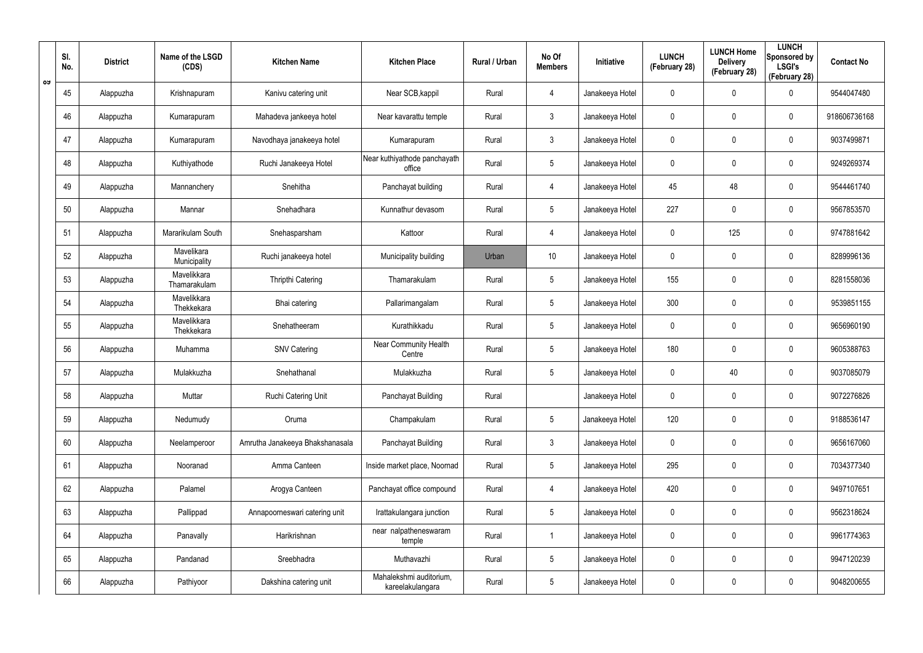|    | SI.<br>No. | <b>District</b> | Name of the LSGD<br>(CDS)   | <b>Kitchen Name</b>             | <b>Kitchen Place</b>                        | Rural / Urban | No Of<br><b>Members</b> | Initiative      | <b>LUNCH</b><br>(February 28) | <b>LUNCH Home</b><br><b>Delivery</b><br>(February 28) | <b>LUNCH</b><br>Sponsored by<br><b>LSGI's</b><br>(February 28) | <b>Contact No</b> |
|----|------------|-----------------|-----------------------------|---------------------------------|---------------------------------------------|---------------|-------------------------|-----------------|-------------------------------|-------------------------------------------------------|----------------------------------------------------------------|-------------------|
| ರು | 45         | Alappuzha       | Krishnapuram                | Kanivu catering unit            | Near SCB, kappil                            | Rural         | 4                       | Janakeeya Hotel | 0                             | 0                                                     | $\mathbf 0$                                                    | 9544047480        |
|    | 46         | Alappuzha       | Kumarapuram                 | Mahadeva jankeeya hotel         | Near kavarattu temple                       | Rural         | $\mathfrak{Z}$          | Janakeeya Hotel | 0                             | 0                                                     | $\pmb{0}$                                                      | 918606736168      |
|    | 47         | Alappuzha       | Kumarapuram                 | Navodhaya janakeeya hotel       | Kumarapuram                                 | Rural         | $\mathfrak{Z}$          | Janakeeya Hotel | 0                             | $\mathbf 0$                                           | $\pmb{0}$                                                      | 9037499871        |
|    | 48         | Alappuzha       | Kuthiyathode                | Ruchi Janakeeya Hotel           | Near kuthiyathode panchayath<br>office      | Rural         | $5\phantom{.0}$         | Janakeeya Hotel | 0                             | 0                                                     | $\pmb{0}$                                                      | 9249269374        |
|    | 49         | Alappuzha       | Mannanchery                 | Snehitha                        | Panchayat building                          | Rural         | 4                       | Janakeeya Hotel | 45                            | 48                                                    | $\pmb{0}$                                                      | 9544461740        |
|    | 50         | Alappuzha       | Mannar                      | Snehadhara                      | Kunnathur devasom                           | Rural         | $5\phantom{.0}$         | Janakeeya Hotel | 227                           | 0                                                     | $\pmb{0}$                                                      | 9567853570        |
|    | 51         | Alappuzha       | Mararikulam South           | Snehasparsham                   | Kattoor                                     | Rural         | 4                       | Janakeeya Hotel | 0                             | 125                                                   | $\pmb{0}$                                                      | 9747881642        |
|    | 52         | Alappuzha       | Mavelikara<br>Municipality  | Ruchi janakeeya hotel           | Municipality building                       | Urban         | 10 <sup>°</sup>         | Janakeeya Hotel | 0                             | 0                                                     | $\pmb{0}$                                                      | 8289996136        |
|    | 53         | Alappuzha       | Mavelikkara<br>Thamarakulam | Thripthi Catering               | Thamarakulam                                | Rural         | $5\phantom{.0}$         | Janakeeya Hotel | 155                           | $\mathbf 0$                                           | $\pmb{0}$                                                      | 8281558036        |
|    | 54         | Alappuzha       | Mavelikkara<br>Thekkekara   | Bhai catering                   | Pallarimangalam                             | Rural         | $5\phantom{.0}$         | Janakeeya Hotel | 300                           | 0                                                     | $\pmb{0}$                                                      | 9539851155        |
|    | 55         | Alappuzha       | Mavelikkara<br>Thekkekara   | Snehatheeram                    | Kurathikkadu                                | Rural         | $5\phantom{.0}$         | Janakeeya Hotel | 0                             | 0                                                     | $\pmb{0}$                                                      | 9656960190        |
|    | 56         | Alappuzha       | Muhamma                     | <b>SNV Catering</b>             | Near Community Health<br>Centre             | Rural         | $5\phantom{.0}$         | Janakeeya Hotel | 180                           | 0                                                     | $\mathbf 0$                                                    | 9605388763        |
|    | 57         | Alappuzha       | Mulakkuzha                  | Snehathanal                     | Mulakkuzha                                  | Rural         | $5\phantom{.0}$         | Janakeeya Hotel | 0                             | 40                                                    | 0                                                              | 9037085079        |
|    | 58         | Alappuzha       | Muttar                      | Ruchi Catering Unit             | Panchayat Building                          | Rural         |                         | Janakeeya Hotel | 0                             | $\mathbf 0$                                           | $\pmb{0}$                                                      | 9072276826        |
|    | 59         | Alappuzha       | Nedumudy                    | Oruma                           | Champakulam                                 | Rural         | $5\phantom{.0}$         | Janakeeya Hotel | 120                           | $\mathbf 0$                                           | $\mathbf 0$                                                    | 9188536147        |
|    | 60         | Alappuzha       | Neelamperoor                | Amrutha Janakeeya Bhakshanasala | Panchayat Building                          | Rural         | $\mathfrak{Z}$          | Janakeeya Hotel | 0                             | $\mathbf 0$                                           | $\mathbf 0$                                                    | 9656167060        |
|    | 61         | Alappuzha       | Nooranad                    | Amma Canteen                    | Inside market place, Noornad                | Rural         | $5\phantom{.0}$         | Janakeeya Hotel | 295                           | $\mathbf 0$                                           | $\mathbf 0$                                                    | 7034377340        |
|    | 62         | Alappuzha       | Palamel                     | Arogya Canteen                  | Panchayat office compound                   | Rural         | 4                       | Janakeeya Hotel | 420                           | $\mathbf 0$                                           | $\mathbf 0$                                                    | 9497107651        |
|    | 63         | Alappuzha       | Pallippad                   | Annapoorneswari catering unit   | Irattakulangara junction                    | Rural         | $5\phantom{.0}$         | Janakeeya Hotel | 0                             | 0                                                     | $\pmb{0}$                                                      | 9562318624        |
|    | 64         | Alappuzha       | Panavally                   | Harikrishnan                    | near nalpatheneswaram<br>temple             | Rural         |                         | Janakeeya Hotel | 0                             | $\mathbf 0$                                           | $\mathbf 0$                                                    | 9961774363        |
|    | 65         | Alappuzha       | Pandanad                    | Sreebhadra                      | Muthavazhi                                  | Rural         | $5\phantom{.0}$         | Janakeeya Hotel | 0                             | 0                                                     | $\pmb{0}$                                                      | 9947120239        |
|    | 66         | Alappuzha       | Pathiyoor                   | Dakshina catering unit          | Mahalekshmi auditorium,<br>kareelakulangara | Rural         | $5\phantom{.0}$         | Janakeeya Hotel | 0                             | 0                                                     | $\mathsf{0}$                                                   | 9048200655        |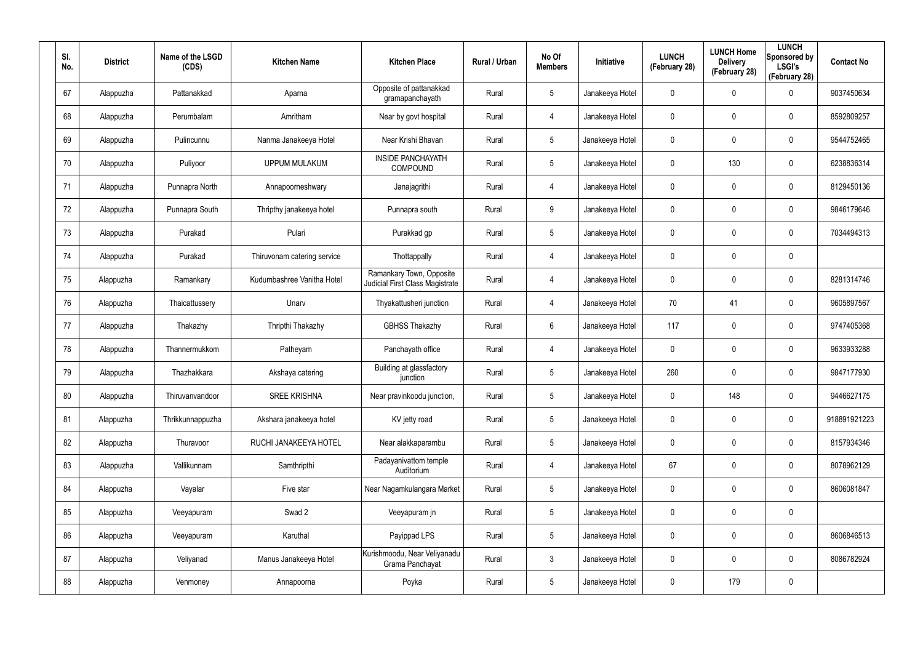| SI.<br>No. | <b>District</b> | Name of the LSGD<br>(CDS) | <b>Kitchen Name</b>         | <b>Kitchen Place</b>                                               | Rural / Urban | No Of<br><b>Members</b> | Initiative      | <b>LUNCH</b><br>(February 28) | <b>LUNCH Home</b><br><b>Delivery</b><br>(February 28) | <b>LUNCH</b><br>Sponsored by<br><b>LSGI's</b><br>(February 28) | <b>Contact No</b> |
|------------|-----------------|---------------------------|-----------------------------|--------------------------------------------------------------------|---------------|-------------------------|-----------------|-------------------------------|-------------------------------------------------------|----------------------------------------------------------------|-------------------|
| 67         | Alappuzha       | Pattanakkad               | Aparna                      | Opposite of pattanakkad<br>gramapanchayath                         | Rural         | $5\phantom{.0}$         | Janakeeya Hotel | 0                             | 0                                                     | 0                                                              | 9037450634        |
| 68         | Alappuzha       | Perumbalam                | Amritham                    | Near by govt hospital                                              | Rural         | $\overline{4}$          | Janakeeya Hotel | 0                             | 0                                                     | $\boldsymbol{0}$                                               | 8592809257        |
| 69         | Alappuzha       | Pulincunnu                | Nanma Janakeeya Hotel       | Near Krishi Bhavan                                                 | Rural         | $5\phantom{.0}$         | Janakeeya Hotel | 0                             | 0                                                     | 0                                                              | 9544752465        |
| 70         | Alappuzha       | Puliyoor                  | <b>UPPUM MULAKUM</b>        | <b>INSIDE PANCHAYATH</b><br>COMPOUND                               | Rural         | $5\phantom{.0}$         | Janakeeya Hotel | 0                             | 130                                                   | $\boldsymbol{0}$                                               | 6238836314        |
| 71         | Alappuzha       | Punnapra North            | Annapoorneshwary            | Janajagrithi                                                       | Rural         | 4                       | Janakeeya Hotel | 0                             | 0                                                     | $\boldsymbol{0}$                                               | 8129450136        |
| 72         | Alappuzha       | Punnapra South            | Thripthy janakeeya hotel    | Punnapra south                                                     | Rural         | 9                       | Janakeeya Hotel | 0                             | 0                                                     | $\boldsymbol{0}$                                               | 9846179646        |
| 73         | Alappuzha       | Purakad                   | Pulari                      | Purakkad gp                                                        | Rural         | $5\phantom{.0}$         | Janakeeya Hotel | 0                             | 0                                                     | $\mathbf 0$                                                    | 7034494313        |
| 74         | Alappuzha       | Purakad                   | Thiruvonam catering service | Thottappally                                                       | Rural         | $\overline{4}$          | Janakeeya Hotel | 0                             | 0                                                     | $\mathbf 0$                                                    |                   |
| 75         | Alappuzha       | Ramankary                 | Kudumbashree Vanitha Hotel  | Ramankary Town, Opposite<br><b>Judicial First Class Magistrate</b> | Rural         | 4                       | Janakeeya Hotel | 0                             | 0                                                     | $\boldsymbol{0}$                                               | 8281314746        |
| 76         | Alappuzha       | Thaicattussery            | Unarv                       | Thyakattusheri junction                                            | Rural         | $\overline{4}$          | Janakeeya Hotel | 70                            | 41                                                    | $\boldsymbol{0}$                                               | 9605897567        |
| 77         | Alappuzha       | Thakazhy                  | Thripthi Thakazhy           | <b>GBHSS Thakazhy</b>                                              | Rural         | 6                       | Janakeeya Hotel | 117                           | 0                                                     | $\boldsymbol{0}$                                               | 9747405368        |
| 78         | Alappuzha       | Thannermukkom             | Patheyam                    | Panchayath office                                                  | Rural         | $\overline{4}$          | Janakeeya Hotel | 0                             | 0                                                     | $\boldsymbol{0}$                                               | 9633933288        |
| 79         | Alappuzha       | Thazhakkara               | Akshaya catering            | Building at glassfactory<br>junction                               | Rural         | $5\phantom{.0}$         | Janakeeya Hotel | 260                           | 0                                                     | $\boldsymbol{0}$                                               | 9847177930        |
| 80         | Alappuzha       | Thiruvanvandoor           | <b>SREE KRISHNA</b>         | Near pravinkoodu junction,                                         | Rural         | $5\phantom{.0}$         | Janakeeya Hotel | 0                             | 148                                                   | $\mathbf 0$                                                    | 9446627175        |
| 81         | Alappuzha       | Thrikkunnappuzha          | Akshara janakeeya hotel     | KV jetty road                                                      | Rural         | $5\phantom{.0}$         | Janakeeya Hotel | 0                             | $\mathbf 0$                                           | $\mathbf 0$                                                    | 918891921223      |
| 82         | Alappuzha       | Thuravoor                 | RUCHI JANAKEEYA HOTEL       | Near alakkaparambu                                                 | Rural         | $5\phantom{.0}$         | Janakeeya Hotel | 0                             | 0                                                     | $\mathbf 0$                                                    | 8157934346        |
| 83         | Alappuzha       | Vallikunnam               | Samthripthi                 | Padayanivattom temple<br>Auditorium                                | Rural         | $\overline{4}$          | Janakeeya Hotel | 67                            | $\mathbf 0$                                           | $\mathbf 0$                                                    | 8078962129        |
| 84         | Alappuzha       | Vayalar                   | Five star                   | Near Nagamkulangara Market                                         | Rural         | $5\phantom{.0}$         | Janakeeya Hotel | 0                             | 0                                                     | $\mathbf 0$                                                    | 8606081847        |
| 85         | Alappuzha       | Veeyapuram                | Swad 2                      | Veeyapuram jn                                                      | Rural         | $5\phantom{.0}$         | Janakeeya Hotel | 0                             | 0                                                     | $\mathbf 0$                                                    |                   |
| 86         | Alappuzha       | Veeyapuram                | Karuthal                    | Payippad LPS                                                       | Rural         | $5\phantom{.0}$         | Janakeeya Hotel | 0                             | 0                                                     | $\mathbf 0$                                                    | 8606846513        |
| 87         | Alappuzha       | Veliyanad                 | Manus Janakeeya Hotel       | Kurishmoodu, Near Veliyanadu<br>Grama Panchayat                    | Rural         | $\mathbf{3}$            | Janakeeya Hotel | 0                             | 0                                                     | $\mathbf 0$                                                    | 8086782924        |
| 88         | Alappuzha       | Venmoney                  | Annapoorna                  | Poyka                                                              | Rural         | $5\phantom{.0}$         | Janakeeya Hotel | 0                             | 179                                                   | $\pmb{0}$                                                      |                   |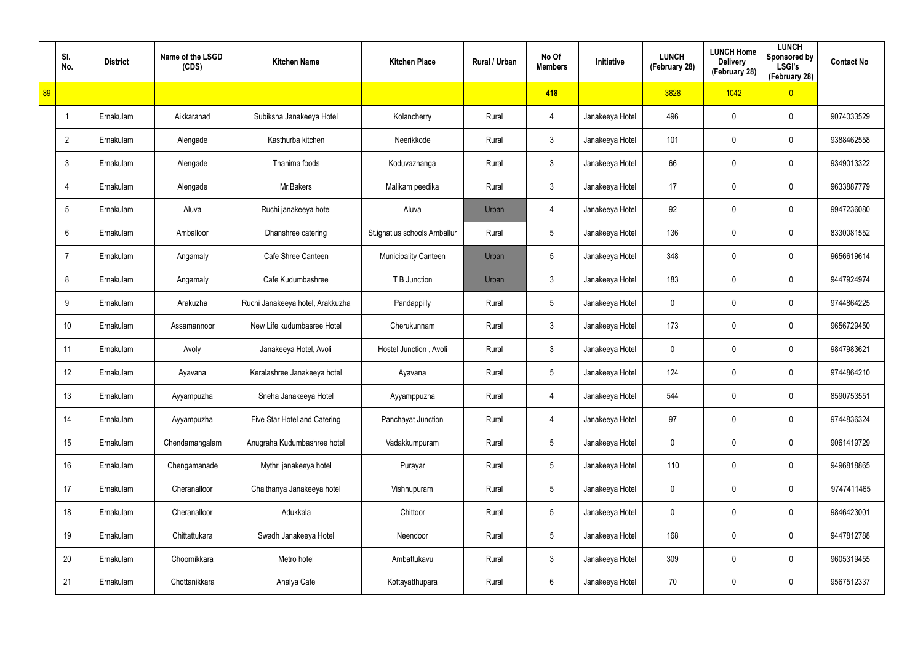|    | SI.<br>No.      | <b>District</b> | Name of the LSGD<br>(CDS) | <b>Kitchen Name</b>              | <b>Kitchen Place</b>         | Rural / Urban | No Of<br><b>Members</b> | Initiative      | <b>LUNCH</b><br>(February 28) | <b>LUNCH Home</b><br><b>Delivery</b><br>(February 28) | <b>LUNCH</b><br>Sponsored by<br><b>LSGI's</b><br>(February 28) | <b>Contact No</b> |
|----|-----------------|-----------------|---------------------------|----------------------------------|------------------------------|---------------|-------------------------|-----------------|-------------------------------|-------------------------------------------------------|----------------------------------------------------------------|-------------------|
| 89 |                 |                 |                           |                                  |                              |               | 418                     |                 | 3828                          | 1042                                                  | $\overline{0}$                                                 |                   |
|    | J,              | Ernakulam       | Aikkaranad                | Subiksha Janakeeya Hotel         | Kolancherry                  | Rural         | 4                       | Janakeeya Hotel | 496                           | $\mathbf 0$                                           | $\mathbf 0$                                                    | 9074033529        |
|    | $\overline{2}$  | Ernakulam       | Alengade                  | Kasthurba kitchen                | Neerikkode                   | Rural         | $\mathbf{3}$            | Janakeeya Hotel | 101                           | $\mathbf 0$                                           | $\mathbf 0$                                                    | 9388462558        |
|    | $\mathbf{3}$    | Ernakulam       | Alengade                  | Thanima foods                    | Koduvazhanga                 | Rural         | 3                       | Janakeeya Hotel | 66                            | 0                                                     | $\mathbf 0$                                                    | 9349013322        |
|    | $\overline{4}$  | Ernakulam       | Alengade                  | Mr.Bakers                        | Malikam peedika              | Rural         | $\mathbf{3}$            | Janakeeya Hotel | 17                            | $\mathbf 0$                                           | $\mathbf 0$                                                    | 9633887779        |
|    | 5               | Ernakulam       | Aluva                     | Ruchi janakeeya hotel            | Aluva                        | Urban         | 4                       | Janakeeya Hotel | 92                            | 0                                                     | $\mathbf 0$                                                    | 9947236080        |
|    | 6               | Ernakulam       | Amballoor                 | Dhanshree catering               | St.ignatius schools Amballur | Rural         | $5\overline{)}$         | Janakeeya Hotel | 136                           | 0                                                     | $\mathbf 0$                                                    | 8330081552        |
|    | $\overline{7}$  | Ernakulam       | Angamaly                  | Cafe Shree Canteen               | <b>Municipality Canteen</b>  | Urban         | 5                       | Janakeeya Hotel | 348                           | 0                                                     | $\mathbf 0$                                                    | 9656619614        |
|    | 8               | Ernakulam       | Angamaly                  | Cafe Kudumbashree                | T B Junction                 | Urban         | 3                       | Janakeeya Hotel | 183                           | 0                                                     | $\mathbf 0$                                                    | 9447924974        |
|    | 9               | Ernakulam       | Arakuzha                  | Ruchi Janakeeya hotel, Arakkuzha | Pandappilly                  | Rural         | $5\overline{)}$         | Janakeeya Hotel | 0                             | 0                                                     | $\mathbf 0$                                                    | 9744864225        |
|    | 10 <sup>°</sup> | Ernakulam       | Assamannoor               | New Life kudumbasree Hotel       | Cherukunnam                  | Rural         | 3                       | Janakeeya Hotel | 173                           | 0                                                     | $\mathbf 0$                                                    | 9656729450        |
|    | 11              | Ernakulam       | Avoly                     | Janakeeya Hotel, Avoli           | Hostel Junction, Avoli       | Rural         | 3                       | Janakeeya Hotel | 0                             | 0                                                     | $\mathbf 0$                                                    | 9847983621        |
|    | 12              | Ernakulam       | Ayavana                   | Keralashree Janakeeya hotel      | Ayavana                      | Rural         | 5                       | Janakeeya Hotel | 124                           | 0                                                     | $\mathbf 0$                                                    | 9744864210        |
|    | 13              | Ernakulam       | Ayyampuzha                | Sneha Janakeeya Hotel            | Ayyamppuzha                  | Rural         | 4                       | Janakeeya Hotel | 544                           | 0                                                     | $\pmb{0}$                                                      | 8590753551        |
|    | 14              | Ernakulam       | Ayyampuzha                | Five Star Hotel and Catering     | Panchayat Junction           | Rural         | $\overline{4}$          | Janakeeya Hotel | 97                            | $\mathbf 0$                                           | $\mathbf 0$                                                    | 9744836324        |
|    | 15              | Ernakulam       | Chendamangalam            | Anugraha Kudumbashree hotel      | Vadakkumpuram                | Rural         | $5\overline{)}$         | Janakeeya Hotel | 0                             | 0                                                     | $\mathbf 0$                                                    | 9061419729        |
|    | 16              | Ernakulam       | Chengamanade              | Mythri janakeeya hotel           | Purayar                      | Rural         | $5\overline{)}$         | Janakeeya Hotel | 110                           | $\mathbf 0$                                           | $\mathbf 0$                                                    | 9496818865        |
|    | 17              | Ernakulam       | Cheranalloor              | Chaithanya Janakeeya hotel       | Vishnupuram                  | Rural         | $5\phantom{.0}$         | Janakeeya Hotel | 0                             | 0                                                     | $\mathbf 0$                                                    | 9747411465        |
|    | 18              | Ernakulam       | Cheranalloor              | Adukkala                         | Chittoor                     | Rural         | $5\phantom{.0}$         | Janakeeya Hotel | 0                             | 0                                                     | $\mathbf 0$                                                    | 9846423001        |
|    | 19              | Ernakulam       | Chittattukara             | Swadh Janakeeya Hotel            | Neendoor                     | Rural         | $5\phantom{.0}$         | Janakeeya Hotel | 168                           | 0                                                     | $\mathbf 0$                                                    | 9447812788        |
|    | 20              | Ernakulam       | Choornikkara              | Metro hotel                      | Ambattukavu                  | Rural         | $\mathbf{3}$            | Janakeeya Hotel | 309                           | 0                                                     | $\mathbf 0$                                                    | 9605319455        |
|    | 21              | Ernakulam       | Chottanikkara             | Ahalya Cafe                      | Kottayatthupara              | Rural         | $6\,$                   | Janakeeya Hotel | 70                            | 0                                                     | $\boldsymbol{0}$                                               | 9567512337        |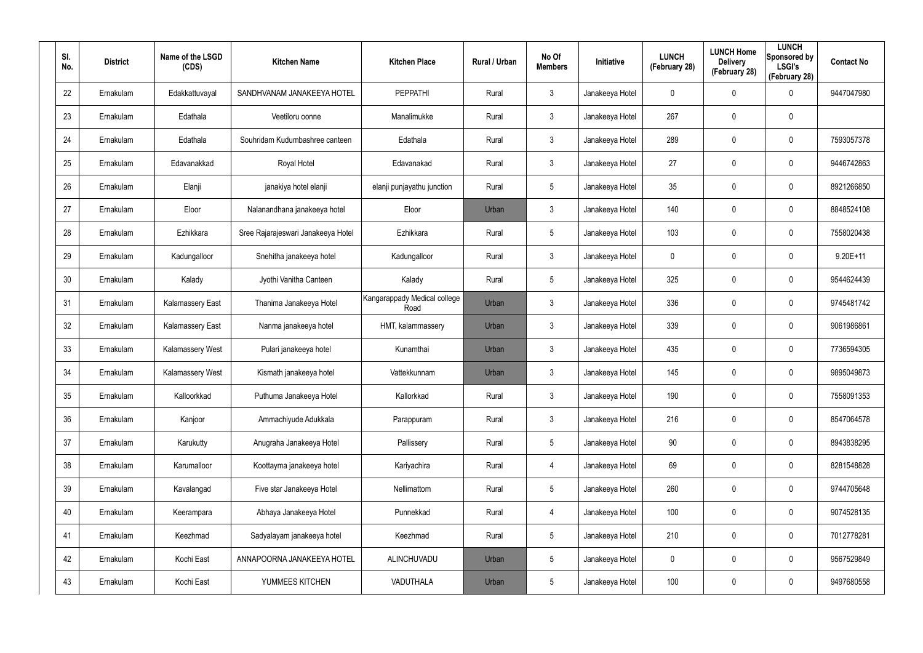| SI.<br>No. | <b>District</b> | Name of the LSGD<br>(CDS) | <b>Kitchen Name</b>                | <b>Kitchen Place</b>                 | Rural / Urban | No Of<br><b>Members</b> | Initiative      | <b>LUNCH</b><br>(February 28) | <b>LUNCH Home</b><br><b>Delivery</b><br>(February 28) | <b>LUNCH</b><br>Sponsored by<br><b>LSGI's</b><br>(February 28) | <b>Contact No</b> |
|------------|-----------------|---------------------------|------------------------------------|--------------------------------------|---------------|-------------------------|-----------------|-------------------------------|-------------------------------------------------------|----------------------------------------------------------------|-------------------|
| 22         | Ernakulam       | Edakkattuvayal            | SANDHVANAM JANAKEEYA HOTEL         | <b>PEPPATHI</b>                      | Rural         | $\mathbf{3}$            | Janakeeya Hotel | 0                             | 0                                                     | $\mathbf 0$                                                    | 9447047980        |
| 23         | Ernakulam       | Edathala                  | Veetiloru oonne                    | Manalimukke                          | Rural         | $\mathbf{3}$            | Janakeeya Hotel | 267                           | 0                                                     | $\pmb{0}$                                                      |                   |
| 24         | Ernakulam       | Edathala                  | Souhridam Kudumbashree canteen     | Edathala                             | Rural         | $\mathbf{3}$            | Janakeeya Hotel | 289                           | 0                                                     | $\mathbf 0$                                                    | 7593057378        |
| 25         | Ernakulam       | Edavanakkad               | Royal Hotel                        | Edavanakad                           | Rural         | $\mathbf{3}$            | Janakeeya Hotel | 27                            | 0                                                     | $\mathbf 0$                                                    | 9446742863        |
| 26         | Ernakulam       | Elanji                    | janakiya hotel elanji              | elanji punjayathu junction           | Rural         | 5                       | Janakeeya Hotel | 35                            | 0                                                     | $\mathbf 0$                                                    | 8921266850        |
| 27         | Ernakulam       | Eloor                     | Nalanandhana janakeeya hotel       | Eloor                                | Urban         | $\mathbf{3}$            | Janakeeya Hotel | 140                           | 0                                                     | $\mathbf 0$                                                    | 8848524108        |
| 28         | Ernakulam       | Ezhikkara                 | Sree Rajarajeswari Janakeeya Hotel | Ezhikkara                            | Rural         | $5\phantom{.0}$         | Janakeeya Hotel | 103                           | $\pmb{0}$                                             | $\mathbf 0$                                                    | 7558020438        |
| 29         | Ernakulam       | Kadungalloor              | Snehitha janakeeya hotel           | Kadungalloor                         | Rural         | $\mathbf{3}$            | Janakeeya Hotel | 0                             | 0                                                     | $\mathbf 0$                                                    | $9.20E+11$        |
| 30         | Ernakulam       | Kalady                    | Jyothi Vanitha Canteen             | Kalady                               | Rural         | $5\phantom{.0}$         | Janakeeya Hotel | 325                           | $\pmb{0}$                                             | $\mathbf 0$                                                    | 9544624439        |
| 31         | Ernakulam       | Kalamassery East          | Thanima Janakeeya Hotel            | Kangarappady Medical college<br>Road | Urban         | $\mathbf{3}$            | Janakeeya Hotel | 336                           | 0                                                     | $\mathbf 0$                                                    | 9745481742        |
| 32         | Ernakulam       | Kalamassery East          | Nanma janakeeya hotel              | HMT, kalammassery                    | Urban         | $\mathbf{3}$            | Janakeeya Hotel | 339                           | $\mathbf 0$                                           | $\mathbf 0$                                                    | 9061986861        |
| 33         | Ernakulam       | Kalamassery West          | Pulari janakeeya hotel             | Kunamthai                            | Urban         | $\mathbf{3}$            | Janakeeya Hotel | 435                           | $\mathbf 0$                                           | $\mathbf 0$                                                    | 7736594305        |
| 34         | Ernakulam       | Kalamassery West          | Kismath janakeeya hotel            | Vattekkunnam                         | Urban         | $\mathbf{3}$            | Janakeeya Hotel | 145                           | $\mathbf 0$                                           | $\mathbf 0$                                                    | 9895049873        |
| 35         | Ernakulam       | Kalloorkkad               | Puthuma Janakeeya Hotel            | Kallorkkad                           | Rural         | $\mathbf{3}$            | Janakeeya Hotel | 190                           | $\mathbf 0$                                           | $\pmb{0}$                                                      | 7558091353        |
| 36         | Ernakulam       | Kanjoor                   | Ammachiyude Adukkala               | Parappuram                           | Rural         | $\mathbf{3}$            | Janakeeya Hotel | 216                           | $\mathbf 0$                                           | $\mathbf 0$                                                    | 8547064578        |
| 37         | Ernakulam       | Karukutty                 | Anugraha Janakeeya Hotel           | Pallissery                           | Rural         | 5                       | Janakeeya Hotel | 90                            | $\mathbf 0$                                           | $\pmb{0}$                                                      | 8943838295        |
| 38         | Ernakulam       | Karumalloor               | Koottayma janakeeya hotel          | Kariyachira                          | Rural         | 4                       | Janakeeya Hotel | 69                            | $\mathbf 0$                                           | $\mathbf 0$                                                    | 8281548828        |
| 39         | Ernakulam       | Kavalangad                | Five star Janakeeya Hotel          | Nellimattom                          | Rural         | 5                       | Janakeeya Hotel | 260                           | $\mathbf 0$                                           | $\pmb{0}$                                                      | 9744705648        |
| 40         | Ernakulam       | Keerampara                | Abhaya Janakeeya Hotel             | Punnekkad                            | Rural         | $\overline{4}$          | Janakeeya Hotel | 100                           | $\mathbf 0$                                           | $\mathbf 0$                                                    | 9074528135        |
| 41         | Ernakulam       | Keezhmad                  | Sadyalayam janakeeya hotel         | Keezhmad                             | Rural         | 5                       | Janakeeya Hotel | 210                           | $\mathbf 0$                                           | $\pmb{0}$                                                      | 7012778281        |
| 42         | Ernakulam       | Kochi East                | ANNAPOORNA JANAKEEYA HOTEL         | ALINCHUVADU                          | Urban         | 5                       | Janakeeya Hotel | 0                             | $\mathbf 0$                                           | $\mathbf 0$                                                    | 9567529849        |
| 43         | Ernakulam       | Kochi East                | YUMMEES KITCHEN                    | VADUTHALA                            | Urban         | 5                       | Janakeeya Hotel | 100                           | $\mathbf 0$                                           | $\pmb{0}$                                                      | 9497680558        |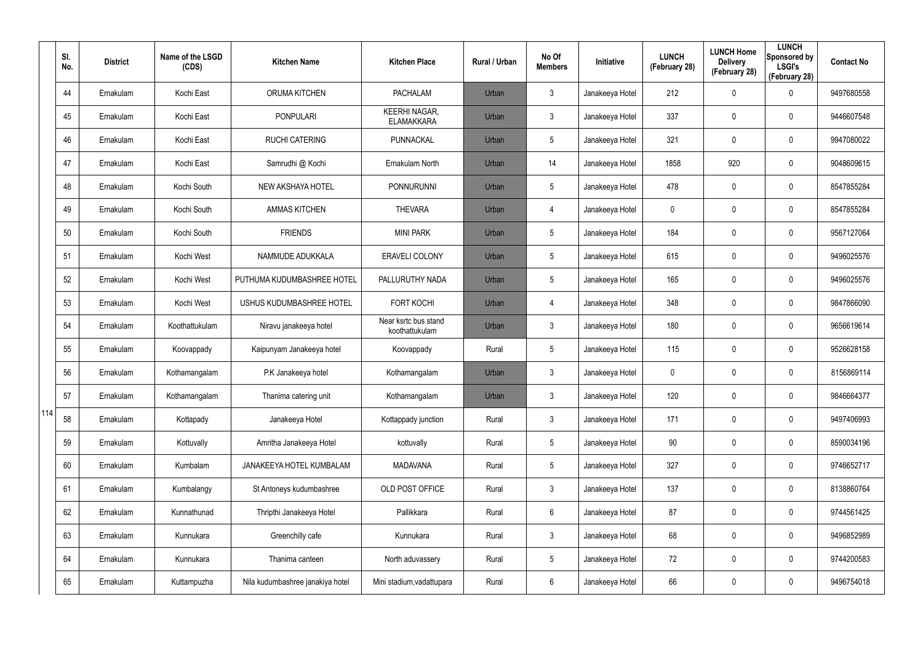|     | SI.<br>No. | <b>District</b> | Name of the LSGD<br>(CDS) | <b>Kitchen Name</b>              | <b>Kitchen Place</b>                      | Rural / Urban | No Of<br><b>Members</b> | <b>Initiative</b> | <b>LUNCH</b><br>(February 28) | <b>LUNCH Home</b><br><b>Delivery</b><br>(February 28) | <b>LUNCH</b><br>Sponsored by<br><b>LSGI's</b><br>(February 28) | <b>Contact No</b> |
|-----|------------|-----------------|---------------------------|----------------------------------|-------------------------------------------|---------------|-------------------------|-------------------|-------------------------------|-------------------------------------------------------|----------------------------------------------------------------|-------------------|
|     | 44         | Ernakulam       | Kochi East                | <b>ORUMA KITCHEN</b>             | <b>PACHALAM</b>                           | Urban         | $\mathbf{3}$            | Janakeeya Hotel   | 212                           | 0                                                     | $\mathbf 0$                                                    | 9497680558        |
|     | 45         | Ernakulam       | Kochi East                | <b>PONPULARI</b>                 | <b>KEERHI NAGAR,</b><br><b>ELAMAKKARA</b> | Urban         | $\mathbf{3}$            | Janakeeya Hotel   | 337                           | 0                                                     | $\mathbf 0$                                                    | 9446607548        |
|     | 46         | Ernakulam       | Kochi East                | <b>RUCHI CATERING</b>            | PUNNACKAL                                 | Urban         | $5\phantom{.0}$         | Janakeeya Hotel   | 321                           | 0                                                     | $\mathbf 0$                                                    | 9947080022        |
|     | 47         | Ernakulam       | Kochi East                | Samrudhi @ Kochi                 | Ernakulam North                           | Urban         | 14                      | Janakeeya Hotel   | 1858                          | 920                                                   | $\pmb{0}$                                                      | 9048609615        |
|     | 48         | Ernakulam       | Kochi South               | NEW AKSHAYA HOTEL                | PONNURUNNI                                | Urban         | $5\phantom{.0}$         | Janakeeya Hotel   | 478                           | $\mathbf 0$                                           | $\mathbf 0$                                                    | 8547855284        |
|     | 49         | Ernakulam       | Kochi South               | <b>AMMAS KITCHEN</b>             | <b>THEVARA</b>                            | Urban         | 4                       | Janakeeya Hotel   | 0                             | 0                                                     | $\mathbf 0$                                                    | 8547855284        |
|     | 50         | Ernakulam       | Kochi South               | <b>FRIENDS</b>                   | <b>MINI PARK</b>                          | Urban         | $5\phantom{.0}$         | Janakeeya Hotel   | 184                           | 0                                                     | $\mathbf 0$                                                    | 9567127064        |
|     | 51         | Ernakulam       | Kochi West                | NAMMUDE ADUKKALA                 | <b>ERAVELI COLONY</b>                     | Urban         | $5\phantom{.0}$         | Janakeeya Hotel   | 615                           | 0                                                     | $\mathbf 0$                                                    | 9496025576        |
|     | 52         | Ernakulam       | Kochi West                | PUTHUMA KUDUMBASHREE HOTEL       | PALLURUTHY NADA                           | Urban         | $5\phantom{.0}$         | Janakeeya Hotel   | 165                           | 0                                                     | $\mathbf 0$                                                    | 9496025576        |
|     | 53         | Ernakulam       | Kochi West                | USHUS KUDUMBASHREE HOTEL         | <b>FORT KOCHI</b>                         | Urban         | 4                       | Janakeeya Hotel   | 348                           | 0                                                     | $\mathbf 0$                                                    | 9847866090        |
|     | 54         | Ernakulam       | Koothattukulam            | Niravu janakeeya hotel           | Near ksrtc bus stand<br>koothattukulam    | Urban         | $\mathbf{3}$            | Janakeeya Hotel   | 180                           | 0                                                     | $\mathbf 0$                                                    | 9656619614        |
|     | 55         | Ernakulam       | Koovappady                | Kaipunyam Janakeeya hotel        | Koovappady                                | Rural         | $5\overline{)}$         | Janakeeya Hotel   | 115                           | 0                                                     | $\mathbf 0$                                                    | 9526628158        |
|     | 56         | Ernakulam       | Kothamangalam             | P.K Janakeeya hotel              | Kothamangalam                             | Urban         | $\mathfrak{Z}$          | Janakeeya Hotel   | 0                             | 0                                                     | $\mathbf 0$                                                    | 8156869114        |
|     | 57         | Ernakulam       | Kothamangalam             | Thanima catering unit            | Kothamangalam                             | Urban         | $\mathbf{3}$            | Janakeeya Hotel   | 120                           | $\mathbf 0$                                           | $\pmb{0}$                                                      | 9846664377        |
| 114 | 58         | Ernakulam       | Kottapady                 | Janakeeya Hotel                  | Kottappady junction                       | Rural         | $\mathfrak{Z}$          | Janakeeya Hotel   | 171                           | $\mathbf 0$                                           | $\mathbf 0$                                                    | 9497406993        |
|     | 59         | Ernakulam       | Kottuvally                | Amritha Janakeeya Hotel          | kottuvally                                | Rural         | $5\overline{)}$         | Janakeeya Hotel   | 90                            | $\mathbf 0$                                           | $\mathbf 0$                                                    | 8590034196        |
|     | 60         | Ernakulam       | Kumbalam                  | JANAKEEYA HOTEL KUMBALAM         | MADAVANA                                  | Rural         | $5\phantom{.0}$         | Janakeeya Hotel   | 327                           | $\mathbf 0$                                           | $\mathbf 0$                                                    | 9746652717        |
|     | 61         | Ernakulam       | Kumbalangy                | St Antoneys kudumbashree         | OLD POST OFFICE                           | Rural         | $\mathfrak{Z}$          | Janakeeya Hotel   | 137                           | 0                                                     | $\mathbf 0$                                                    | 8138860764        |
|     | 62         | Ernakulam       | Kunnathunad               | Thripthi Janakeeya Hotel         | Pallikkara                                | Rural         | 6                       | Janakeeya Hotel   | 87                            | 0                                                     | $\mathbf 0$                                                    | 9744561425        |
|     | 63         | Ernakulam       | Kunnukara                 | Greenchilly cafe                 | Kunnukara                                 | Rural         | $\mathfrak{Z}$          | Janakeeya Hotel   | 68                            | 0                                                     | $\mathbf 0$                                                    | 9496852989        |
|     | 64         | Ernakulam       | Kunnukara                 | Thanima canteen                  | North aduvassery                          | Rural         | $5\phantom{.0}$         | Janakeeya Hotel   | 72                            | 0                                                     | $\mathbf 0$                                                    | 9744200583        |
|     | 65         | Ernakulam       | Kuttampuzha               | Nila kudumbashree janakiya hotel | Mini stadium, vadattupara                 | Rural         | 6                       | Janakeeya Hotel   | 66                            | 0                                                     | $\bf{0}$                                                       | 9496754018        |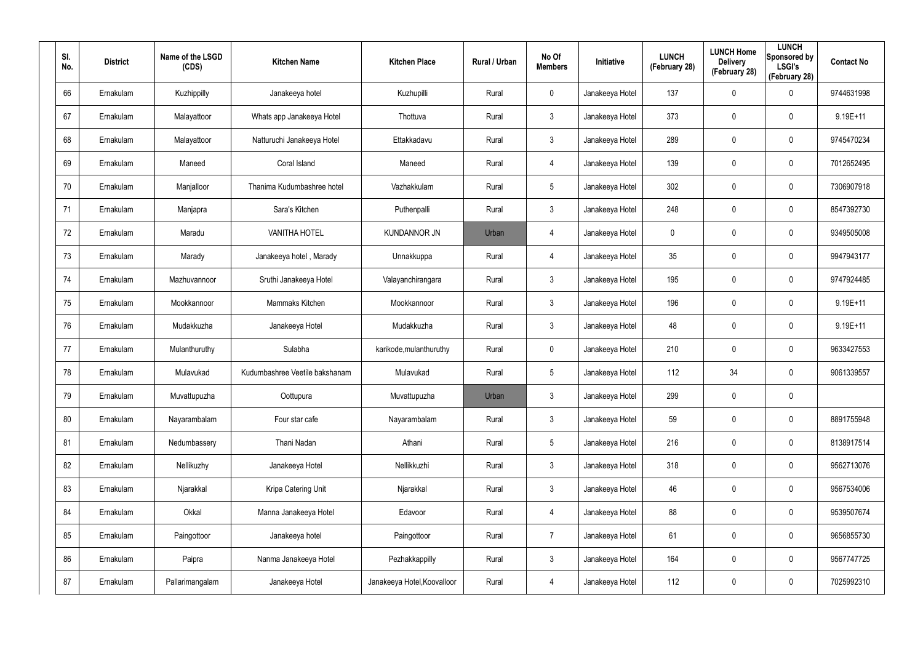| SI.<br>No. | <b>District</b> | Name of the LSGD<br>(CDS) | <b>Kitchen Name</b>            | <b>Kitchen Place</b>        | <b>Rural / Urban</b> | No Of<br><b>Members</b> | Initiative      | <b>LUNCH</b><br>(February 28) | <b>LUNCH Home</b><br><b>Delivery</b><br>(February 28) | <b>LUNCH</b><br>Sponsored by<br><b>LSGI's</b><br>(February 28) | <b>Contact No</b> |
|------------|-----------------|---------------------------|--------------------------------|-----------------------------|----------------------|-------------------------|-----------------|-------------------------------|-------------------------------------------------------|----------------------------------------------------------------|-------------------|
| 66         | Ernakulam       | Kuzhippilly               | Janakeeya hotel                | Kuzhupilli                  | Rural                | $\mathbf 0$             | Janakeeya Hotel | 137                           | $\boldsymbol{0}$                                      | 0                                                              | 9744631998        |
| 67         | Ernakulam       | Malayattoor               | Whats app Janakeeya Hotel      | Thottuva                    | Rural                | $\mathbf{3}$            | Janakeeya Hotel | 373                           | $\boldsymbol{0}$                                      | 0                                                              | 9.19E+11          |
| 68         | Ernakulam       | Malayattoor               | Natturuchi Janakeeya Hotel     | Ettakkadavu                 | Rural                | $\mathbf{3}$            | Janakeeya Hotel | 289                           | $\boldsymbol{0}$                                      | 0                                                              | 9745470234        |
| 69         | Ernakulam       | Maneed                    | Coral Island                   | Maneed                      | Rural                | 4                       | Janakeeya Hotel | 139                           | 0                                                     | 0                                                              | 7012652495        |
| 70         | Ernakulam       | Manjalloor                | Thanima Kudumbashree hotel     | Vazhakkulam                 | Rural                | $5\overline{)}$         | Janakeeya Hotel | 302                           | $\boldsymbol{0}$                                      | 0                                                              | 7306907918        |
| 71         | Ernakulam       | Manjapra                  | Sara's Kitchen                 | Puthenpalli                 | Rural                | 3                       | Janakeeya Hotel | 248                           | 0                                                     | $\mathbf 0$                                                    | 8547392730        |
| 72         | Ernakulam       | Maradu                    | <b>VANITHA HOTEL</b>           | <b>KUNDANNOR JN</b>         | Urban                | $\overline{4}$          | Janakeeya Hotel | 0                             | $\mathbf 0$                                           | $\mathbf 0$                                                    | 9349505008        |
| 73         | Ernakulam       | Marady                    | Janakeeya hotel, Marady        | Unnakkuppa                  | Rural                | 4                       | Janakeeya Hotel | 35                            | 0                                                     | 0                                                              | 9947943177        |
| 74         | Ernakulam       | Mazhuvannoor              | Sruthi Janakeeya Hotel         | Valayanchirangara           | Rural                | $\mathbf{3}$            | Janakeeya Hotel | 195                           | $\boldsymbol{0}$                                      | 0                                                              | 9747924485        |
| 75         | Ernakulam       | Mookkannoor               | Mammaks Kitchen                | Mookkannoor                 | Rural                | $\mathbf{3}$            | Janakeeya Hotel | 196                           | 0                                                     | 0                                                              | $9.19E + 11$      |
| 76         | Ernakulam       | Mudakkuzha                | Janakeeya Hotel                | Mudakkuzha                  | Rural                | $\mathbf{3}$            | Janakeeya Hotel | 48                            | $\boldsymbol{0}$                                      | 0                                                              | $9.19E + 11$      |
| 77         | Ernakulam       | Mulanthuruthy             | Sulabha                        | karikode, mulanthuruthy     | Rural                | $\mathbf 0$             | Janakeeya Hotel | 210                           | $\boldsymbol{0}$                                      | 0                                                              | 9633427553        |
| 78         | Ernakulam       | Mulavukad                 | Kudumbashree Veetile bakshanam | Mulavukad                   | Rural                | $5\overline{)}$         | Janakeeya Hotel | 112                           | 34                                                    | 0                                                              | 9061339557        |
| 79         | Ernakulam       | Muvattupuzha              | Oottupura                      | Muvattupuzha                | Urban                | $\mathbf{3}$            | Janakeeya Hotel | 299                           | $\mathbf 0$                                           | $\pmb{0}$                                                      |                   |
| 80         | Ernakulam       | Nayarambalam              | Four star cafe                 | Nayarambalam                | Rural                | $\mathbf{3}$            | Janakeeya Hotel | 59                            | $\pmb{0}$                                             | $\pmb{0}$                                                      | 8891755948        |
| 81         | Ernakulam       | Nedumbassery              | Thani Nadan                    | Athani                      | Rural                | $5\phantom{.0}$         | Janakeeya Hotel | 216                           | $\overline{0}$                                        | $\pmb{0}$                                                      | 8138917514        |
| 82         | Ernakulam       | Nellikuzhy                | Janakeeya Hotel                | Nellikkuzhi                 | Rural                | $\mathbf{3}$            | Janakeeya Hotel | 318                           | $\overline{0}$                                        | $\pmb{0}$                                                      | 9562713076        |
| 83         | Ernakulam       | Njarakkal                 | Kripa Catering Unit            | Njarakkal                   | Rural                | 3 <sup>1</sup>          | Janakeeya Hotel | 46                            | $\mathbf 0$                                           | 0                                                              | 9567534006        |
| 84         | Ernakulam       | Okkal                     | Manna Janakeeya Hotel          | Edavoor                     | Rural                | $\overline{4}$          | Janakeeya Hotel | 88                            | $\pmb{0}$                                             | 0                                                              | 9539507674        |
| 85         | Ernakulam       | Paingottoor               | Janakeeya hotel                | Paingottoor                 | Rural                | $\overline{7}$          | Janakeeya Hotel | 61                            | $\mathbf 0$                                           | 0                                                              | 9656855730        |
| 86         | Ernakulam       | Paipra                    | Nanma Janakeeya Hotel          | Pezhakkappilly              | Rural                | $\mathbf{3}$            | Janakeeya Hotel | 164                           | $\pmb{0}$                                             | 0                                                              | 9567747725        |
| 87         | Ernakulam       | Pallarimangalam           | Janakeeya Hotel                | Janakeeya Hotel, Koovalloor | Rural                | 4                       | Janakeeya Hotel | 112                           | $\boldsymbol{0}$                                      | 0                                                              | 7025992310        |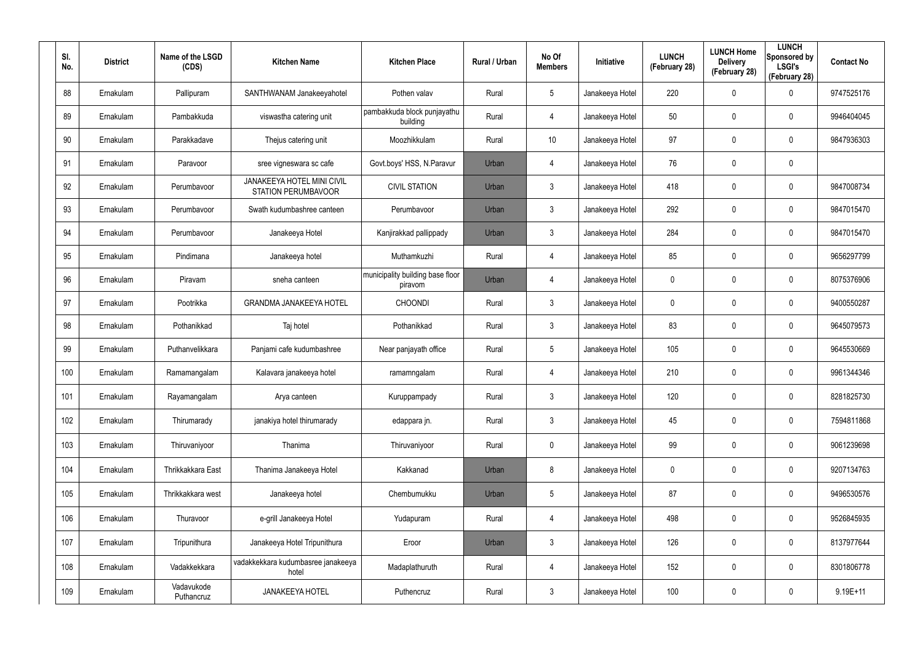| SI.<br>No. | <b>District</b> | Name of the LSGD<br>(CDS) | <b>Kitchen Name</b>                                      | <b>Kitchen Place</b>                        | <b>Rural / Urban</b> | No Of<br><b>Members</b> | Initiative      | <b>LUNCH</b><br>(February 28) | <b>LUNCH Home</b><br><b>Delivery</b><br>(February 28) | <b>LUNCH</b><br>Sponsored by<br><b>LSGI's</b><br>(February 28) | <b>Contact No</b> |
|------------|-----------------|---------------------------|----------------------------------------------------------|---------------------------------------------|----------------------|-------------------------|-----------------|-------------------------------|-------------------------------------------------------|----------------------------------------------------------------|-------------------|
| 88         | Ernakulam       | Pallipuram                | SANTHWANAM Janakeeyahotel                                | Pothen valav                                | Rural                | 5                       | Janakeeya Hotel | 220                           | $\mathbf 0$                                           | $\mathbf 0$                                                    | 9747525176        |
| 89         | Ernakulam       | Pambakkuda                | viswastha catering unit                                  | pambakkuda block punjayathu<br>building     | Rural                | 4                       | Janakeeya Hotel | 50                            | $\mathbf 0$                                           | $\mathbf 0$                                                    | 9946404045        |
| 90         | Ernakulam       | Parakkadave               | Thejus catering unit                                     | Moozhikkulam                                | Rural                | 10                      | Janakeeya Hotel | 97                            | $\mathbf 0$                                           | $\mathbf 0$                                                    | 9847936303        |
| 91         | Ernakulam       | Paravoor                  | sree vigneswara sc cafe                                  | Govt.boys' HSS, N.Paravur                   | Urban                | 4                       | Janakeeya Hotel | 76                            | $\mathbf 0$                                           | $\mathbf 0$                                                    |                   |
| 92         | Ernakulam       | Perumbavoor               | <b>JANAKEEYA HOTEL MINI CIVIL</b><br>STATION PERUMBAVOOR | <b>CIVIL STATION</b>                        | Urban                | $\mathbf{3}$            | Janakeeya Hotel | 418                           | $\mathbf 0$                                           | $\mathbf 0$                                                    | 9847008734        |
| 93         | Ernakulam       | Perumbavoor               | Swath kudumbashree canteen                               | Perumbavoor                                 | Urban                | $\mathbf{3}$            | Janakeeya Hotel | 292                           | $\mathbf 0$                                           | $\mathbf 0$                                                    | 9847015470        |
| 94         | Ernakulam       | Perumbavoor               | Janakeeya Hotel                                          | Kanjirakkad pallippady                      | Urban                | $\mathbf{3}$            | Janakeeya Hotel | 284                           | $\mathbf 0$                                           | $\mathbf 0$                                                    | 9847015470        |
| 95         | Ernakulam       | Pindimana                 | Janakeeya hotel                                          | Muthamkuzhi                                 | Rural                | 4                       | Janakeeya Hotel | 85                            | $\mathbf 0$                                           | $\mathbf 0$                                                    | 9656297799        |
| 96         | Ernakulam       | Piravam                   | sneha canteen                                            | municipality building base floor<br>piravom | Urban                | 4                       | Janakeeya Hotel | 0                             | $\mathbf 0$                                           | $\mathbf 0$                                                    | 8075376906        |
| 97         | Ernakulam       | Pootrikka                 | <b>GRANDMA JANAKEEYA HOTEL</b>                           | <b>CHOONDI</b>                              | Rural                | 3                       | Janakeeya Hotel | 0                             | 0                                                     | $\mathbf 0$                                                    | 9400550287        |
| 98         | Ernakulam       | Pothanikkad               | Taj hotel                                                | Pothanikkad                                 | Rural                | 3                       | Janakeeya Hotel | 83                            | $\mathbf 0$                                           | $\mathbf 0$                                                    | 9645079573        |
| 99         | Ernakulam       | Puthanvelikkara           | Panjami cafe kudumbashree                                | Near panjayath office                       | Rural                | 5                       | Janakeeya Hotel | 105                           | 0                                                     | $\mathbf 0$                                                    | 9645530669        |
| 100        | Ernakulam       | Ramamangalam              | Kalavara janakeeya hotel                                 | ramamngalam                                 | Rural                | 4                       | Janakeeya Hotel | 210                           | $\mathbf 0$                                           | $\mathbf 0$                                                    | 9961344346        |
| 101        | Ernakulam       | Rayamangalam              | Arya canteen                                             | Kuruppampady                                | Rural                | $\mathbf{3}$            | Janakeeya Hotel | 120                           | $\mathbf 0$                                           | $\pmb{0}$                                                      | 8281825730        |
| 102        | Ernakulam       | Thirumarady               | janakiya hotel thirumarady                               | edappara jn.                                | Rural                | $\mathfrak{Z}$          | Janakeeya Hotel | 45                            | 0                                                     | $\pmb{0}$                                                      | 7594811868        |
| 103        | Ernakulam       | Thiruvaniyoor             | Thanima                                                  | Thiruvaniyoor                               | Rural                | $\mathbf 0$             | Janakeeya Hotel | 99                            | $\mathbf 0$                                           | $\pmb{0}$                                                      | 9061239698        |
| 104        | Ernakulam       | Thrikkakkara East         | Thanima Janakeeya Hotel                                  | Kakkanad                                    | Urban                | 8                       | Janakeeya Hotel | $\mathbf 0$                   | $\mathbf 0$                                           | $\pmb{0}$                                                      | 9207134763        |
| 105        | Ernakulam       | Thrikkakkara west         | Janakeeya hotel                                          | Chembumukku                                 | Urban                | 5                       | Janakeeya Hotel | 87                            | 0                                                     | $\pmb{0}$                                                      | 9496530576        |
| 106        | Ernakulam       | Thuravoor                 | e-grill Janakeeya Hotel                                  | Yudapuram                                   | Rural                | $\overline{4}$          | Janakeeya Hotel | 498                           | $\mathbf 0$                                           | $\mathsf{0}$                                                   | 9526845935        |
| 107        | Ernakulam       | Tripunithura              | Janakeeya Hotel Tripunithura                             | Eroor                                       | Urban                | $\mathbf{3}$            | Janakeeya Hotel | 126                           | $\mathbf 0$                                           | $\pmb{0}$                                                      | 8137977644        |
| 108        | Ernakulam       | Vadakkekkara              | vadakkekkara kudumbasree janakeeya<br>hotel              | Madaplathuruth                              | Rural                | $\overline{4}$          | Janakeeya Hotel | 152                           | $\mathbf 0$                                           | $\pmb{0}$                                                      | 8301806778        |
| 109        | Ernakulam       | Vadavukode<br>Puthancruz  | <b>JANAKEEYA HOTEL</b>                                   | Puthencruz                                  | Rural                | $\mathfrak{Z}$          | Janakeeya Hotel | 100                           | $\mathbf 0$                                           | $\pmb{0}$                                                      | $9.19E + 11$      |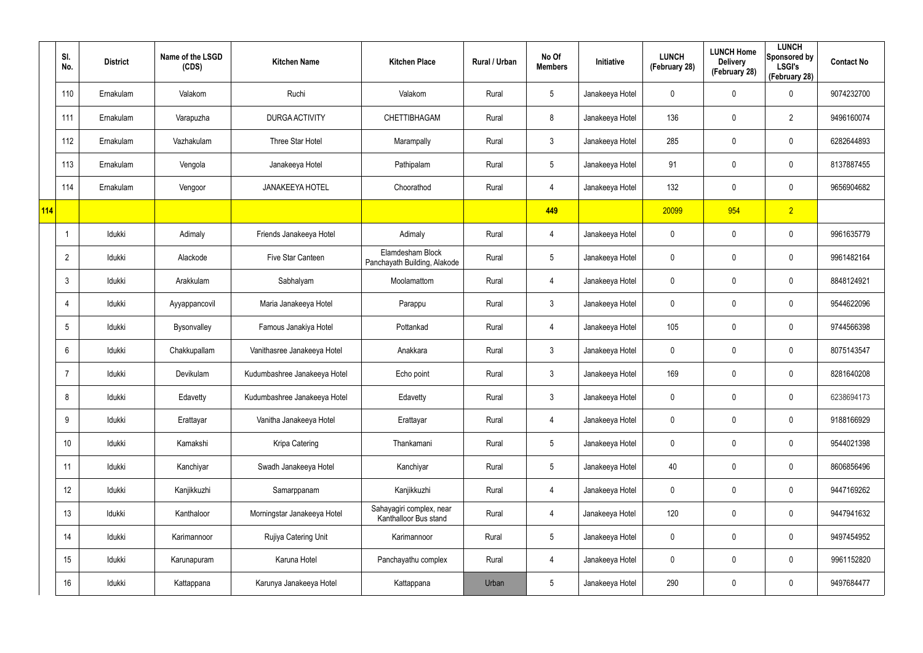|     | SI.<br>No.       | <b>District</b> | Name of the LSGD<br>(CDS) | <b>Kitchen Name</b>          | <b>Kitchen Place</b>                              | Rural / Urban | No Of<br><b>Members</b> | Initiative      | <b>LUNCH</b><br>(February 28) | <b>LUNCH Home</b><br><b>Delivery</b><br>(February 28) | <b>LUNCH</b><br>Sponsored by<br><b>LSGI's</b><br>(February 28) | <b>Contact No</b> |
|-----|------------------|-----------------|---------------------------|------------------------------|---------------------------------------------------|---------------|-------------------------|-----------------|-------------------------------|-------------------------------------------------------|----------------------------------------------------------------|-------------------|
|     | 110              | Ernakulam       | Valakom                   | Ruchi                        | Valakom                                           | Rural         | $5\phantom{.0}$         | Janakeeya Hotel | 0                             | 0                                                     | $\mathbf 0$                                                    | 9074232700        |
|     | 111              | Ernakulam       | Varapuzha                 | DURGA ACTIVITY               | CHETTIBHAGAM                                      | Rural         | 8                       | Janakeeya Hotel | 136                           | 0                                                     | $\overline{2}$                                                 | 9496160074        |
|     | 112              | Ernakulam       | Vazhakulam                | Three Star Hotel             | Marampally                                        | Rural         | $\mathbf{3}$            | Janakeeya Hotel | 285                           | $\mathbf 0$                                           | $\pmb{0}$                                                      | 6282644893        |
|     | 113              | Ernakulam       | Vengola                   | Janakeeya Hotel              | Pathipalam                                        | Rural         | $5\phantom{.0}$         | Janakeeya Hotel | 91                            | 0                                                     | $\pmb{0}$                                                      | 8137887455        |
|     | 114              | Ernakulam       | Vengoor                   | <b>JANAKEEYA HOTEL</b>       | Choorathod                                        | Rural         | $\overline{4}$          | Janakeeya Hotel | 132                           | $\mathbf 0$                                           | $\pmb{0}$                                                      | 9656904682        |
| 114 |                  |                 |                           |                              |                                                   |               | 449                     |                 | 20099                         | 954                                                   | $\overline{2}$                                                 |                   |
|     |                  | Idukki          | Adimaly                   | Friends Janakeeya Hotel      | Adimaly                                           | Rural         | $\overline{4}$          | Janakeeya Hotel | 0                             | $\mathbf 0$                                           | $\pmb{0}$                                                      | 9961635779        |
|     | $\overline{2}$   | Idukki          | Alackode                  | Five Star Canteen            | Elamdesham Block<br>Panchayath Building, Alakode  | Rural         | $5\,$                   | Janakeeya Hotel | 0                             | 0                                                     | $\mathbf 0$                                                    | 9961482164        |
|     | $\mathbf{3}$     | Idukki          | Arakkulam                 | Sabhalyam                    | Moolamattom                                       | Rural         | $\overline{4}$          | Janakeeya Hotel | 0                             | $\mathbf 0$                                           | $\pmb{0}$                                                      | 8848124921        |
|     | $\overline{4}$   | Idukki          | Ayyappancovil             | Maria Janakeeya Hotel        | Parappu                                           | Rural         | $\mathbf{3}$            | Janakeeya Hotel | 0                             | 0                                                     | $\pmb{0}$                                                      | 9544622096        |
|     | $5\phantom{.0}$  | Idukki          | Bysonvalley               | Famous Janakiya Hotel        | Pottankad                                         | Rural         | $\overline{4}$          | Janakeeya Hotel | 105                           | $\mathbf 0$                                           | $\pmb{0}$                                                      | 9744566398        |
|     | 6                | Idukki          | Chakkupallam              | Vanithasree Janakeeya Hotel  | Anakkara                                          | Rural         | $\mathbf{3}$            | Janakeeya Hotel | 0                             | 0                                                     | $\pmb{0}$                                                      | 8075143547        |
|     | -7               | Idukki          | Devikulam                 | Kudumbashree Janakeeya Hotel | Echo point                                        | Rural         | $\mathfrak{Z}$          | Janakeeya Hotel | 169                           | $\mathbf 0$                                           | $\pmb{0}$                                                      | 8281640208        |
|     | 8                | Idukki          | Edavetty                  | Kudumbashree Janakeeya Hotel | Edavetty                                          | Rural         | $\mathbf{3}$            | Janakeeya Hotel | 0                             | $\pmb{0}$                                             | $\pmb{0}$                                                      | 6238694173        |
|     | 9                | Idukki          | Erattayar                 | Vanitha Janakeeya Hotel      | Erattayar                                         | Rural         | $\overline{4}$          | Janakeeya Hotel | 0                             | $\mathbf 0$                                           | $\pmb{0}$                                                      | 9188166929        |
|     | 10 <sup>°</sup>  | Idukki          | Kamakshi                  | Kripa Catering               | Thankamani                                        | Rural         | $5\phantom{.0}$         | Janakeeya Hotel | 0                             | 0                                                     | $\pmb{0}$                                                      | 9544021398        |
|     | 11               | Idukki          | Kanchiyar                 | Swadh Janakeeya Hotel        | Kanchiyar                                         | Rural         | $5\phantom{.0}$         | Janakeeya Hotel | 40                            | $\mathbf 0$                                           | $\mathbf 0$                                                    | 8606856496        |
|     | 12               | Idukki          | Kanjikkuzhi               | Samarppanam                  | Kanjikkuzhi                                       | Rural         | $\overline{4}$          | Janakeeya Hotel | 0                             | 0                                                     | $\pmb{0}$                                                      | 9447169262        |
|     | 13               | Idukki          | Kanthaloor                | Morningstar Janakeeya Hotel  | Sahayagiri complex, near<br>Kanthalloor Bus stand | Rural         | $\overline{4}$          | Janakeeya Hotel | 120                           | 0                                                     | $\mathbf 0$                                                    | 9447941632        |
|     | 14               | Idukki          | Karimannoor               | Rujiya Catering Unit         | Karimannoor                                       | Rural         | $5\,$                   | Janakeeya Hotel | 0                             | $\pmb{0}$                                             | $\pmb{0}$                                                      | 9497454952        |
|     | 15 <sup>15</sup> | Idukki          | Karunapuram               | Karuna Hotel                 | Panchayathu complex                               | Rural         | $\overline{4}$          | Janakeeya Hotel | 0                             | $\mathbf 0$                                           | $\pmb{0}$                                                      | 9961152820        |
|     | 16               | Idukki          | Kattappana                | Karunya Janakeeya Hotel      | Kattappana                                        | Urban         | $5\,$                   | Janakeeya Hotel | 290                           | $\pmb{0}$                                             | $\pmb{0}$                                                      | 9497684477        |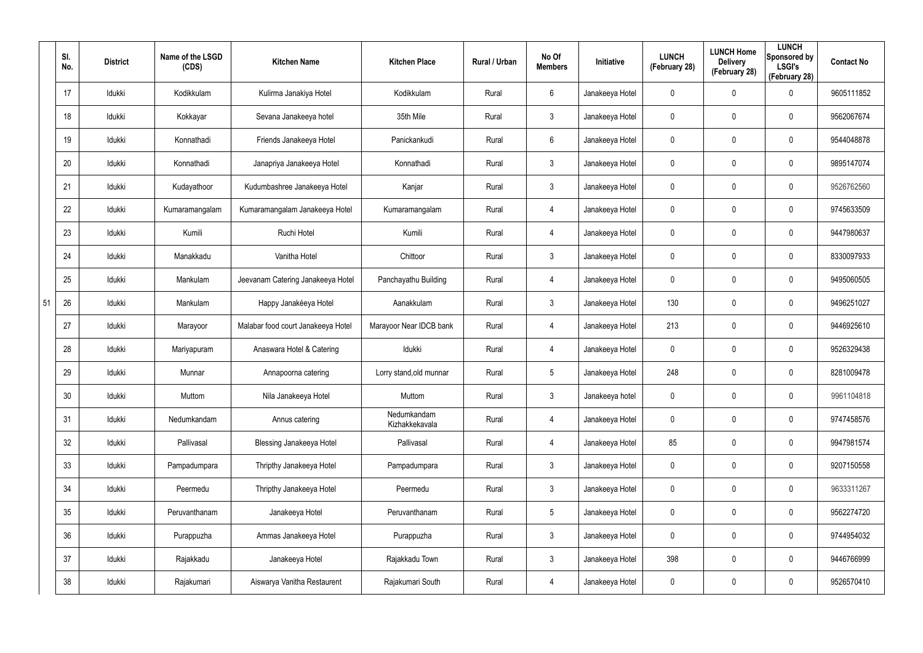|    | SI.<br>No. | <b>District</b> | Name of the LSGD<br>(CDS) | <b>Kitchen Name</b>                | <b>Kitchen Place</b>          | Rural / Urban | No Of<br><b>Members</b> | <b>Initiative</b> | <b>LUNCH</b><br>(February 28) | <b>LUNCH Home</b><br><b>Delivery</b><br>(February 28) | <b>LUNCH</b><br>Sponsored by<br><b>LSGI's</b><br>(February 28) | <b>Contact No</b> |
|----|------------|-----------------|---------------------------|------------------------------------|-------------------------------|---------------|-------------------------|-------------------|-------------------------------|-------------------------------------------------------|----------------------------------------------------------------|-------------------|
|    | 17         | Idukki          | Kodikkulam                | Kulirma Janakiya Hotel             | Kodikkulam                    | Rural         | 6                       | Janakeeya Hotel   | 0                             | 0                                                     | $\mathbf 0$                                                    | 9605111852        |
|    | 18         | Idukki          | Kokkayar                  | Sevana Janakeeya hotel             | 35th Mile                     | Rural         | 3                       | Janakeeya Hotel   | 0                             | $\mathbf 0$                                           | $\mathbf 0$                                                    | 9562067674        |
|    | 19         | Idukki          | Konnathadi                | Friends Janakeeya Hotel            | Panickankudi                  | Rural         | 6                       | Janakeeya Hotel   | 0                             | $\mathbf 0$                                           | $\mathbf 0$                                                    | 9544048878        |
|    | 20         | Idukki          | Konnathadi                | Janapriya Janakeeya Hotel          | Konnathadi                    | Rural         | 3                       | Janakeeya Hotel   | 0                             | $\mathbf 0$                                           | $\mathbf 0$                                                    | 9895147074        |
|    | 21         | Idukki          | Kudayathoor               | Kudumbashree Janakeeya Hotel       | Kanjar                        | Rural         | 3                       | Janakeeya Hotel   | 0                             | $\mathbf 0$                                           | $\mathbf 0$                                                    | 9526762560        |
|    | 22         | Idukki          | Kumaramangalam            | Kumaramangalam Janakeeya Hotel     | Kumaramangalam                | Rural         | 4                       | Janakeeya Hotel   | 0                             | 0                                                     | $\mathbf 0$                                                    | 9745633509        |
|    | 23         | Idukki          | Kumili                    | Ruchi Hotel                        | Kumili                        | Rural         | 4                       | Janakeeya Hotel   | 0                             | 0                                                     | $\mathbf 0$                                                    | 9447980637        |
|    | 24         | ldukki          | Manakkadu                 | Vanitha Hotel                      | Chittoor                      | Rural         | 3                       | Janakeeya Hotel   | 0                             | 0                                                     | $\mathbf 0$                                                    | 8330097933        |
|    | 25         | Idukki          | Mankulam                  | Jeevanam Catering Janakeeya Hotel  | Panchayathu Building          | Rural         | 4                       | Janakeeya Hotel   | 0                             | $\mathbf 0$                                           | $\mathbf 0$                                                    | 9495060505        |
| 51 | 26         | ldukki          | Mankulam                  | Happy Janakéeya Hotel              | Aanakkulam                    | Rural         | 3                       | Janakeeya Hotel   | 130                           | 0                                                     | $\mathbf 0$                                                    | 9496251027        |
|    | 27         | Idukki          | Marayoor                  | Malabar food court Janakeeya Hotel | Marayoor Near IDCB bank       | Rural         | 4                       | Janakeeya Hotel   | 213                           | 0                                                     | $\mathbf 0$                                                    | 9446925610        |
|    | 28         | Idukki          | Mariyapuram               | Anaswara Hotel & Catering          | Idukki                        | Rural         | 4                       | Janakeeya Hotel   | 0                             | 0                                                     | $\mathbf 0$                                                    | 9526329438        |
|    | 29         | Idukki          | Munnar                    | Annapoorna catering                | Lorry stand, old munnar       | Rural         | 5                       | Janakeeya Hotel   | 248                           | 0                                                     | $\mathbf 0$                                                    | 8281009478        |
|    | 30         | Idukki          | Muttom                    | Nila Janakeeya Hotel               | Muttom                        | Rural         | 3                       | Janakeeya hotel   | 0                             | $\mathbf 0$                                           | $\pmb{0}$                                                      | 9961104818        |
|    | 31         | Idukki          | Nedumkandam               | Annus catering                     | Nedumkandam<br>Kizhakkekavala | Rural         | $\overline{4}$          | Janakeeya Hotel   | 0                             | $\mathbf 0$                                           | $\mathbf 0$                                                    | 9747458576        |
|    | 32         | Idukki          | Pallivasal                | Blessing Janakeeya Hotel           | Pallivasal                    | Rural         | $\overline{4}$          | Janakeeya Hotel   | 85                            | $\mathbf 0$                                           | $\mathbf 0$                                                    | 9947981574        |
|    | 33         | ldukki          | Pampadumpara              | Thripthy Janakeeya Hotel           | Pampadumpara                  | Rural         | $\mathbf{3}$            | Janakeeya Hotel   | 0                             | $\mathbf 0$                                           | $\mathbf 0$                                                    | 9207150558        |
|    | 34         | Idukki          | Peermedu                  | Thripthy Janakeeya Hotel           | Peermedu                      | Rural         | $\mathbf{3}$            | Janakeeya Hotel   | $\mathbf 0$                   | $\mathbf 0$                                           | $\mathbf 0$                                                    | 9633311267        |
|    | 35         | Idukki          | Peruvanthanam             | Janakeeya Hotel                    | Peruvanthanam                 | Rural         | $5\phantom{.0}$         | Janakeeya Hotel   | 0                             | 0                                                     | $\mathbf 0$                                                    | 9562274720        |
|    | 36         | ldukki          | Purappuzha                | Ammas Janakeeya Hotel              | Purappuzha                    | Rural         | $\mathbf{3}$            | Janakeeya Hotel   | $\mathbf 0$                   | $\mathbf 0$                                           | $\mathsf{0}$                                                   | 9744954032        |
|    | 37         | Idukki          | Rajakkadu                 | Janakeeya Hotel                    | Rajakkadu Town                | Rural         | $\mathfrak{Z}$          | Janakeeya Hotel   | 398                           | 0                                                     | $\mathbf 0$                                                    | 9446766999        |
|    | 38         | Idukki          | Rajakumari                | Aiswarya Vanitha Restaurent        | Rajakumari South              | Rural         | 4                       | Janakeeya Hotel   | 0                             | 0                                                     | $\pmb{0}$                                                      | 9526570410        |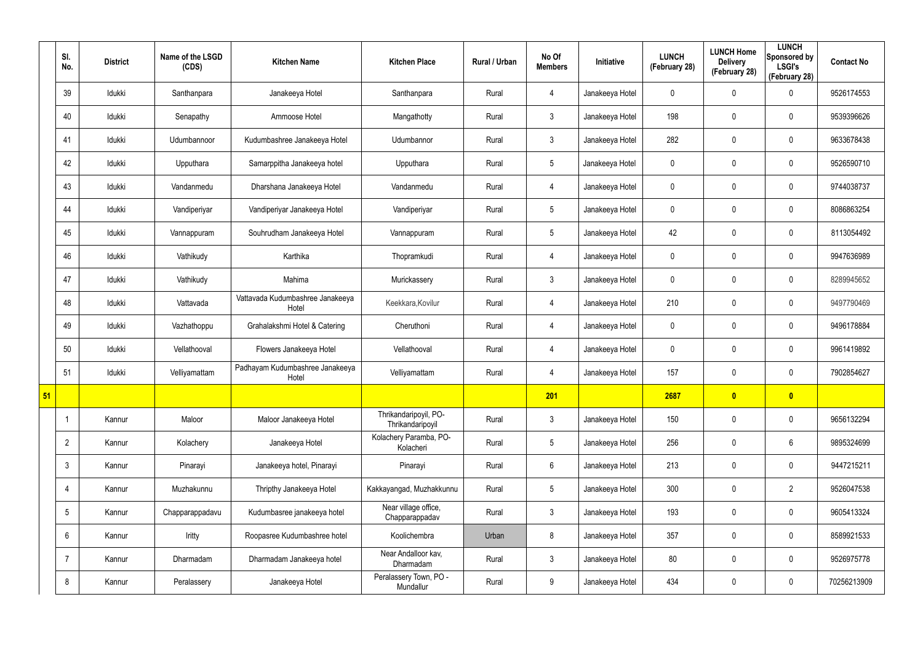|                 | SI.<br>No.      | <b>District</b> | Name of the LSGD<br>(CDS) | <b>Kitchen Name</b>                       | <b>Kitchen Place</b>                      | Rural / Urban | No Of<br><b>Members</b> | Initiative      | <b>LUNCH</b><br>(February 28) | <b>LUNCH Home</b><br><b>Delivery</b><br>(February 28) | <b>LUNCH</b><br>Sponsored by<br><b>LSGI's</b><br>(February 28) | <b>Contact No</b> |
|-----------------|-----------------|-----------------|---------------------------|-------------------------------------------|-------------------------------------------|---------------|-------------------------|-----------------|-------------------------------|-------------------------------------------------------|----------------------------------------------------------------|-------------------|
|                 | 39              | Idukki          | Santhanpara               | Janakeeya Hotel                           | Santhanpara                               | Rural         | $\overline{4}$          | Janakeeya Hotel | $\mathbf 0$                   | 0                                                     | 0                                                              | 9526174553        |
|                 | 40              | Idukki          | Senapathy                 | Ammoose Hotel                             | Mangathotty                               | Rural         | 3                       | Janakeeya Hotel | 198                           | 0                                                     | $\mathbf 0$                                                    | 9539396626        |
|                 | 41              | Idukki          | Udumbannoor               | Kudumbashree Janakeeya Hotel              | Udumbannor                                | Rural         | 3                       | Janakeeya Hotel | 282                           | 0                                                     | $\mathbf 0$                                                    | 9633678438        |
|                 | 42              | Idukki          | Upputhara                 | Samarppitha Janakeeya hotel               | Upputhara                                 | Rural         | $5\overline{)}$         | Janakeeya Hotel | $\mathbf 0$                   | 0                                                     | $\mathbf 0$                                                    | 9526590710        |
|                 | 43              | Idukki          | Vandanmedu                | Dharshana Janakeeya Hotel                 | Vandanmedu                                | Rural         | $\overline{4}$          | Janakeeya Hotel | $\mathbf 0$                   | 0                                                     | $\mathbf 0$                                                    | 9744038737        |
|                 | 44              | Idukki          | Vandiperiyar              | Vandiperiyar Janakeeya Hotel              | Vandiperiyar                              | Rural         | $5\overline{)}$         | Janakeeya Hotel | 0                             | 0                                                     | $\mathbf 0$                                                    | 8086863254        |
|                 | 45              | Idukki          | Vannappuram               | Souhrudham Janakeeya Hotel                | Vannappuram                               | Rural         | $5\overline{)}$         | Janakeeya Hotel | 42                            | 0                                                     | $\mathbf 0$                                                    | 8113054492        |
|                 | 46              | Idukki          | Vathikudy                 | Karthika                                  | Thopramkudi                               | Rural         | $\overline{4}$          | Janakeeya Hotel | $\mathbf 0$                   | 0                                                     | $\mathbf 0$                                                    | 9947636989        |
|                 | 47              | Idukki          | Vathikudy                 | Mahima                                    | Murickassery                              | Rural         | $\mathbf{3}$            | Janakeeya Hotel | $\mathbf 0$                   | 0                                                     | $\mathbf 0$                                                    | 8289945652        |
|                 | 48              | Idukki          | Vattavada                 | Vattavada Kudumbashree Janakeeya<br>Hotel | Keekkara, Kovilur                         | Rural         | $\overline{4}$          | Janakeeya Hotel | 210                           | 0                                                     | $\mathbf 0$                                                    | 9497790469        |
|                 | 49              | Idukki          | Vazhathoppu               | Grahalakshmi Hotel & Catering             | Cheruthoni                                | Rural         | $\overline{4}$          | Janakeeya Hotel | $\mathbf 0$                   | 0                                                     | $\mathbf 0$                                                    | 9496178884        |
|                 | 50              | Idukki          | Vellathooval              | Flowers Janakeeya Hotel                   | Vellathooval                              | Rural         | 4                       | Janakeeya Hotel | $\mathbf 0$                   | 0                                                     | $\mathbf 0$                                                    | 9961419892        |
|                 | 51              | Idukki          | Velliyamattam             | Padhayam Kudumbashree Janakeeya<br>Hotel  | Velliyamattam                             | Rural         | 4                       | Janakeeya Hotel | 157                           | 0                                                     | $\mathbf 0$                                                    | 7902854627        |
| $\overline{51}$ |                 |                 |                           |                                           |                                           |               | 201                     |                 | 2687                          | $\bullet$                                             | $\bullet$                                                      |                   |
|                 | -1              | Kannur          | Maloor                    | Maloor Janakeeya Hotel                    | Thrikandaripoyil, PO-<br>Thrikandaripoyil | Rural         | $\mathbf{3}$            | Janakeeya Hotel | 150                           | $\mathbf 0$                                           | $\mathbf 0$                                                    | 9656132294        |
|                 | $\overline{2}$  | Kannur          | Kolachery                 | Janakeeya Hotel                           | Kolachery Paramba, PO-<br>Kolacheri       | Rural         | $5\overline{)}$         | Janakeeya Hotel | 256                           | 0                                                     | $6\phantom{.}6$                                                | 9895324699        |
|                 | $\mathbf{3}$    | Kannur          | Pinarayi                  | Janakeeya hotel, Pinarayi                 | Pinarayi                                  | Rural         | $6\overline{6}$         | Janakeeya Hotel | 213                           | $\mathbf 0$                                           | $\mathbf 0$                                                    | 9447215211        |
|                 | -4              | Kannur          | Muzhakunnu                | Thripthy Janakeeya Hotel                  | Kakkayangad, Muzhakkunnu                  | Rural         | $5\overline{)}$         | Janakeeya Hotel | 300                           | 0                                                     | $\overline{2}$                                                 | 9526047538        |
|                 | $5\overline{)}$ | Kannur          | Chapparappadavu           | Kudumbasree janakeeya hotel               | Near village office,<br>Chapparappadav    | Rural         | 3 <sup>1</sup>          | Janakeeya Hotel | 193                           | 0                                                     | $\mathbf 0$                                                    | 9605413324        |
|                 | 6               | Kannur          | Iritty                    | Roopasree Kudumbashree hotel              | Koolichembra                              | Urban         | 8                       | Janakeeya Hotel | 357                           | 0                                                     | $\mathbf 0$                                                    | 8589921533        |
|                 | -7              | Kannur          | Dharmadam                 | Dharmadam Janakeeya hotel                 | Near Andalloor kav,<br>Dharmadam          | Rural         | $\mathbf{3}$            | Janakeeya Hotel | 80                            | 0                                                     | $\mathbf 0$                                                    | 9526975778        |
|                 | 8               | Kannur          | Peralassery               | Janakeeya Hotel                           | Peralassery Town, PO -<br>Mundallur       | Rural         | 9                       | Janakeeya Hotel | 434                           | 0                                                     | $\pmb{0}$                                                      | 70256213909       |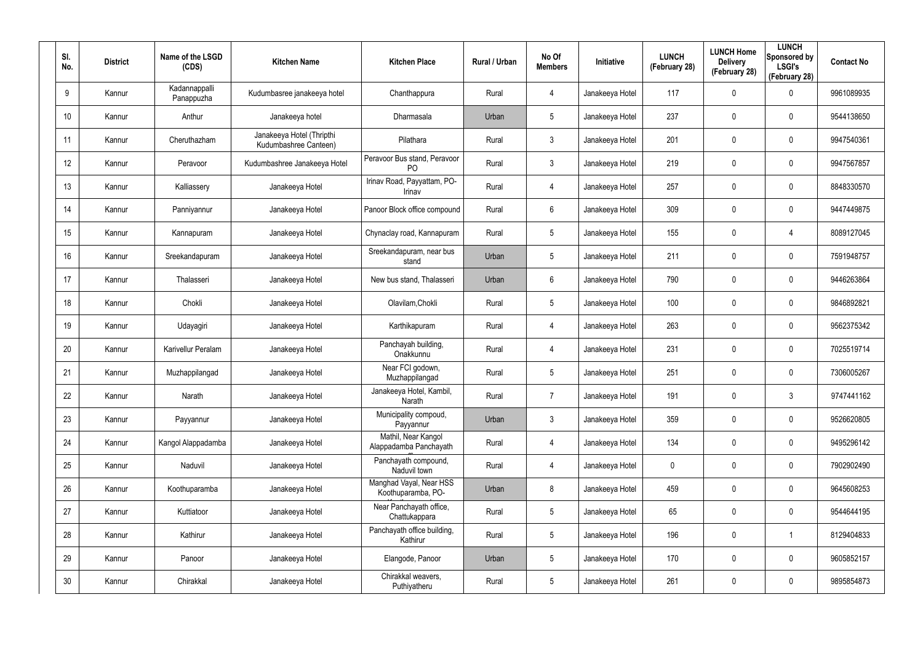| SI.<br>No.      | <b>District</b> | Name of the LSGD<br>(CDS)   | <b>Kitchen Name</b>                                | <b>Kitchen Place</b>                           | Rural / Urban | No Of<br><b>Members</b> | Initiative      | <b>LUNCH</b><br>(February 28) | <b>LUNCH Home</b><br><b>Delivery</b><br>(February 28) | <b>LUNCH</b><br>Sponsored by<br><b>LSGI's</b><br>(February 28) | <b>Contact No</b> |
|-----------------|-----------------|-----------------------------|----------------------------------------------------|------------------------------------------------|---------------|-------------------------|-----------------|-------------------------------|-------------------------------------------------------|----------------------------------------------------------------|-------------------|
| 9               | Kannur          | Kadannappalli<br>Panappuzha | Kudumbasree janakeeya hotel                        | Chanthappura                                   | Rural         | 4                       | Janakeeya Hotel | 117                           | $\mathbf 0$                                           | $\mathbf 0$                                                    | 9961089935        |
| 10 <sup>°</sup> | Kannur          | Anthur                      | Janakeeya hotel                                    | Dharmasala                                     | Urban         | $5\phantom{.0}$         | Janakeeya Hotel | 237                           | 0                                                     | $\mathbf 0$                                                    | 9544138650        |
| 11              | Kannur          | Cheruthazham                | Janakeeya Hotel (Thripthi<br>Kudumbashree Canteen) | Pilathara                                      | Rural         | $\mathbf{3}$            | Janakeeya Hotel | 201                           | 0                                                     | $\mathbf 0$                                                    | 9947540361        |
| 12 <sup>°</sup> | Kannur          | Peravoor                    | Kudumbashree Janakeeya Hotel                       | Peravoor Bus stand, Peravoor<br>P <sub>O</sub> | Rural         | $\mathbf{3}$            | Janakeeya Hotel | 219                           | 0                                                     | $\mathbf 0$                                                    | 9947567857        |
| 13              | Kannur          | Kalliassery                 | Janakeeya Hotel                                    | Irinav Road, Payyattam, PO-<br>Irinav          | Rural         | 4                       | Janakeeya Hotel | 257                           | 0                                                     | $\mathbf 0$                                                    | 8848330570        |
| 14              | Kannur          | Panniyannur                 | Janakeeya Hotel                                    | Panoor Block office compound                   | Rural         | 6                       | Janakeeya Hotel | 309                           | 0                                                     | $\mathbf 0$                                                    | 9447449875        |
| 15              | Kannur          | Kannapuram                  | Janakeeya Hotel                                    | Chynaclay road, Kannapuram                     | Rural         | 5                       | Janakeeya Hotel | 155                           | 0                                                     | $\overline{4}$                                                 | 8089127045        |
| 16              | Kannur          | Sreekandapuram              | Janakeeya Hotel                                    | Sreekandapuram, near bus<br>stand              | Urban         | 5                       | Janakeeya Hotel | 211                           | 0                                                     | $\mathbf 0$                                                    | 7591948757        |
| 17              | Kannur          | Thalasseri                  | Janakeeya Hotel                                    | New bus stand, Thalasseri                      | Urban         | 6                       | Janakeeya Hotel | 790                           | 0                                                     | $\mathbf 0$                                                    | 9446263864        |
| 18              | Kannur          | Chokli                      | Janakeeya Hotel                                    | Olavilam, Chokli                               | Rural         | 5                       | Janakeeya Hotel | 100                           | 0                                                     | $\mathbf 0$                                                    | 9846892821        |
| 19              | Kannur          | Udayagiri                   | Janakeeya Hotel                                    | Karthikapuram                                  | Rural         | 4                       | Janakeeya Hotel | 263                           | 0                                                     | $\mathbf 0$                                                    | 9562375342        |
| 20              | Kannur          | Karivellur Peralam          | Janakeeya Hotel                                    | Panchayah building,<br>Onakkunnu               | Rural         | 4                       | Janakeeya Hotel | 231                           | 0                                                     | $\mathbf 0$                                                    | 7025519714        |
| 21              | Kannur          | Muzhappilangad              | Janakeeya Hotel                                    | Near FCI godown,<br>Muzhappilangad             | Rural         | 5                       | Janakeeya Hotel | 251                           | 0                                                     | $\mathbf 0$                                                    | 7306005267        |
| 22              | Kannur          | Narath                      | Janakeeya Hotel                                    | Janakeeya Hotel, Kambil,<br>Narath             | Rural         | $\overline{7}$          | Janakeeya Hotel | 191                           | 0                                                     | $\mathfrak{Z}$                                                 | 9747441162        |
| 23              | Kannur          | Payyannur                   | Janakeeya Hotel                                    | Municipality compoud,<br>Payyannur             | Urban         | $\mathbf{3}$            | Janakeeya Hotel | 359                           | 0                                                     | $\mathbf 0$                                                    | 9526620805        |
| 24              | Kannur          | Kangol Alappadamba          | Janakeeya Hotel                                    | Mathil, Near Kangol<br>Alappadamba Panchayath  | Rural         | 4                       | Janakeeya Hotel | 134                           | 0                                                     | $\mathbf 0$                                                    | 9495296142        |
| 25              | Kannur          | Naduvil                     | Janakeeya Hotel                                    | Panchayath compound,<br>Naduvil town           | Rural         | 4                       | Janakeeya Hotel | 0                             | 0                                                     | $\mathbf 0$                                                    | 7902902490        |
| 26              | Kannur          | Koothuparamba               | Janakeeya Hotel                                    | Manghad Vayal, Near HSS<br>Koothuparamba, PO-  | Urban         | $8\,$                   | Janakeeya Hotel | 459                           | 0                                                     | $\mathsf{0}$                                                   | 9645608253        |
| 27              | Kannur          | Kuttiatoor                  | Janakeeya Hotel                                    | Near Panchayath office,<br>Chattukappara       | Rural         | $5\phantom{.0}$         | Janakeeya Hotel | 65                            | 0                                                     | $\mathbf 0$                                                    | 9544644195        |
| 28              | Kannur          | Kathirur                    | Janakeeya Hotel                                    | Panchayath office building,<br>Kathirur        | Rural         | $5\phantom{.0}$         | Janakeeya Hotel | 196                           | 0                                                     | $\mathbf{1}$                                                   | 8129404833        |
| 29              | Kannur          | Panoor                      | Janakeeya Hotel                                    | Elangode, Panoor                               | Urban         | $5\phantom{.0}$         | Janakeeya Hotel | 170                           | 0                                                     | $\mathbf 0$                                                    | 9605852157        |
| 30              | Kannur          | Chirakkal                   | Janakeeya Hotel                                    | Chirakkal weavers,<br>Puthiyatheru             | Rural         | $5\phantom{.0}$         | Janakeeya Hotel | 261                           | 0                                                     | $\mathsf{0}$                                                   | 9895854873        |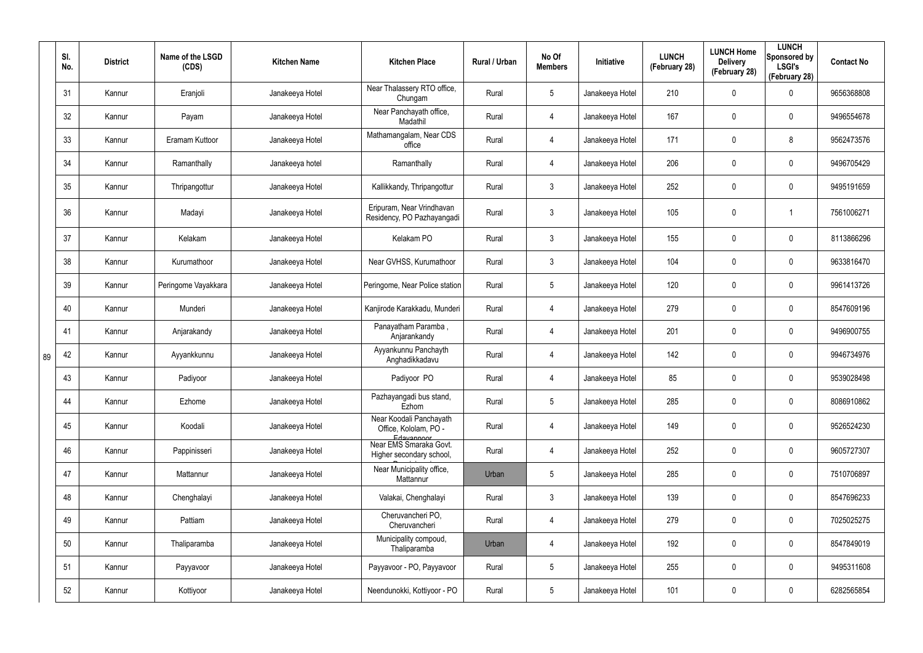|    | SI.<br>No. | <b>District</b> | Name of the LSGD<br>(CDS) | <b>Kitchen Name</b> | <b>Kitchen Place</b>                                             | Rural / Urban | No Of<br><b>Members</b> | Initiative      | <b>LUNCH</b><br>(February 28) | <b>LUNCH Home</b><br><b>Delivery</b><br>(February 28) | <b>LUNCH</b><br>Sponsored by<br><b>LSGI's</b><br>(February 28) | <b>Contact No</b> |
|----|------------|-----------------|---------------------------|---------------------|------------------------------------------------------------------|---------------|-------------------------|-----------------|-------------------------------|-------------------------------------------------------|----------------------------------------------------------------|-------------------|
|    | 31         | Kannur          | Eranjoli                  | Janakeeya Hotel     | Near Thalassery RTO office,<br>Chungam                           | Rural         | $5\phantom{.0}$         | Janakeeya Hotel | 210                           | 0                                                     | $\boldsymbol{0}$                                               | 9656368808        |
|    | 32         | Kannur          | Payam                     | Janakeeya Hotel     | Near Panchayath office,<br>Madathil                              | Rural         | $\overline{4}$          | Janakeeya Hotel | 167                           | 0                                                     | $\pmb{0}$                                                      | 9496554678        |
|    | 33         | Kannur          | Eramam Kuttoor            | Janakeeya Hotel     | Mathamangalam, Near CDS<br>office                                | Rural         | $\overline{4}$          | Janakeeya Hotel | 171                           | $\mathbf 0$                                           | 8                                                              | 9562473576        |
|    | 34         | Kannur          | Ramanthally               | Janakeeya hotel     | Ramanthally                                                      | Rural         | $\overline{4}$          | Janakeeya Hotel | 206                           | 0                                                     | $\pmb{0}$                                                      | 9496705429        |
|    | 35         | Kannur          | Thripangottur             | Janakeeya Hotel     | Kallikkandy, Thripangottur                                       | Rural         | $\mathbf{3}$            | Janakeeya Hotel | 252                           | 0                                                     | $\pmb{0}$                                                      | 9495191659        |
|    | 36         | Kannur          | Madayi                    | Janakeeya Hotel     | Eripuram, Near Vrindhavan<br>Residency, PO Pazhayangadi          | Rural         | $\mathbf{3}$            | Janakeeya Hotel | 105                           | 0                                                     | 1                                                              | 7561006271        |
|    | 37         | Kannur          | Kelakam                   | Janakeeya Hotel     | Kelakam PO                                                       | Rural         | $\mathbf{3}$            | Janakeeya Hotel | 155                           | 0                                                     | $\pmb{0}$                                                      | 8113866296        |
|    | 38         | Kannur          | Kurumathoor               | Janakeeya Hotel     | Near GVHSS, Kurumathoor                                          | Rural         | $\mathbf{3}$            | Janakeeya Hotel | 104                           | $\mathbf 0$                                           | $\pmb{0}$                                                      | 9633816470        |
|    | 39         | Kannur          | Peringome Vayakkara       | Janakeeya Hotel     | Peringome, Near Police station                                   | Rural         | $\sqrt{5}$              | Janakeeya Hotel | 120                           | 0                                                     | $\mathbf 0$                                                    | 9961413726        |
|    | 40         | Kannur          | Munderi                   | Janakeeya Hotel     | Kanjirode Karakkadu, Munderi                                     | Rural         | $\overline{4}$          | Janakeeya Hotel | 279                           | $\mathbf 0$                                           | $\pmb{0}$                                                      | 8547609196        |
|    | 41         | Kannur          | Anjarakandy               | Janakeeya Hotel     | Panayatham Paramba,<br>Anjarankandy                              | Rural         | 4                       | Janakeeya Hotel | 201                           | 0                                                     | $\mathbf 0$                                                    | 9496900755        |
| 89 | 42         | Kannur          | Ayyankkunnu               | Janakeeya Hotel     | Ayyankunnu Panchayth<br>Anghadikkadavu                           | Rural         | $\overline{4}$          | Janakeeya Hotel | 142                           | $\mathbf 0$                                           | $\pmb{0}$                                                      | 9946734976        |
|    | 43         | Kannur          | Padiyoor                  | Janakeeya Hotel     | Padiyoor PO                                                      | Rural         | 4                       | Janakeeya Hotel | 85                            | 0                                                     | $\mathbf 0$                                                    | 9539028498        |
|    | 44         | Kannur          | Ezhome                    | Janakeeya Hotel     | Pazhayangadi bus stand,<br>Ezhom                                 | Rural         | $5\phantom{.0}$         | Janakeeya Hotel | 285                           | 0                                                     | $\pmb{0}$                                                      | 8086910862        |
|    | 45         | Kannur          | Koodali                   | Janakeeya Hotel     | Near Koodali Panchayath<br>Office, Kololam, PO -                 | Rural         | 4                       | Janakeeya Hotel | 149                           | 0                                                     | $\pmb{0}$                                                      | 9526524230        |
|    | 46         | Kannur          | Pappinisseri              | Janakeeya Hotel     | Edavannoor<br>Near EMS Smaraka Govt.<br>Higher secondary school, | Rural         | $\overline{4}$          | Janakeeya Hotel | 252                           | $\mathbf 0$                                           | $\pmb{0}$                                                      | 9605727307        |
|    | 47         | Kannur          | Mattannur                 | Janakeeya Hotel     | Near Municipality office,<br>Mattannur                           | Urban         | $5\phantom{.0}$         | Janakeeya Hotel | 285                           | $\mathbf 0$                                           | $\mathbf 0$                                                    | 7510706897        |
|    | 48         | Kannur          | Chenghalayi               | Janakeeya Hotel     | Valakai, Chenghalayi                                             | Rural         | $\mathbf{3}$            | Janakeeya Hotel | 139                           | $\mathbf 0$                                           | $\pmb{0}$                                                      | 8547696233        |
|    | 49         | Kannur          | Pattiam                   | Janakeeya Hotel     | Cheruvancheri PO,<br>Cheruvancheri                               | Rural         | $\overline{4}$          | Janakeeya Hotel | 279                           | $\mathbf 0$                                           | $\mathbf 0$                                                    | 7025025275        |
|    | 50         | Kannur          | Thaliparamba              | Janakeeya Hotel     | Municipality compoud,<br>Thaliparamba                            | Urban         | 4                       | Janakeeya Hotel | 192                           | $\mathbf 0$                                           | $\mathbf 0$                                                    | 8547849019        |
|    | 51         | Kannur          | Payyavoor                 | Janakeeya Hotel     | Payyavoor - PO, Payyavoor                                        | Rural         | $\sqrt{5}$              | Janakeeya Hotel | 255                           | $\mathbf 0$                                           | $\mathbf 0$                                                    | 9495311608        |
|    | 52         | Kannur          | Kottiyoor                 | Janakeeya Hotel     | Neendunokki, Kottiyoor - PO                                      | Rural         | $5\phantom{.0}$         | Janakeeya Hotel | 101                           | 0                                                     | $\pmb{0}$                                                      | 6282565854        |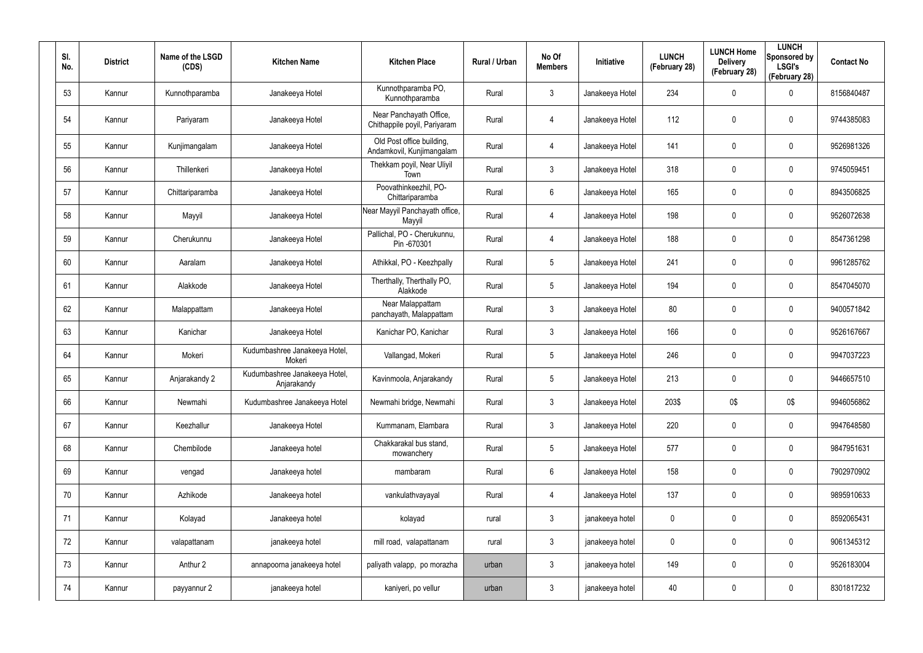| SI.<br>No. | <b>District</b> | Name of the LSGD<br>(CDS) | <b>Kitchen Name</b>                          | <b>Kitchen Place</b>                                    | Rural / Urban | No Of<br><b>Members</b> | Initiative      | <b>LUNCH</b><br>(February 28) | <b>LUNCH Home</b><br><b>Delivery</b><br>(February 28) | <b>LUNCH</b><br>Sponsored by<br><b>LSGI's</b><br>(February 28) | <b>Contact No</b> |
|------------|-----------------|---------------------------|----------------------------------------------|---------------------------------------------------------|---------------|-------------------------|-----------------|-------------------------------|-------------------------------------------------------|----------------------------------------------------------------|-------------------|
| 53         | Kannur          | Kunnothparamba            | Janakeeya Hotel                              | Kunnothparamba PO,<br>Kunnothparamba                    | Rural         | 3                       | Janakeeya Hotel | 234                           | 0                                                     | 0                                                              | 8156840487        |
| 54         | Kannur          | Pariyaram                 | Janakeeya Hotel                              | Near Panchayath Office,<br>Chithappile poyil, Pariyaram | Rural         | 4                       | Janakeeya Hotel | 112                           | $\mathbf 0$                                           | $\pmb{0}$                                                      | 9744385083        |
| 55         | Kannur          | Kunjimangalam             | Janakeeya Hotel                              | Old Post office building,<br>Andamkovil, Kunjimangalam  | Rural         | 4                       | Janakeeya Hotel | 141                           | 0                                                     | $\pmb{0}$                                                      | 9526981326        |
| 56         | Kannur          | Thillenkeri               | Janakeeya Hotel                              | Thekkam poyil, Near Uliyil<br>Town                      | Rural         | 3                       | Janakeeya Hotel | 318                           | $\mathbf 0$                                           | $\pmb{0}$                                                      | 9745059451        |
| 57         | Kannur          | Chittariparamba           | Janakeeya Hotel                              | Poovathinkeezhil, PO-<br>Chittariparamba                | Rural         | 6                       | Janakeeya Hotel | 165                           | 0                                                     | $\pmb{0}$                                                      | 8943506825        |
| 58         | Kannur          | Mayyil                    | Janakeeya Hotel                              | Near Mayyil Panchayath office,<br>Mayyil                | Rural         | 4                       | Janakeeya Hotel | 198                           | $\mathbf 0$                                           | $\pmb{0}$                                                      | 9526072638        |
| 59         | Kannur          | Cherukunnu                | Janakeeya Hotel                              | Pallichal, PO - Cherukunnu,<br>Pin-670301               | Rural         | 4                       | Janakeeya Hotel | 188                           | 0                                                     | $\pmb{0}$                                                      | 8547361298        |
| 60         | Kannur          | Aaralam                   | Janakeeya Hotel                              | Athikkal, PO - Keezhpally                               | Rural         | $\overline{5}$          | Janakeeya Hotel | 241                           | 0                                                     | $\pmb{0}$                                                      | 9961285762        |
| 61         | Kannur          | Alakkode                  | Janakeeya Hotel                              | Therthally, Therthally PO,<br>Alakkode                  | Rural         | $\overline{5}$          | Janakeeya Hotel | 194                           | 0                                                     | $\pmb{0}$                                                      | 8547045070        |
| 62         | Kannur          | Malappattam               | Janakeeya Hotel                              | Near Malappattam<br>panchayath, Malappattam             | Rural         | 3                       | Janakeeya Hotel | 80                            | 0                                                     | $\pmb{0}$                                                      | 9400571842        |
| 63         | Kannur          | Kanichar                  | Janakeeya Hotel                              | Kanichar PO, Kanichar                                   | Rural         | 3                       | Janakeeya Hotel | 166                           | 0                                                     | $\pmb{0}$                                                      | 9526167667        |
| 64         | Kannur          | Mokeri                    | Kudumbashree Janakeeya Hotel,<br>Mokeri      | Vallangad, Mokeri                                       | Rural         | 5                       | Janakeeya Hotel | 246                           | 0                                                     | $\pmb{0}$                                                      | 9947037223        |
| 65         | Kannur          | Anjarakandy 2             | Kudumbashree Janakeeya Hotel,<br>Anjarakandy | Kavinmoola, Anjarakandy                                 | Rural         | $5\overline{)}$         | Janakeeya Hotel | 213                           | 0                                                     | 0                                                              | 9446657510        |
| 66         | Kannur          | Newmahi                   | Kudumbashree Janakeeya Hotel                 | Newmahi bridge, Newmahi                                 | Rural         | $\mathfrak{Z}$          | Janakeeya Hotel | 203\$                         | 0\$                                                   | 0\$                                                            | 9946056862        |
| 67         | Kannur          | Keezhallur                | Janakeeya Hotel                              | Kummanam, Elambara                                      | Rural         | $\mathfrak{Z}$          | Janakeeya Hotel | 220                           | $\pmb{0}$                                             | $\pmb{0}$                                                      | 9947648580        |
| 68         | Kannur          | Chembilode                | Janakeeya hotel                              | Chakkarakal bus stand,<br>mowanchery                    | Rural         | $5\phantom{.0}$         | Janakeeya Hotel | 577                           | $\mathbf 0$                                           | $\pmb{0}$                                                      | 9847951631        |
| 69         | Kannur          | vengad                    | Janakeeya hotel                              | mambaram                                                | Rural         | $6\phantom{.0}$         | Janakeeya Hotel | 158                           | $\pmb{0}$                                             | $\pmb{0}$                                                      | 7902970902        |
| 70         | Kannur          | Azhikode                  | Janakeeya hotel                              | vankulathvayayal                                        | Rural         | 4                       | Janakeeya Hotel | 137                           | 0                                                     | $\mathbf 0$                                                    | 9895910633        |
| 71         | Kannur          | Kolayad                   | Janakeeya hotel                              | kolayad                                                 | rural         | $\mathfrak{Z}$          | janakeeya hotel | 0                             | $\mathbf 0$                                           | $\mathbf 0$                                                    | 8592065431        |
| 72         | Kannur          | valapattanam              | janakeeya hotel                              | mill road, valapattanam                                 | rural         | $\mathbf{3}$            | janakeeya hotel | 0                             | 0                                                     | $\mathbf 0$                                                    | 9061345312        |
| 73         | Kannur          | Anthur 2                  | annapoorna janakeeya hotel                   | paliyath valapp, po morazha                             | urban         | $\mathfrak{Z}$          | janakeeya hotel | 149                           | $\mathbf 0$                                           | $\pmb{0}$                                                      | 9526183004        |
| 74         | Kannur          | payyannur 2               | janakeeya hotel                              | kaniyeri, po vellur                                     | urban         | $\mathfrak{Z}$          | janakeeya hotel | 40                            | 0                                                     | $\pmb{0}$                                                      | 8301817232        |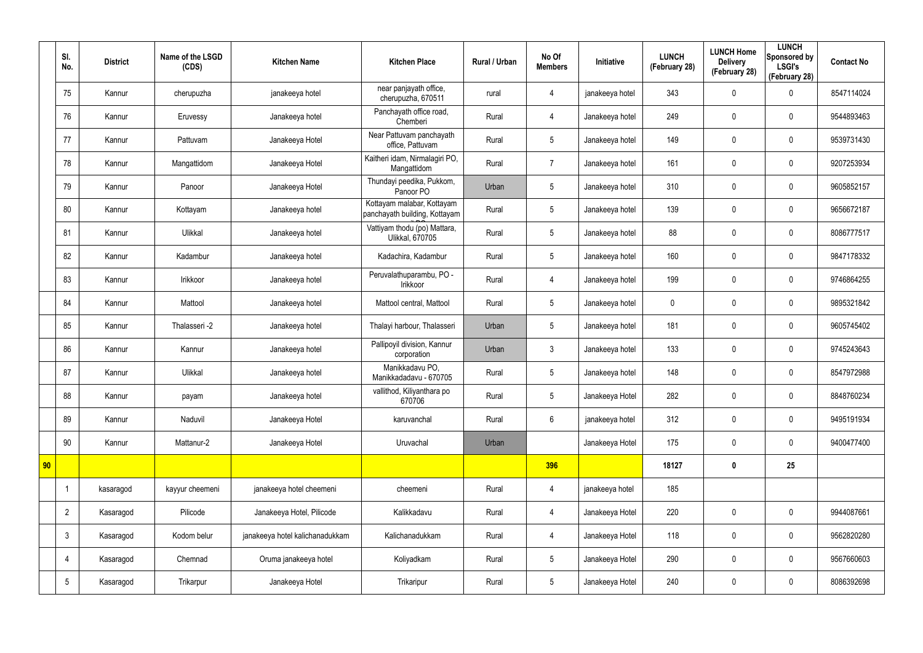|    | SI.<br>No.      | <b>District</b> | Name of the LSGD<br>(CDS) | <b>Kitchen Name</b>             | <b>Kitchen Place</b>                                        | Rural / Urban | No Of<br><b>Members</b> | Initiative      | <b>LUNCH</b><br>(February 28) | <b>LUNCH Home</b><br><b>Delivery</b><br>(February 28) | <b>LUNCH</b><br>Sponsored by<br><b>LSGI's</b><br>(February 28) | <b>Contact No</b> |
|----|-----------------|-----------------|---------------------------|---------------------------------|-------------------------------------------------------------|---------------|-------------------------|-----------------|-------------------------------|-------------------------------------------------------|----------------------------------------------------------------|-------------------|
|    | 75              | Kannur          | cherupuzha                | janakeeya hotel                 | near panjayath office,<br>cherupuzha, 670511                | rural         | $\overline{4}$          | janakeeya hotel | 343                           | $\mathbf 0$                                           | 0                                                              | 8547114024        |
|    | 76              | Kannur          | Eruvessy                  | Janakeeya hotel                 | Panchayath office road,<br>Chemberi                         | Rural         | $\overline{4}$          | Janakeeya hotel | 249                           | 0                                                     | $\boldsymbol{0}$                                               | 9544893463        |
|    | 77              | Kannur          | Pattuvam                  | Janakeeya Hotel                 | Near Pattuvam panchayath<br>office, Pattuvam                | Rural         | $5\phantom{.0}$         | Janakeeya hotel | 149                           | $\mathbf 0$                                           | 0                                                              | 9539731430        |
|    | 78              | Kannur          | Mangattidom               | Janakeeya Hotel                 | Kaitheri idam, Nirmalagiri PO,<br>Mangattidom               | Rural         | $\overline{7}$          | Janakeeya hotel | 161                           | 0                                                     | $\mathbf 0$                                                    | 9207253934        |
|    | 79              | Kannur          | Panoor                    | Janakeeya Hotel                 | Thundayi peedika, Pukkom,<br>Panoor PO                      | Urban         | $5\phantom{.0}$         | Janakeeya hotel | 310                           | 0                                                     | $\mathbf 0$                                                    | 9605852157        |
|    | 80              | Kannur          | Kottayam                  | Janakeeya hotel                 | Kottayam malabar, Kottayam<br>panchayath building, Kottayam | Rural         | 5                       | Janakeeya hotel | 139                           | $\boldsymbol{0}$                                      | $\mathbf 0$                                                    | 9656672187        |
|    | 81              | Kannur          | Ulikkal                   | Janakeeya hotel                 | Vattiyam thodu (po) Mattara,<br>Ulikkal, 670705             | Rural         | $5\phantom{.0}$         | Janakeeya hotel | 88                            | $\boldsymbol{0}$                                      | $\mathbf 0$                                                    | 8086777517        |
|    | 82              | Kannur          | Kadambur                  | Janakeeya hotel                 | Kadachira, Kadambur                                         | Rural         | $5\overline{)}$         | Janakeeya hotel | 160                           | $\boldsymbol{0}$                                      | $\mathbf 0$                                                    | 9847178332        |
|    | 83              | Kannur          | Irikkoor                  | Janakeeya hotel                 | Peruvalathuparambu, PO -<br>Irikkoor                        | Rural         | $\overline{4}$          | Janakeeya hotel | 199                           | $\boldsymbol{0}$                                      | $\mathbf 0$                                                    | 9746864255        |
|    | 84              | Kannur          | Mattool                   | Janakeeya hotel                 | Mattool central, Mattool                                    | Rural         | $5\overline{)}$         | Janakeeya hotel | $\mathbf 0$                   | 0                                                     | $\mathbf 0$                                                    | 9895321842        |
|    | 85              | Kannur          | Thalasseri -2             | Janakeeya hotel                 | Thalayi harbour, Thalasseri                                 | Urban         | $5\overline{)}$         | Janakeeya hotel | 181                           | 0                                                     | $\boldsymbol{0}$                                               | 9605745402        |
|    | 86              | Kannur          | Kannur                    | Janakeeya hotel                 | Pallipoyil division, Kannur<br>corporation                  | Urban         | 3                       | Janakeeya hotel | 133                           | $\mathbf 0$                                           | $\mathbf 0$                                                    | 9745243643        |
|    | 87              | Kannur          | Ulikkal                   | Janakeeya hotel                 | Manikkadavu PO,<br>Manikkadadavu - 670705                   | Rural         | $5\phantom{.0}$         | Janakeeya hotel | 148                           | $\mathbf 0$                                           | $\boldsymbol{0}$                                               | 8547972988        |
|    | 88              | Kannur          | payam                     | Janakeeya hotel                 | vallithod, Kiliyanthara po<br>670706                        | Rural         | $5\phantom{.0}$         | Janakeeya Hotel | 282                           | $\pmb{0}$                                             | $\pmb{0}$                                                      | 8848760234        |
|    | 89              | Kannur          | Naduvil                   | Janakeeya Hotel                 | karuvanchal                                                 | Rural         | $6\phantom{.}6$         | janakeeya hotel | 312                           | 0                                                     | $\mathbf 0$                                                    | 9495191934        |
|    | 90              | Kannur          | Mattanur-2                | Janakeeya Hotel                 | Uruvachal                                                   | Urban         |                         | Janakeeya Hotel | 175                           | $\pmb{0}$                                             | $\mathbf 0$                                                    | 9400477400        |
| 90 |                 |                 |                           |                                 |                                                             |               | 396                     |                 | 18127                         | $\boldsymbol{0}$                                      | 25                                                             |                   |
|    | $\overline{1}$  | kasaragod       | kayyur cheemeni           | janakeeya hotel cheemeni        | cheemeni                                                    | Rural         | $\overline{4}$          | janakeeya hotel | 185                           |                                                       |                                                                |                   |
|    | $\overline{2}$  | Kasaragod       | Pilicode                  | Janakeeya Hotel, Pilicode       | Kalikkadavu                                                 | Rural         | $\overline{4}$          | Janakeeya Hotel | 220                           | $\pmb{0}$                                             | $\mathbf 0$                                                    | 9944087661        |
|    | $\mathbf{3}$    | Kasaragod       | Kodom belur               | janakeeya hotel kalichanadukkam | Kalichanadukkam                                             | Rural         | $\overline{4}$          | Janakeeya Hotel | 118                           | 0                                                     | $\pmb{0}$                                                      | 9562820280        |
|    | 4               | Kasaragod       | Chemnad                   | Oruma janakeeya hotel           | Koliyadkam                                                  | Rural         | 5 <sup>5</sup>          | Janakeeya Hotel | 290                           | 0                                                     | $\mathbf 0$                                                    | 9567660603        |
|    | $5\phantom{.0}$ | Kasaragod       | Trikarpur                 | Janakeeya Hotel                 | Trikaripur                                                  | Rural         | 5 <sub>5</sub>          | Janakeeya Hotel | 240                           | 0                                                     | $\boldsymbol{0}$                                               | 8086392698        |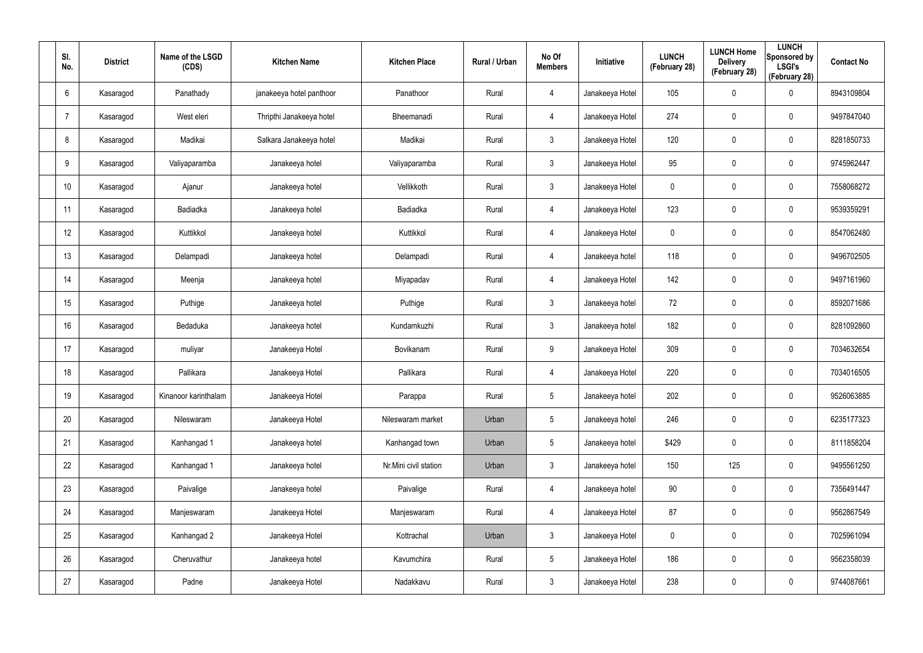| SI.<br>No.       | <b>District</b> | Name of the LSGD<br>(CDS) | <b>Kitchen Name</b>      | <b>Kitchen Place</b>  | Rural / Urban | No Of<br><b>Members</b> | Initiative      | <b>LUNCH</b><br>(February 28) | <b>LUNCH Home</b><br><b>Delivery</b><br>(February 28) | <b>LUNCH</b><br>Sponsored by<br><b>LSGI's</b><br>(February 28) | <b>Contact No</b> |
|------------------|-----------------|---------------------------|--------------------------|-----------------------|---------------|-------------------------|-----------------|-------------------------------|-------------------------------------------------------|----------------------------------------------------------------|-------------------|
| 6                | Kasaragod       | Panathady                 | janakeeya hotel panthoor | Panathoor             | Rural         | 4                       | Janakeeya Hotel | 105                           | 0                                                     | $\boldsymbol{0}$                                               | 8943109804        |
| $\overline{7}$   | Kasaragod       | West eleri                | Thripthi Janakeeya hotel | Bheemanadi            | Rural         | 4                       | Janakeeya Hotel | 274                           | 0                                                     | $\mathbf 0$                                                    | 9497847040        |
| 8                | Kasaragod       | Madikai                   | Salkara Janakeeya hotel  | Madikai               | Rural         | $\mathbf{3}$            | Janakeeya Hotel | 120                           | 0                                                     | $\boldsymbol{0}$                                               | 8281850733        |
| 9                | Kasaragod       | Valiyaparamba             | Janakeeya hotel          | Valiyaparamba         | Rural         | $\mathbf{3}$            | Janakeeya Hotel | 95                            | $\mathbf 0$                                           | $\mathbf 0$                                                    | 9745962447        |
| 10 <sup>°</sup>  | Kasaragod       | Ajanur                    | Janakeeya hotel          | Vellikkoth            | Rural         | $\mathbf{3}$            | Janakeeya Hotel | $\mathbf 0$                   | $\mathbf 0$                                           | $\mathbf 0$                                                    | 7558068272        |
| 11               | Kasaragod       | Badiadka                  | Janakeeya hotel          | Badiadka              | Rural         | 4                       | Janakeeya Hotel | 123                           | 0                                                     | $\mathbf 0$                                                    | 9539359291        |
| 12 <sup>°</sup>  | Kasaragod       | Kuttikkol                 | Janakeeya hotel          | Kuttikkol             | Rural         | $\overline{4}$          | Janakeeya Hotel | $\mathbf 0$                   | $\mathbf 0$                                           | $\mathbf 0$                                                    | 8547062480        |
| 13               | Kasaragod       | Delampadi                 | Janakeeya hotel          | Delampadi             | Rural         | $\overline{4}$          | Janakeeya hotel | 118                           | $\mathbf 0$                                           | $\mathbf 0$                                                    | 9496702505        |
| 14               | Kasaragod       | Meenja                    | Janakeeya hotel          | Miyapadav             | Rural         | $\overline{4}$          | Janakeeya Hotel | 142                           | 0                                                     | $\mathbf 0$                                                    | 9497161960        |
| 15 <sup>15</sup> | Kasaragod       | Puthige                   | Janakeeya hotel          | Puthige               | Rural         | $\mathbf{3}$            | Janakeeya hotel | 72                            | 0                                                     | $\mathbf 0$                                                    | 8592071686        |
| 16               | Kasaragod       | Bedaduka                  | Janakeeya hotel          | Kundamkuzhi           | Rural         | $\mathbf{3}$            | Janakeeya hotel | 182                           | 0                                                     | $\mathbf 0$                                                    | 8281092860        |
| 17               | Kasaragod       | muliyar                   | Janakeeya Hotel          | Bovikanam             | Rural         | 9                       | Janakeeya Hotel | 309                           | 0                                                     | $\mathbf 0$                                                    | 7034632654        |
| 18               | Kasaragod       | Pallikara                 | Janakeeya Hotel          | Pallikara             | Rural         | $\overline{4}$          | Janakeeya Hotel | 220                           | 0                                                     | $\mathbf 0$                                                    | 7034016505        |
| 19               | Kasaragod       | Kinanoor karinthalam      | Janakeeya Hotel          | Parappa               | Rural         | $5\phantom{.0}$         | Janakeeya hotel | 202                           | $\pmb{0}$                                             | $\mathbf 0$                                                    | 9526063885        |
| 20               | Kasaragod       | Nileswaram                | Janakeeya Hotel          | Nileswaram market     | Urban         | $5\overline{)}$         | Janakeeya hotel | 246                           | 0                                                     | $\mathbf 0$                                                    | 6235177323        |
| 21               | Kasaragod       | Kanhangad 1               | Janakeeya hotel          | Kanhangad town        | Urban         | $5\overline{)}$         | Janakeeya hotel | \$429                         | 0                                                     | $\mathbf 0$                                                    | 8111858204        |
| 22               | Kasaragod       | Kanhangad 1               | Janakeeya hotel          | Nr.Mini civil station | Urban         | $\mathbf{3}$            | Janakeeya hotel | 150                           | 125                                                   | $\mathbf 0$                                                    | 9495561250        |
| 23               | Kasaragod       | Paivalige                 | Janakeeya hotel          | Paivalige             | Rural         | $\overline{4}$          | Janakeeya hotel | 90                            | 0                                                     | $\mathbf 0$                                                    | 7356491447        |
| 24               | Kasaragod       | Manjeswaram               | Janakeeya Hotel          | Manjeswaram           | Rural         | $\overline{4}$          | Janakeeya Hotel | 87                            | 0                                                     | $\mathbf 0$                                                    | 9562867549        |
| 25               | Kasaragod       | Kanhangad 2               | Janakeeya Hotel          | Kottrachal            | Urban         | $\mathbf{3}$            | Janakeeya Hotel | $\pmb{0}$                     | $\pmb{0}$                                             | $\mathbf 0$                                                    | 7025961094        |
| 26               | Kasaragod       | Cheruvathur               | Janakeeya hotel          | Kavumchira            | Rural         | $5\overline{)}$         | Janakeeya Hotel | 186                           | 0                                                     | $\mathbf 0$                                                    | 9562358039        |
| 27               | Kasaragod       | Padne                     | Janakeeya Hotel          | Nadakkavu             | Rural         | $\mathbf{3}$            | Janakeeya Hotel | 238                           | $\pmb{0}$                                             | $\boldsymbol{0}$                                               | 9744087661        |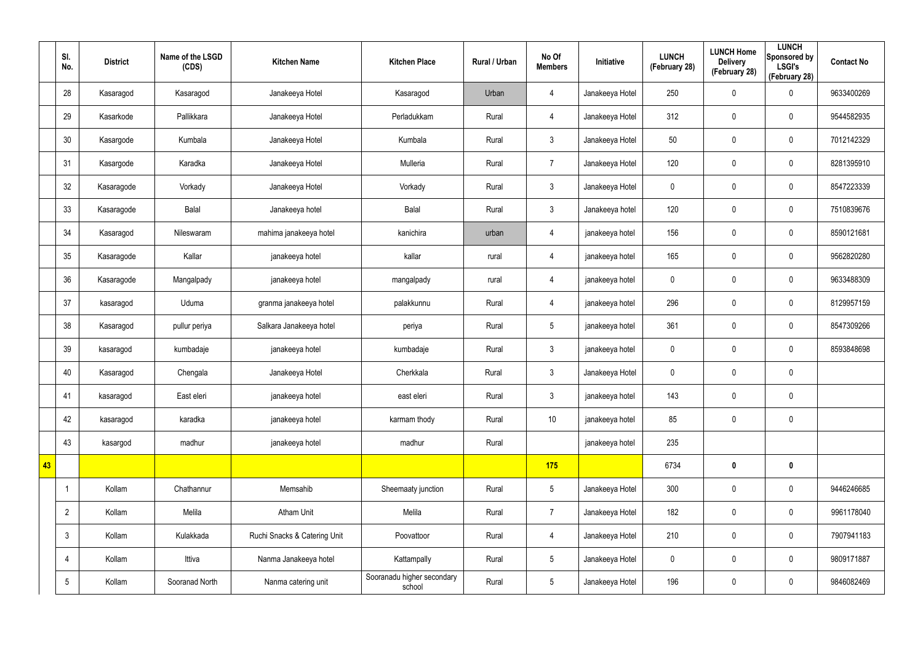|    | SI.<br>No.      | <b>District</b> | Name of the LSGD<br>(CDS) | <b>Kitchen Name</b>          | <b>Kitchen Place</b>                 | Rural / Urban | No Of<br><b>Members</b> | Initiative      | <b>LUNCH</b><br>(February 28) | <b>LUNCH Home</b><br><b>Delivery</b><br>(February 28) | <b>LUNCH</b><br>Sponsored by<br><b>LSGI's</b><br>(February 28) | <b>Contact No</b> |
|----|-----------------|-----------------|---------------------------|------------------------------|--------------------------------------|---------------|-------------------------|-----------------|-------------------------------|-------------------------------------------------------|----------------------------------------------------------------|-------------------|
|    | 28              | Kasaragod       | Kasaragod                 | Janakeeya Hotel              | Kasaragod                            | Urban         | 4                       | Janakeeya Hotel | 250                           | 0                                                     | $\pmb{0}$                                                      | 9633400269        |
|    | 29              | Kasarkode       | Pallikkara                | Janakeeya Hotel              | Perladukkam                          | Rural         | $\overline{4}$          | Janakeeya Hotel | 312                           | 0                                                     | $\mathbf 0$                                                    | 9544582935        |
|    | 30              | Kasargode       | Kumbala                   | Janakeeya Hotel              | Kumbala                              | Rural         | 3                       | Janakeeya Hotel | 50                            | 0                                                     | $\pmb{0}$                                                      | 7012142329        |
|    | 31              | Kasargode       | Karadka                   | Janakeeya Hotel              | Mulleria                             | Rural         | $\overline{7}$          | Janakeeya Hotel | 120                           | 0                                                     | $\mathbf 0$                                                    | 8281395910        |
|    | 32              | Kasaragode      | Vorkady                   | Janakeeya Hotel              | Vorkady                              | Rural         | 3                       | Janakeeya Hotel | $\pmb{0}$                     | 0                                                     | $\pmb{0}$                                                      | 8547223339        |
|    | 33              | Kasaragode      | Balal                     | Janakeeya hotel              | Balal                                | Rural         | 3                       | Janakeeya hotel | 120                           | 0                                                     | $\mathbf 0$                                                    | 7510839676        |
|    | 34              | Kasaragod       | Nileswaram                | mahima janakeeya hotel       | kanichira                            | urban         | $\overline{4}$          | janakeeya hotel | 156                           | 0                                                     | $\mathbf 0$                                                    | 8590121681        |
|    | 35              | Kasaragode      | Kallar                    | janakeeya hotel              | kallar                               | rural         | 4                       | janakeeya hotel | 165                           | 0                                                     | $\mathbf 0$                                                    | 9562820280        |
|    | 36              | Kasaragode      | Mangalpady                | janakeeya hotel              | mangalpady                           | rural         | 4                       | janakeeya hotel | $\mathbf 0$                   | 0                                                     | $\mathbf 0$                                                    | 9633488309        |
|    | 37              | kasaragod       | Uduma                     | granma janakeeya hotel       | palakkunnu                           | Rural         | 4                       | janakeeya hotel | 296                           | 0                                                     | $\mathbf 0$                                                    | 8129957159        |
|    | 38              | Kasaragod       | pullur periya             | Salkara Janakeeya hotel      | periya                               | Rural         | $5\overline{)}$         | janakeeya hotel | 361                           | 0                                                     | $\mathbf 0$                                                    | 8547309266        |
|    | 39              | kasaragod       | kumbadaje                 | janakeeya hotel              | kumbadaje                            | Rural         | 3                       | janakeeya hotel | $\mathbf 0$                   | 0                                                     | $\mathbf 0$                                                    | 8593848698        |
|    | 40              | Kasaragod       | Chengala                  | Janakeeya Hotel              | Cherkkala                            | Rural         | 3 <sup>2</sup>          | Janakeeya Hotel | $\pmb{0}$                     | 0                                                     | $\pmb{0}$                                                      |                   |
|    | 41              | kasaragod       | East eleri                | janakeeya hotel              | east eleri                           | Rural         | 3                       | janakeeya hotel | 143                           | 0                                                     | $\pmb{0}$                                                      |                   |
|    | 42              | kasaragod       | karadka                   | janakeeya hotel              | karmam thody                         | Rural         | 10                      | janakeeya hotel | 85                            | 0                                                     | $\mathbf 0$                                                    |                   |
|    | 43              | kasargod        | madhur                    | janakeeya hotel              | madhur                               | Rural         |                         | janakeeya hotel | 235                           |                                                       |                                                                |                   |
| 43 |                 |                 |                           |                              |                                      |               | 175                     |                 | 6734                          | $\boldsymbol{0}$                                      | $\mathbf 0$                                                    |                   |
|    | -1              | Kollam          | Chathannur                | Memsahib                     | Sheemaaty junction                   | Rural         | $5\overline{)}$         | Janakeeya Hotel | 300                           | 0                                                     | $\mathbf 0$                                                    | 9446246685        |
|    | $\overline{2}$  | Kollam          | Melila                    | <b>Atham Unit</b>            | Melila                               | Rural         | $\overline{7}$          | Janakeeya Hotel | 182                           | 0                                                     | $\mathbf 0$                                                    | 9961178040        |
|    | $\mathbf{3}$    | Kollam          | Kulakkada                 | Ruchi Snacks & Catering Unit | Poovattoor                           | Rural         | $\overline{4}$          | Janakeeya Hotel | 210                           | $\pmb{0}$                                             | $\pmb{0}$                                                      | 7907941183        |
|    | 4               | Kollam          | Ittiva                    | Nanma Janakeeya hotel        | Kattampally                          | Rural         | $5\overline{)}$         | Janakeeya Hotel | $\mathbf 0$                   | 0                                                     | $\mathbf 0$                                                    | 9809171887        |
|    | $5\phantom{.0}$ | Kollam          | Sooranad North            | Nanma catering unit          | Sooranadu higher secondary<br>school | Rural         | $5\phantom{.0}$         | Janakeeya Hotel | 196                           | $\pmb{0}$                                             | $\pmb{0}$                                                      | 9846082469        |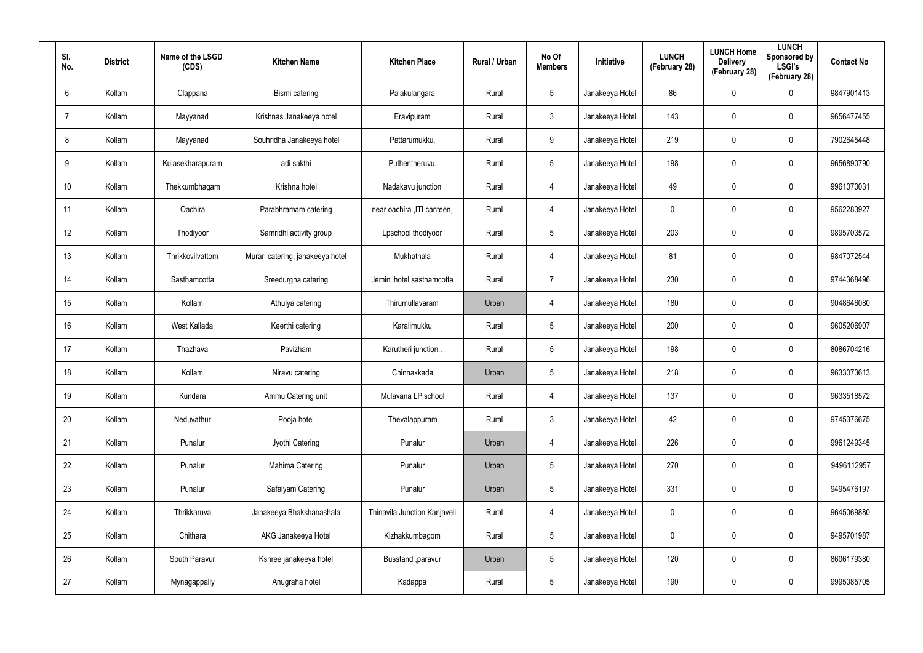| SI.<br>No.     | <b>District</b> | Name of the LSGD<br>(CDS) | <b>Kitchen Name</b>              | <b>Kitchen Place</b>         | Rural / Urban | No Of<br><b>Members</b> | <b>Initiative</b> | <b>LUNCH</b><br>(February 28) | <b>LUNCH Home</b><br><b>Delivery</b><br>(February 28) | <b>LUNCH</b><br>Sponsored by<br><b>LSGI's</b><br>(February 28) | <b>Contact No</b> |
|----------------|-----------------|---------------------------|----------------------------------|------------------------------|---------------|-------------------------|-------------------|-------------------------------|-------------------------------------------------------|----------------------------------------------------------------|-------------------|
| 6              | Kollam          | Clappana                  | Bismi catering                   | Palakulangara                | Rural         | $5\phantom{.0}$         | Janakeeya Hotel   | 86                            | 0                                                     | $\mathbf 0$                                                    | 9847901413        |
| $\overline{7}$ | Kollam          | Mayyanad                  | Krishnas Janakeeya hotel         | Eravipuram                   | Rural         | $\mathbf{3}$            | Janakeeya Hotel   | 143                           | 0                                                     | $\mathbf 0$                                                    | 9656477455        |
| 8              | Kollam          | Mayyanad                  | Souhridha Janakeeya hotel        | Pattarumukku,                | Rural         | 9                       | Janakeeya Hotel   | 219                           | 0                                                     | $\pmb{0}$                                                      | 7902645448        |
| 9              | Kollam          | Kulasekharapuram          | adi sakthi                       | Puthentheruvu.               | Rural         | $5\phantom{.0}$         | Janakeeya Hotel   | 198                           | 0                                                     | $\mathbf 0$                                                    | 9656890790        |
| 10             | Kollam          | Thekkumbhagam             | Krishna hotel                    | Nadakavu junction            | Rural         | $\overline{4}$          | Janakeeya Hotel   | 49                            | 0                                                     | $\mathbf 0$                                                    | 9961070031        |
| 11             | Kollam          | Oachira                   | Parabhramam catering             | near oachira , ITI canteen,  | Rural         | 4                       | Janakeeya Hotel   | 0                             | 0                                                     | $\mathbf 0$                                                    | 9562283927        |
| 12             | Kollam          | Thodiyoor                 | Samridhi activity group          | Lpschool thodiyoor           | Rural         | $5\phantom{.0}$         | Janakeeya Hotel   | 203                           | 0                                                     | $\pmb{0}$                                                      | 9895703572        |
| 13             | Kollam          | Thrikkovilvattom          | Murari catering, janakeeya hotel | Mukhathala                   | Rural         | 4                       | Janakeeya Hotel   | 81                            | 0                                                     | $\mathbf 0$                                                    | 9847072544        |
| 14             | Kollam          | Sasthamcotta              | Sreedurgha catering              | Jemini hotel sasthamcotta    | Rural         | $\overline{7}$          | Janakeeya Hotel   | 230                           | 0                                                     | $\mathbf 0$                                                    | 9744368496        |
| 15             | Kollam          | Kollam                    | Athulya catering                 | Thirumullavaram              | Urban         | 4                       | Janakeeya Hotel   | 180                           | 0                                                     | $\mathbf 0$                                                    | 9048646080        |
| 16             | Kollam          | West Kallada              | Keerthi catering                 | Karalimukku                  | Rural         | $5\phantom{.0}$         | Janakeeya Hotel   | 200                           | 0                                                     | $\mathbf 0$                                                    | 9605206907        |
| 17             | Kollam          | Thazhava                  | Pavizham                         | Karutheri junction           | Rural         | $5\overline{)}$         | Janakeeya Hotel   | 198                           | $\mathbf 0$                                           | $\mathbf 0$                                                    | 8086704216        |
| 18             | Kollam          | Kollam                    | Niravu catering                  | Chinnakkada                  | Urban         | $5\overline{)}$         | Janakeeya Hotel   | 218                           | $\mathbf 0$                                           | $\mathbf 0$                                                    | 9633073613        |
| 19             | Kollam          | Kundara                   | Ammu Catering unit               | Mulavana LP school           | Rural         | 4                       | Janakeeya Hotel   | 137                           | $\mathbf 0$                                           | $\pmb{0}$                                                      | 9633518572        |
| 20             | Kollam          | Neduvathur                | Pooja hotel                      | Thevalappuram                | Rural         | $\mathbf{3}$            | Janakeeya Hotel   | 42                            | $\mathbf 0$                                           | $\mathbf 0$                                                    | 9745376675        |
| 21             | Kollam          | Punalur                   | Jyothi Catering                  | Punalur                      | Urban         | 4                       | Janakeeya Hotel   | 226                           | $\mathbf 0$                                           | $\mathbf 0$                                                    | 9961249345        |
| 22             | Kollam          | Punalur                   | Mahima Catering                  | Punalur                      | Urban         | $5\phantom{.0}$         | Janakeeya Hotel   | 270                           | $\mathbf 0$                                           | $\mathbf 0$                                                    | 9496112957        |
| 23             | Kollam          | Punalur                   | Safalyam Catering                | Punalur                      | Urban         | $5\phantom{.0}$         | Janakeeya Hotel   | 331                           | 0                                                     | $\mathbf 0$                                                    | 9495476197        |
| 24             | Kollam          | Thrikkaruva               | Janakeeya Bhakshanashala         | Thinavila Junction Kanjaveli | Rural         | $\overline{4}$          | Janakeeya Hotel   | 0                             | 0                                                     | $\mathbf 0$                                                    | 9645069880        |
| 25             | Kollam          | Chithara                  | AKG Janakeeya Hotel              | Kizhakkumbagom               | Rural         | $5\phantom{.0}$         | Janakeeya Hotel   | 0                             | 0                                                     | $\mathbf 0$                                                    | 9495701987        |
| 26             | Kollam          | South Paravur             | Kshree janakeeya hotel           | Busstand , paravur           | Urban         | $5\phantom{.0}$         | Janakeeya Hotel   | 120                           | 0                                                     | $\mathbf 0$                                                    | 8606179380        |
| 27             | Kollam          | Mynagappally              | Anugraha hotel                   | Kadappa                      | Rural         | $5\phantom{.0}$         | Janakeeya Hotel   | 190                           | 0                                                     | $\mathsf{0}$                                                   | 9995085705        |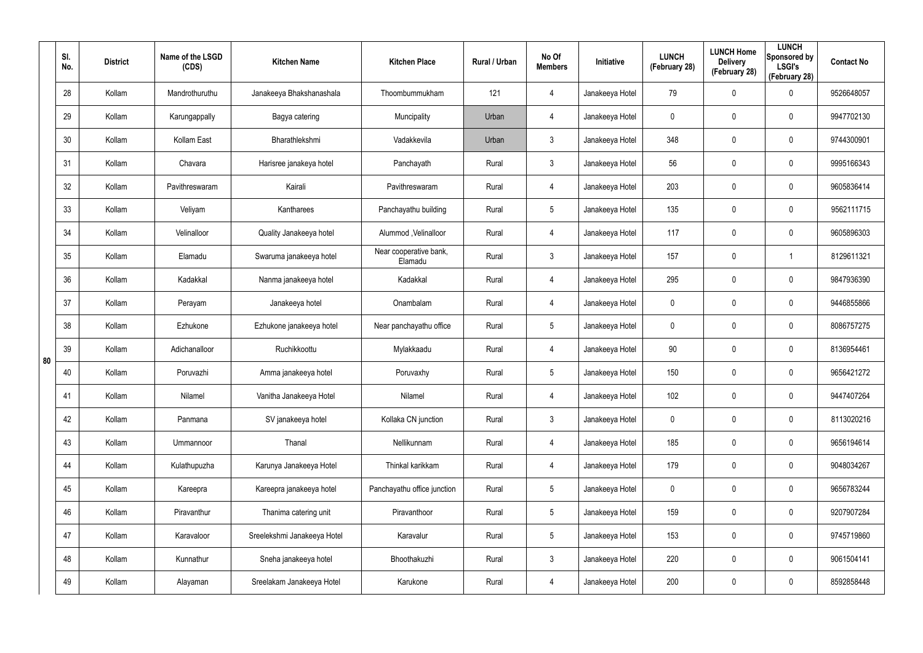|    | SI.<br>No. | <b>District</b> | Name of the LSGD<br>(CDS) | <b>Kitchen Name</b>         | <b>Kitchen Place</b>              | Rural / Urban | No Of<br><b>Members</b> | Initiative      | <b>LUNCH</b><br>(February 28) | <b>LUNCH Home</b><br><b>Delivery</b><br>(February 28) | <b>LUNCH</b><br>Sponsored by<br><b>LSGI's</b><br>(February 28) | <b>Contact No</b> |
|----|------------|-----------------|---------------------------|-----------------------------|-----------------------------------|---------------|-------------------------|-----------------|-------------------------------|-------------------------------------------------------|----------------------------------------------------------------|-------------------|
|    | 28         | Kollam          | Mandrothuruthu            | Janakeeya Bhakshanashala    | Thoombummukham                    | 121           | 4                       | Janakeeya Hotel | 79                            | 0                                                     | $\mathbf 0$                                                    | 9526648057        |
|    | 29         | Kollam          | Karungappally             | Bagya catering              | Muncipality                       | Urban         | 4                       | Janakeeya Hotel | 0                             | 0                                                     | $\pmb{0}$                                                      | 9947702130        |
|    | 30         | Kollam          | Kollam East               | Bharathlekshmi              | Vadakkevila                       | Urban         | $\mathfrak{Z}$          | Janakeeya Hotel | 348                           | $\mathbf 0$                                           | $\pmb{0}$                                                      | 9744300901        |
|    | 31         | Kollam          | Chavara                   | Harisree janakeya hotel     | Panchayath                        | Rural         | $\mathfrak{Z}$          | Janakeeya Hotel | 56                            | 0                                                     | $\pmb{0}$                                                      | 9995166343        |
|    | 32         | Kollam          | Pavithreswaram            | Kairali                     | Pavithreswaram                    | Rural         | 4                       | Janakeeya Hotel | 203                           | $\mathbf 0$                                           | $\pmb{0}$                                                      | 9605836414        |
|    | 33         | Kollam          | Veliyam                   | Kantharees                  | Panchayathu building              | Rural         | $5\phantom{.0}$         | Janakeeya Hotel | 135                           | 0                                                     | $\pmb{0}$                                                      | 9562111715        |
|    | 34         | Kollam          | Velinalloor               | Quality Janakeeya hotel     | Alummod, Velinalloor              | Rural         | 4                       | Janakeeya Hotel | 117                           | $\mathbf 0$                                           | $\pmb{0}$                                                      | 9605896303        |
|    | 35         | Kollam          | Elamadu                   | Swaruma janakeeya hotel     | Near cooperative bank,<br>Elamadu | Rural         | $\mathbf{3}$            | Janakeeya Hotel | 157                           | $\mathbf 0$                                           | 1                                                              | 8129611321        |
|    | 36         | Kollam          | Kadakkal                  | Nanma janakeeya hotel       | Kadakkal                          | Rural         | 4                       | Janakeeya Hotel | 295                           | $\mathbf 0$                                           | $\pmb{0}$                                                      | 9847936390        |
|    | 37         | Kollam          | Perayam                   | Janakeeya hotel             | Onambalam                         | Rural         | 4                       | Janakeeya Hotel | 0                             | 0                                                     | $\pmb{0}$                                                      | 9446855866        |
|    | 38         | Kollam          | Ezhukone                  | Ezhukone janakeeya hotel    | Near panchayathu office           | Rural         | $5\phantom{.0}$         | Janakeeya Hotel | 0                             | 0                                                     | $\pmb{0}$                                                      | 8086757275        |
| 80 | 39         | Kollam          | Adichanalloor             | Ruchikkoottu                | Mylakkaadu                        | Rural         | 4                       | Janakeeya Hotel | 90                            | 0                                                     | $\pmb{0}$                                                      | 8136954461        |
|    | 40         | Kollam          | Poruvazhi                 | Amma janakeeya hotel        | Poruvaxhy                         | Rural         | $5\phantom{.0}$         | Janakeeya Hotel | 150                           | 0                                                     | $\mathbf 0$                                                    | 9656421272        |
|    | 41         | Kollam          | Nilamel                   | Vanitha Janakeeya Hotel     | Nilamel                           | Rural         | 4                       | Janakeeya Hotel | 102                           | $\mathbf 0$                                           | $\pmb{0}$                                                      | 9447407264        |
|    | 42         | Kollam          | Panmana                   | SV janakeeya hotel          | Kollaka CN junction               | Rural         | $\mathbf{3}$            | Janakeeya Hotel | $\mathbf 0$                   | $\mathbf 0$                                           | $\mathbf 0$                                                    | 8113020216        |
|    | 43         | Kollam          | Ummannoor                 | Thanal                      | Nellikunnam                       | Rural         | 4                       | Janakeeya Hotel | 185                           | $\mathbf 0$                                           | $\mathbf 0$                                                    | 9656194614        |
|    | 44         | Kollam          | Kulathupuzha              | Karunya Janakeeya Hotel     | Thinkal karikkam                  | Rural         | 4                       | Janakeeya Hotel | 179                           | $\mathbf 0$                                           | $\mathbf 0$                                                    | 9048034267        |
|    | 45         | Kollam          | Kareepra                  | Kareepra janakeeya hotel    | Panchayathu office junction       | Rural         | $5\phantom{.0}$         | Janakeeya Hotel | $\mathbf 0$                   | $\mathbf 0$                                           | $\mathbf 0$                                                    | 9656783244        |
|    | 46         | Kollam          | Piravanthur               | Thanima catering unit       | Piravanthoor                      | Rural         | $5\phantom{.0}$         | Janakeeya Hotel | 159                           | $\mathbf 0$                                           | $\mathbf 0$                                                    | 9207907284        |
|    | 47         | Kollam          | Karavaloor                | Sreelekshmi Janakeeya Hotel | Karavalur                         | Rural         | $5\phantom{.0}$         | Janakeeya Hotel | 153                           | $\mathbf 0$                                           | $\mathbf 0$                                                    | 9745719860        |
|    | 48         | Kollam          | Kunnathur                 | Sneha janakeeya hotel       | Bhoothakuzhi                      | Rural         | $\mathfrak{Z}$          | Janakeeya Hotel | 220                           | 0                                                     | $\mathbf 0$                                                    | 9061504141        |
|    | 49         | Kollam          | Alayaman                  | Sreelakam Janakeeya Hotel   | Karukone                          | Rural         | 4                       | Janakeeya Hotel | 200                           | 0                                                     | $\mathsf{0}$                                                   | 8592858448        |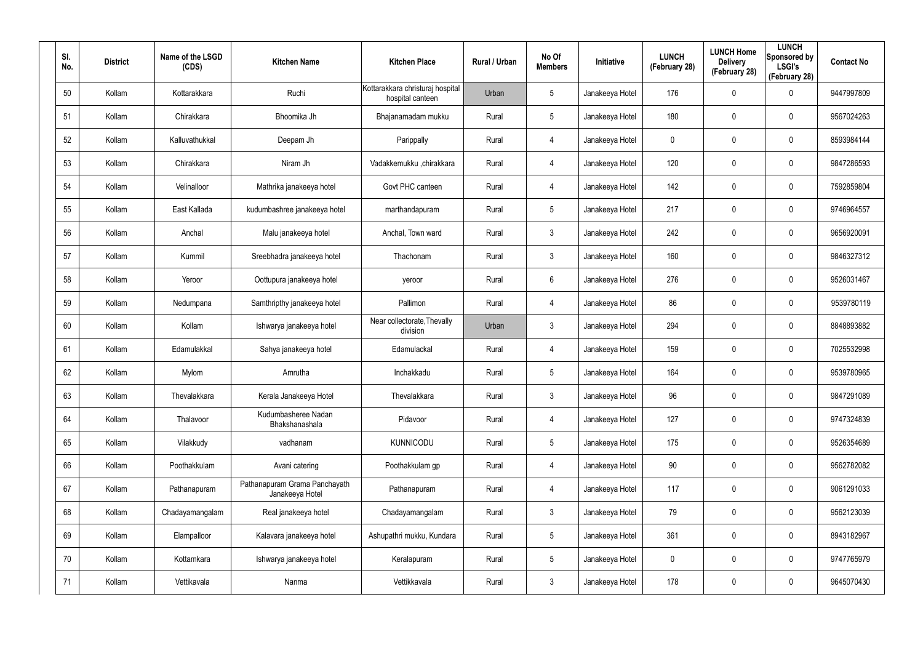| SI.<br>No. | <b>District</b> | Name of the LSGD<br>(CDS) | <b>Kitchen Name</b>                              | <b>Kitchen Place</b>                                 | Rural / Urban | No Of<br><b>Members</b> | Initiative      | <b>LUNCH</b><br>(February 28) | <b>LUNCH Home</b><br><b>Delivery</b><br>(February 28) | <b>LUNCH</b><br>Sponsored by<br><b>LSGI's</b><br>(February 28) | <b>Contact No</b> |
|------------|-----------------|---------------------------|--------------------------------------------------|------------------------------------------------------|---------------|-------------------------|-----------------|-------------------------------|-------------------------------------------------------|----------------------------------------------------------------|-------------------|
| 50         | Kollam          | Kottarakkara              | Ruchi                                            | Kottarakkara christuraj hospital<br>hospital canteen | Urban         | 5                       | Janakeeya Hotel | 176                           | 0                                                     | $\mathbf 0$                                                    | 9447997809        |
| 51         | Kollam          | Chirakkara                | Bhoomika Jh                                      | Bhajanamadam mukku                                   | Rural         | 5                       | Janakeeya Hotel | 180                           | 0                                                     | $\mathbf 0$                                                    | 9567024263        |
| 52         | Kollam          | Kalluvathukkal            | Deepam Jh                                        | Parippally                                           | Rural         | 4                       | Janakeeya Hotel | 0                             | 0                                                     | $\mathbf 0$                                                    | 8593984144        |
| 53         | Kollam          | Chirakkara                | Niram Jh                                         | Vadakkemukku ,chirakkara                             | Rural         | 4                       | Janakeeya Hotel | 120                           | 0                                                     | $\pmb{0}$                                                      | 9847286593        |
| 54         | Kollam          | Velinalloor               | Mathrika janakeeya hotel                         | Govt PHC canteen                                     | Rural         | 4                       | Janakeeya Hotel | 142                           | 0                                                     | $\pmb{0}$                                                      | 7592859804        |
| 55         | Kollam          | East Kallada              | kudumbashree janakeeya hotel                     | marthandapuram                                       | Rural         | 5                       | Janakeeya Hotel | 217                           | 0                                                     | $\mathbf 0$                                                    | 9746964557        |
| 56         | Kollam          | Anchal                    | Malu janakeeya hotel                             | Anchal, Town ward                                    | Rural         | $\mathbf{3}$            | Janakeeya Hotel | 242                           | 0                                                     | $\mathbf 0$                                                    | 9656920091        |
| 57         | Kollam          | Kummil                    | Sreebhadra janakeeya hotel                       | Thachonam                                            | Rural         | $\mathbf{3}$            | Janakeeya Hotel | 160                           | 0                                                     | $\mathbf 0$                                                    | 9846327312        |
| 58         | Kollam          | Yeroor                    | Oottupura janakeeya hotel                        | yeroor                                               | Rural         | 6                       | Janakeeya Hotel | 276                           | 0                                                     | $\mathbf 0$                                                    | 9526031467        |
| 59         | Kollam          | Nedumpana                 | Samthripthy janakeeya hotel                      | Pallimon                                             | Rural         | 4                       | Janakeeya Hotel | 86                            | 0                                                     | $\mathbf 0$                                                    | 9539780119        |
| 60         | Kollam          | Kollam                    | Ishwarya janakeeya hotel                         | Near collectorate, Thevally<br>division              | Urban         | $\mathbf{3}$            | Janakeeya Hotel | 294                           | 0                                                     | $\mathbf 0$                                                    | 8848893882        |
| 61         | Kollam          | Edamulakkal               | Sahya janakeeya hotel                            | Edamulackal                                          | Rural         | 4                       | Janakeeya Hotel | 159                           | 0                                                     | $\mathbf 0$                                                    | 7025532998        |
| 62         | Kollam          | Mylom                     | Amrutha                                          | Inchakkadu                                           | Rural         | $5\phantom{.0}$         | Janakeeya Hotel | 164                           | 0                                                     | $\mathbf 0$                                                    | 9539780965        |
| 63         | Kollam          | Thevalakkara              | Kerala Janakeeya Hotel                           | Thevalakkara                                         | Rural         | $\mathbf{3}$            | Janakeeya Hotel | 96                            | 0                                                     | $\pmb{0}$                                                      | 9847291089        |
| 64         | Kollam          | Thalavoor                 | Kudumbasheree Nadan<br>Bhakshanashala            | Pidavoor                                             | Rural         | 4                       | Janakeeya Hotel | 127                           | 0                                                     | $\mathbf 0$                                                    | 9747324839        |
| 65         | Kollam          | Vilakkudy                 | vadhanam                                         | <b>KUNNICODU</b>                                     | Rural         | $5\phantom{.0}$         | Janakeeya Hotel | 175                           | 0                                                     | $\mathbf 0$                                                    | 9526354689        |
| 66         | Kollam          | Poothakkulam              | Avani catering                                   | Poothakkulam gp                                      | Rural         | 4                       | Janakeeya Hotel | 90                            | 0                                                     | $\mathbf 0$                                                    | 9562782082        |
| 67         | Kollam          | Pathanapuram              | Pathanapuram Grama Panchayath<br>Janakeeya Hotel | Pathanapuram                                         | Rural         | 4                       | Janakeeya Hotel | 117                           | 0                                                     | $\mathbf 0$                                                    | 9061291033        |
| 68         | Kollam          | Chadayamangalam           | Real janakeeya hotel                             | Chadayamangalam                                      | Rural         | $\mathbf{3}$            | Janakeeya Hotel | 79                            | 0                                                     | $\mathbf 0$                                                    | 9562123039        |
| 69         | Kollam          | Elampalloor               | Kalavara janakeeya hotel                         | Ashupathri mukku, Kundara                            | Rural         | $5\phantom{.0}$         | Janakeeya Hotel | 361                           | 0                                                     | $\mathbf 0$                                                    | 8943182967        |
| 70         | Kollam          | Kottamkara                | Ishwarya janakeeya hotel                         | Keralapuram                                          | Rural         | $5\phantom{.0}$         | Janakeeya Hotel | 0                             | 0                                                     | $\mathbf 0$                                                    | 9747765979        |
| 71         | Kollam          | Vettikavala               | Nanma                                            | Vettikkavala                                         | Rural         | $\mathfrak{Z}$          | Janakeeya Hotel | 178                           | 0                                                     | $\mathsf{0}$                                                   | 9645070430        |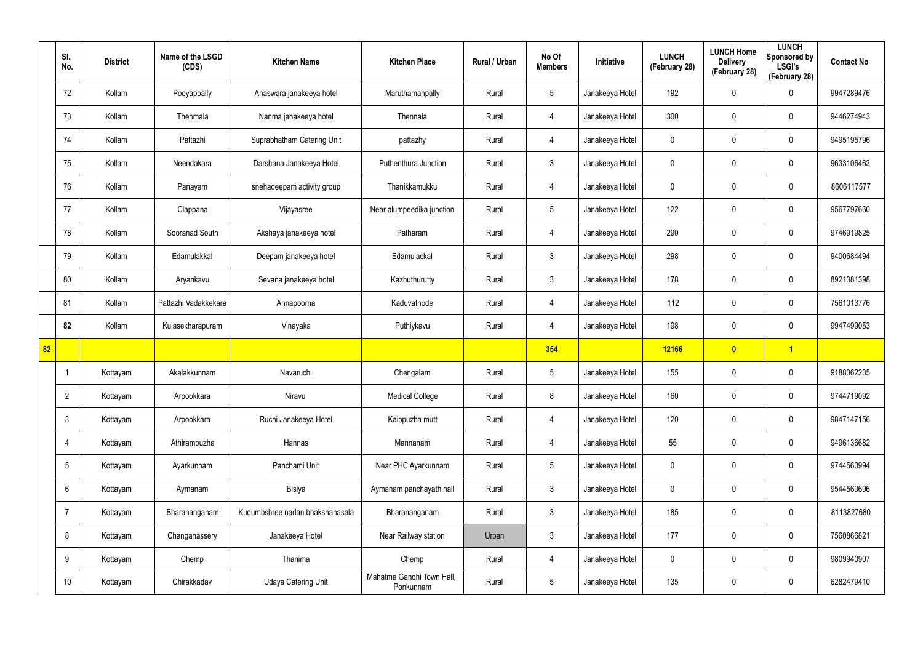|    | SI.<br>No.      | <b>District</b> | Name of the LSGD<br>(CDS) | <b>Kitchen Name</b>             | <b>Kitchen Place</b>                   | Rural / Urban | No Of<br><b>Members</b> | Initiative      | <b>LUNCH</b><br>(February 28) | <b>LUNCH Home</b><br><b>Delivery</b><br>(February 28) | <b>LUNCH</b><br>Sponsored by<br><b>LSGI's</b><br>(February 28) | <b>Contact No</b> |
|----|-----------------|-----------------|---------------------------|---------------------------------|----------------------------------------|---------------|-------------------------|-----------------|-------------------------------|-------------------------------------------------------|----------------------------------------------------------------|-------------------|
|    | 72              | Kollam          | Pooyappally               | Anaswara janakeeya hotel        | Maruthamanpally                        | Rural         | $5\phantom{.0}$         | Janakeeya Hotel | 192                           | 0                                                     | $\boldsymbol{0}$                                               | 9947289476        |
|    | 73              | Kollam          | Thenmala                  | Nanma janakeeya hotel           | Thennala                               | Rural         | $\overline{4}$          | Janakeeya Hotel | 300                           | $\mathbf 0$                                           | $\pmb{0}$                                                      | 9446274943        |
|    | 74              | Kollam          | Pattazhi                  | Suprabhatham Catering Unit      | pattazhy                               | Rural         | 4                       | Janakeeya Hotel | 0                             | $\mathbf 0$                                           | $\pmb{0}$                                                      | 9495195796        |
|    | 75              | Kollam          | Neendakara                | Darshana Janakeeya Hotel        | Puthenthura Junction                   | Rural         | $\mathbf{3}$            | Janakeeya Hotel | 0                             | 0                                                     | $\pmb{0}$                                                      | 9633106463        |
|    | 76              | Kollam          | Panayam                   | snehadeepam activity group      | Thanikkamukku                          | Rural         | $\overline{4}$          | Janakeeya Hotel | 0                             | 0                                                     | $\pmb{0}$                                                      | 8606117577        |
|    | 77              | Kollam          | Clappana                  | Vijayasree                      | Near alumpeedika junction              | Rural         | $5\phantom{.0}$         | Janakeeya Hotel | 122                           | 0                                                     | $\mathbf 0$                                                    | 9567797660        |
|    | 78              | Kollam          | Sooranad South            | Akshaya janakeeya hotel         | Patharam                               | Rural         | 4                       | Janakeeya Hotel | 290                           | 0                                                     | $\pmb{0}$                                                      | 9746919825        |
|    | 79              | Kollam          | Edamulakkal               | Deepam janakeeya hotel          | Edamulackal                            | Rural         | $\mathbf{3}$            | Janakeeya Hotel | 298                           | 0                                                     | $\mathbf 0$                                                    | 9400684494        |
|    | 80              | Kollam          | Aryankavu                 | Sevana janakeeya hotel          | Kazhuthurutty                          | Rural         | $\mathbf{3}$            | Janakeeya Hotel | 178                           | 0                                                     | $\pmb{0}$                                                      | 8921381398        |
|    | 81              | Kollam          | Pattazhi Vadakkekara      | Annapoorna                      | Kaduvathode                            | Rural         | 4                       | Janakeeya Hotel | 112                           | 0                                                     | $\mathbf 0$                                                    | 7561013776        |
|    | 82              | Kollam          | Kulasekharapuram          | Vinayaka                        | Puthiykavu                             | Rural         | 4                       | Janakeeya Hotel | 198                           | 0                                                     | $\pmb{0}$                                                      | 9947499053        |
| 82 |                 |                 |                           |                                 |                                        |               | 354                     |                 | 12166                         | $\overline{\mathbf{0}}$                               | $\vert$ 1                                                      |                   |
|    |                 | Kottayam        | Akalakkunnam              | Navaruchi                       | Chengalam                              | Rural         | $\sqrt{5}$              | Janakeeya Hotel | 155                           | 0                                                     | $\boldsymbol{0}$                                               | 9188362235        |
|    | $\overline{2}$  | Kottayam        | Arpookkara                | Niravu                          | <b>Medical College</b>                 | Rural         | 8                       | Janakeeya Hotel | 160                           | 0                                                     | $\mathbf 0$                                                    | 9744719092        |
|    | $\mathbf{3}$    | Kottayam        | Arpookkara                | Ruchi Janakeeya Hotel           | Kaippuzha mutt                         | Rural         | $\overline{4}$          | Janakeeya Hotel | 120                           | 0                                                     | $\mathbf 0$                                                    | 9847147156        |
|    | $\overline{4}$  | Kottayam        | Athirampuzha              | Hannas                          | Mannanam                               | Rural         | $\overline{4}$          | Janakeeya Hotel | 55                            | 0                                                     | $\mathbf 0$                                                    | 9496136682        |
|    | $5\overline{)}$ | Kottayam        | Ayarkunnam                | Panchami Unit                   | Near PHC Ayarkunnam                    | Rural         | $5\phantom{.0}$         | Janakeeya Hotel | 0                             | 0                                                     | $\mathbf 0$                                                    | 9744560994        |
|    | $6\overline{6}$ | Kottayam        | Aymanam                   | Bisiya                          | Aymanam panchayath hall                | Rural         | $\mathbf{3}$            | Janakeeya Hotel | 0                             | 0                                                     | $\pmb{0}$                                                      | 9544560606        |
|    | $\overline{7}$  | Kottayam        | Bharananganam             | Kudumbshree nadan bhakshanasala | Bharananganam                          | Rural         | $\mathbf{3}$            | Janakeeya Hotel | 185                           | $\mathbf 0$                                           | $\mathbf 0$                                                    | 8113827680        |
|    | 8               | Kottayam        | Changanassery             | Janakeeya Hotel                 | Near Railway station                   | Urban         | $\mathbf{3}$            | Janakeeya Hotel | 177                           | 0                                                     | $\pmb{0}$                                                      | 7560866821        |
|    | 9               | Kottayam        | Chemp                     | Thanima                         | Chemp                                  | Rural         | 4                       | Janakeeya Hotel | 0                             | 0                                                     | $\mathbf 0$                                                    | 9809940907        |
|    | 10 <sup>°</sup> | Kottayam        | Chirakkadav               | Udaya Catering Unit             | Mahatma Gandhi Town Hall,<br>Ponkunnam | Rural         | $\sqrt{5}$              | Janakeeya Hotel | 135                           | 0                                                     | $\pmb{0}$                                                      | 6282479410        |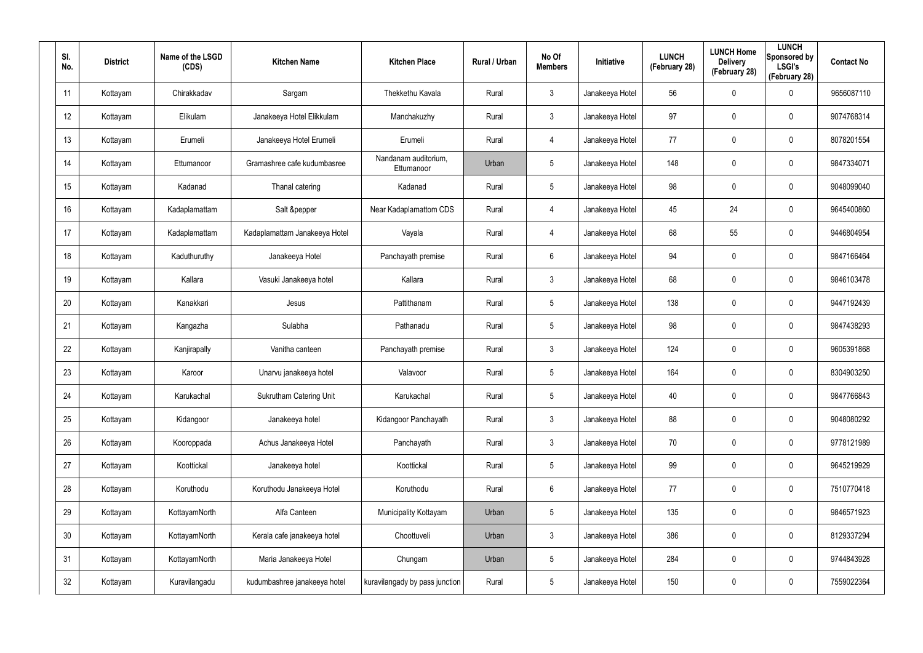| SI.<br>No.      | <b>District</b> | Name of the LSGD<br>(CDS) | <b>Kitchen Name</b>            | <b>Kitchen Place</b>               | Rural / Urban | No Of<br><b>Members</b> | Initiative      | <b>LUNCH</b><br>(February 28) | <b>LUNCH Home</b><br><b>Delivery</b><br>(February 28) | <b>LUNCH</b><br>Sponsored by<br><b>LSGI's</b><br>(February 28) | <b>Contact No</b> |
|-----------------|-----------------|---------------------------|--------------------------------|------------------------------------|---------------|-------------------------|-----------------|-------------------------------|-------------------------------------------------------|----------------------------------------------------------------|-------------------|
| 11              | Kottayam        | Chirakkadav               | Sargam                         | Thekkethu Kavala                   | Rural         | $\mathbf{3}$            | Janakeeya Hotel | 56                            | 0                                                     | $\mathbf 0$                                                    | 9656087110        |
| 12              | Kottayam        | Elikulam                  | Janakeeya Hotel Elikkulam      | Manchakuzhy                        | Rural         | $\mathbf{3}$            | Janakeeya Hotel | 97                            | 0                                                     | $\mathbf 0$                                                    | 9074768314        |
| 13              | Kottayam        | Erumeli                   | Janakeeya Hotel Erumeli        | Erumeli                            | Rural         | $\overline{4}$          | Janakeeya Hotel | 77                            | 0                                                     | $\pmb{0}$                                                      | 8078201554        |
| 14              | Kottayam        | Ettumanoor                | Gramashree cafe kudumbasree    | Nandanam auditorium,<br>Ettumanoor | Urban         | 5                       | Janakeeya Hotel | 148                           | 0                                                     | $\mathbf 0$                                                    | 9847334071        |
| 15              | Kottayam        | Kadanad                   | Thanal catering                | Kadanad                            | Rural         | 5                       | Janakeeya Hotel | 98                            | 0                                                     | $\mathbf 0$                                                    | 9048099040        |
| 16              | Kottayam        | Kadaplamattam             | Salt &pepper                   | Near Kadaplamattom CDS             | Rural         | 4                       | Janakeeya Hotel | 45                            | 24                                                    | $\mathbf 0$                                                    | 9645400860        |
| 17              | Kottayam        | Kadaplamattam             | Kadaplamattam Janakeeya Hotel  | Vayala                             | Rural         | $\overline{4}$          | Janakeeya Hotel | 68                            | 55                                                    | $\pmb{0}$                                                      | 9446804954        |
| 18              | Kottayam        | Kaduthuruthy              | Janakeeya Hotel                | Panchayath premise                 | Rural         | 6                       | Janakeeya Hotel | 94                            | 0                                                     | $\mathbf 0$                                                    | 9847166464        |
| 19              | Kottayam        | Kallara                   | Vasuki Janakeeya hotel         | Kallara                            | Rural         | $\mathbf{3}$            | Janakeeya Hotel | 68                            | $\mathbf 0$                                           | $\boldsymbol{0}$                                               | 9846103478        |
| 20              | Kottayam        | Kanakkari                 | Jesus                          | Pattithanam                        | Rural         | $5\phantom{.0}$         | Janakeeya Hotel | 138                           | $\mathbf 0$                                           | $\mathbf 0$                                                    | 9447192439        |
| 21              | Kottayam        | Kangazha                  | Sulabha                        | Pathanadu                          | Rural         | $5\phantom{.0}$         | Janakeeya Hotel | 98                            | $\pmb{0}$                                             | $\boldsymbol{0}$                                               | 9847438293        |
| 22              | Kottayam        | Kanjirapally              | Vanitha canteen                | Panchayath premise                 | Rural         | $\mathbf{3}$            | Janakeeya Hotel | 124                           | $\mathbf 0$                                           | $\mathbf 0$                                                    | 9605391868        |
| 23              | Kottayam        | Karoor                    | Unarvu janakeeya hotel         | Valavoor                           | Rural         | $5\phantom{.0}$         | Janakeeya Hotel | 164                           | $\mathbf 0$                                           | $\mathbf 0$                                                    | 8304903250        |
| 24              | Kottayam        | Karukachal                | <b>Sukrutham Catering Unit</b> | Karukachal                         | Rural         | 5                       | Janakeeya Hotel | 40                            | $\mathbf 0$                                           | $\pmb{0}$                                                      | 9847766843        |
| 25              | Kottayam        | Kidangoor                 | Janakeeya hotel                | Kidangoor Panchayath               | Rural         | $\mathbf{3}$            | Janakeeya Hotel | 88                            | $\mathbf 0$                                           | $\mathbf 0$                                                    | 9048080292        |
| 26              | Kottayam        | Kooroppada                | Achus Janakeeya Hotel          | Panchayath                         | Rural         | $\mathbf{3}$            | Janakeeya Hotel | 70                            | $\mathbf 0$                                           | $\pmb{0}$                                                      | 9778121989        |
| 27              | Kottayam        | Koottickal                | Janakeeya hotel                | Koottickal                         | Rural         | $5\phantom{.0}$         | Janakeeya Hotel | 99                            | $\mathbf 0$                                           | $\mathbf 0$                                                    | 9645219929        |
| 28              | Kottayam        | Koruthodu                 | Koruthodu Janakeeya Hotel      | Koruthodu                          | Rural         | $6\phantom{.}6$         | Janakeeya Hotel | 77                            | $\mathbf 0$                                           | $\pmb{0}$                                                      | 7510770418        |
| 29              | Kottayam        | KottayamNorth             | Alfa Canteen                   | Municipality Kottayam              | Urban         | 5                       | Janakeeya Hotel | 135                           | $\mathbf 0$                                           | $\boldsymbol{0}$                                               | 9846571923        |
| 30 <sup>°</sup> | Kottayam        | KottayamNorth             | Kerala cafe janakeeya hotel    | Choottuveli                        | Urban         | $\mathbf{3}$            | Janakeeya Hotel | 386                           | $\mathbf 0$                                           | $\pmb{0}$                                                      | 8129337294        |
| 31              | Kottayam        | KottayamNorth             | Maria Janakeeya Hotel          | Chungam                            | Urban         | 5                       | Janakeeya Hotel | 284                           | $\mathbf 0$                                           | $\boldsymbol{0}$                                               | 9744843928        |
| 32              | Kottayam        | Kuravilangadu             | kudumbashree janakeeya hotel   | kuravilangady by pass junction     | Rural         | $5\phantom{.0}$         | Janakeeya Hotel | 150                           | $\mathbf 0$                                           | $\pmb{0}$                                                      | 7559022364        |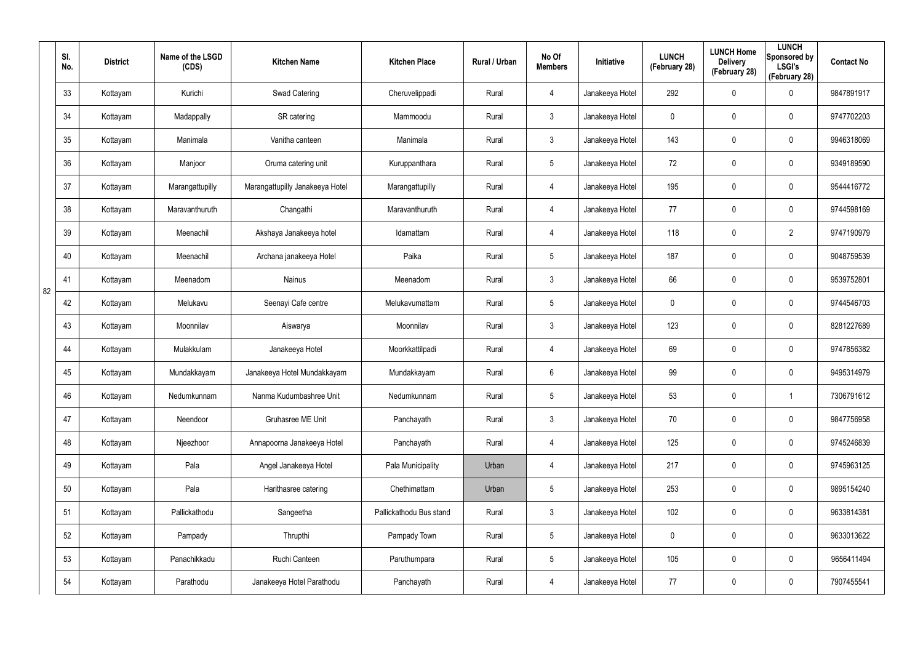|    | SI.<br>No. | <b>District</b> | Name of the LSGD<br>(CDS) | <b>Kitchen Name</b>             | <b>Kitchen Place</b>    | Rural / Urban | No Of<br><b>Members</b> | Initiative      | <b>LUNCH</b><br>(February 28) | <b>LUNCH Home</b><br><b>Delivery</b><br>(February 28) | <b>LUNCH</b><br>Sponsored by<br><b>LSGI's</b><br>(February 28) | <b>Contact No</b> |
|----|------------|-----------------|---------------------------|---------------------------------|-------------------------|---------------|-------------------------|-----------------|-------------------------------|-------------------------------------------------------|----------------------------------------------------------------|-------------------|
|    | 33         | Kottayam        | Kurichi                   | Swad Catering                   | Cheruvelippadi          | Rural         | 4                       | Janakeeya Hotel | 292                           | 0                                                     | $\mathbf 0$                                                    | 9847891917        |
|    | 34         | Kottayam        | Madappally                | SR catering                     | Mammoodu                | Rural         | 3                       | Janakeeya Hotel | 0                             | 0                                                     | $\mathbf 0$                                                    | 9747702203        |
|    | 35         | Kottayam        | Manimala                  | Vanitha canteen                 | Manimala                | Rural         | 3                       | Janakeeya Hotel | 143                           | 0                                                     | $\mathbf 0$                                                    | 9946318069        |
|    | 36         | Kottayam        | Manjoor                   | Oruma catering unit             | Kuruppanthara           | Rural         | $5\overline{)}$         | Janakeeya Hotel | 72                            | 0                                                     | $\mathbf 0$                                                    | 9349189590        |
|    | 37         | Kottayam        | Marangattupilly           | Marangattupilly Janakeeya Hotel | Marangattupilly         | Rural         | 4                       | Janakeeya Hotel | 195                           | 0                                                     | $\mathbf 0$                                                    | 9544416772        |
|    | 38         | Kottayam        | Maravanthuruth            | Changathi                       | Maravanthuruth          | Rural         | 4                       | Janakeeya Hotel | 77                            | 0                                                     | $\mathbf 0$                                                    | 9744598169        |
|    | 39         | Kottayam        | Meenachil                 | Akshaya Janakeeya hotel         | Idamattam               | Rural         | 4                       | Janakeeya Hotel | 118                           | 0                                                     | $\overline{2}$                                                 | 9747190979        |
|    | 40         | Kottayam        | Meenachil                 | Archana janakeeya Hotel         | Paika                   | Rural         | $5\overline{)}$         | Janakeeya Hotel | 187                           | 0                                                     | $\mathbf 0$                                                    | 9048759539        |
| 82 | 41         | Kottayam        | Meenadom                  | <b>Nainus</b>                   | Meenadom                | Rural         | 3                       | Janakeeya Hotel | 66                            | 0                                                     | $\mathbf 0$                                                    | 9539752801        |
|    | 42         | Kottayam        | Melukavu                  | Seenayi Cafe centre             | Melukavumattam          | Rural         | $5\overline{)}$         | Janakeeya Hotel | 0                             | 0                                                     | $\mathbf 0$                                                    | 9744546703        |
|    | 43         | Kottayam        | Moonnilav                 | Aiswarya                        | Moonnilav               | Rural         | 3                       | Janakeeya Hotel | 123                           | 0                                                     | $\mathbf 0$                                                    | 8281227689        |
|    | 44         | Kottayam        | Mulakkulam                | Janakeeya Hotel                 | Moorkkattilpadi         | Rural         | 4                       | Janakeeya Hotel | 69                            | 0                                                     | $\mathbf 0$                                                    | 9747856382        |
|    | 45         | Kottayam        | Mundakkayam               | Janakeeya Hotel Mundakkayam     | Mundakkayam             | Rural         | 6                       | Janakeeya Hotel | 99                            | 0                                                     | 0                                                              | 9495314979        |
|    | 46         | Kottayam        | Nedumkunnam               | Nanma Kudumbashree Unit         | Nedumkunnam             | Rural         | 5                       | Janakeeya Hotel | 53                            | $\pmb{0}$                                             | 1                                                              | 7306791612        |
|    | 47         | Kottayam        | Neendoor                  | Gruhasree ME Unit               | Panchayath              | Rural         | $\mathbf{3}$            | Janakeeya Hotel | 70                            | $\mathbf 0$                                           | $\mathsf{0}$                                                   | 9847756958        |
|    | 48         | Kottayam        | Njeezhoor                 | Annapoorna Janakeeya Hotel      | Panchayath              | Rural         | 4                       | Janakeeya Hotel | 125                           | $\mathbf 0$                                           | $\pmb{0}$                                                      | 9745246839        |
|    | 49         | Kottayam        | Pala                      | Angel Janakeeya Hotel           | Pala Municipality       | Urban         | $\overline{4}$          | Janakeeya Hotel | 217                           | $\mathbf 0$                                           | $\mathsf{0}$                                                   | 9745963125        |
|    | 50         | Kottayam        | Pala                      | Harithasree catering            | Chethimattam            | Urban         | $5\phantom{.0}$         | Janakeeya Hotel | 253                           | 0                                                     | $\mathsf{0}$                                                   | 9895154240        |
|    | 51         | Kottayam        | Pallickathodu             | Sangeetha                       | Pallickathodu Bus stand | Rural         | $\mathbf{3}$            | Janakeeya Hotel | 102                           | $\mathbf 0$                                           | $\mathbf 0$                                                    | 9633814381        |
|    | 52         | Kottayam        | Pampady                   | Thrupthi                        | Pampady Town            | Rural         | $5\phantom{.0}$         | Janakeeya Hotel | $\mathbf 0$                   | $\mathbf 0$                                           | $\mathsf{0}$                                                   | 9633013622        |
|    | 53         | Kottayam        | Panachikkadu              | Ruchi Canteen                   | Paruthumpara            | Rural         | $5\phantom{.0}$         | Janakeeya Hotel | 105                           | $\mathbf 0$                                           | $\mathsf{0}$                                                   | 9656411494        |
|    | 54         | Kottayam        | Parathodu                 | Janakeeya Hotel Parathodu       | Panchayath              | Rural         | 4                       | Janakeeya Hotel | 77                            | $\pmb{0}$                                             | $\pmb{0}$                                                      | 7907455541        |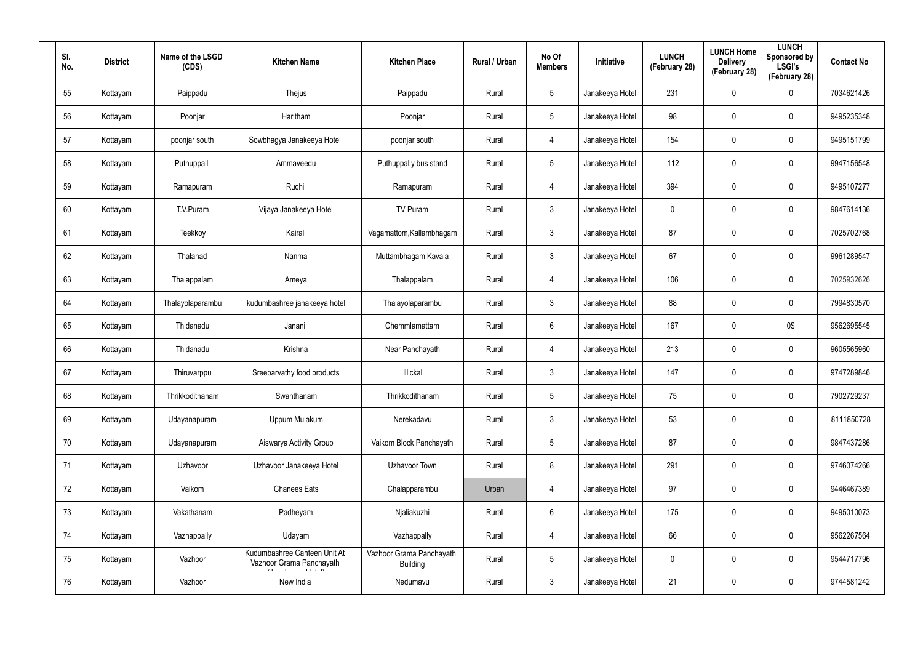| SI.<br>No. | <b>District</b> | Name of the LSGD<br>(CDS) | <b>Kitchen Name</b>                                      | <b>Kitchen Place</b>                        | Rural / Urban | No Of<br><b>Members</b> | Initiative      | <b>LUNCH</b><br>(February 28) | <b>LUNCH Home</b><br><b>Delivery</b><br>(February 28) | <b>LUNCH</b><br>Sponsored by<br><b>LSGI's</b><br>(February 28) | <b>Contact No</b> |
|------------|-----------------|---------------------------|----------------------------------------------------------|---------------------------------------------|---------------|-------------------------|-----------------|-------------------------------|-------------------------------------------------------|----------------------------------------------------------------|-------------------|
| 55         | Kottayam        | Paippadu                  | Thejus                                                   | Paippadu                                    | Rural         | $5\phantom{.0}$         | Janakeeya Hotel | 231                           | 0                                                     | $\boldsymbol{0}$                                               | 7034621426        |
| 56         | Kottayam        | Poonjar                   | Haritham                                                 | Poonjar                                     | Rural         | $5\phantom{.0}$         | Janakeeya Hotel | 98                            | 0                                                     | $\mathbf 0$                                                    | 9495235348        |
| 57         | Kottayam        | poonjar south             | Sowbhagya Janakeeya Hotel                                | poonjar south                               | Rural         | $\overline{4}$          | Janakeeya Hotel | 154                           | 0                                                     | $\pmb{0}$                                                      | 9495151799        |
| 58         | Kottayam        | Puthuppalli               | Ammaveedu                                                | Puthuppally bus stand                       | Rural         | $5\phantom{.0}$         | Janakeeya Hotel | 112                           | 0                                                     | $\pmb{0}$                                                      | 9947156548        |
| 59         | Kottayam        | Ramapuram                 | Ruchi                                                    | Ramapuram                                   | Rural         | $\overline{4}$          | Janakeeya Hotel | 394                           | 0                                                     | $\pmb{0}$                                                      | 9495107277        |
| 60         | Kottayam        | T.V.Puram                 | Vijaya Janakeeya Hotel                                   | TV Puram                                    | Rural         | $\mathbf{3}$            | Janakeeya Hotel | 0                             | 0                                                     | $\pmb{0}$                                                      | 9847614136        |
| 61         | Kottayam        | Teekkoy                   | Kairali                                                  | Vagamattom, Kallambhagam                    | Rural         | $\mathbf{3}$            | Janakeeya Hotel | 87                            | 0                                                     | $\pmb{0}$                                                      | 7025702768        |
| 62         | Kottayam        | Thalanad                  | Nanma                                                    | Muttambhagam Kavala                         | Rural         | $\mathbf{3}$            | Janakeeya Hotel | 67                            | 0                                                     | $\mathbf 0$                                                    | 9961289547        |
| 63         | Kottayam        | Thalappalam               | Ameya                                                    | Thalappalam                                 | Rural         | 4                       | Janakeeya Hotel | 106                           | 0                                                     | $\pmb{0}$                                                      | 7025932626        |
| 64         | Kottayam        | Thalayolaparambu          | kudumbashree janakeeya hotel                             | Thalayolaparambu                            | Rural         | $\mathbf{3}$            | Janakeeya Hotel | 88                            | 0                                                     | $\mathbf 0$                                                    | 7994830570        |
| 65         | Kottayam        | Thidanadu                 | Janani                                                   | Chemmlamattam                               | Rural         | $6\phantom{.}6$         | Janakeeya Hotel | 167                           | 0                                                     | 0\$                                                            | 9562695545        |
| 66         | Kottayam        | Thidanadu                 | Krishna                                                  | Near Panchayath                             | Rural         | 4                       | Janakeeya Hotel | 213                           | 0                                                     | $\mathbf 0$                                                    | 9605565960        |
| 67         | Kottayam        | Thiruvarppu               | Sreeparvathy food products                               | Illickal                                    | Rural         | $\mathbf{3}$            | Janakeeya Hotel | 147                           | $\mathbf 0$                                           | $\boldsymbol{0}$                                               | 9747289846        |
| 68         | Kottayam        | Thrikkodithanam           | Swanthanam                                               | Thrikkodithanam                             | Rural         | $5\phantom{.0}$         | Janakeeya Hotel | 75                            | $\mathbf 0$                                           | $\pmb{0}$                                                      | 7902729237        |
| 69         | Kottayam        | Udayanapuram              | Uppum Mulakum                                            | Nerekadavu                                  | Rural         | $\mathbf{3}$            | Janakeeya Hotel | 53                            | $\mathbf 0$                                           | $\mathbf 0$                                                    | 8111850728        |
| 70         | Kottayam        | Udayanapuram              | Aiswarya Activity Group                                  | Vaikom Block Panchayath                     | Rural         | $5\phantom{.0}$         | Janakeeya Hotel | 87                            | $\mathbf 0$                                           | $\mathbf 0$                                                    | 9847437286        |
| 71         | Kottayam        | Uzhavoor                  | Uzhavoor Janakeeya Hotel                                 | Uzhavoor Town                               | Rural         | 8                       | Janakeeya Hotel | 291                           | $\mathbf 0$                                           | $\mathbf 0$                                                    | 9746074266        |
| 72         | Kottayam        | Vaikom                    | <b>Chanees Eats</b>                                      | Chalapparambu                               | Urban         | $\overline{4}$          | Janakeeya Hotel | 97                            | 0                                                     | $\mathbf 0$                                                    | 9446467389        |
| 73         | Kottayam        | Vakathanam                | Padheyam                                                 | Njaliakuzhi                                 | Rural         | $6\phantom{.}6$         | Janakeeya Hotel | 175                           | 0                                                     | $\mathbf 0$                                                    | 9495010073        |
| 74         | Kottayam        | Vazhappally               | Udayam                                                   | Vazhappally                                 | Rural         | $\overline{4}$          | Janakeeya Hotel | 66                            | $\mathbf 0$                                           | $\mathsf{0}$                                                   | 9562267564        |
| 75         | Kottayam        | Vazhoor                   | Kudumbashree Canteen Unit At<br>Vazhoor Grama Panchayath | Vazhoor Grama Panchayath<br><b>Building</b> | Rural         | $5\phantom{.0}$         | Janakeeya Hotel | 0                             | 0                                                     | $\mathbf 0$                                                    | 9544717796        |
| 76         | Kottayam        | Vazhoor                   | New India                                                | Nedumavu                                    | Rural         | $\mathfrak{Z}$          | Janakeeya Hotel | 21                            | 0                                                     | $\pmb{0}$                                                      | 9744581242        |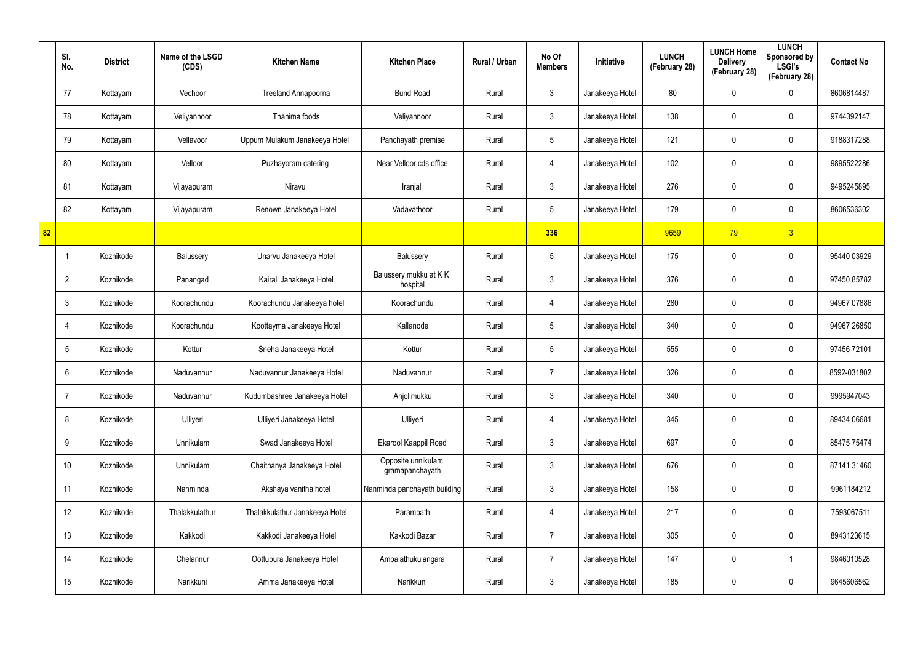|    | SI.<br>No.      | <b>District</b> | Name of the LSGD<br>(CDS) | <b>Kitchen Name</b>            | <b>Kitchen Place</b>                  | Rural / Urban | No Of<br><b>Members</b> | Initiative      | <b>LUNCH</b><br>(February 28) | <b>LUNCH Home</b><br><b>Delivery</b><br>(February 28) | <b>LUNCH</b><br>Sponsored by<br><b>LSGI's</b><br>(February 28) | <b>Contact No</b> |
|----|-----------------|-----------------|---------------------------|--------------------------------|---------------------------------------|---------------|-------------------------|-----------------|-------------------------------|-------------------------------------------------------|----------------------------------------------------------------|-------------------|
|    | 77              | Kottayam        | Vechoor                   | Treeland Annapoorna            | <b>Bund Road</b>                      | Rural         | $\mathbf{3}$            | Janakeeya Hotel | 80                            | 0                                                     | $\mathbf 0$                                                    | 8606814487        |
|    | 78              | Kottayam        | Veliyannoor               | Thanima foods                  | Veliyannoor                           | Rural         | $\mathbf{3}$            | Janakeeya Hotel | 138                           | 0                                                     | $\pmb{0}$                                                      | 9744392147        |
|    | 79              | Kottayam        | Vellavoor                 | Uppum Mulakum Janakeeya Hotel  | Panchayath premise                    | Rural         | $5\phantom{.0}$         | Janakeeya Hotel | 121                           | $\mathbf 0$                                           | $\pmb{0}$                                                      | 9188317288        |
|    | 80              | Kottayam        | Velloor                   | Puzhayoram catering            | Near Velloor cds office               | Rural         | $\overline{4}$          | Janakeeya Hotel | 102                           | 0                                                     | $\mathbf 0$                                                    | 9895522286        |
|    | 81              | Kottayam        | Vijayapuram               | Niravu                         | Iranjal                               | Rural         | $\mathbf{3}$            | Janakeeya Hotel | 276                           | $\mathbf 0$                                           | $\mathbf 0$                                                    | 9495245895        |
|    | 82              | Kottayam        | Vijayapuram               | Renown Janakeeya Hotel         | Vadavathoor                           | Rural         | $5\phantom{.0}$         | Janakeeya Hotel | 179                           | 0                                                     | $\mathbf 0$                                                    | 8606536302        |
| 82 |                 |                 |                           |                                |                                       |               | 336                     |                 | 9659                          | 79                                                    | 3 <sup>2</sup>                                                 |                   |
|    | $\mathbf 1$     | Kozhikode       | Balussery                 | Unarvu Janakeeya Hotel         | Balussery                             | Rural         | $5\phantom{.0}$         | Janakeeya Hotel | 175                           | 0                                                     | $\mathbf 0$                                                    | 95440 03929       |
|    | $\overline{2}$  | Kozhikode       | Panangad                  | Kairali Janakeeya Hotel        | Balussery mukku at KK<br>hospital     | Rural         | $\mathbf{3}$            | Janakeeya Hotel | 376                           | 0                                                     | $\pmb{0}$                                                      | 97450 85782       |
|    | $\mathbf{3}$    | Kozhikode       | Koorachundu               | Koorachundu Janakeeya hotel    | Koorachundu                           | Rural         | $\overline{4}$          | Janakeeya Hotel | 280                           | 0                                                     | $\mathbf 0$                                                    | 94967 07886       |
|    | 4               | Kozhikode       | Koorachundu               | Koottayma Janakeeya Hotel      | Kallanode                             | Rural         | $5\phantom{.0}$         | Janakeeya Hotel | 340                           | 0                                                     | $\pmb{0}$                                                      | 94967 26850       |
|    | $5\phantom{.0}$ | Kozhikode       | Kottur                    | Sneha Janakeeya Hotel          | Kottur                                | Rural         | $5\overline{)}$         | Janakeeya Hotel | 555                           | 0                                                     | $\mathbf 0$                                                    | 97456 72101       |
|    | 6               | Kozhikode       | Naduvannur                | Naduvannur Janakeeya Hotel     | Naduvannur                            | Rural         | $\overline{7}$          | Janakeeya Hotel | 326                           | 0                                                     | $\mathbf 0$                                                    | 8592-031802       |
|    | 7               | Kozhikode       | Naduvannur                | Kudumbashree Janakeeya Hotel   | Anjolimukku                           | Rural         | $\mathfrak{Z}$          | Janakeeya Hotel | 340                           | $\mathbf 0$                                           | $\mathbf 0$                                                    | 9995947043        |
|    | 8               | Kozhikode       | Ulliyeri                  | Ulliyeri Janakeeya Hotel       | Ulliyeri                              | Rural         | 4                       | Janakeeya Hotel | 345                           | 0                                                     | $\mathbf 0$                                                    | 89434 06681       |
|    | 9               | Kozhikode       | Unnikulam                 | Swad Janakeeya Hotel           | Ekarool Kaappil Road                  | Rural         | 3 <sup>1</sup>          | Janakeeya Hotel | 697                           | 0                                                     | $\mathbf 0$                                                    | 85475 75474       |
|    | 10 <sup>°</sup> | Kozhikode       | Unnikulam                 | Chaithanya Janakeeya Hotel     | Opposite unnikulam<br>gramapanchayath | Rural         | $\mathbf{3}$            | Janakeeya Hotel | 676                           | 0                                                     | $\mathbf 0$                                                    | 87141 31460       |
|    | 11              | Kozhikode       | Nanminda                  | Akshaya vanitha hotel          | Nanminda panchayath building          | Rural         | $\mathbf{3}$            | Janakeeya Hotel | 158                           | $\mathbf 0$                                           | $\mathbf 0$                                                    | 9961184212        |
|    | 12              | Kozhikode       | Thalakkulathur            | Thalakkulathur Janakeeya Hotel | Parambath                             | Rural         | $\overline{4}$          | Janakeeya Hotel | 217                           | 0                                                     | $\pmb{0}$                                                      | 7593067511        |
|    | 13              | Kozhikode       | Kakkodi                   | Kakkodi Janakeeya Hotel        | Kakkodi Bazar                         | Rural         | $\overline{7}$          | Janakeeya Hotel | 305                           | 0                                                     | $\mathbf 0$                                                    | 8943123615        |
|    | 14              | Kozhikode       | Chelannur                 | Oottupura Janakeeya Hotel      | Ambalathukulangara                    | Rural         | $\overline{7}$          | Janakeeya Hotel | 147                           | 0                                                     | $\mathbf{1}$                                                   | 9846010528        |
|    | 15              | Kozhikode       | Narikkuni                 | Amma Janakeeya Hotel           | Narikkuni                             | Rural         | $\mathfrak{Z}$          | Janakeeya Hotel | 185                           | 0                                                     | $\mathbf 0$                                                    | 9645606562        |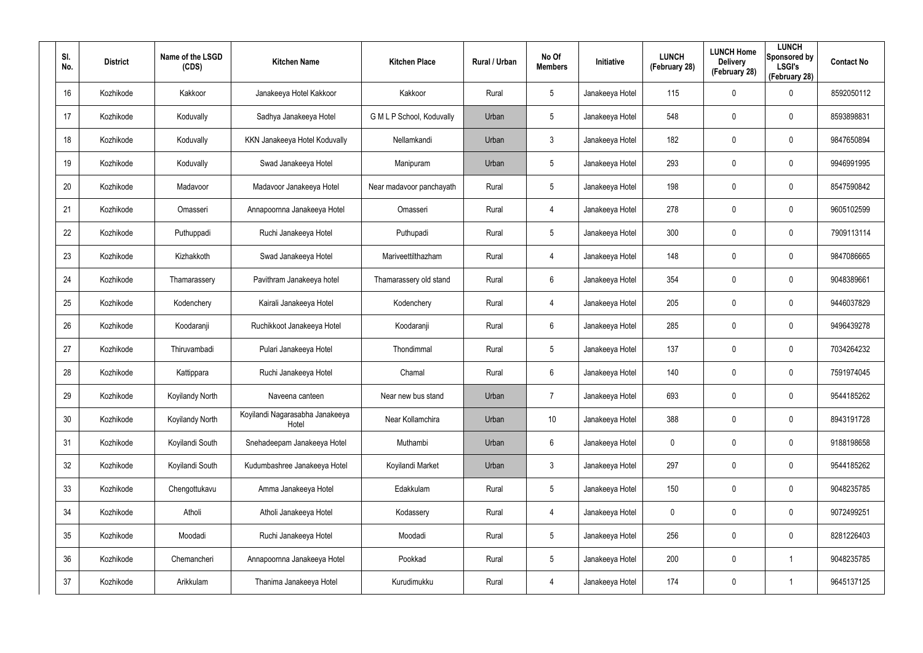| SI.<br>No. | <b>District</b> | Name of the LSGD<br>(CDS) | <b>Kitchen Name</b>                      | <b>Kitchen Place</b>      | Rural / Urban | No Of<br><b>Members</b> | Initiative      | <b>LUNCH</b><br>(February 28) | <b>LUNCH Home</b><br><b>Delivery</b><br>(February 28) | <b>LUNCH</b><br>Sponsored by<br><b>LSGI's</b><br>(February 28) | <b>Contact No</b> |
|------------|-----------------|---------------------------|------------------------------------------|---------------------------|---------------|-------------------------|-----------------|-------------------------------|-------------------------------------------------------|----------------------------------------------------------------|-------------------|
| 16         | Kozhikode       | Kakkoor                   | Janakeeya Hotel Kakkoor                  | Kakkoor                   | Rural         | $5\phantom{.0}$         | Janakeeya Hotel | 115                           | 0                                                     | 0                                                              | 8592050112        |
| 17         | Kozhikode       | Koduvally                 | Sadhya Janakeeya Hotel                   | G M L P School, Koduvally | Urban         | $5\phantom{.0}$         | Janakeeya Hotel | 548                           | $\boldsymbol{0}$                                      | $\mathbf 0$                                                    | 8593898831        |
| 18         | Kozhikode       | Koduvally                 | KKN Janakeeya Hotel Koduvally            | Nellamkandi               | Urban         | $\mathfrak{Z}$          | Janakeeya Hotel | 182                           | 0                                                     | $\mathbf 0$                                                    | 9847650894        |
| 19         | Kozhikode       | Koduvally                 | Swad Janakeeya Hotel                     | Manipuram                 | Urban         | $5\phantom{.0}$         | Janakeeya Hotel | 293                           | 0                                                     | $\mathbf 0$                                                    | 9946991995        |
| 20         | Kozhikode       | Madavoor                  | Madavoor Janakeeya Hotel                 | Near madavoor panchayath  | Rural         | $5\overline{)}$         | Janakeeya Hotel | 198                           | 0                                                     | $\mathbf 0$                                                    | 8547590842        |
| 21         | Kozhikode       | Omasseri                  | Annapoornna Janakeeya Hotel              | Omasseri                  | Rural         | $\overline{4}$          | Janakeeya Hotel | 278                           | 0                                                     | $\mathbf 0$                                                    | 9605102599        |
| 22         | Kozhikode       | Puthuppadi                | Ruchi Janakeeya Hotel                    | Puthupadi                 | Rural         | $5\overline{)}$         | Janakeeya Hotel | 300                           | 0                                                     | 0                                                              | 7909113114        |
| 23         | Kozhikode       | Kizhakkoth                | Swad Janakeeya Hotel                     | Mariveettilthazham        | Rural         | $\overline{4}$          | Janakeeya Hotel | 148                           | 0                                                     | 0                                                              | 9847086665        |
| 24         | Kozhikode       | Thamarassery              | Pavithram Janakeeya hotel                | Thamarassery old stand    | Rural         | 6                       | Janakeeya Hotel | 354                           | 0                                                     | 0                                                              | 9048389661        |
| 25         | Kozhikode       | Kodenchery                | Kairali Janakeeya Hotel                  | Kodenchery                | Rural         | $\overline{4}$          | Janakeeya Hotel | 205                           | 0                                                     | 0                                                              | 9446037829        |
| 26         | Kozhikode       | Koodaranji                | Ruchikkoot Janakeeya Hotel               | Koodaranji                | Rural         | 6                       | Janakeeya Hotel | 285                           | 0                                                     | 0                                                              | 9496439278        |
| 27         | Kozhikode       | Thiruvambadi              | Pulari Janakeeya Hotel                   | Thondimmal                | Rural         | $5\overline{)}$         | Janakeeya Hotel | 137                           | 0                                                     | 0                                                              | 7034264232        |
| 28         | Kozhikode       | Kattippara                | Ruchi Janakeeya Hotel                    | Chamal                    | Rural         | 6                       | Janakeeya Hotel | 140                           | $\boldsymbol{0}$                                      | 0                                                              | 7591974045        |
| 29         | Kozhikode       | Koyilandy North           | Naveena canteen                          | Near new bus stand        | Urban         | $\overline{7}$          | Janakeeya Hotel | 693                           | $\pmb{0}$                                             | 0                                                              | 9544185262        |
| 30         | Kozhikode       | Koyilandy North           | Koyilandi Nagarasabha Janakeeya<br>Hotel | Near Kollamchira          | Urban         | 10                      | Janakeeya Hotel | 388                           | $\boldsymbol{0}$                                      | $\pmb{0}$                                                      | 8943191728        |
| 31         | Kozhikode       | Koyilandi South           | Snehadeepam Janakeeya Hotel              | Muthambi                  | Urban         | $6\overline{6}$         | Janakeeya Hotel | $\mathbf 0$                   | $\pmb{0}$                                             | $\pmb{0}$                                                      | 9188198658        |
| 32         | Kozhikode       | Koyilandi South           | Kudumbashree Janakeeya Hotel             | Koyilandi Market          | Urban         | $\mathbf{3}$            | Janakeeya Hotel | 297                           | $\boldsymbol{0}$                                      | $\pmb{0}$                                                      | 9544185262        |
| 33         | Kozhikode       | Chengottukavu             | Amma Janakeeya Hotel                     | Edakkulam                 | Rural         | $5\phantom{.0}$         | Janakeeya Hotel | 150                           | $\pmb{0}$                                             | 0                                                              | 9048235785        |
| 34         | Kozhikode       | Atholi                    | Atholi Janakeeya Hotel                   | Kodassery                 | Rural         | $\overline{4}$          | Janakeeya Hotel | $\mathbf 0$                   | $\pmb{0}$                                             | 0                                                              | 9072499251        |
| 35         | Kozhikode       | Moodadi                   | Ruchi Janakeeya Hotel                    | Moodadi                   | Rural         | $5\phantom{.0}$         | Janakeeya Hotel | 256                           | $\pmb{0}$                                             | 0                                                              | 8281226403        |
| 36         | Kozhikode       | Chemancheri               | Annapoornna Janakeeya Hotel              | Pookkad                   | Rural         | $5\phantom{.0}$         | Janakeeya Hotel | 200                           | $\pmb{0}$                                             |                                                                | 9048235785        |
| 37         | Kozhikode       | Arikkulam                 | Thanima Janakeeya Hotel                  | Kurudimukku               | Rural         | 4                       | Janakeeya Hotel | 174                           | $\pmb{0}$                                             |                                                                | 9645137125        |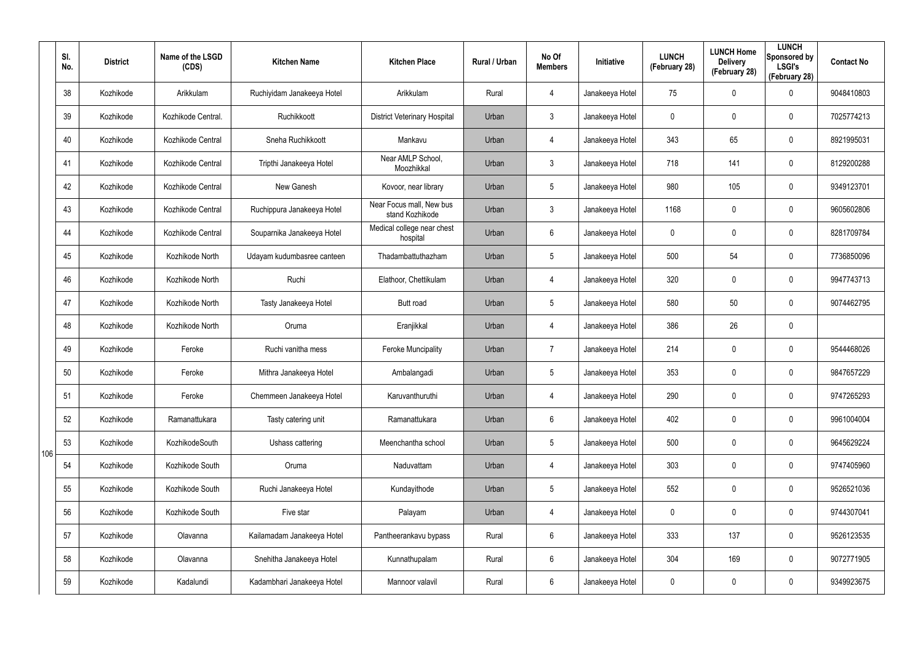|     | SI.<br>No. | <b>District</b> | Name of the LSGD<br>(CDS) | <b>Kitchen Name</b>        | <b>Kitchen Place</b>                        | Rural / Urban | No Of<br><b>Members</b> | Initiative      | <b>LUNCH</b><br>(February 28) | <b>LUNCH Home</b><br><b>Delivery</b><br>(February 28) | <b>LUNCH</b><br>Sponsored by<br><b>LSGI's</b><br>(February 28) | <b>Contact No</b> |
|-----|------------|-----------------|---------------------------|----------------------------|---------------------------------------------|---------------|-------------------------|-----------------|-------------------------------|-------------------------------------------------------|----------------------------------------------------------------|-------------------|
|     | 38         | Kozhikode       | Arikkulam                 | Ruchiyidam Janakeeya Hotel | Arikkulam                                   | Rural         | $\overline{4}$          | Janakeeya Hotel | 75                            | 0                                                     | $\mathbf 0$                                                    | 9048410803        |
|     | 39         | Kozhikode       | Kozhikode Central.        | Ruchikkoott                | <b>District Veterinary Hospital</b>         | Urban         | $\mathbf{3}$            | Janakeeya Hotel | 0                             | 0                                                     | $\mathbf 0$                                                    | 7025774213        |
|     | 40         | Kozhikode       | Kozhikode Central         | Sneha Ruchikkoott          | Mankavu                                     | Urban         | $\overline{4}$          | Janakeeya Hotel | 343                           | 65                                                    | $\mathbf 0$                                                    | 8921995031        |
|     | 41         | Kozhikode       | Kozhikode Central         | Tripthi Janakeeya Hotel    | Near AMLP School,<br>Moozhikkal             | Urban         | $\mathbf{3}$            | Janakeeya Hotel | 718                           | 141                                                   | $\mathbf 0$                                                    | 8129200288        |
|     | 42         | Kozhikode       | Kozhikode Central         | New Ganesh                 | Kovoor, near library                        | Urban         | $5\phantom{.0}$         | Janakeeya Hotel | 980                           | 105                                                   | $\mathbf 0$                                                    | 9349123701        |
|     | 43         | Kozhikode       | Kozhikode Central         | Ruchippura Janakeeya Hotel | Near Focus mall, New bus<br>stand Kozhikode | Urban         | $\mathbf{3}$            | Janakeeya Hotel | 1168                          | 0                                                     | $\mathbf 0$                                                    | 9605602806        |
|     | 44         | Kozhikode       | Kozhikode Central         | Souparnika Janakeeya Hotel | Medical college near chest<br>hospital      | Urban         | 6                       | Janakeeya Hotel | 0                             | 0                                                     | $\mathbf 0$                                                    | 8281709784        |
|     | 45         | Kozhikode       | Kozhikode North           | Udayam kudumbasree canteen | Thadambattuthazham                          | Urban         | $5\phantom{.0}$         | Janakeeya Hotel | 500                           | 54                                                    | $\mathbf 0$                                                    | 7736850096        |
|     | 46         | Kozhikode       | Kozhikode North           | Ruchi                      | Elathoor, Chettikulam                       | Urban         | $\overline{4}$          | Janakeeya Hotel | 320                           | 0                                                     | $\mathbf 0$                                                    | 9947743713        |
|     | 47         | Kozhikode       | Kozhikode North           | Tasty Janakeeya Hotel      | Butt road                                   | Urban         | $5\overline{)}$         | Janakeeya Hotel | 580                           | 50                                                    | $\mathbf 0$                                                    | 9074462795        |
|     | 48         | Kozhikode       | Kozhikode North           | Oruma                      | Eranjikkal                                  | Urban         | $\overline{4}$          | Janakeeya Hotel | 386                           | 26                                                    | $\mathbf 0$                                                    |                   |
|     | 49         | Kozhikode       | Feroke                    | Ruchi vanitha mess         | <b>Feroke Muncipality</b>                   | Urban         | 7                       | Janakeeya Hotel | 214                           | 0                                                     | $\mathbf 0$                                                    | 9544468026        |
|     | 50         | Kozhikode       | Feroke                    | Mithra Janakeeya Hotel     | Ambalangadi                                 | Urban         | $5\phantom{.0}$         | Janakeeya Hotel | 353                           | 0                                                     | $\mathbf 0$                                                    | 9847657229        |
|     | 51         | Kozhikode       | Feroke                    | Chemmeen Janakeeya Hotel   | Karuvanthuruthi                             | Urban         | $\overline{4}$          | Janakeeya Hotel | 290                           | $\mathbf 0$                                           | $\pmb{0}$                                                      | 9747265293        |
|     | 52         | Kozhikode       | Ramanattukara             | Tasty catering unit        | Ramanattukara                               | Urban         | $6\phantom{.}6$         | Janakeeya Hotel | 402                           | $\mathbf 0$                                           | $\mathbf 0$                                                    | 9961004004        |
| 106 | 53         | Kozhikode       | KozhikodeSouth            | Ushass cattering           | Meenchantha school                          | Urban         | $5\phantom{.0}$         | Janakeeya Hotel | 500                           | $\mathbf 0$                                           | $\mathbf 0$                                                    | 9645629224        |
|     | 54         | Kozhikode       | Kozhikode South           | Oruma                      | Naduvattam                                  | Urban         | $\overline{4}$          | Janakeeya Hotel | 303                           | $\mathbf 0$                                           | $\mathbf 0$                                                    | 9747405960        |
|     | 55         | Kozhikode       | Kozhikode South           | Ruchi Janakeeya Hotel      | Kundayithode                                | Urban         | $5\phantom{.0}$         | Janakeeya Hotel | 552                           | 0                                                     | $\pmb{0}$                                                      | 9526521036        |
|     | 56         | Kozhikode       | Kozhikode South           | Five star                  | Palayam                                     | Urban         | 4                       | Janakeeya Hotel | 0                             | 0                                                     | $\mathbf 0$                                                    | 9744307041        |
|     | 57         | Kozhikode       | Olavanna                  | Kailamadam Janakeeya Hotel | Pantheerankavu bypass                       | Rural         | $6\phantom{.}$          | Janakeeya Hotel | 333                           | 137                                                   | $\pmb{0}$                                                      | 9526123535        |
|     | 58         | Kozhikode       | Olavanna                  | Snehitha Janakeeya Hotel   | Kunnathupalam                               | Rural         | $6\phantom{.}$          | Janakeeya Hotel | 304                           | 169                                                   | $\pmb{0}$                                                      | 9072771905        |
|     | 59         | Kozhikode       | Kadalundi                 | Kadambhari Janakeeya Hotel | Mannoor valavil                             | Rural         | $6\phantom{.}$          | Janakeeya Hotel | 0                             | 0                                                     | $\pmb{0}$                                                      | 9349923675        |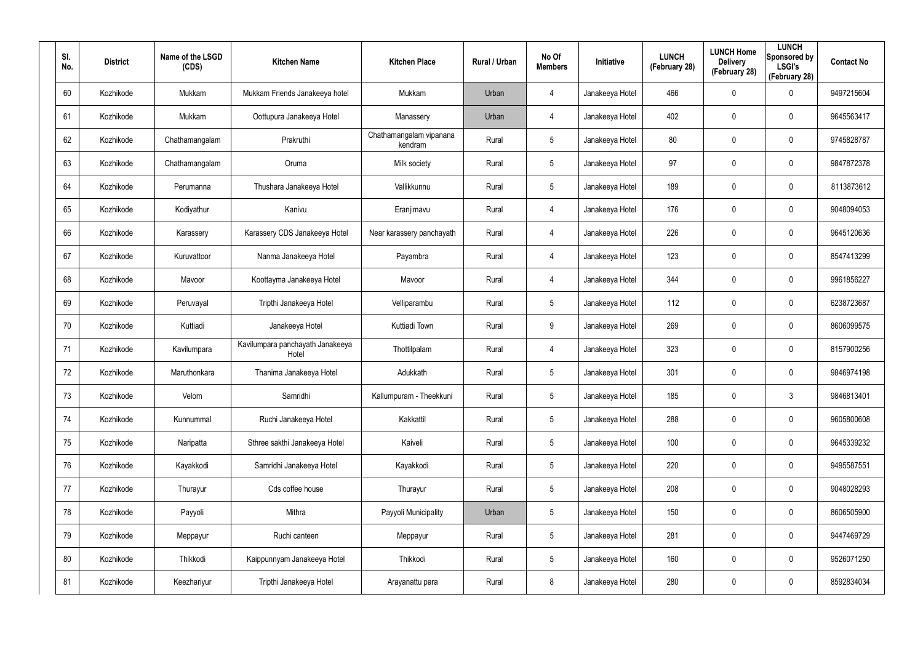| SI.<br>No. | <b>District</b> | Name of the LSGD<br>(CDS) | <b>Kitchen Name</b>                       | <b>Kitchen Place</b>               | Rural / Urban | No Of<br><b>Members</b> | <b>Initiative</b> | <b>LUNCH</b><br>(February 28) | <b>LUNCH Home</b><br><b>Delivery</b><br>(February 28) | <b>LUNCH</b><br>Sponsored by<br><b>LSGI's</b><br>(February 28) | <b>Contact No</b> |
|------------|-----------------|---------------------------|-------------------------------------------|------------------------------------|---------------|-------------------------|-------------------|-------------------------------|-------------------------------------------------------|----------------------------------------------------------------|-------------------|
| 60         | Kozhikode       | Mukkam                    | Mukkam Friends Janakeeya hotel            | Mukkam                             | Urban         | 4                       | Janakeeya Hotel   | 466                           | 0                                                     | $\mathbf 0$                                                    | 9497215604        |
| 61         | Kozhikode       | Mukkam                    | Oottupura Janakeeya Hotel                 | Manassery                          | Urban         | 4                       | Janakeeya Hotel   | 402                           | 0                                                     | $\mathbf 0$                                                    | 9645563417        |
| 62         | Kozhikode       | Chathamangalam            | Prakruthi                                 | Chathamangalam vipanana<br>kendram | Rural         | $5\phantom{.0}$         | Janakeeya Hotel   | 80                            | 0                                                     | $\mathbf 0$                                                    | 9745828787        |
| 63         | Kozhikode       | Chathamangalam            | Oruma                                     | Milk society                       | Rural         | $5\phantom{.0}$         | Janakeeya Hotel   | 97                            | 0                                                     | $\mathbf 0$                                                    | 9847872378        |
| 64         | Kozhikode       | Perumanna                 | Thushara Janakeeya Hotel                  | Vallikkunnu                        | Rural         | $5\phantom{.0}$         | Janakeeya Hotel   | 189                           | 0                                                     | $\mathbf 0$                                                    | 8113873612        |
| 65         | Kozhikode       | Kodiyathur                | Kanivu                                    | Eranjimavu                         | Rural         | 4                       | Janakeeya Hotel   | 176                           | 0                                                     | $\mathbf 0$                                                    | 9048094053        |
| 66         | Kozhikode       | Karassery                 | Karassery CDS Janakeeya Hotel             | Near karassery panchayath          | Rural         | 4                       | Janakeeya Hotel   | 226                           | 0                                                     | $\mathbf 0$                                                    | 9645120636        |
| 67         | Kozhikode       | Kuruvattoor               | Nanma Janakeeya Hotel                     | Payambra                           | Rural         | 4                       | Janakeeya Hotel   | 123                           | 0                                                     | $\mathbf 0$                                                    | 8547413299        |
| 68         | Kozhikode       | Mavoor                    | Koottayma Janakeeya Hotel                 | Mavoor                             | Rural         | 4                       | Janakeeya Hotel   | 344                           | 0                                                     | $\mathbf 0$                                                    | 9961856227        |
| 69         | Kozhikode       | Peruvayal                 | Tripthi Janakeeya Hotel                   | Velliparambu                       | Rural         | $5\overline{)}$         | Janakeeya Hotel   | 112                           | 0                                                     | $\mathbf 0$                                                    | 6238723687        |
| 70         | Kozhikode       | Kuttiadi                  | Janakeeya Hotel                           | Kuttiadi Town                      | Rural         | 9                       | Janakeeya Hotel   | 269                           | 0                                                     | $\mathbf 0$                                                    | 8606099575        |
| 71         | Kozhikode       | Kavilumpara               | Kavilumpara panchayath Janakeeya<br>Hotel | Thottilpalam                       | Rural         | 4                       | Janakeeya Hotel   | 323                           | 0                                                     | $\mathbf 0$                                                    | 8157900256        |
| 72         | Kozhikode       | Maruthonkara              | Thanima Janakeeya Hotel                   | Adukkath                           | Rural         | $5\overline{)}$         | Janakeeya Hotel   | 301                           | $\mathbf 0$                                           | $\mathbf 0$                                                    | 9846974198        |
| 73         | Kozhikode       | Velom                     | Samridhi                                  | Kallumpuram - Theekkuni            | Rural         | $5\phantom{.0}$         | Janakeeya Hotel   | 185                           | $\mathbf 0$                                           | $\mathfrak{Z}$                                                 | 9846813401        |
| 74         | Kozhikode       | Kunnummal                 | Ruchi Janakeeya Hotel                     | Kakkattil                          | Rural         | $5\phantom{.0}$         | Janakeeya Hotel   | 288                           | 0                                                     | $\mathbf 0$                                                    | 9605800608        |
| 75         | Kozhikode       | Naripatta                 | Sthree sakthi Janakeeya Hotel             | Kaiveli                            | Rural         | $5\phantom{.0}$         | Janakeeya Hotel   | 100                           | 0                                                     | $\mathbf 0$                                                    | 9645339232        |
| 76         | Kozhikode       | Kayakkodi                 | Samridhi Janakeeya Hotel                  | Kayakkodi                          | Rural         | $5\phantom{.0}$         | Janakeeya Hotel   | 220                           | 0                                                     | $\mathbf 0$                                                    | 9495587551        |
| 77         | Kozhikode       | Thurayur                  | Cds coffee house                          | Thurayur                           | Rural         | $5\phantom{.0}$         | Janakeeya Hotel   | 208                           | 0                                                     | $\mathbf 0$                                                    | 9048028293        |
| 78         | Kozhikode       | Payyoli                   | Mithra                                    | Payyoli Municipality               | Urban         | $5\phantom{.0}$         | Janakeeya Hotel   | 150                           | 0                                                     | $\mathbf 0$                                                    | 8606505900        |
| 79         | Kozhikode       | Meppayur                  | Ruchi canteen                             | Meppayur                           | Rural         | $5\phantom{.0}$         | Janakeeya Hotel   | 281                           | 0                                                     | $\mathbf 0$                                                    | 9447469729        |
| 80         | Kozhikode       | Thikkodi                  | Kaippunnyam Janakeeya Hotel               | Thikkodi                           | Rural         | $5\phantom{.0}$         | Janakeeya Hotel   | 160                           | 0                                                     | $\mathbf 0$                                                    | 9526071250        |
| 81         | Kozhikode       | Keezhariyur               | Tripthi Janakeeya Hotel                   | Arayanattu para                    | Rural         | 8                       | Janakeeya Hotel   | 280                           | 0                                                     | $\mathbf 0$                                                    | 8592834034        |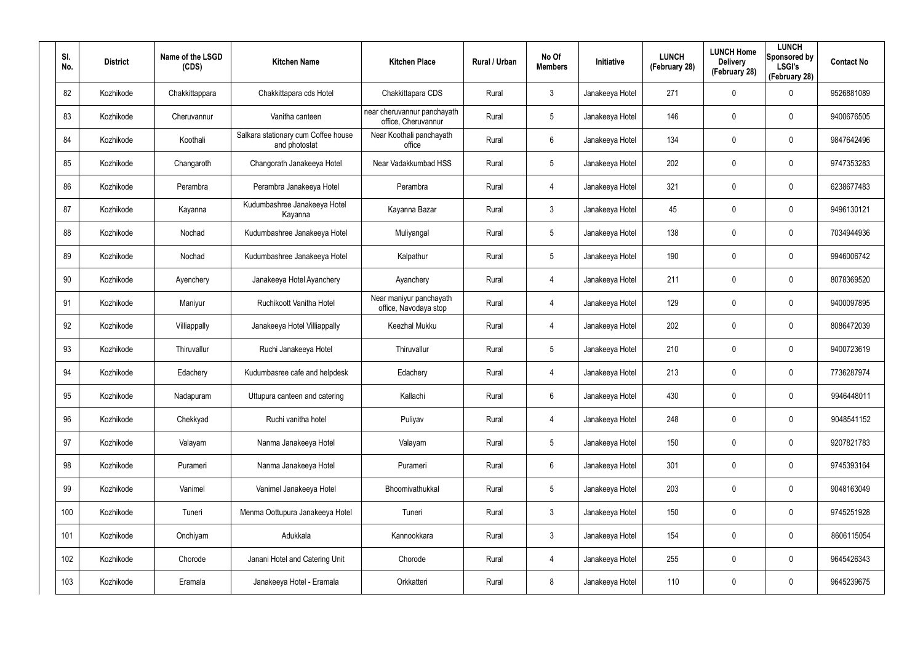| SI.<br>No. | <b>District</b> | Name of the LSGD<br>(CDS) | <b>Kitchen Name</b>                                  | <b>Kitchen Place</b>                               | Rural / Urban | No Of<br><b>Members</b> | Initiative      | <b>LUNCH</b><br>(February 28) | <b>LUNCH Home</b><br><b>Delivery</b><br>(February 28) | <b>LUNCH</b><br>Sponsored by<br><b>LSGI's</b><br>(February 28) | <b>Contact No</b> |
|------------|-----------------|---------------------------|------------------------------------------------------|----------------------------------------------------|---------------|-------------------------|-----------------|-------------------------------|-------------------------------------------------------|----------------------------------------------------------------|-------------------|
| 82         | Kozhikode       | Chakkittappara            | Chakkittapara cds Hotel                              | Chakkittapara CDS                                  | Rural         | $\mathbf{3}$            | Janakeeya Hotel | 271                           | 0                                                     | $\mathbf 0$                                                    | 9526881089        |
| 83         | Kozhikode       | Cheruvannur               | Vanitha canteen                                      | near cheruvannur panchayath<br>office, Cheruvannur | Rural         | $5\overline{)}$         | Janakeeya Hotel | 146                           | 0                                                     | $\mathbf 0$                                                    | 9400676505        |
| 84         | Kozhikode       | Koothali                  | Salkara stationary cum Coffee house<br>and photostat | Near Koothali panchayath<br>office                 | Rural         | 6                       | Janakeeya Hotel | 134                           | 0                                                     | $\mathbf 0$                                                    | 9847642496        |
| 85         | Kozhikode       | Changaroth                | Changorath Janakeeya Hotel                           | Near Vadakkumbad HSS                               | Rural         | $5\overline{)}$         | Janakeeya Hotel | 202                           | 0                                                     | $\mathbf 0$                                                    | 9747353283        |
| 86         | Kozhikode       | Perambra                  | Perambra Janakeeya Hotel                             | Perambra                                           | Rural         | 4                       | Janakeeya Hotel | 321                           | 0                                                     | $\mathbf 0$                                                    | 6238677483        |
| 87         | Kozhikode       | Kayanna                   | Kudumbashree Janakeeya Hotel<br>Kayanna              | Kayanna Bazar                                      | Rural         | $\mathbf{3}$            | Janakeeya Hotel | 45                            | 0                                                     | $\mathbf 0$                                                    | 9496130121        |
| 88         | Kozhikode       | Nochad                    | Kudumbashree Janakeeya Hotel                         | Muliyangal                                         | Rural         | $5\phantom{.0}$         | Janakeeya Hotel | 138                           | 0                                                     | $\mathbf 0$                                                    | 7034944936        |
| 89         | Kozhikode       | Nochad                    | Kudumbashree Janakeeya Hotel                         | Kalpathur                                          | Rural         | $5\phantom{.0}$         | Janakeeya Hotel | 190                           | 0                                                     | $\mathbf 0$                                                    | 9946006742        |
| 90         | Kozhikode       | Ayenchery                 | Janakeeya Hotel Ayanchery                            | Ayanchery                                          | Rural         | 4                       | Janakeeya Hotel | 211                           | 0                                                     | $\mathbf 0$                                                    | 8078369520        |
| 91         | Kozhikode       | Maniyur                   | Ruchikoott Vanitha Hotel                             | Near maniyur panchayath<br>office, Navodaya stop   | Rural         | $\overline{4}$          | Janakeeya Hotel | 129                           | 0                                                     | $\mathbf 0$                                                    | 9400097895        |
| 92         | Kozhikode       | Villiappally              | Janakeeya Hotel Villiappally                         | Keezhal Mukku                                      | Rural         | 4                       | Janakeeya Hotel | 202                           | 0                                                     | $\mathbf 0$                                                    | 8086472039        |
| 93         | Kozhikode       | Thiruvallur               | Ruchi Janakeeya Hotel                                | Thiruvallur                                        | Rural         | $5\phantom{.0}$         | Janakeeya Hotel | 210                           | 0                                                     | $\mathbf 0$                                                    | 9400723619        |
| 94         | Kozhikode       | Edachery                  | Kudumbasree cafe and helpdesk                        | Edachery                                           | Rural         | 4                       | Janakeeya Hotel | 213                           | $\mathbf 0$                                           | $\mathbf 0$                                                    | 7736287974        |
| 95         | Kozhikode       | Nadapuram                 | Uttupura canteen and catering                        | Kallachi                                           | Rural         | 6                       | Janakeeya Hotel | 430                           | 0                                                     | $\mathbf 0$                                                    | 9946448011        |
| 96         | Kozhikode       | Chekkyad                  | Ruchi vanitha hotel                                  | Puliyav                                            | Rural         | 4                       | Janakeeya Hotel | 248                           | 0                                                     | $\mathbf 0$                                                    | 9048541152        |
| 97         | Kozhikode       | Valayam                   | Nanma Janakeeya Hotel                                | Valayam                                            | Rural         | $5\phantom{.0}$         | Janakeeya Hotel | 150                           | 0                                                     | $\mathbf 0$                                                    | 9207821783        |
| 98         | Kozhikode       | Purameri                  | Nanma Janakeeya Hotel                                | Purameri                                           | Rural         | $6\phantom{.}6$         | Janakeeya Hotel | 301                           | 0                                                     | $\mathbf 0$                                                    | 9745393164        |
| 99         | Kozhikode       | Vanimel                   | Vanimel Janakeeya Hotel                              | Bhoomivathukkal                                    | Rural         | $5\phantom{.0}$         | Janakeeya Hotel | 203                           | $\mathbf 0$                                           | $\mathsf{0}$                                                   | 9048163049        |
| 100        | Kozhikode       | Tuneri                    | Menma Oottupura Janakeeya Hotel                      | Tuneri                                             | Rural         | $\mathfrak{Z}$          | Janakeeya Hotel | 150                           | 0                                                     | $\mathbf 0$                                                    | 9745251928        |
| 101        | Kozhikode       | Onchiyam                  | Adukkala                                             | Kannookkara                                        | Rural         | $3\phantom{.0}$         | Janakeeya Hotel | 154                           | $\mathbf 0$                                           | $\mathsf{0}$                                                   | 8606115054        |
| 102        | Kozhikode       | Chorode                   | Janani Hotel and Catering Unit                       | Chorode                                            | Rural         | 4                       | Janakeeya Hotel | 255                           | 0                                                     | $\mathbf 0$                                                    | 9645426343        |
| 103        | Kozhikode       | Eramala                   | Janakeeya Hotel - Eramala                            | Orkkatteri                                         | Rural         | $8\phantom{.}$          | Janakeeya Hotel | 110                           | 0                                                     | $\pmb{0}$                                                      | 9645239675        |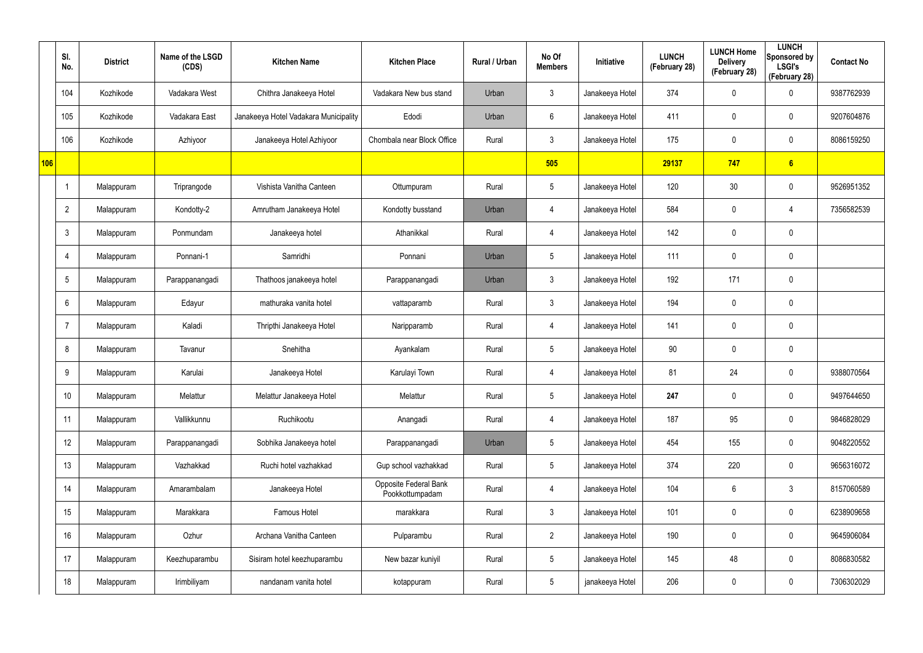|     | SI.<br>No.      | <b>District</b> | Name of the LSGD<br>(CDS) | <b>Kitchen Name</b>                   | <b>Kitchen Place</b>                            | Rural / Urban | No Of<br><b>Members</b> | Initiative      | <b>LUNCH</b><br>(February 28) | <b>LUNCH Home</b><br><b>Delivery</b><br>(February 28) | <b>LUNCH</b><br>Sponsored by<br><b>LSGI's</b><br>(February 28) | <b>Contact No</b> |
|-----|-----------------|-----------------|---------------------------|---------------------------------------|-------------------------------------------------|---------------|-------------------------|-----------------|-------------------------------|-------------------------------------------------------|----------------------------------------------------------------|-------------------|
|     | 104             | Kozhikode       | Vadakara West             | Chithra Janakeeya Hotel               | Vadakara New bus stand                          | Urban         | $\mathbf{3}$            | Janakeeya Hotel | 374                           | 0                                                     | $\boldsymbol{0}$                                               | 9387762939        |
|     | 105             | Kozhikode       | Vadakara East             | Janakeeya Hotel Vadakara Municipality | Edodi                                           | Urban         | $6\phantom{.}$          | Janakeeya Hotel | 411                           | $\mathbf 0$                                           | $\pmb{0}$                                                      | 9207604876        |
|     | 106             | Kozhikode       | Azhiyoor                  | Janakeeya Hotel Azhiyoor              | Chombala near Block Office                      | Rural         | $\mathbf{3}$            | Janakeeya Hotel | 175                           | $\mathbf 0$                                           | $\pmb{0}$                                                      | 8086159250        |
| 106 |                 |                 |                           |                                       |                                                 |               | 505                     |                 | 29137                         | 747                                                   | 6                                                              |                   |
|     |                 | Malappuram      | Triprangode               | Vishista Vanitha Canteen              | Ottumpuram                                      | Rural         | $5\phantom{.0}$         | Janakeeya Hotel | 120                           | 30                                                    | $\pmb{0}$                                                      | 9526951352        |
|     | $\overline{2}$  | Malappuram      | Kondotty-2                | Amrutham Janakeeya Hotel              | Kondotty busstand                               | Urban         | $\overline{4}$          | Janakeeya Hotel | 584                           | 0                                                     | 4                                                              | 7356582539        |
|     | $\mathbf{3}$    | Malappuram      | Ponmundam                 | Janakeeya hotel                       | Athanikkal                                      | Rural         | 4                       | Janakeeya Hotel | 142                           | 0                                                     | $\pmb{0}$                                                      |                   |
|     | $\overline{4}$  | Malappuram      | Ponnani-1                 | Samridhi                              | Ponnani                                         | Urban         | $5\phantom{.0}$         | Janakeeya Hotel | 111                           | 0                                                     | $\mathbf 0$                                                    |                   |
|     | $5\phantom{.0}$ | Malappuram      | Parappanangadi            | Thathoos janakeeya hotel              | Parappanangadi                                  | Urban         | $\mathbf{3}$            | Janakeeya Hotel | 192                           | 171                                                   | $\pmb{0}$                                                      |                   |
|     | $6^{\circ}$     | Malappuram      | Edayur                    | mathuraka vanita hotel                | vattaparamb                                     | Rural         | $\mathbf{3}$            | Janakeeya Hotel | 194                           | 0                                                     | $\mathbf 0$                                                    |                   |
|     | $\overline{7}$  | Malappuram      | Kaladi                    | Thripthi Janakeeya Hotel              | Naripparamb                                     | Rural         | 4                       | Janakeeya Hotel | 141                           | 0                                                     | $\pmb{0}$                                                      |                   |
|     | 8               | Malappuram      | Tavanur                   | Snehitha                              | Ayankalam                                       | Rural         | $5\phantom{.0}$         | Janakeeya Hotel | 90                            | 0                                                     | $\mathbf 0$                                                    |                   |
|     | 9               | Malappuram      | Karulai                   | Janakeeya Hotel                       | Karulayi Town                                   | Rural         | 4                       | Janakeeya Hotel | 81                            | 24                                                    | $\boldsymbol{0}$                                               | 9388070564        |
|     | 10 <sup>°</sup> | Malappuram      | Melattur                  | Melattur Janakeeya Hotel              | Melattur                                        | Rural         | $\sqrt{5}$              | Janakeeya Hotel | 247                           | $\mathbf 0$                                           | $\mathbf 0$                                                    | 9497644650        |
|     | 11              | Malappuram      | Vallikkunnu               | Ruchikootu                            | Anangadi                                        | Rural         | $\overline{4}$          | Janakeeya Hotel | 187                           | 95                                                    | $\mathbf 0$                                                    | 9846828029        |
|     | 12              | Malappuram      | Parappanangadi            | Sobhika Janakeeya hotel               | Parappanangadi                                  | Urban         | $5\phantom{.0}$         | Janakeeya Hotel | 454                           | 155                                                   | $\mathbf 0$                                                    | 9048220552        |
|     | 13              | Malappuram      | Vazhakkad                 | Ruchi hotel vazhakkad                 | Gup school vazhakkad                            | Rural         | $5\phantom{.0}$         | Janakeeya Hotel | 374                           | 220                                                   | $\mathbf 0$                                                    | 9656316072        |
|     | 14              | Malappuram      | Amarambalam               | Janakeeya Hotel                       | <b>Opposite Federal Bank</b><br>Pookkottumpadam | Rural         | 4                       | Janakeeya Hotel | 104                           | 6                                                     | $\mathfrak{Z}$                                                 | 8157060589        |
|     | 15              | Malappuram      | Marakkara                 | Famous Hotel                          | marakkara                                       | Rural         | $\mathbf{3}$            | Janakeeya Hotel | 101                           | 0                                                     | $\pmb{0}$                                                      | 6238909658        |
|     | 16              | Malappuram      | Ozhur                     | Archana Vanitha Canteen               | Pulparambu                                      | Rural         | $2\overline{ }$         | Janakeeya Hotel | 190                           | 0                                                     | $\pmb{0}$                                                      | 9645906084        |
|     | 17              | Malappuram      | Keezhuparambu             | Sisiram hotel keezhuparambu           | New bazar kuniyil                               | Rural         | $5\phantom{.0}$         | Janakeeya Hotel | 145                           | 48                                                    | $\pmb{0}$                                                      | 8086830582        |
|     | 18              | Malappuram      | Irimbiliyam               | nandanam vanita hotel                 | kotappuram                                      | Rural         | $5\phantom{.0}$         | janakeeya Hotel | 206                           | 0                                                     | $\boldsymbol{0}$                                               | 7306302029        |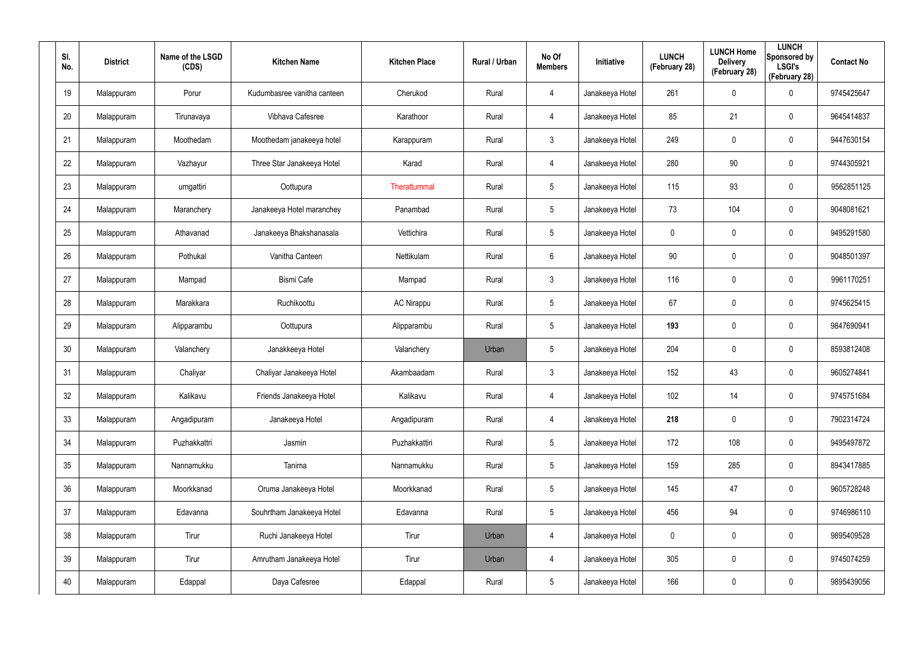| SI.<br>No. | <b>District</b> | Name of the LSGD<br>(CDS) | <b>Kitchen Name</b>         | <b>Kitchen Place</b> | Rural / Urban | No Of<br><b>Members</b> | Initiative      | <b>LUNCH</b><br>(February 28) | <b>LUNCH Home</b><br><b>Delivery</b><br>(February 28) | <b>LUNCH</b><br>Sponsored by<br><b>LSGI's</b><br>(February 28) | <b>Contact No</b> |
|------------|-----------------|---------------------------|-----------------------------|----------------------|---------------|-------------------------|-----------------|-------------------------------|-------------------------------------------------------|----------------------------------------------------------------|-------------------|
| 19         | Malappuram      | Porur                     | Kudumbasree vanitha canteen | Cherukod             | Rural         | 4                       | Janakeeya Hotel | 261                           | 0                                                     | $\mathbf 0$                                                    | 9745425647        |
| 20         | Malappuram      | Tirunavaya                | Vibhava Cafesree            | Karathoor            | Rural         | 4                       | Janakeeya Hotel | 85                            | 21                                                    | $\mathbf 0$                                                    | 9645414837        |
| 21         | Malappuram      | Moothedam                 | Moothedam janakeeya hotel   | Karappuram           | Rural         | $\mathbf{3}$            | Janakeeya Hotel | 249                           | 0                                                     | $\pmb{0}$                                                      | 9447630154        |
| 22         | Malappuram      | Vazhayur                  | Three Star Janakeeya Hotel  | Karad                | Rural         | 4                       | Janakeeya Hotel | 280                           | 90                                                    | $\mathbf 0$                                                    | 9744305921        |
| 23         | Malappuram      | urngattiri                | Oottupura                   | Therattummal         | Rural         | $5\phantom{.0}$         | Janakeeya Hotel | 115                           | 93                                                    | $\pmb{0}$                                                      | 9562851125        |
| 24         | Malappuram      | Maranchery                | Janakeeya Hotel maranchey   | Panambad             | Rural         | $5\phantom{.0}$         | Janakeeya Hotel | 73                            | 104                                                   | $\mathbf 0$                                                    | 9048081621        |
| 25         | Malappuram      | Athavanad                 | Janakeeya Bhakshanasala     | Vettichira           | Rural         | $5\phantom{.0}$         | Janakeeya Hotel | 0                             | 0                                                     | $\pmb{0}$                                                      | 9495291580        |
| 26         | Malappuram      | Pothukal                  | Vanitha Canteen             | Nettikulam           | Rural         | 6                       | Janakeeya Hotel | 90                            | 0                                                     | $\mathbf 0$                                                    | 9048501397        |
| 27         | Malappuram      | Mampad                    | <b>Bismi Cafe</b>           | Mampad               | Rural         | $\mathbf{3}$            | Janakeeya Hotel | 116                           | 0                                                     | $\pmb{0}$                                                      | 9961170251        |
| 28         | Malappuram      | Marakkara                 | Ruchikoottu                 | <b>AC Nirappu</b>    | Rural         | $5\phantom{.0}$         | Janakeeya Hotel | 67                            | 0                                                     | $\mathbf 0$                                                    | 9745625415        |
| 29         | Malappuram      | Alipparambu               | Oottupura                   | Alipparambu          | Rural         | $5\phantom{.0}$         | Janakeeya Hotel | 193                           | 0                                                     | $\pmb{0}$                                                      | 9847690941        |
| 30         | Malappuram      | Valanchery                | Janakkeeya Hotel            | Valanchery           | Urban         | $5\phantom{.0}$         | Janakeeya Hotel | 204                           | $\mathbf 0$                                           | $\mathbf 0$                                                    | 8593812408        |
| 31         | Malappuram      | Chaliyar                  | Chaliyar Janakeeya Hotel    | Akambaadam           | Rural         | $\mathbf{3}$            | Janakeeya Hotel | 152                           | 43                                                    | $\mathbf 0$                                                    | 9605274841        |
| 32         | Malappuram      | Kalikavu                  | Friends Janakeeya Hotel     | Kalikavu             | Rural         | 4                       | Janakeeya Hotel | 102                           | 14                                                    | $\pmb{0}$                                                      | 9745751684        |
| 33         | Malappuram      | Angadipuram               | Janakeeya Hotel             | Angadipuram          | Rural         | 4                       | Janakeeya Hotel | 218                           | $\mathbf 0$                                           | $\mathbf 0$                                                    | 7902314724        |
| 34         | Malappuram      | Puzhakkattri              | Jasmin                      | Puzhakkattiri        | Rural         | $5\phantom{.0}$         | Janakeeya Hotel | 172                           | 108                                                   | $\mathsf{0}$                                                   | 9495497872        |
| 35         | Malappuram      | Nannamukku                | Tanima                      | Nannamukku           | Rural         | $5\phantom{.0}$         | Janakeeya Hotel | 159                           | 285                                                   | $\mathsf{0}$                                                   | 8943417885        |
| 36         | Malappuram      | Moorkkanad                | Oruma Janakeeya Hotel       | Moorkkanad           | Rural         | $5\phantom{.0}$         | Janakeeya Hotel | 145                           | 47                                                    | $\mathbf 0$                                                    | 9605728248        |
| 37         | Malappuram      | Edavanna                  | Souhrtham Janakeeya Hotel   | Edavanna             | Rural         | $5\phantom{.0}$         | Janakeeya Hotel | 456                           | 94                                                    | $\mathbf 0$                                                    | 9746986110        |
| 38         | Malappuram      | Tirur                     | Ruchi Janakeeya Hotel       | Tirur                | Urban         | 4                       | Janakeeya Hotel | $\mathbf 0$                   | $\mathbf 0$                                           | $\mathbf 0$                                                    | 9895409528        |
| 39         | Malappuram      | Tirur                     | Amrutham Janakeeya Hotel    | Tirur                | Urban         | 4                       | Janakeeya Hotel | 305                           | 0                                                     | $\mathbf 0$                                                    | 9745074259        |
| 40         | Malappuram      | Edappal                   | Daya Cafesree               | Edappal              | Rural         | $5\phantom{.0}$         | Janakeeya Hotel | 166                           | 0                                                     | $\mathsf{0}$                                                   | 9895439056        |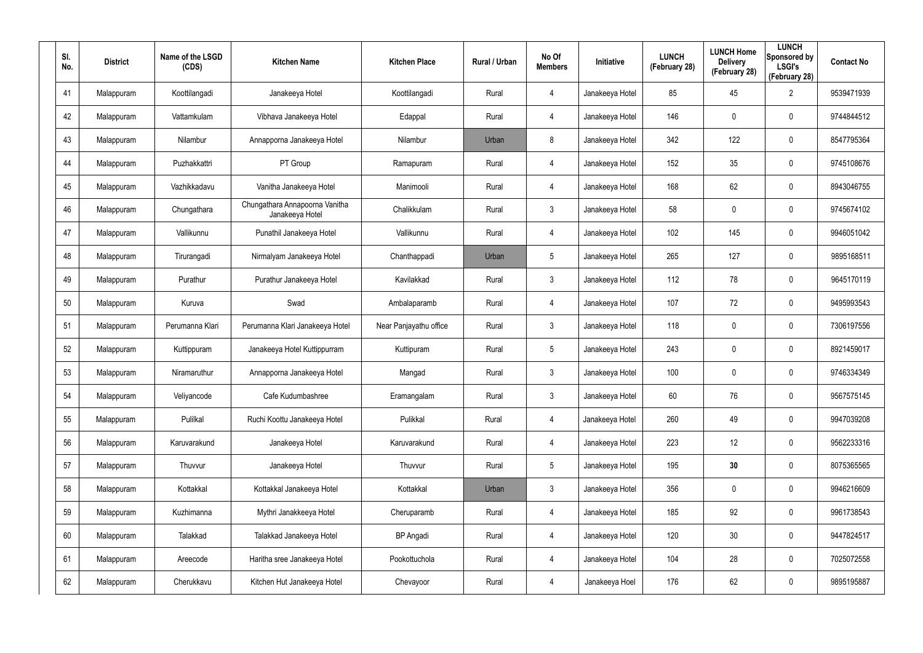| SI.<br>No. | <b>District</b> | Name of the LSGD<br>(CDS) | <b>Kitchen Name</b>                               | <b>Kitchen Place</b>   | Rural / Urban | No Of<br><b>Members</b> | Initiative      | <b>LUNCH</b><br>(February 28) | <b>LUNCH Home</b><br><b>Delivery</b><br>(February 28) | <b>LUNCH</b><br>Sponsored by<br><b>LSGI's</b><br>(February 28) | <b>Contact No</b> |
|------------|-----------------|---------------------------|---------------------------------------------------|------------------------|---------------|-------------------------|-----------------|-------------------------------|-------------------------------------------------------|----------------------------------------------------------------|-------------------|
| 41         | Malappuram      | Koottilangadi             | Janakeeya Hotel                                   | Koottilangadi          | Rural         | 4                       | Janakeeya Hotel | 85                            | 45                                                    | $\overline{2}$                                                 | 9539471939        |
| 42         | Malappuram      | Vattamkulam               | Vibhava Janakeeya Hotel                           | Edappal                | Rural         | 4                       | Janakeeya Hotel | 146                           | 0                                                     | $\mathbf 0$                                                    | 9744844512        |
| 43         | Malappuram      | Nilambur                  | Annapporna Janakeeya Hotel                        | Nilambur               | Urban         | 8                       | Janakeeya Hotel | 342                           | 122                                                   | $\mathbf 0$                                                    | 8547795364        |
| 44         | Malappuram      | Puzhakkattri              | PT Group                                          | Ramapuram              | Rural         | 4                       | Janakeeya Hotel | 152                           | 35                                                    | $\mathbf 0$                                                    | 9745108676        |
| 45         | Malappuram      | Vazhikkadavu              | Vanitha Janakeeya Hotel                           | Manimooli              | Rural         | 4                       | Janakeeya Hotel | 168                           | 62                                                    | $\mathbf 0$                                                    | 8943046755        |
| 46         | Malappuram      | Chungathara               | Chungathara Annapoorna Vanitha<br>Janakeeya Hotel | Chalikkulam            | Rural         | $\mathbf{3}$            | Janakeeya Hotel | 58                            | 0                                                     | $\mathbf 0$                                                    | 9745674102        |
| 47         | Malappuram      | Vallikunnu                | Punathil Janakeeya Hotel                          | Vallikunnu             | Rural         | 4                       | Janakeeya Hotel | 102                           | 145                                                   | $\mathbf 0$                                                    | 9946051042        |
| 48         | Malappuram      | Tirurangadi               | Nirmalyam Janakeeya Hotel                         | Chanthappadi           | Urban         | 5                       | Janakeeya Hotel | 265                           | 127                                                   | $\mathbf 0$                                                    | 9895168511        |
| 49         | Malappuram      | Purathur                  | Purathur Janakeeya Hotel                          | Kavilakkad             | Rural         | $\mathbf{3}$            | Janakeeya Hotel | 112                           | 78                                                    | $\mathbf 0$                                                    | 9645170119        |
| 50         | Malappuram      | Kuruva                    | Swad                                              | Ambalaparamb           | Rural         | 4                       | Janakeeya Hotel | 107                           | 72                                                    | $\mathbf 0$                                                    | 9495993543        |
| 51         | Malappuram      | Perumanna Klari           | Perumanna Klari Janakeeya Hotel                   | Near Panjayathu office | Rural         | $\mathbf{3}$            | Janakeeya Hotel | 118                           | $\mathbf 0$                                           | $\mathbf 0$                                                    | 7306197556        |
| 52         | Malappuram      | Kuttippuram               | Janakeeya Hotel Kuttippurram                      | Kuttipuram             | Rural         | 5                       | Janakeeya Hotel | 243                           | $\mathbf 0$                                           | $\mathbf 0$                                                    | 8921459017        |
| 53         | Malappuram      | Niramaruthur              | Annapporna Janakeeya Hotel                        | Mangad                 | Rural         | $\mathbf{3}$            | Janakeeya Hotel | 100                           | $\mathbf 0$                                           | $\mathbf 0$                                                    | 9746334349        |
| 54         | Malappuram      | Veliyancode               | Cafe Kudumbashree                                 | Eramangalam            | Rural         | $\mathbf{3}$            | Janakeeya Hotel | 60                            | 76                                                    | $\pmb{0}$                                                      | 9567575145        |
| 55         | Malappuram      | Pulilkal                  | Ruchi Koottu Janakeeya Hotel                      | Pulikkal               | Rural         | 4                       | Janakeeya Hotel | 260                           | 49                                                    | $\mathbf 0$                                                    | 9947039208        |
| 56         | Malappuram      | Karuvarakund              | Janakeeya Hotel                                   | Karuvarakund           | Rural         | 4                       | Janakeeya Hotel | 223                           | 12                                                    | $\mathbf 0$                                                    | 9562233316        |
| 57         | Malappuram      | Thuvvur                   | Janakeeya Hotel                                   | Thuvvur                | Rural         | $5\phantom{.0}$         | Janakeeya Hotel | 195                           | 30                                                    | $\mathbf 0$                                                    | 8075365565        |
| 58         | Malappuram      | Kottakkal                 | Kottakkal Janakeeya Hotel                         | Kottakkal              | Urban         | $\mathbf{3}$            | Janakeeya Hotel | 356                           | $\mathbf 0$                                           | $\pmb{0}$                                                      | 9946216609        |
| 59         | Malappuram      | Kuzhimanna                | Mythri Janakkeeya Hotel                           | Cheruparamb            | Rural         | $\overline{4}$          | Janakeeya Hotel | 185                           | 92                                                    | $\pmb{0}$                                                      | 9961738543        |
| 60         | Malappuram      | Talakkad                  | Talakkad Janakeeya Hotel                          | <b>BP</b> Angadi       | Rural         | $\overline{4}$          | Janakeeya Hotel | 120                           | 30 <sup>°</sup>                                       | $\pmb{0}$                                                      | 9447824517        |
| 61         | Malappuram      | Areecode                  | Haritha sree Janakeeya Hotel                      | Pookottuchola          | Rural         | $\overline{4}$          | Janakeeya Hotel | 104                           | 28                                                    | $\pmb{0}$                                                      | 7025072558        |
| 62         | Malappuram      | Cherukkavu                | Kitchen Hut Janakeeya Hotel                       | Chevayoor              | Rural         | $\overline{4}$          | Janakeeya Hoel  | 176                           | 62                                                    | $\pmb{0}$                                                      | 9895195887        |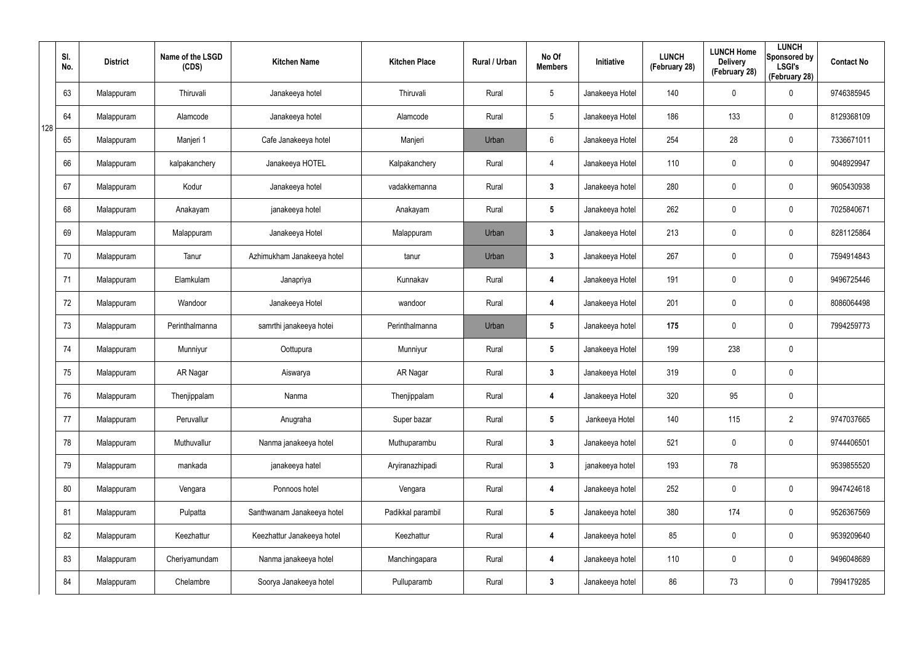|     | SI.<br>No. | <b>District</b> | Name of the LSGD<br>(CDS) | <b>Kitchen Name</b>        | <b>Kitchen Place</b> | Rural / Urban | No Of<br><b>Members</b> | Initiative      | <b>LUNCH</b><br>(February 28) | <b>LUNCH Home</b><br><b>Delivery</b><br>(February 28) | <b>LUNCH</b><br>Sponsored by<br><b>LSGI's</b><br>(February 28) | <b>Contact No</b> |
|-----|------------|-----------------|---------------------------|----------------------------|----------------------|---------------|-------------------------|-----------------|-------------------------------|-------------------------------------------------------|----------------------------------------------------------------|-------------------|
|     | 63         | Malappuram      | Thiruvali                 | Janakeeya hotel            | Thiruvali            | Rural         | $5\overline{)}$         | Janakeeya Hotel | 140                           | 0                                                     | $\boldsymbol{0}$                                               | 9746385945        |
| 128 | 64         | Malappuram      | Alamcode                  | Janakeeya hotel            | Alamcode             | Rural         | $5\phantom{.0}$         | Janakeeya Hotel | 186                           | 133                                                   | $\pmb{0}$                                                      | 8129368109        |
|     | 65         | Malappuram      | Manjeri 1                 | Cafe Janakeeya hotel       | Manjeri              | Urban         | $6\phantom{.}6$         | Janakeeya Hotel | 254                           | 28                                                    | $\pmb{0}$                                                      | 7336671011        |
|     | 66         | Malappuram      | kalpakanchery             | Janakeeya HOTEL            | Kalpakanchery        | Rural         | 4                       | Janakeeya Hotel | 110                           | 0                                                     | $\pmb{0}$                                                      | 9048929947        |
|     | 67         | Malappuram      | Kodur                     | Janakeeya hotel            | vadakkemanna         | Rural         | $3\phantom{a}$          | Janakeeya hotel | 280                           | 0                                                     | $\pmb{0}$                                                      | 9605430938        |
|     | 68         | Malappuram      | Anakayam                  | janakeeya hotel            | Anakayam             | Rural         | $5\phantom{.0}$         | Janakeeya hotel | 262                           | 0                                                     | $\mathbf 0$                                                    | 7025840671        |
|     | 69         | Malappuram      | Malappuram                | Janakeeya Hotel            | Malappuram           | Urban         | $\mathbf{3}$            | Janakeeya Hotel | 213                           | 0                                                     | $\pmb{0}$                                                      | 8281125864        |
|     | 70         | Malappuram      | Tanur                     | Azhimukham Janakeeya hotel | tanur                | Urban         | $\mathbf{3}$            | Janakeeya Hotel | 267                           | 0                                                     | $\mathbf 0$                                                    | 7594914843        |
|     | 71         | Malappuram      | Elamkulam                 | Janapriya                  | Kunnakav             | Rural         | 4                       | Janakeeya Hotel | 191                           | 0                                                     | $\pmb{0}$                                                      | 9496725446        |
|     | 72         | Malappuram      | Wandoor                   | Janakeeya Hotel            | wandoor              | Rural         | 4                       | Janakeeya Hotel | 201                           | 0                                                     | $\mathbf 0$                                                    | 8086064498        |
|     | 73         | Malappuram      | Perinthalmanna            | samrthi janakeeya hotei    | Perinthalmanna       | Urban         | $5\phantom{.0}$         | Janakeeya hotel | 175                           | 0                                                     | $\pmb{0}$                                                      | 7994259773        |
|     | 74         | Malappuram      | Munniyur                  | Oottupura                  | Munniyur             | Rural         | $5\phantom{.0}$         | Janakeeya Hotel | 199                           | 238                                                   | $\mathbf 0$                                                    |                   |
|     | 75         | Malappuram      | AR Nagar                  | Aiswarya                   | AR Nagar             | Rural         | $3\phantom{a}$          | Janakeeya Hotel | 319                           | 0                                                     | $\pmb{0}$                                                      |                   |
|     | 76         | Malappuram      | Thenjippalam              | Nanma                      | Thenjippalam         | Rural         | 4                       | Janakeeya Hotel | 320                           | 95                                                    | $\pmb{0}$                                                      |                   |
|     | 77         | Malappuram      | Peruvallur                | Anugraha                   | Super bazar          | Rural         | 5 <sub>5</sub>          | Jankeeya Hotel  | 140                           | 115                                                   | $\overline{2}$                                                 | 9747037665        |
|     | 78         | Malappuram      | Muthuvallur               | Nanma janakeeya hotel      | Muthuparambu         | Rural         | 3 <sup>1</sup>          | Janakeeya hotel | 521                           | 0                                                     | $\mathbf 0$                                                    | 9744406501        |
|     | 79         | Malappuram      | mankada                   | janakeeya hatel            | Aryiranazhipadi      | Rural         | $3\phantom{a}$          | janakeeya hotel | 193                           | 78                                                    |                                                                | 9539855520        |
|     | 80         | Malappuram      | Vengara                   | Ponnoos hotel              | Vengara              | Rural         | 4                       | Janakeeya hotel | 252                           | 0                                                     | $\pmb{0}$                                                      | 9947424618        |
|     | 81         | Malappuram      | Pulpatta                  | Santhwanam Janakeeya hotel | Padikkal parambil    | Rural         | $5\phantom{.0}$         | Janakeeya hotel | 380                           | 174                                                   | $\mathbf 0$                                                    | 9526367569        |
|     | 82         | Malappuram      | Keezhattur                | Keezhattur Janakeeya hotel | Keezhattur           | Rural         | 4                       | Janakeeya hotel | 85                            | 0                                                     | $\pmb{0}$                                                      | 9539209640        |
|     | 83         | Malappuram      | Cheriyamundam             | Nanma janakeeya hotel      | Manchingapara        | Rural         | 4                       | Janakeeya hotel | 110                           | 0                                                     | $\mathbf 0$                                                    | 9496048689        |
|     | 84         | Malappuram      | Chelambre                 | Soorya Janakeeya hotel     | Pulluparamb          | Rural         | $3\phantom{a}$          | Janakeeya hotel | 86                            | 73                                                    | $\pmb{0}$                                                      | 7994179285        |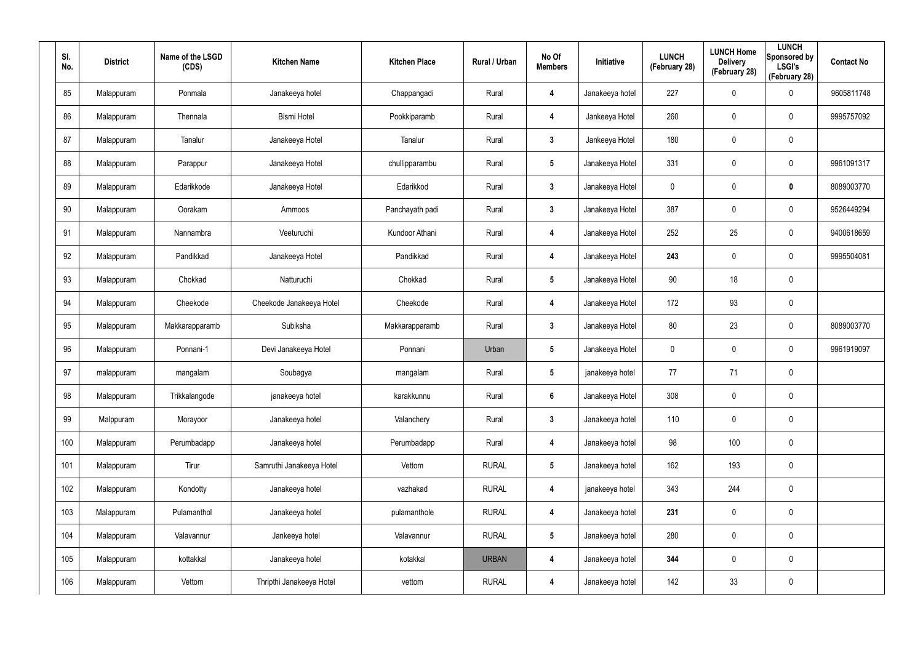| SI.<br>No. | <b>District</b> | Name of the LSGD<br>(CDS) | <b>Kitchen Name</b>      | <b>Kitchen Place</b> | Rural / Urban | No Of<br><b>Members</b> | Initiative      | <b>LUNCH</b><br>(February 28) | <b>LUNCH Home</b><br><b>Delivery</b><br>(February 28) | <b>LUNCH</b><br>Sponsored by<br><b>LSGI's</b><br>(February 28) | <b>Contact No</b> |
|------------|-----------------|---------------------------|--------------------------|----------------------|---------------|-------------------------|-----------------|-------------------------------|-------------------------------------------------------|----------------------------------------------------------------|-------------------|
| 85         | Malappuram      | Ponmala                   | Janakeeya hotel          | Chappangadi          | Rural         | 4                       | Janakeeya hotel | 227                           | 0                                                     | $\mathbf 0$                                                    | 9605811748        |
| 86         | Malappuram      | Thennala                  | <b>Bismi Hotel</b>       | Pookkiparamb         | Rural         | 4                       | Jankeeya Hotel  | 260                           | 0                                                     | $\mathbf 0$                                                    | 9995757092        |
| 87         | Malappuram      | Tanalur                   | Janakeeya Hotel          | Tanalur              | Rural         | $\mathbf{3}$            | Jankeeya Hotel  | 180                           | $\mathbf 0$                                           | $\pmb{0}$                                                      |                   |
| 88         | Malappuram      | Parappur                  | Janakeeya Hotel          | chullipparambu       | Rural         | $5\phantom{.0}$         | Janakeeya Hotel | 331                           | 0                                                     | $\mathbf 0$                                                    | 9961091317        |
| 89         | Malappuram      | Edarikkode                | Janakeeya Hotel          | Edarikkod            | Rural         | $\mathbf{3}$            | Janakeeya Hotel | $\mathbf 0$                   | 0                                                     | $\mathbf 0$                                                    | 8089003770        |
| 90         | Malappuram      | Oorakam                   | Ammoos                   | Panchayath padi      | Rural         | $\mathbf{3}$            | Janakeeya Hotel | 387                           | 0                                                     | $\mathbf 0$                                                    | 9526449294        |
| 91         | Malappuram      | Nannambra                 | Veeturuchi               | Kundoor Athani       | Rural         | 4                       | Janakeeya Hotel | 252                           | 25                                                    | $\pmb{0}$                                                      | 9400618659        |
| 92         | Malappuram      | Pandikkad                 | Janakeeya Hotel          | Pandikkad            | Rural         | 4                       | Janakeeya Hotel | 243                           | 0                                                     | $\mathbf 0$                                                    | 9995504081        |
| 93         | Malappuram      | Chokkad                   | Natturuchi               | Chokkad              | Rural         | $5\phantom{.0}$         | Janakeeya Hotel | 90                            | 18                                                    | $\mathbf 0$                                                    |                   |
| 94         | Malappuram      | Cheekode                  | Cheekode Janakeeya Hotel | Cheekode             | Rural         | 4                       | Janakeeya Hotel | 172                           | 93                                                    | $\pmb{0}$                                                      |                   |
| 95         | Malappuram      | Makkarapparamb            | Subiksha                 | Makkarapparamb       | Rural         | $3\phantom{a}$          | Janakeeya Hotel | 80                            | 23                                                    | $\pmb{0}$                                                      | 8089003770        |
| 96         | Malappuram      | Ponnani-1                 | Devi Janakeeya Hotel     | Ponnani              | Urban         | $5\phantom{.0}$         | Janakeeya Hotel | 0                             | 0                                                     | $\pmb{0}$                                                      | 9961919097        |
| 97         | malappuram      | mangalam                  | Soubagya                 | mangalam             | Rural         | $5\phantom{.0}$         | janakeeya hotel | 77                            | 71                                                    | $\pmb{0}$                                                      |                   |
| 98         | Malappuram      | Trikkalangode             | janakeeya hotel          | karakkunnu           | Rural         | $6\phantom{1}$          | Janakeeya Hotel | 308                           | $\pmb{0}$                                             | $\pmb{0}$                                                      |                   |
| 99         | Malppuram       | Morayoor                  | Janakeeya hotel          | Valanchery           | Rural         | $\mathbf{3}$            | Janakeeya hotel | 110                           | $\pmb{0}$                                             | $\mathbf 0$                                                    |                   |
| 100        | Malappuram      | Perumbadapp               | Janakeeya hotel          | Perumbadapp          | Rural         | 4                       | Janakeeya hotel | 98                            | 100                                                   | $\pmb{0}$                                                      |                   |
| 101        | Malappuram      | Tirur                     | Samruthi Janakeeya Hotel | Vettom               | <b>RURAL</b>  | $5\phantom{.0}$         | Janakeeya hotel | 162                           | 193                                                   | $\pmb{0}$                                                      |                   |
| 102        | Malappuram      | Kondotty                  | Janakeeya hotel          | vazhakad             | <b>RURAL</b>  | 4                       | janakeeya hotel | 343                           | 244                                                   | $\pmb{0}$                                                      |                   |
| 103        | Malappuram      | Pulamanthol               | Janakeeya hotel          | pulamanthole         | <b>RURAL</b>  | 4                       | Janakeeya hotel | 231                           | 0                                                     | $\mathbf 0$                                                    |                   |
| 104        | Malappuram      | Valavannur                | Jankeeya hotel           | Valavannur           | <b>RURAL</b>  | $5\phantom{.0}$         | Janakeeya hotel | 280                           | $\pmb{0}$                                             | $\pmb{0}$                                                      |                   |
| 105        | Malappuram      | kottakkal                 | Janakeeya hotel          | kotakkal             | <b>URBAN</b>  | 4                       | Janakeeya hotel | 344                           | 0                                                     | $\mathbf 0$                                                    |                   |
| 106        | Malappuram      | Vettom                    | Thripthi Janakeeya Hotel | vettom               | <b>RURAL</b>  | 4                       | Janakeeya hotel | 142                           | 33                                                    | $\pmb{0}$                                                      |                   |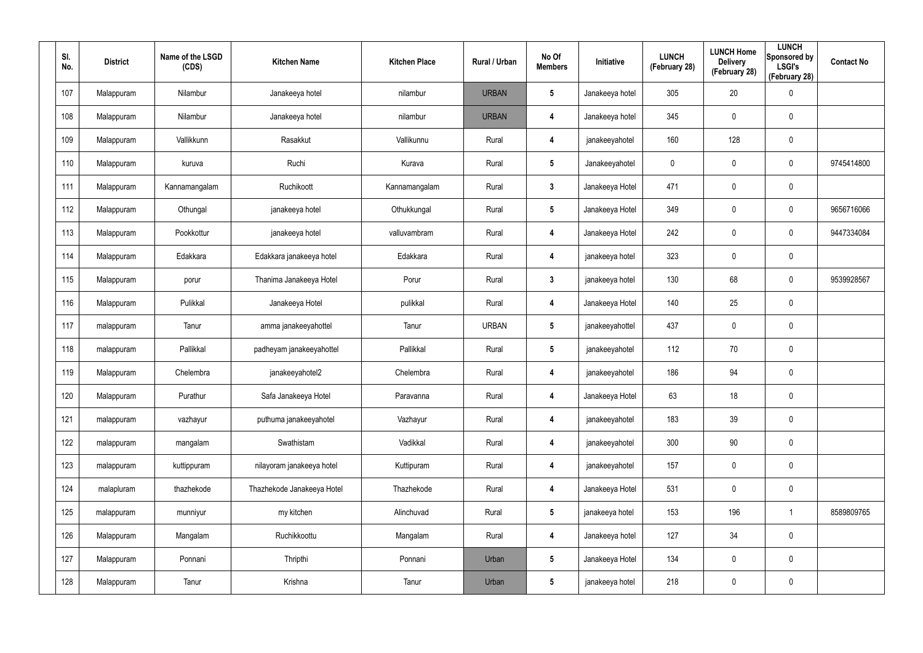| SI.<br>No. | <b>District</b> | Name of the LSGD<br>(CDS) | <b>Kitchen Name</b>        | <b>Kitchen Place</b> | Rural / Urban | No Of<br><b>Members</b> | Initiative      | <b>LUNCH</b><br>(February 28) | <b>LUNCH Home</b><br><b>Delivery</b><br>(February 28) | <b>LUNCH</b><br>Sponsored by<br><b>LSGI's</b><br>(February 28) | <b>Contact No</b> |
|------------|-----------------|---------------------------|----------------------------|----------------------|---------------|-------------------------|-----------------|-------------------------------|-------------------------------------------------------|----------------------------------------------------------------|-------------------|
| 107        | Malappuram      | Nilambur                  | Janakeeya hotel            | nilambur             | <b>URBAN</b>  | $5\phantom{.0}$         | Janakeeya hotel | 305                           | 20                                                    | $\pmb{0}$                                                      |                   |
| 108        | Malappuram      | Nilambur                  | Janakeeya hotel            | nilambur             | <b>URBAN</b>  | 4                       | Janakeeya hotel | 345                           | $\mathbf 0$                                           | $\pmb{0}$                                                      |                   |
| 109        | Malappuram      | Vallikkunn                | Rasakkut                   | Vallikunnu           | Rural         | 4                       | janakeeyahotel  | 160                           | 128                                                   | $\mathbf 0$                                                    |                   |
| 110        | Malappuram      | kuruva                    | Ruchi                      | Kurava               | Rural         | $5\phantom{.0}$         | Janakeeyahotel  | 0                             | $\mathbf 0$                                           | $\mathbf 0$                                                    | 9745414800        |
| 111        | Malappuram      | Kannamangalam             | Ruchikoott                 | Kannamangalam        | Rural         | 3 <sup>1</sup>          | Janakeeya Hotel | 471                           | 0                                                     | $\pmb{0}$                                                      |                   |
| 112        | Malappuram      | Othungal                  | janakeeya hotel            | Othukkungal          | Rural         | $5\phantom{.0}$         | Janakeeya Hotel | 349                           | $\mathbf 0$                                           | $\pmb{0}$                                                      | 9656716066        |
| 113        | Malappuram      | Pookkottur                | janakeeya hotel            | valluvambram         | Rural         | $\overline{\mathbf{4}}$ | Janakeeya Hotel | 242                           | 0                                                     | $\mathbf 0$                                                    | 9447334084        |
| 114        | Malappuram      | Edakkara                  | Edakkara janakeeya hotel   | Edakkara             | Rural         | 4                       | janakeeya hotel | 323                           | $\boldsymbol{0}$                                      | $\mathbf 0$                                                    |                   |
| 115        | Malappuram      | porur                     | Thanima Janakeeya Hotel    | Porur                | Rural         | 3 <sup>1</sup>          | janakeeya hotel | 130                           | 68                                                    | $\mathbf 0$                                                    | 9539928567        |
| 116        | Malappuram      | Pulikkal                  | Janakeeya Hotel            | pulikkal             | Rural         | 4                       | Janakeeya Hotel | 140                           | 25                                                    | $\mathbf 0$                                                    |                   |
| 117        | malappuram      | Tanur                     | amma janakeeyahottel       | Tanur                | <b>URBAN</b>  | $5\phantom{.0}$         | janakeeyahottel | 437                           | 0                                                     | $\pmb{0}$                                                      |                   |
| 118        | malappuram      | Pallikkal                 | padheyam janakeeyahottel   | Pallikkal            | Rural         | $5\phantom{.0}$         | janakeeyahotel  | 112                           | 70                                                    | $\mathbf 0$                                                    |                   |
| 119        | Malappuram      | Chelembra                 | janakeeyahotel2            | Chelembra            | Rural         | 4                       | janakeeyahotel  | 186                           | 94                                                    | $\pmb{0}$                                                      |                   |
| 120        | Malappuram      | Purathur                  | Safa Janakeeya Hotel       | Paravanna            | Rural         | $\overline{\mathbf{4}}$ | Janakeeya Hotel | 63                            | 18                                                    | $\pmb{0}$                                                      |                   |
| 121        | malappuram      | vazhayur                  | puthuma janakeeyahotel     | Vazhayur             | Rural         | $\overline{\mathbf{4}}$ | janakeeyahotel  | 183                           | 39                                                    | $\mathbf 0$                                                    |                   |
| 122        | malappuram      | mangalam                  | Swathistam                 | Vadikkal             | Rural         | $\overline{\mathbf{4}}$ | janakeeyahotel  | 300                           | $90\,$                                                | $\mathbf 0$                                                    |                   |
| 123        | malappuram      | kuttippuram               | nilayoram janakeeya hotel  | Kuttipuram           | Rural         | $\overline{\mathbf{4}}$ | janakeeyahotel  | 157                           | 0                                                     | $\mathbf 0$                                                    |                   |
| 124        | malapluram      | thazhekode                | Thazhekode Janakeeya Hotel | Thazhekode           | Rural         | $\overline{\mathbf{4}}$ | Janakeeya Hotel | 531                           | 0                                                     | $\mathbf 0$                                                    |                   |
| 125        | malappuram      | munniyur                  | my kitchen                 | Alinchuvad           | Rural         | $5\phantom{.0}$         | janakeeya hotel | 153                           | 196                                                   | $\mathbf{1}$                                                   | 8589809765        |
| 126        | Malappuram      | Mangalam                  | Ruchikkoottu               | Mangalam             | Rural         | 4                       | Janakeeya hotel | 127                           | 34                                                    | $\mathbf 0$                                                    |                   |
| 127        | Malappuram      | Ponnani                   | Thripthi                   | Ponnani              | Urban         | $5\phantom{.0}$         | Janakeeya Hotel | 134                           | 0                                                     | $\mathbf 0$                                                    |                   |
| 128        | Malappuram      | Tanur                     | Krishna                    | Tanur                | Urban         | $5\phantom{.0}$         | janakeeya hotel | 218                           | 0                                                     | $\pmb{0}$                                                      |                   |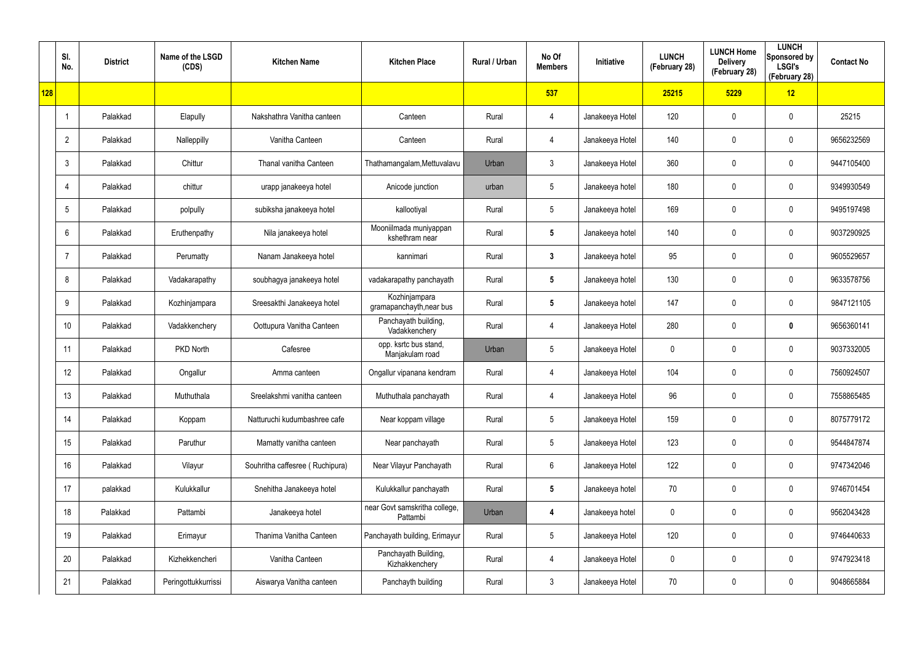|            | SI.<br>No.      | <b>District</b> | Name of the LSGD<br>(CDS) | <b>Kitchen Name</b>             | <b>Kitchen Place</b>                      | Rural / Urban | No Of<br><b>Members</b> | Initiative      | <b>LUNCH</b><br>(February 28) | <b>LUNCH Home</b><br><b>Delivery</b><br>(February 28) | <b>LUNCH</b><br>Sponsored by<br><b>LSGI's</b><br>(February 28) | <b>Contact No</b> |
|------------|-----------------|-----------------|---------------------------|---------------------------------|-------------------------------------------|---------------|-------------------------|-----------------|-------------------------------|-------------------------------------------------------|----------------------------------------------------------------|-------------------|
| <b>128</b> |                 |                 |                           |                                 |                                           |               | 537                     |                 | 25215                         | 5229                                                  | 12                                                             |                   |
|            |                 | Palakkad        | Elapully                  | Nakshathra Vanitha canteen      | Canteen                                   | Rural         | $\overline{4}$          | Janakeeya Hotel | 120                           | 0                                                     | $\mathbf 0$                                                    | 25215             |
|            | $\overline{2}$  | Palakkad        | Nalleppilly               | Vanitha Canteen                 | Canteen                                   | Rural         | $\overline{4}$          | Janakeeya Hotel | 140                           | $\mathbf 0$                                           | $\pmb{0}$                                                      | 9656232569        |
|            | $\mathbf{3}$    | Palakkad        | Chittur                   | Thanal vanitha Canteen          | Thathamangalam, Mettuvalavu               | Urban         | $\mathbf{3}$            | Janakeeya Hotel | 360                           | 0                                                     | $\mathbf 0$                                                    | 9447105400        |
|            | $\overline{4}$  | Palakkad        | chittur                   | urapp janakeeya hotel           | Anicode junction                          | urban         | $5\phantom{.0}$         | Janakeeya hotel | 180                           | 0                                                     | $\mathbf 0$                                                    | 9349930549        |
|            | $5\phantom{.0}$ | Palakkad        | polpully                  | subiksha janakeeya hotel        | kallootiyal                               | Rural         | $5\phantom{.0}$         | Janakeeya hotel | 169                           | 0                                                     | $\mathbf 0$                                                    | 9495197498        |
|            | 6               | Palakkad        | Eruthenpathy              | Nila janakeeya hotel            | Mooniilmada muniyappan<br>kshethram near  | Rural         | $5\phantom{.0}$         | Janakeeya hotel | 140                           | 0                                                     | $\pmb{0}$                                                      | 9037290925        |
|            | $\overline{7}$  | Palakkad        | Perumatty                 | Nanam Janakeeya hotel           | kannimari                                 | Rural         | $\mathbf{3}$            | Janakeeya hotel | 95                            | 0                                                     | $\mathbf 0$                                                    | 9605529657        |
|            | 8               | Palakkad        | Vadakarapathy             | soubhagya janakeeya hotel       | vadakarapathy panchayath                  | Rural         | $5\phantom{.0}$         | Janakeeya hotel | 130                           | 0                                                     | $\pmb{0}$                                                      | 9633578756        |
|            | 9               | Palakkad        | Kozhinjampara             | Sreesakthi Janakeeya hotel      | Kozhinjampara<br>gramapanchayth, near bus | Rural         | $5\phantom{.0}$         | Janakeeya hotel | 147                           | 0                                                     | $\mathbf 0$                                                    | 9847121105        |
|            | 10              | Palakkad        | Vadakkenchery             | Oottupura Vanitha Canteen       | Panchayath building,<br>Vadakkenchery     | Rural         | $\overline{4}$          | Janakeeya Hotel | 280                           | 0                                                     | $\bm{0}$                                                       | 9656360141        |
|            | 11              | Palakkad        | PKD North                 | Cafesree                        | opp. ksrtc bus stand,<br>Manjakulam road  | Urban         | $5\phantom{.0}$         | Janakeeya Hotel | 0                             | 0                                                     | $\mathbf 0$                                                    | 9037332005        |
|            | 12              | Palakkad        | Ongallur                  | Amma canteen                    | Ongallur vipanana kendram                 | Rural         | $\overline{4}$          | Janakeeya Hotel | 104                           | 0                                                     | $\mathbf 0$                                                    | 7560924507        |
|            | 13              | Palakkad        | Muthuthala                | Sreelakshmi vanitha canteen     | Muthuthala panchayath                     | Rural         | $\overline{4}$          | Janakeeya Hotel | 96                            | $\mathbf 0$                                           | $\mathbf 0$                                                    | 7558865485        |
|            | 14              | Palakkad        | Koppam                    | Natturuchi kudumbashree cafe    | Near koppam village                       | Rural         | $5\overline{)}$         | Janakeeya Hotel | 159                           | 0                                                     | $\mathbf 0$                                                    | 8075779172        |
|            | 15              | Palakkad        | Paruthur                  | Mamatty vanitha canteen         | Near panchayath                           | Rural         | $5\phantom{.0}$         | Janakeeya Hotel | 123                           | 0                                                     | $\mathbf 0$                                                    | 9544847874        |
|            | 16              | Palakkad        | Vilayur                   | Souhritha caffesree (Ruchipura) | Near Vilayur Panchayath                   | Rural         | $6\,$                   | Janakeeya Hotel | 122                           | 0                                                     | $\pmb{0}$                                                      | 9747342046        |
|            | 17              | palakkad        | Kulukkallur               | Snehitha Janakeeya hotel        | Kulukkallur panchayath                    | Rural         | $5\phantom{.0}$         | Janakeeya hotel | 70                            | 0                                                     | $\pmb{0}$                                                      | 9746701454        |
|            | 18              | Palakkad        | Pattambi                  | Janakeeya hotel                 | near Govt samskritha college,<br>Pattambi | Urban         | 4                       | Janakeeya hotel | 0                             | 0                                                     | $\pmb{0}$                                                      | 9562043428        |
|            | 19              | Palakkad        | Erimayur                  | Thanima Vanitha Canteen         | Panchayath building, Erimayur             | Rural         | $5\phantom{.0}$         | Janakeeya Hotel | 120                           | 0                                                     | $\pmb{0}$                                                      | 9746440633        |
|            | 20              | Palakkad        | Kizhekkencheri            | Vanitha Canteen                 | Panchayath Building,<br>Kizhakkenchery    | Rural         | $\overline{4}$          | Janakeeya Hotel | 0                             | 0                                                     | $\mathbf 0$                                                    | 9747923418        |
|            | 21              | Palakkad        | Peringottukkurrissi       | Aiswarya Vanitha canteen        | Panchayth building                        | Rural         | $\mathbf{3}$            | Janakeeya Hotel | 70                            | 0                                                     | $\boldsymbol{0}$                                               | 9048665884        |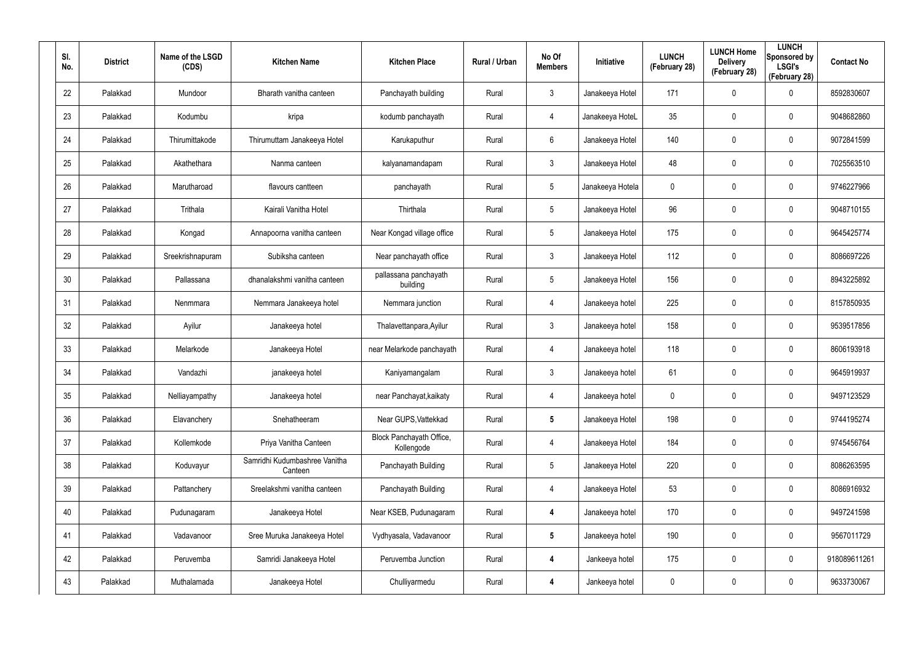| SI.<br>No. | <b>District</b> | Name of the LSGD<br>(CDS) | <b>Kitchen Name</b>                      | <b>Kitchen Place</b>                   | Rural / Urban | No Of<br><b>Members</b> | Initiative       | <b>LUNCH</b><br>(February 28) | <b>LUNCH Home</b><br><b>Delivery</b><br>(February 28) | <b>LUNCH</b><br>Sponsored by<br><b>LSGI's</b><br>(February 28) | <b>Contact No</b> |
|------------|-----------------|---------------------------|------------------------------------------|----------------------------------------|---------------|-------------------------|------------------|-------------------------------|-------------------------------------------------------|----------------------------------------------------------------|-------------------|
| 22         | Palakkad        | Mundoor                   | Bharath vanitha canteen                  | Panchayath building                    | Rural         | $\mathfrak{Z}$          | Janakeeya Hotel  | 171                           | 0                                                     | $\mathbf 0$                                                    | 8592830607        |
| 23         | Palakkad        | Kodumbu                   | kripa                                    | kodumb panchayath                      | Rural         | 4                       | Janakeeya HoteL  | 35                            | 0                                                     | $\mathbf 0$                                                    | 9048682860        |
| 24         | Palakkad        | Thirumittakode            | Thirumuttam Janakeeya Hotel              | Karukaputhur                           | Rural         | 6                       | Janakeeya Hotel  | 140                           | 0                                                     | $\mathbf 0$                                                    | 9072841599        |
| 25         | Palakkad        | Akathethara               | Nanma canteen                            | kalyanamandapam                        | Rural         | $\mathbf{3}$            | Janakeeya Hotel  | 48                            | 0                                                     | $\mathbf 0$                                                    | 7025563510        |
| 26         | Palakkad        | Marutharoad               | flavours cantteen                        | panchayath                             | Rural         | 5                       | Janakeeya Hotela | 0                             | 0                                                     | $\mathbf 0$                                                    | 9746227966        |
| 27         | Palakkad        | Trithala                  | Kairali Vanitha Hotel                    | Thirthala                              | Rural         | $5\overline{)}$         | Janakeeya Hotel  | 96                            | 0                                                     | $\mathbf 0$                                                    | 9048710155        |
| 28         | Palakkad        | Kongad                    | Annapoorna vanitha canteen               | Near Kongad village office             | Rural         | $5\phantom{.0}$         | Janakeeya Hotel  | 175                           | 0                                                     | $\mathbf 0$                                                    | 9645425774        |
| 29         | Palakkad        | Sreekrishnapuram          | Subiksha canteen                         | Near panchayath office                 | Rural         | $\mathbf{3}$            | Janakeeya Hotel  | 112                           | 0                                                     | $\mathbf 0$                                                    | 8086697226        |
| 30         | Palakkad        | Pallassana                | dhanalakshmi vanitha canteen             | pallassana panchayath<br>building      | Rural         | $5\phantom{.0}$         | Janakeeya Hotel  | 156                           | 0                                                     | $\mathbf 0$                                                    | 8943225892        |
| 31         | Palakkad        | Nenmmara                  | Nemmara Janakeeya hotel                  | Nemmara junction                       | Rural         | 4                       | Janakeeya hotel  | 225                           | 0                                                     | $\mathbf 0$                                                    | 8157850935        |
| 32         | Palakkad        | Ayilur                    | Janakeeya hotel                          | Thalavettanpara, Ayilur                | Rural         | $\mathbf{3}$            | Janakeeya hotel  | 158                           | 0                                                     | $\mathbf 0$                                                    | 9539517856        |
| 33         | Palakkad        | Melarkode                 | Janakeeya Hotel                          | near Melarkode panchayath              | Rural         | 4                       | Janakeeya hotel  | 118                           | 0                                                     | $\mathbf 0$                                                    | 8606193918        |
| 34         | Palakkad        | Vandazhi                  | janakeeya hotel                          | Kaniyamangalam                         | Rural         | $\mathbf{3}$            | Janakeeya hotel  | 61                            | 0                                                     | $\mathbf 0$                                                    | 9645919937        |
| 35         | Palakkad        | Nelliayampathy            | Janakeeya hotel                          | near Panchayat, kaikaty                | Rural         | 4                       | Janakeeya hotel  | 0                             | 0                                                     | $\pmb{0}$                                                      | 9497123529        |
| 36         | Palakkad        | Elavanchery               | Snehatheeram                             | Near GUPS, Vattekkad                   | Rural         | $5\phantom{.0}$         | Janakeeya Hotel  | 198                           | 0                                                     | $\mathbf 0$                                                    | 9744195274        |
| 37         | Palakkad        | Kollemkode                | Priya Vanitha Canteen                    | Block Panchayath Office,<br>Kollengode | Rural         | 4                       | Janakeeya Hotel  | 184                           | 0                                                     | $\mathbf 0$                                                    | 9745456764        |
| 38         | Palakkad        | Koduvayur                 | Samridhi Kudumbashree Vanitha<br>Canteen | Panchayath Building                    | Rural         | $5\phantom{.0}$         | Janakeeya Hotel  | 220                           | 0                                                     | $\mathbf 0$                                                    | 8086263595        |
| 39         | Palakkad        | Pattanchery               | Sreelakshmi vanitha canteen              | Panchayath Building                    | Rural         | 4                       | Janakeeya Hotel  | 53                            | 0                                                     | $\mathbf 0$                                                    | 8086916932        |
| 40         | Palakkad        | Pudunagaram               | Janakeeya Hotel                          | Near KSEB, Pudunagaram                 | Rural         | 4                       | Janakeeya hotel  | 170                           | 0                                                     | $\mathbf 0$                                                    | 9497241598        |
| 41         | Palakkad        | Vadavanoor                | Sree Muruka Janakeeya Hotel              | Vydhyasala, Vadavanoor                 | Rural         | $5\phantom{.0}$         | Janakeeya hotel  | 190                           | 0                                                     | $\pmb{0}$                                                      | 9567011729        |
| 42         | Palakkad        | Peruvemba                 | Samridi Janakeeya Hotel                  | Peruvemba Junction                     | Rural         | 4                       | Jankeeya hotel   | 175                           | 0                                                     | $\mathbf 0$                                                    | 918089611261      |
| 43         | Palakkad        | Muthalamada               | Janakeeya Hotel                          | Chulliyarmedu                          | Rural         | 4                       | Jankeeya hotel   | 0                             | 0                                                     | $\pmb{0}$                                                      | 9633730067        |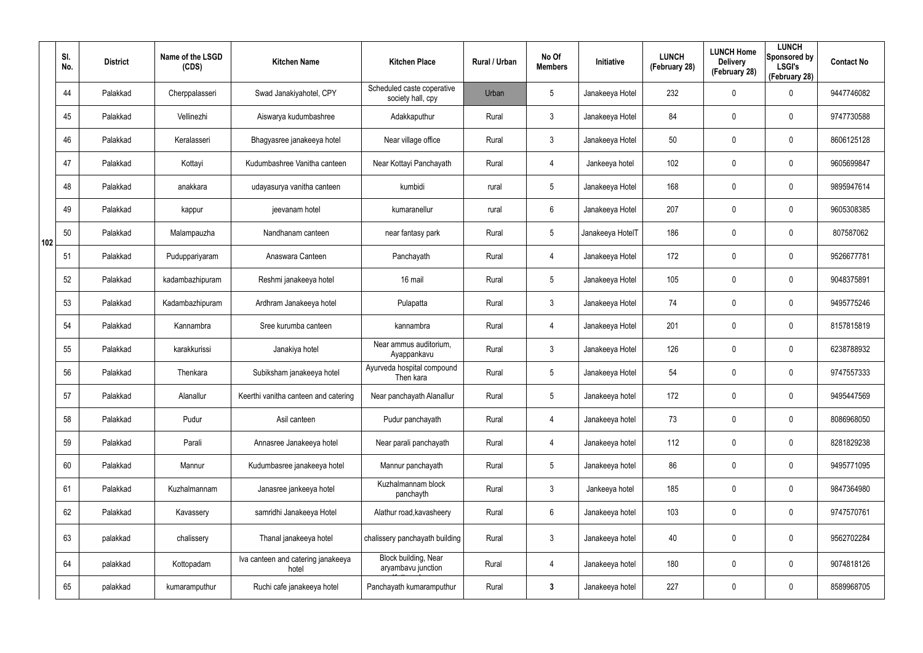|     | SI.<br>No. | <b>District</b> | Name of the LSGD<br>(CDS) | <b>Kitchen Name</b>                         | <b>Kitchen Place</b>                            | Rural / Urban | No Of<br><b>Members</b> | <b>Initiative</b> | <b>LUNCH</b><br>(February 28) | <b>LUNCH Home</b><br><b>Delivery</b><br>(February 28) | <b>LUNCH</b><br>Sponsored by<br><b>LSGI's</b><br>(February 28) | <b>Contact No</b> |
|-----|------------|-----------------|---------------------------|---------------------------------------------|-------------------------------------------------|---------------|-------------------------|-------------------|-------------------------------|-------------------------------------------------------|----------------------------------------------------------------|-------------------|
|     | 44         | Palakkad        | Cherppalasseri            | Swad Janakiyahotel, CPY                     | Scheduled caste coperative<br>society hall, cpy | Urban         | $5\phantom{.0}$         | Janakeeya Hotel   | 232                           | 0                                                     | $\mathbf 0$                                                    | 9447746082        |
|     | 45         | Palakkad        | Vellinezhi                | Aiswarya kudumbashree                       | Adakkaputhur                                    | Rural         | $\mathbf{3}$            | Janakeeya Hotel   | 84                            | 0                                                     | $\mathbf 0$                                                    | 9747730588        |
|     | 46         | Palakkad        | Keralasseri               | Bhagyasree janakeeya hotel                  | Near village office                             | Rural         | $\mathbf{3}$            | Janakeeya Hotel   | 50                            | 0                                                     | $\mathbf 0$                                                    | 8606125128        |
|     | 47         | Palakkad        | Kottayi                   | Kudumbashree Vanitha canteen                | Near Kottayi Panchayath                         | Rural         | 4                       | Jankeeya hotel    | 102                           | 0                                                     | $\mathbf 0$                                                    | 9605699847        |
|     | 48         | Palakkad        | anakkara                  | udayasurya vanitha canteen                  | kumbidi                                         | rural         | $5\overline{)}$         | Janakeeya Hotel   | 168                           | 0                                                     | $\mathbf 0$                                                    | 9895947614        |
|     | 49         | Palakkad        | kappur                    | jeevanam hotel                              | kumaranellur                                    | rural         | 6                       | Janakeeya Hotel   | 207                           | 0                                                     | $\mathbf 0$                                                    | 9605308385        |
| 102 | 50         | Palakkad        | Malampauzha               | Nandhanam canteen                           | near fantasy park                               | Rural         | $5\phantom{.0}$         | Janakeeya HotelT  | 186                           | 0                                                     | $\mathbf 0$                                                    | 807587062         |
|     | 51         | Palakkad        | Puduppariyaram            | Anaswara Canteen                            | Panchayath                                      | Rural         | 4                       | Janakeeya Hotel   | 172                           | 0                                                     | $\mathbf 0$                                                    | 9526677781        |
|     | 52         | Palakkad        | kadambazhipuram           | Reshmi janakeeya hotel                      | 16 mail                                         | Rural         | $5\phantom{.0}$         | Janakeeya Hotel   | 105                           | 0                                                     | $\mathbf 0$                                                    | 9048375891        |
|     | 53         | Palakkad        | Kadambazhipuram           | Ardhram Janakeeya hotel                     | Pulapatta                                       | Rural         | 3                       | Janakeeya Hotel   | 74                            | 0                                                     | $\mathbf 0$                                                    | 9495775246        |
|     | 54         | Palakkad        | Kannambra                 | Sree kurumba canteen                        | kannambra                                       | Rural         | 4                       | Janakeeya Hotel   | 201                           | 0                                                     | $\mathbf 0$                                                    | 8157815819        |
|     | 55         | Palakkad        | karakkurissi              | Janakiya hotel                              | Near ammus auditorium,<br>Ayappankavu           | Rural         | $\mathbf{3}$            | Janakeeya Hotel   | 126                           | 0                                                     | $\mathbf 0$                                                    | 6238788932        |
|     | 56         | Palakkad        | Thenkara                  | Subiksham janakeeya hotel                   | Ayurveda hospital compound<br>Then kara         | Rural         | $5\phantom{.0}$         | Janakeeya Hotel   | 54                            | 0                                                     | $\mathbf 0$                                                    | 9747557333        |
|     | 57         | Palakkad        | Alanallur                 | Keerthi vanitha canteen and catering        | Near panchayath Alanallur                       | Rural         | $5\phantom{.0}$         | Janakeeya hotel   | 172                           | 0                                                     | $\mathbf 0$                                                    | 9495447569        |
|     | 58         | Palakkad        | Pudur                     | Asil canteen                                | Pudur panchayath                                | Rural         | 4                       | Janakeeya hotel   | 73                            | 0                                                     | $\pmb{0}$                                                      | 8086968050        |
|     | 59         | Palakkad        | Parali                    | Annasree Janakeeya hotel                    | Near parali panchayath                          | Rural         | 4                       | Janakeeya hotel   | 112                           | 0                                                     | $\pmb{0}$                                                      | 8281829238        |
|     | 60         | Palakkad        | Mannur                    | Kudumbasree janakeeya hotel                 | Mannur panchayath                               | Rural         | $5\phantom{.0}$         | Janakeeya hotel   | 86                            | 0                                                     | $\pmb{0}$                                                      | 9495771095        |
|     | 61         | Palakkad        | Kuzhalmannam              | Janasree jankeeya hotel                     | Kuzhalmannam block<br>panchayth                 | Rural         | $\mathbf{3}$            | Jankeeya hotel    | 185                           | 0                                                     | $\mathbf 0$                                                    | 9847364980        |
|     | 62         | Palakkad        | Kavassery                 | samridhi Janakeeya Hotel                    | Alathur road, kavasheery                        | Rural         | $6\overline{6}$         | Janakeeya hotel   | 103                           | 0                                                     | $\mathbf 0$                                                    | 9747570761        |
|     | 63         | palakkad        | chalissery                | Thanal janakeeya hotel                      | chalissery panchayath building                  | Rural         | $\mathfrak{Z}$          | Janakeeya hotel   | 40                            | 0                                                     | $\pmb{0}$                                                      | 9562702284        |
|     | 64         | palakkad        | Kottopadam                | Iva canteen and catering janakeeya<br>hotel | Block building, Near<br>aryambavu junction      | Rural         | 4                       | Janakeeya hotel   | 180                           | 0                                                     | $\pmb{0}$                                                      | 9074818126        |
|     | 65         | palakkad        | kumaramputhur             | Ruchi cafe janakeeya hotel                  | Panchayath kumaramputhur                        | Rural         | $\mathbf{3}$            | Janakeeya hotel   | 227                           | 0                                                     | $\pmb{0}$                                                      | 8589968705        |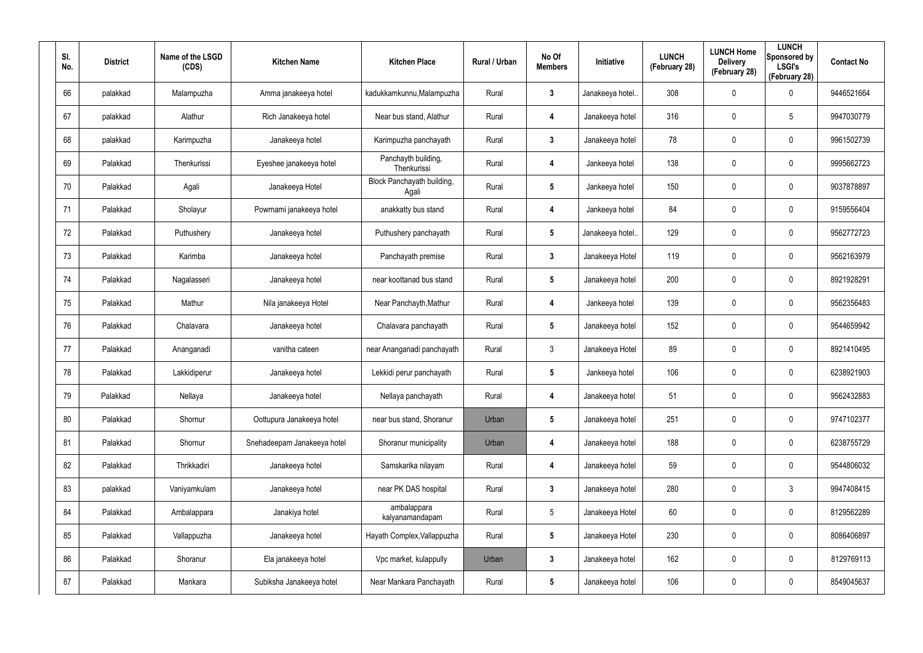| SI.<br>No. | <b>District</b> | Name of the LSGD<br>(CDS) | <b>Kitchen Name</b>         | <b>Kitchen Place</b>                | Rural / Urban | No Of<br><b>Members</b> | Initiative       | <b>LUNCH</b><br>(February 28) | <b>LUNCH Home</b><br><b>Delivery</b><br>(February 28) | <b>LUNCH</b><br>Sponsored by<br><b>LSGI's</b><br>(February 28) | <b>Contact No</b> |
|------------|-----------------|---------------------------|-----------------------------|-------------------------------------|---------------|-------------------------|------------------|-------------------------------|-------------------------------------------------------|----------------------------------------------------------------|-------------------|
| 66         | palakkad        | Malampuzha                | Amma janakeeya hotel        | kadukkamkunnu, Malampuzha           | Rural         | 3                       | Janakeeya hotel. | 308                           | 0                                                     | $\mathbf 0$                                                    | 9446521664        |
| 67         | palakkad        | Alathur                   | Rich Janakeeya hotel        | Near bus stand, Alathur             | Rural         | 4                       | Janakeeya hotel  | 316                           | 0                                                     | $5\phantom{.0}$                                                | 9947030779        |
| 68         | palakkad        | Karimpuzha                | Janakeeya hotel             | Karimpuzha panchayath               | Rural         | $\mathbf{3}$            | Janakeeya hotel  | 78                            | 0                                                     | $\mathbf 0$                                                    | 9961502739        |
| 69         | Palakkad        | Thenkurissi               | Eyeshee janakeeya hotel     | Panchayth building,<br>Thenkurissi  | Rural         | 4                       | Jankeeya hotel   | 138                           | 0                                                     | $\mathbf 0$                                                    | 9995662723        |
| 70         | Palakkad        | Agali                     | Janakeeya Hotel             | Block Panchayath building,<br>Agali | Rural         | $5\phantom{.0}$         | Jankeeya hotel   | 150                           | 0                                                     | $\mathbf 0$                                                    | 9037878897        |
| 71         | Palakkad        | Sholayur                  | Powrnami janakeeya hotel    | anakkatty bus stand                 | Rural         | 4                       | Jankeeya hotel   | 84                            | 0                                                     | $\mathbf 0$                                                    | 9159556404        |
| 72         | Palakkad        | Puthushery                | Janakeeya hotel             | Puthushery panchayath               | Rural         | $5\phantom{.0}$         | Janakeeya hotel. | 129                           | 0                                                     | $\mathbf 0$                                                    | 9562772723        |
| 73         | Palakkad        | Karimba                   | Janakeeya hotel             | Panchayath premise                  | Rural         | $\mathbf{3}$            | Janakeeya Hotel  | 119                           | 0                                                     | $\mathbf 0$                                                    | 9562163979        |
| 74         | Palakkad        | Nagalasseri               | Janakeeya hotel             | near koottanad bus stand            | Rural         | $\overline{\mathbf{5}}$ | Janakeeya hotel  | 200                           | 0                                                     | $\mathbf 0$                                                    | 8921928291        |
| 75         | Palakkad        | Mathur                    | Nila janakeeya Hotel        | Near Panchayth, Mathur              | Rural         | 4                       | Jankeeya hotel   | 139                           | 0                                                     | $\mathbf 0$                                                    | 9562356483        |
| 76         | Palakkad        | Chalavara                 | Janakeeya hotel             | Chalavara panchayath                | Rural         | $\overline{\mathbf{5}}$ | Janakeeya hotel  | 152                           | 0                                                     | $\mathbf 0$                                                    | 9544659942        |
| 77         | Palakkad        | Ananganadi                | vanitha cateen              | near Ananganadi panchayath          | Rural         | $\mathbf{3}$            | Janakeeya Hotel  | 89                            | 0                                                     | $\mathbf 0$                                                    | 8921410495        |
| 78         | Palakkad        | Lakkidiperur              | Janakeeya hotel             | Lekkidi perur panchayath            | Rural         | $\overline{\mathbf{5}}$ | Jankeeya hotel   | 106                           | 0                                                     | $\mathbf 0$                                                    | 6238921903        |
| 79         | Palakkad        | Nellaya                   | Janakeeya hotel             | Nellaya panchayath                  | Rural         | 4                       | Janakeeya hotel  | 51                            | 0                                                     | $\pmb{0}$                                                      | 9562432883        |
| 80         | Palakkad        | Shornur                   | Oottupura Janakeeya hotel   | near bus stand, Shoranur            | Urban         | $\overline{\mathbf{5}}$ | Janakeeya hotel  | 251                           | 0                                                     | $\mathbf 0$                                                    | 9747102377        |
| 81         | Palakkad        | Shornur                   | Snehadeepam Janakeeya hotel | Shoranur municipality               | Urban         | 4                       | Janakeeya hotel  | 188                           | 0                                                     | $\mathbf 0$                                                    | 6238755729        |
| 82         | Palakkad        | Thrikkadiri               | Janakeeya hotel             | Samskarika nilayam                  | Rural         | 4                       | Janakeeya hotel  | 59                            | 0                                                     | $\mathbf 0$                                                    | 9544806032        |
| 83         | palakkad        | Vaniyamkulam              | Janakeeya hotel             | near PK DAS hospital                | Rural         | $\mathbf{3}$            | Janakeeya hotel  | 280                           | 0                                                     | $\mathfrak{Z}$                                                 | 9947408415        |
| 84         | Palakkad        | Ambalappara               | Janakiya hotel              | ambalappara<br>kalyanamandapam      | Rural         | $5\phantom{.0}$         | Janakeeya Hotel  | 60                            | 0                                                     | $\mathbf 0$                                                    | 8129562289        |
| 85         | Palakkad        | Vallappuzha               | Janakeeya hotel             | Hayath Complex, Vallappuzha         | Rural         | $5\phantom{.0}$         | Janakeeya Hotel  | 230                           | 0                                                     | $\mathbf 0$                                                    | 8086406897        |
| 86         | Palakkad        | Shoranur                  | Ela janakeeya hotel         | Vpc market, kulappully              | Urban         | $\mathbf{3}$            | Janakeeya hotel  | 162                           | 0                                                     | $\pmb{0}$                                                      | 8129769113        |
| 87         | Palakkad        | Mankara                   | Subiksha Janakeeya hotel    | Near Mankara Panchayath             | Rural         | $5\phantom{.0}$         | Janakeeya hotel  | 106                           | 0                                                     | $\mathsf{0}$                                                   | 8549045637        |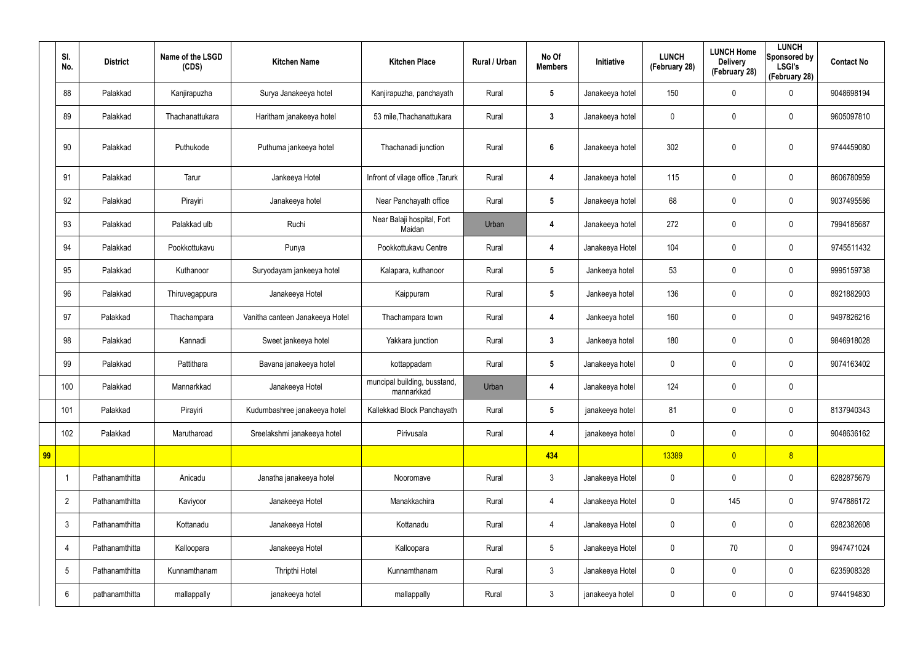|    | SI.<br>No.      | <b>District</b> | Name of the LSGD<br>(CDS) | <b>Kitchen Name</b>             | <b>Kitchen Place</b>                       | Rural / Urban | No Of<br><b>Members</b> | Initiative      | <b>LUNCH</b><br>(February 28) | <b>LUNCH Home</b><br><b>Delivery</b><br>(February 28) | <b>LUNCH</b><br>Sponsored by<br><b>LSGI's</b><br>(February 28) | <b>Contact No</b> |
|----|-----------------|-----------------|---------------------------|---------------------------------|--------------------------------------------|---------------|-------------------------|-----------------|-------------------------------|-------------------------------------------------------|----------------------------------------------------------------|-------------------|
|    | 88              | Palakkad        | Kanjirapuzha              | Surya Janakeeya hotel           | Kanjirapuzha, panchayath                   | Rural         | $5\overline{)}$         | Janakeeya hotel | 150                           | 0                                                     | $\boldsymbol{0}$                                               | 9048698194        |
|    | 89              | Palakkad        | Thachanattukara           | Haritham janakeeya hotel        | 53 mile, Thachanattukara                   | Rural         | $\mathbf{3}$            | Janakeeya hotel | $\mathbf 0$                   | $\boldsymbol{0}$                                      | $\mathbf 0$                                                    | 9605097810        |
|    | 90              | Palakkad        | Puthukode                 | Puthuma jankeeya hotel          | Thachanadi junction                        | Rural         | $6\phantom{1}$          | Janakeeya hotel | 302                           | 0                                                     | $\mathbf 0$                                                    | 9744459080        |
|    | 91              | Palakkad        | Tarur                     | Jankeeya Hotel                  | Infront of vilage office, Tarurk           | Rural         | 4                       | Janakeeya hotel | 115                           | 0                                                     | $\pmb{0}$                                                      | 8606780959        |
|    | 92              | Palakkad        | Pirayiri                  | Janakeeya hotel                 | Near Panchayath office                     | Rural         | $5\phantom{.0}$         | Janakeeya hotel | 68                            | $\boldsymbol{0}$                                      | $\mathbf 0$                                                    | 9037495586        |
|    | 93              | Palakkad        | Palakkad ulb              | Ruchi                           | Near Balaji hospital, Fort<br>Maidan       | Urban         | 4                       | Janakeeya hotel | 272                           | 0                                                     | $\boldsymbol{0}$                                               | 7994185687        |
|    | 94              | Palakkad        | Pookkottukavu             | Punya                           | Pookkottukavu Centre                       | Rural         | 4                       | Janakeeya Hotel | 104                           | $\boldsymbol{0}$                                      | $\mathbf 0$                                                    | 9745511432        |
|    | 95              | Palakkad        | Kuthanoor                 | Suryodayam jankeeya hotel       | Kalapara, kuthanoor                        | Rural         | $5\overline{)}$         | Jankeeya hotel  | 53                            | 0                                                     | $\boldsymbol{0}$                                               | 9995159738        |
|    | 96              | Palakkad        | Thiruvegappura            | Janakeeya Hotel                 | Kaippuram                                  | Rural         | $5\overline{)}$         | Jankeeya hotel  | 136                           | 0                                                     | $\mathbf 0$                                                    | 8921882903        |
|    | 97              | Palakkad        | Thachampara               | Vanitha canteen Janakeeya Hotel | Thachampara town                           | Rural         | 4                       | Jankeeya hotel  | 160                           | 0                                                     | $\boldsymbol{0}$                                               | 9497826216        |
|    | 98              | Palakkad        | Kannadi                   | Sweet jankeeya hotel            | Yakkara junction                           | Rural         | $\mathbf{3}$            | Jankeeya hotel  | 180                           | 0                                                     | $\mathbf 0$                                                    | 9846918028        |
|    | 99              | Palakkad        | Pattithara                | Bavana janakeeya hotel          | kottappadam                                | Rural         | $5\phantom{.0}$         | Janakeeya hotel | 0                             | 0                                                     | $\boldsymbol{0}$                                               | 9074163402        |
|    | 100             | Palakkad        | Mannarkkad                | Janakeeya Hotel                 | muncipal building, busstand,<br>mannarkkad | Urban         | 4                       | Janakeeya hotel | 124                           | 0                                                     | $\mathbf 0$                                                    |                   |
|    | 101             | Palakkad        | Pirayiri                  | Kudumbashree janakeeya hotel    | Kallekkad Block Panchayath                 | Rural         | $5\phantom{.0}$         | janakeeya hotel | 81                            | 0                                                     | $\pmb{0}$                                                      | 8137940343        |
|    | 102             | Palakkad        | Marutharoad               | Sreelakshmi janakeeya hotel     | Pirivusala                                 | Rural         | 4                       | janakeeya hotel | $\pmb{0}$                     | $\pmb{0}$                                             | $\pmb{0}$                                                      | 9048636162        |
| 99 |                 |                 |                           |                                 |                                            |               | 434                     |                 | 13389                         | $\overline{0}$                                        | 8                                                              |                   |
|    |                 | Pathanamthitta  | Anicadu                   | Janatha janakeeya hotel         | Nooromave                                  | Rural         | $\mathbf{3}$            | Janakeeya Hotel | 0                             | 0                                                     | $\pmb{0}$                                                      | 6282875679        |
|    | $\overline{2}$  | Pathanamthitta  | Kaviyoor                  | Janakeeya Hotel                 | Manakkachira                               | Rural         | $\overline{4}$          | Janakeeya Hotel | $\pmb{0}$                     | 145                                                   | $\pmb{0}$                                                      | 9747886172        |
|    | $\mathfrak{Z}$  | Pathanamthitta  | Kottanadu                 | Janakeeya Hotel                 | Kottanadu                                  | Rural         | $\overline{4}$          | Janakeeya Hotel | 0                             | 0                                                     | $\pmb{0}$                                                      | 6282382608        |
|    | 4               | Pathanamthitta  | Kalloopara                | Janakeeya Hotel                 | Kalloopara                                 | Rural         | $5\overline{)}$         | Janakeeya Hotel | $\mathbf 0$                   | 70                                                    | $\pmb{0}$                                                      | 9947471024        |
|    | $5\phantom{.0}$ | Pathanamthitta  | Kunnamthanam              | Thripthi Hotel                  | Kunnamthanam                               | Rural         | $\mathbf{3}$            | Janakeeya Hotel | 0                             | 0                                                     | $\pmb{0}$                                                      | 6235908328        |
|    | 6               | pathanamthitta  | mallappally               | janakeeya hotel                 | mallappally                                | Rural         | $\mathfrak{Z}$          | janakeeya hotel | 0                             | $\boldsymbol{0}$                                      | $\pmb{0}$                                                      | 9744194830        |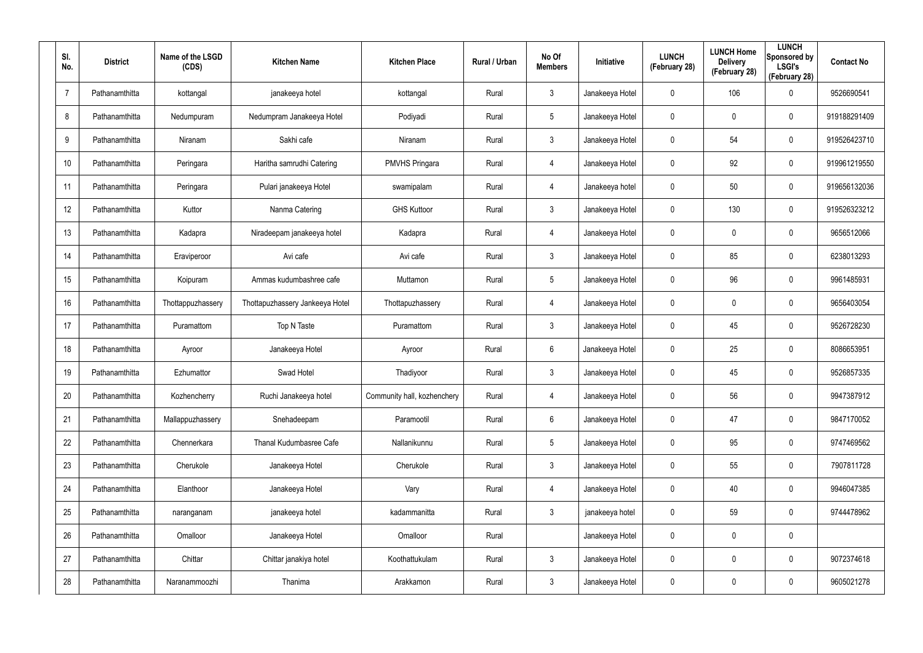| SI.<br>No.     | <b>District</b> | Name of the LSGD<br>(CDS) | <b>Kitchen Name</b>             | <b>Kitchen Place</b>        | Rural / Urban | No Of<br><b>Members</b> | Initiative      | <b>LUNCH</b><br>(February 28) | <b>LUNCH Home</b><br><b>Delivery</b><br>(February 28) | <b>LUNCH</b><br>Sponsored by<br><b>LSGI's</b><br>(February 28) | <b>Contact No</b> |
|----------------|-----------------|---------------------------|---------------------------------|-----------------------------|---------------|-------------------------|-----------------|-------------------------------|-------------------------------------------------------|----------------------------------------------------------------|-------------------|
| $\overline{7}$ | Pathanamthitta  | kottangal                 | janakeeya hotel                 | kottangal                   | Rural         | $\mathbf{3}$            | Janakeeya Hotel | 0                             | 106                                                   | $\boldsymbol{0}$                                               | 9526690541        |
| 8              | Pathanamthitta  | Nedumpuram                | Nedumpram Janakeeya Hotel       | Podiyadi                    | Rural         | $5\overline{)}$         | Janakeeya Hotel | 0                             | 0                                                     | $\pmb{0}$                                                      | 919188291409      |
| 9              | Pathanamthitta  | Niranam                   | Sakhi cafe                      | Niranam                     | Rural         | $\mathbf{3}$            | Janakeeya Hotel | 0                             | 54                                                    | $\pmb{0}$                                                      | 919526423710      |
| 10             | Pathanamthitta  | Peringara                 | Haritha samrudhi Catering       | <b>PMVHS Pringara</b>       | Rural         | 4                       | Janakeeya Hotel | 0                             | 92                                                    | $\mathbf 0$                                                    | 919961219550      |
| 11             | Pathanamthitta  | Peringara                 | Pulari janakeeya Hotel          | swamipalam                  | Rural         | 4                       | Janakeeya hotel | 0                             | 50                                                    | $\mathbf 0$                                                    | 919656132036      |
| 12             | Pathanamthitta  | Kuttor                    | Nanma Catering                  | <b>GHS Kuttoor</b>          | Rural         | $\mathbf{3}$            | Janakeeya Hotel | 0                             | 130                                                   | $\mathbf 0$                                                    | 919526323212      |
| 13             | Pathanamthitta  | Kadapra                   | Niradeepam janakeeya hotel      | Kadapra                     | Rural         | 4                       | Janakeeya Hotel | $\mathbf 0$                   | 0                                                     | $\pmb{0}$                                                      | 9656512066        |
| 14             | Pathanamthitta  | Eraviperoor               | Avi cafe                        | Avi cafe                    | Rural         | $\mathbf{3}$            | Janakeeya Hotel | 0                             | 85                                                    | $\pmb{0}$                                                      | 6238013293        |
| 15             | Pathanamthitta  | Koipuram                  | Ammas kudumbashree cafe         | Muttamon                    | Rural         | $5\phantom{.0}$         | Janakeeya Hotel | 0                             | 96                                                    | $\pmb{0}$                                                      | 9961485931        |
| 16             | Pathanamthitta  | Thottappuzhassery         | Thottapuzhassery Jankeeya Hotel | Thottapuzhassery            | Rural         | 4                       | Janakeeya Hotel | 0                             | 0                                                     | $\mathbf 0$                                                    | 9656403054        |
| 17             | Pathanamthitta  | Puramattom                | Top N Taste                     | Puramattom                  | Rural         | $\mathbf{3}$            | Janakeeya Hotel | 0                             | 45                                                    | $\pmb{0}$                                                      | 9526728230        |
| 18             | Pathanamthitta  | Ayroor                    | Janakeeya Hotel                 | Ayroor                      | Rural         | 6                       | Janakeeya Hotel | 0                             | 25                                                    | $\pmb{0}$                                                      | 8086653951        |
| 19             | Pathanamthitta  | Ezhumattor                | Swad Hotel                      | Thadiyoor                   | Rural         | $\mathbf{3}$            | Janakeeya Hotel | $\mathbf 0$                   | 45                                                    | $\boldsymbol{0}$                                               | 9526857335        |
| 20             | Pathanamthitta  | Kozhencherry              | Ruchi Janakeeya hotel           | Community hall, kozhenchery | Rural         | 4                       | Janakeeya Hotel | 0                             | 56                                                    | $\pmb{0}$                                                      | 9947387912        |
| 21             | Pathanamthitta  | Mallappuzhassery          | Snehadeepam                     | Paramootil                  | Rural         | 6                       | Janakeeya Hotel | $\mathbf 0$                   | 47                                                    | $\mathbf 0$                                                    | 9847170052        |
| 22             | Pathanamthitta  | Chennerkara               | Thanal Kudumbasree Cafe         | Nallanikunnu                | Rural         | $5\phantom{.0}$         | Janakeeya Hotel | $\mathbf 0$                   | 95                                                    | $\mathbf 0$                                                    | 9747469562        |
| 23             | Pathanamthitta  | Cherukole                 | Janakeeya Hotel                 | Cherukole                   | Rural         | $\mathbf{3}$            | Janakeeya Hotel | 0                             | 55                                                    | $\pmb{0}$                                                      | 7907811728        |
| 24             | Pathanamthitta  | Elanthoor                 | Janakeeya Hotel                 | Vary                        | Rural         | $\overline{4}$          | Janakeeya Hotel | $\pmb{0}$                     | 40                                                    | $\pmb{0}$                                                      | 9946047385        |
| 25             | Pathanamthitta  | naranganam                | janakeeya hotel                 | kadammanitta                | Rural         | $\mathbf{3}$            | janakeeya hotel | 0                             | 59                                                    | $\mathbf 0$                                                    | 9744478962        |
| 26             | Pathanamthitta  | Omalloor                  | Janakeeya Hotel                 | Omalloor                    | Rural         |                         | Janakeeya Hotel | $\mathbf 0$                   | 0                                                     | $\pmb{0}$                                                      |                   |
| 27             | Pathanamthitta  | Chittar                   | Chittar janakiya hotel          | Koothattukulam              | Rural         | $\mathbf{3}$            | Janakeeya Hotel | $\mathbf 0$                   | 0                                                     | $\mathbf 0$                                                    | 9072374618        |
| 28             | Pathanamthitta  | Naranammoozhi             | Thanima                         | Arakkamon                   | Rural         | $\mathfrak{Z}$          | Janakeeya Hotel | 0                             | 0                                                     | $\pmb{0}$                                                      | 9605021278        |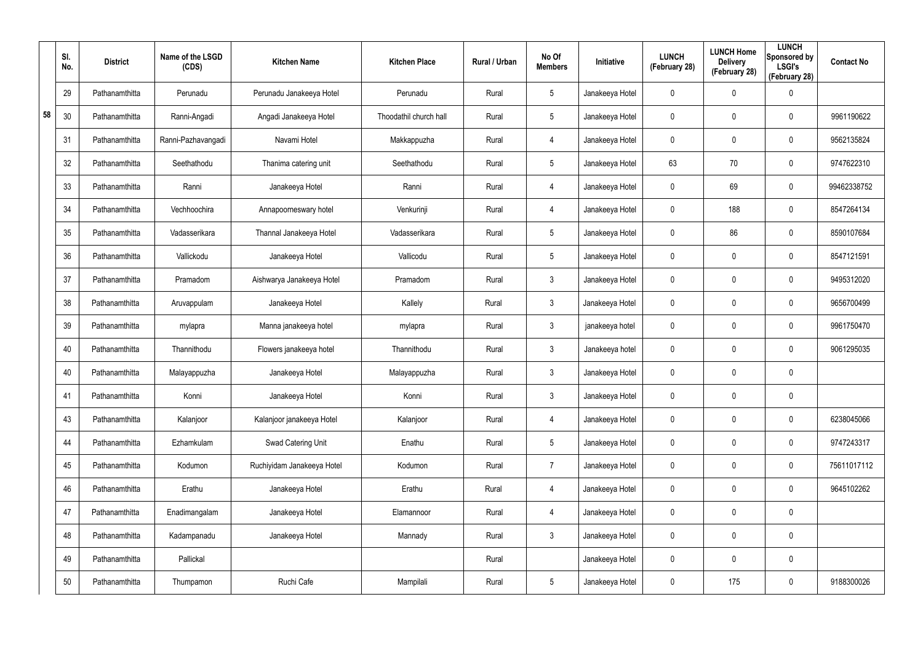|    | SI.<br>No. | <b>District</b> | Name of the LSGD<br>(CDS) | <b>Kitchen Name</b>        | <b>Kitchen Place</b>   | Rural / Urban | No Of<br><b>Members</b> | Initiative      | <b>LUNCH</b><br>(February 28) | <b>LUNCH Home</b><br><b>Delivery</b><br>(February 28) | <b>LUNCH</b><br>Sponsored by<br><b>LSGI's</b><br>(February 28) | <b>Contact No</b> |
|----|------------|-----------------|---------------------------|----------------------------|------------------------|---------------|-------------------------|-----------------|-------------------------------|-------------------------------------------------------|----------------------------------------------------------------|-------------------|
|    | 29         | Pathanamthitta  | Perunadu                  | Perunadu Janakeeya Hotel   | Perunadu               | Rural         | $5\phantom{.0}$         | Janakeeya Hotel | 0                             | 0                                                     | $\pmb{0}$                                                      |                   |
| 58 | 30         | Pathanamthitta  | Ranni-Angadi              | Angadi Janakeeya Hotel     | Thoodathil church hall | Rural         | $5\phantom{.0}$         | Janakeeya Hotel | 0                             | $\boldsymbol{0}$                                      | $\pmb{0}$                                                      | 9961190622        |
|    | 31         | Pathanamthitta  | Ranni-Pazhavangadi        | Navami Hotel               | Makkappuzha            | Rural         | $\overline{4}$          | Janakeeya Hotel | 0                             | $\boldsymbol{0}$                                      | $\pmb{0}$                                                      | 9562135824        |
|    | 32         | Pathanamthitta  | Seethathodu               | Thanima catering unit      | Seethathodu            | Rural         | $5\phantom{.0}$         | Janakeeya Hotel | 63                            | 70                                                    | $\pmb{0}$                                                      | 9747622310        |
|    | 33         | Pathanamthitta  | Ranni                     | Janakeeya Hotel            | Ranni                  | Rural         | $\overline{4}$          | Janakeeya Hotel | $\mathbf 0$                   | 69                                                    | $\pmb{0}$                                                      | 99462338752       |
|    | 34         | Pathanamthitta  | Vechhoochira              | Annapoorneswary hotel      | Venkurinji             | Rural         | $\overline{4}$          | Janakeeya Hotel | 0                             | 188                                                   | $\boldsymbol{0}$                                               | 8547264134        |
|    | 35         | Pathanamthitta  | Vadasserikara             | Thannal Janakeeya Hotel    | Vadasserikara          | Rural         | $5\phantom{.0}$         | Janakeeya Hotel | 0                             | 86                                                    | $\boldsymbol{0}$                                               | 8590107684        |
|    | 36         | Pathanamthitta  | Vallickodu                | Janakeeya Hotel            | Vallicodu              | Rural         | $5\phantom{.0}$         | Janakeeya Hotel | 0                             | 0                                                     | $\boldsymbol{0}$                                               | 8547121591        |
|    | 37         | Pathanamthitta  | Pramadom                  | Aishwarya Janakeeya Hotel  | Pramadom               | Rural         | $\mathbf{3}$            | Janakeeya Hotel | 0                             | 0                                                     | $\boldsymbol{0}$                                               | 9495312020        |
|    | 38         | Pathanamthitta  | Aruvappulam               | Janakeeya Hotel            | Kallely                | Rural         | $\mathbf{3}$            | Janakeeya Hotel | 0                             | 0                                                     | $\boldsymbol{0}$                                               | 9656700499        |
|    | 39         | Pathanamthitta  | mylapra                   | Manna janakeeya hotel      | mylapra                | Rural         | $\mathbf{3}$            | janakeeya hotel | 0                             | 0                                                     | $\boldsymbol{0}$                                               | 9961750470        |
|    | 40         | Pathanamthitta  | Thannithodu               | Flowers janakeeya hotel    | Thannithodu            | Rural         | $\mathbf{3}$            | Janakeeya hotel | $\mathbf 0$                   | 0                                                     | $\boldsymbol{0}$                                               | 9061295035        |
|    | 40         | Pathanamthitta  | Malayappuzha              | Janakeeya Hotel            | Malayappuzha           | Rural         | $\mathbf{3}$            | Janakeeya Hotel | 0                             | $\boldsymbol{0}$                                      | $\pmb{0}$                                                      |                   |
|    | 41         | Pathanamthitta  | Konni                     | Janakeeya Hotel            | Konni                  | Rural         | $\mathbf{3}$            | Janakeeya Hotel | 0                             | $\pmb{0}$                                             | $\pmb{0}$                                                      |                   |
|    | 43         | Pathanamthitta  | Kalanjoor                 | Kalanjoor janakeeya Hotel  | Kalanjoor              | Rural         | $\overline{4}$          | Janakeeya Hotel | $\pmb{0}$                     | 0                                                     | $\mathbf 0$                                                    | 6238045066        |
|    | 44         | Pathanamthitta  | Ezhamkulam                | Swad Catering Unit         | Enathu                 | Rural         | 5 <sup>5</sup>          | Janakeeya Hotel | $\pmb{0}$                     | 0                                                     | $\mathbf 0$                                                    | 9747243317        |
|    | 45         | Pathanamthitta  | Kodumon                   | Ruchiyidam Janakeeya Hotel | Kodumon                | Rural         | $\overline{7}$          | Janakeeya Hotel | $\pmb{0}$                     | 0                                                     | $\mathbf 0$                                                    | 75611017112       |
|    | 46         | Pathanamthitta  | Erathu                    | Janakeeya Hotel            | Erathu                 | Rural         | $\overline{4}$          | Janakeeya Hotel | 0                             | 0                                                     | $\mathbf 0$                                                    | 9645102262        |
|    | 47         | Pathanamthitta  | Enadimangalam             | Janakeeya Hotel            | Elamannoor             | Rural         | $\overline{4}$          | Janakeeya Hotel | $\pmb{0}$                     | $\boldsymbol{0}$                                      | $\mathbf 0$                                                    |                   |
|    | 48         | Pathanamthitta  | Kadampanadu               | Janakeeya Hotel            | Mannady                | Rural         | 3 <sup>1</sup>          | Janakeeya Hotel | $\pmb{0}$                     | 0                                                     | $\mathbf 0$                                                    |                   |
|    | 49         | Pathanamthitta  | Pallickal                 |                            |                        | Rural         |                         | Janakeeya Hotel | 0                             | 0                                                     | $\mathbf 0$                                                    |                   |
|    | 50         | Pathanamthitta  | Thumpamon                 | Ruchi Cafe                 | Mampilali              | Rural         | $5\phantom{.0}$         | Janakeeya Hotel | 0                             | 175                                                   | $\pmb{0}$                                                      | 9188300026        |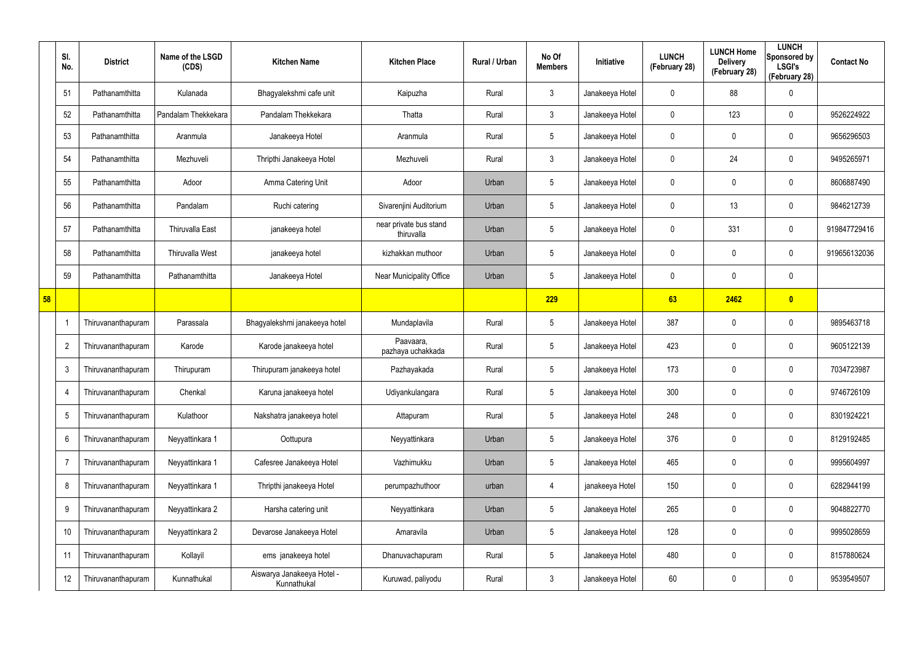|    | SI.<br>No.               | <b>District</b>    | Name of the LSGD<br>(CDS) | <b>Kitchen Name</b>                       | <b>Kitchen Place</b>                 | Rural / Urban | No Of<br><b>Members</b> | Initiative      | <b>LUNCH</b><br>(February 28) | <b>LUNCH Home</b><br><b>Delivery</b><br>(February 28) | <b>LUNCH</b><br>Sponsored by<br><b>LSGI's</b><br>(February 28) | <b>Contact No</b> |
|----|--------------------------|--------------------|---------------------------|-------------------------------------------|--------------------------------------|---------------|-------------------------|-----------------|-------------------------------|-------------------------------------------------------|----------------------------------------------------------------|-------------------|
|    | 51                       | Pathanamthitta     | Kulanada                  | Bhagyalekshmi cafe unit                   | Kaipuzha                             | Rural         | $\mathbf{3}$            | Janakeeya Hotel | 0                             | 88                                                    | 0                                                              |                   |
|    | 52                       | Pathanamthitta     | Pandalam Thekkekara       | Pandalam Thekkekara                       | Thatta                               | Rural         | $\mathbf{3}$            | Janakeeya Hotel | $\mathbf 0$                   | 123                                                   | $\mathbf 0$                                                    | 9526224922        |
|    | 53                       | Pathanamthitta     | Aranmula                  | Janakeeya Hotel                           | Aranmula                             | Rural         | $5\overline{)}$         | Janakeeya Hotel | 0                             | 0                                                     | $\mathbf 0$                                                    | 9656296503        |
|    | 54                       | Pathanamthitta     | Mezhuveli                 | Thripthi Janakeeya Hotel                  | Mezhuveli                            | Rural         | $\mathbf{3}$            | Janakeeya Hotel | 0                             | 24                                                    | $\boldsymbol{0}$                                               | 9495265971        |
|    | 55                       | Pathanamthitta     | Adoor                     | Amma Catering Unit                        | Adoor                                | Urban         | $5\phantom{.0}$         | Janakeeya Hotel | 0                             | 0                                                     | $\mathbf 0$                                                    | 8606887490        |
|    | 56                       | Pathanamthitta     | Pandalam                  | Ruchi catering                            | Sivarenjini Auditorium               | Urban         | $5\phantom{.0}$         | Janakeeya Hotel | 0                             | 13                                                    | $\boldsymbol{0}$                                               | 9846212739        |
|    | 57                       | Pathanamthitta     | <b>Thiruvalla East</b>    | janakeeya hotel                           | near private bus stand<br>thiruvalla | Urban         | $5\phantom{.0}$         | Janakeeya Hotel | 0                             | 331                                                   | $\mathbf 0$                                                    | 919847729416      |
|    | 58                       | Pathanamthitta     | Thiruvalla West           | janakeeya hotel                           | kizhakkan muthoor                    | Urban         | $5\phantom{.0}$         | Janakeeya Hotel | 0                             | $\mathbf 0$                                           | $\mathbf 0$                                                    | 919656132036      |
|    | 59                       | Pathanamthitta     | Pathanamthitta            | Janakeeya Hotel                           | Near Municipality Office             | Urban         | $5\phantom{.0}$         | Janakeeya Hotel | 0                             | 0                                                     | $\mathbf 0$                                                    |                   |
| 58 |                          |                    |                           |                                           |                                      |               | 229                     |                 | 63                            | 2462                                                  | $\bullet$                                                      |                   |
|    | $\overline{\phantom{a}}$ | Thiruvananthapuram | Parassala                 | Bhagyalekshmi janakeeya hotel             | Mundaplavila                         | Rural         | $5\phantom{.0}$         | Janakeeya Hotel | 387                           | $\boldsymbol{0}$                                      | $\boldsymbol{0}$                                               | 9895463718        |
|    | $\overline{2}$           | Thiruvananthapuram | Karode                    | Karode janakeeya hotel                    | Paavaara,<br>pazhaya uchakkada       | Rural         | $5\phantom{.0}$         | Janakeeya Hotel | 423                           | $\boldsymbol{0}$                                      | $\mathbf 0$                                                    | 9605122139        |
|    | 3                        | Thiruvananthapuram | Thirupuram                | Thirupuram janakeeya hotel                | Pazhayakada                          | Rural         | $5\phantom{.0}$         | Janakeeya Hotel | 173                           | $\boldsymbol{0}$                                      | $\boldsymbol{0}$                                               | 7034723987        |
|    | -4                       | Thiruvananthapuram | Chenkal                   | Karuna janakeeya hotel                    | Udiyankulangara                      | Rural         | $5\phantom{.0}$         | Janakeeya Hotel | 300                           | $\boldsymbol{0}$                                      | $\mathbf 0$                                                    | 9746726109        |
|    | $5\phantom{.0}$          | Thiruvananthapuram | Kulathoor                 | Nakshatra janakeeya hotel                 | Attapuram                            | Rural         | $5\phantom{.0}$         | Janakeeya Hotel | 248                           | 0                                                     | $\pmb{0}$                                                      | 8301924221        |
|    | 6                        | Thiruvananthapuram | Neyyattinkara 1           | Oottupura                                 | Neyyattinkara                        | Urban         | $5\phantom{.0}$         | Janakeeya Hotel | 376                           | $\boldsymbol{0}$                                      | $\pmb{0}$                                                      | 8129192485        |
|    | $\overline{7}$           | Thiruvananthapuram | Neyyattinkara 1           | Cafesree Janakeeya Hotel                  | Vazhimukku                           | Urban         | $5\phantom{.0}$         | Janakeeya Hotel | 465                           | 0                                                     | $\pmb{0}$                                                      | 9995604997        |
|    | 8                        | Thiruvananthapuram | Neyyattinkara 1           | Thripthi janakeeya Hotel                  | perumpazhuthoor                      | urban         | 4                       | janakeeya Hotel | 150                           | $\boldsymbol{0}$                                      | $\pmb{0}$                                                      | 6282944199        |
|    | 9                        | Thiruvananthapuram | Neyyattinkara 2           | Harsha catering unit                      | Neyyattinkara                        | Urban         | $5\phantom{.0}$         | Janakeeya Hotel | 265                           | 0                                                     | $\pmb{0}$                                                      | 9048822770        |
|    | 10                       | Thiruvananthapuram | Neyyattinkara 2           | Devarose Janakeeya Hotel                  | Amaravila                            | Urban         | $5\phantom{.0}$         | Janakeeya Hotel | 128                           | $\boldsymbol{0}$                                      | $\pmb{0}$                                                      | 9995028659        |
|    | 11                       | Thiruvananthapuram | Kollayil                  | ems janakeeya hotel                       | Dhanuvachapuram                      | Rural         | $5\phantom{.0}$         | Janakeeya Hotel | 480                           | $\boldsymbol{0}$                                      | $\pmb{0}$                                                      | 8157880624        |
|    | 12                       | Thiruvananthapuram | Kunnathukal               | Aiswarya Janakeeya Hotel -<br>Kunnathukal | Kuruwad, paliyodu                    | Rural         | $\mathfrak{Z}$          | Janakeeya Hotel | 60                            | 0                                                     | $\pmb{0}$                                                      | 9539549507        |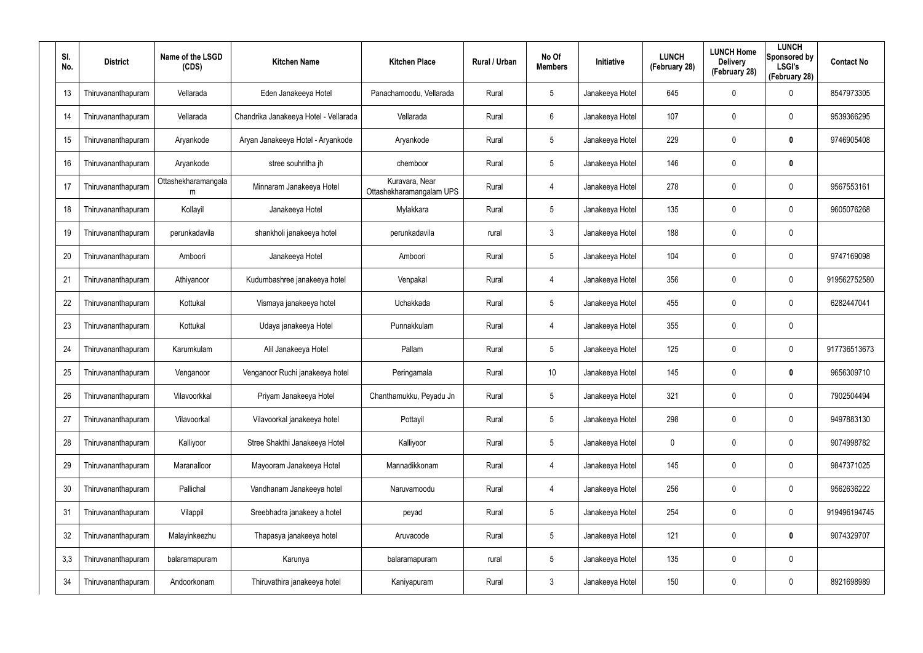| SI.<br>No. | <b>District</b>    | Name of the LSGD<br>(CDS) | <b>Kitchen Name</b>                   | <b>Kitchen Place</b>                       | <b>Rural / Urban</b> | No Of<br><b>Members</b> | Initiative      | <b>LUNCH</b><br>(February 28) | <b>LUNCH Home</b><br><b>Delivery</b><br>(February 28) | <b>LUNCH</b><br>Sponsored by<br><b>LSGI's</b><br>(February 28) | <b>Contact No</b> |
|------------|--------------------|---------------------------|---------------------------------------|--------------------------------------------|----------------------|-------------------------|-----------------|-------------------------------|-------------------------------------------------------|----------------------------------------------------------------|-------------------|
| 13         | Thiruvananthapuram | Vellarada                 | Eden Janakeeya Hotel                  | Panachamoodu, Vellarada                    | Rural                | $5\overline{)}$         | Janakeeya Hotel | 645                           | $\mathbf 0$                                           | $\mathbf 0$                                                    | 8547973305        |
| 14         | Thiruvananthapuram | Vellarada                 | Chandrika Janakeeya Hotel - Vellarada | Vellarada                                  | Rural                | 6                       | Janakeeya Hotel | 107                           | 0                                                     | $\mathbf 0$                                                    | 9539366295        |
| 15         | Thiruvananthapuram | Aryankode                 | Aryan Janakeeya Hotel - Aryankode     | Aryankode                                  | Rural                | $5\overline{)}$         | Janakeeya Hotel | 229                           | $\mathbf 0$                                           | $\boldsymbol{0}$                                               | 9746905408        |
| 16         | Thiruvananthapuram | Aryankode                 | stree souhritha jh                    | chemboor                                   | Rural                | $5\phantom{.0}$         | Janakeeya Hotel | 146                           | 0                                                     | $\boldsymbol{0}$                                               |                   |
| 17         | Thiruvananthapuram | Ottashekharamangala<br>m  | Minnaram Janakeeya Hotel              | Kuravara, Near<br>Ottashekharamangalam UPS | Rural                | $\overline{4}$          | Janakeeya Hotel | 278                           | $\mathbf 0$                                           | $\mathbf 0$                                                    | 9567553161        |
| 18         | Thiruvananthapuram | Kollayil                  | Janakeeya Hotel                       | Mylakkara                                  | Rural                | $5\overline{)}$         | Janakeeya Hotel | 135                           | 0                                                     | $\mathbf 0$                                                    | 9605076268        |
| 19         | Thiruvananthapuram | perunkadavila             | shankholi janakeeya hotel             | perunkadavila                              | rural                | 3                       | Janakeeya Hotel | 188                           | $\pmb{0}$                                             | $\mathbf 0$                                                    |                   |
| 20         | Thiruvananthapuram | Amboori                   | Janakeeya Hotel                       | Amboori                                    | Rural                | $5\overline{)}$         | Janakeeya Hotel | 104                           | 0                                                     | $\mathbf 0$                                                    | 9747169098        |
| 21         | Thiruvananthapuram | Athiyanoor                | Kudumbashree janakeeya hotel          | Venpakal                                   | Rural                | 4                       | Janakeeya Hotel | 356                           | $\mathbf 0$                                           | $\mathbf 0$                                                    | 919562752580      |
| 22         | Thiruvananthapuram | Kottukal                  | Vismaya janakeeya hotel               | Uchakkada                                  | Rural                | $5\overline{)}$         | Janakeeya Hotel | 455                           | $\mathbf 0$                                           | $\mathbf 0$                                                    | 6282447041        |
| 23         | Thiruvananthapuram | Kottukal                  | Udaya janakeeya Hotel                 | Punnakkulam                                | Rural                | 4                       | Janakeeya Hotel | 355                           | $\mathbf 0$                                           | $\mathbf 0$                                                    |                   |
| 24         | Thiruvananthapuram | Karumkulam                | Alil Janakeeya Hotel                  | Pallam                                     | Rural                | $5\overline{)}$         | Janakeeya Hotel | 125                           | $\mathbf 0$                                           | $\mathbf 0$                                                    | 917736513673      |
| 25         | Thiruvananthapuram | Venganoor                 | Venganoor Ruchi janakeeya hotel       | Peringamala                                | Rural                | 10                      | Janakeeya Hotel | 145                           | $\mathbf 0$                                           | $\boldsymbol{0}$                                               | 9656309710        |
| 26         | Thiruvananthapuram | Vilavoorkkal              | Priyam Janakeeya Hotel                | Chanthamukku, Peyadu Jn                    | Rural                | $5\phantom{.0}$         | Janakeeya Hotel | 321                           | $\mathbf 0$                                           | $\boldsymbol{0}$                                               | 7902504494        |
| 27         | Thiruvananthapuram | Vilavoorkal               | Vilavoorkal janakeeya hotel           | Pottayil                                   | Rural                | $5\overline{)}$         | Janakeeya Hotel | 298                           | $\mathbf 0$                                           | $\boldsymbol{0}$                                               | 9497883130        |
| 28         | Thiruvananthapuram | Kalliyoor                 | Stree Shakthi Janakeeya Hotel         | Kalliyoor                                  | Rural                | $5\phantom{.0}$         | Janakeeya Hotel | 0                             | $\mathbf 0$                                           | $\pmb{0}$                                                      | 9074998782        |
| 29         | Thiruvananthapuram | Maranalloor               | Mayooram Janakeeya Hotel              | Mannadikkonam                              | Rural                | 4                       | Janakeeya Hotel | 145                           | $\mathbf 0$                                           | $\pmb{0}$                                                      | 9847371025        |
| 30         | Thiruvananthapuram | Pallichal                 | Vandhanam Janakeeya hotel             | Naruvamoodu                                | Rural                | 4                       | Janakeeya Hotel | 256                           | $\mathbf 0$                                           | $\boldsymbol{0}$                                               | 9562636222        |
| 31         | Thiruvananthapuram | Vilappil                  | Sreebhadra janakeey a hotel           | peyad                                      | Rural                | $5\overline{)}$         | Janakeeya Hotel | 254                           | $\mathbf 0$                                           | $\boldsymbol{0}$                                               | 919496194745      |
| 32         | Thiruvananthapuram | Malayinkeezhu             | Thapasya janakeeya hotel              | Aruvacode                                  | Rural                | $5\phantom{.0}$         | Janakeeya Hotel | 121                           | $\mathbf 0$                                           | $\pmb{0}$                                                      | 9074329707        |
| 3,3        | Thiruvananthapuram | balaramapuram             | Karunya                               | balaramapuram                              | rural                | $5\overline{)}$         | Janakeeya Hotel | 135                           | $\mathbf 0$                                           | $\boldsymbol{0}$                                               |                   |
| 34         | Thiruvananthapuram | Andoorkonam               | Thiruvathira janakeeya hotel          | Kaniyapuram                                | Rural                | $\mathbf{3}$            | Janakeeya Hotel | 150                           | $\mathbf 0$                                           | $\pmb{0}$                                                      | 8921698989        |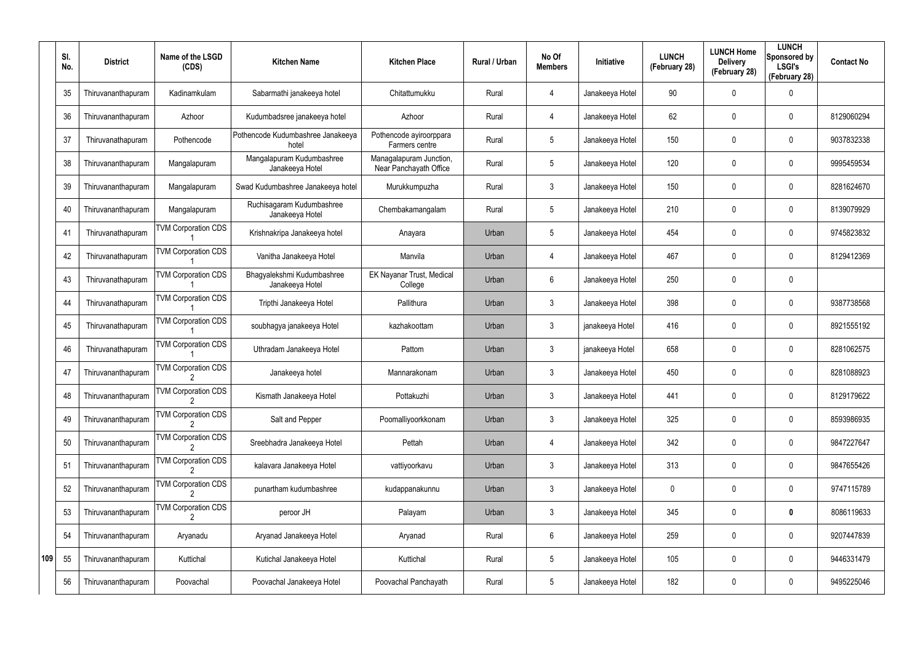|     | SI.<br>No. | <b>District</b>    | Name of the LSGD<br>(CDS)  | <b>Kitchen Name</b>                           | <b>Kitchen Place</b>                              | Rural / Urban | No Of<br><b>Members</b> | Initiative      | <b>LUNCH</b><br>(February 28) | <b>LUNCH Home</b><br><b>Delivery</b><br>(February 28) | <b>LUNCH</b><br>Sponsored by<br><b>LSGI's</b><br>(February 28) | <b>Contact No</b> |
|-----|------------|--------------------|----------------------------|-----------------------------------------------|---------------------------------------------------|---------------|-------------------------|-----------------|-------------------------------|-------------------------------------------------------|----------------------------------------------------------------|-------------------|
|     | 35         | Thiruvananthapuram | Kadinamkulam               | Sabarmathi janakeeya hotel                    | Chitattumukku                                     | Rural         | 4                       | Janakeeya Hotel | 90                            | 0                                                     | 0                                                              |                   |
|     | 36         | Thiruvananthapuram | Azhoor                     | Kudumbadsree janakeeya hotel                  | Azhoor                                            | Rural         | 4                       | Janakeeya Hotel | 62                            | 0                                                     | 0                                                              | 8129060294        |
|     | 37         | Thiruvanathapuram  | Pothencode                 | Pothencode Kudumbashree Janakeeya<br>hotel    | Pothencode ayiroorppara<br>Farmers centre         | Rural         | 5                       | Janakeeya Hotel | 150                           | 0                                                     | $\mathbf 0$                                                    | 9037832338        |
|     | 38         | Thiruvananthapuram | Mangalapuram               | Mangalapuram Kudumbashree<br>Janakeeya Hotel  | Managalapuram Junction,<br>Near Panchayath Office | Rural         | 5                       | Janakeeya Hotel | 120                           | 0                                                     | $\mathbf 0$                                                    | 9995459534        |
|     | 39         | Thiruvananthapuram | Mangalapuram               | Swad Kudumbashree Janakeeya hotel             | Murukkumpuzha                                     | Rural         | 3                       | Janakeeya Hotel | 150                           | 0                                                     | $\mathbf 0$                                                    | 8281624670        |
|     | 40         | Thiruvananthapuram | Mangalapuram               | Ruchisagaram Kudumbashree<br>Janakeeya Hotel  | Chembakamangalam                                  | Rural         | $5\phantom{.0}$         | Janakeeya Hotel | 210                           | 0                                                     | $\mathbf 0$                                                    | 8139079929        |
|     | 41         | Thiruvanathapuram  | <b>TVM Corporation CDS</b> | Krishnakripa Janakeeya hotel                  | Anayara                                           | Urban         | 5                       | Janakeeya Hotel | 454                           | 0                                                     | $\mathbf 0$                                                    | 9745823832        |
|     | 42         | Thiruvanathapuram  | <b>TVM Corporation CDS</b> | Vanitha Janakeeya Hotel                       | Manvila                                           | Urban         | 4                       | Janakeeya Hotel | 467                           | 0                                                     | $\mathbf 0$                                                    | 8129412369        |
|     | 43         | Thiruvanathapuram  | <b>TVM Corporation CDS</b> | Bhagyalekshmi Kudumbashree<br>Janakeeya Hotel | <b>EK Nayanar Trust, Medical</b><br>College       | Urban         | 6                       | Janakeeya Hotel | 250                           | 0                                                     | $\mathbf 0$                                                    |                   |
|     | 44         | Thiruvanathapuram  | <b>TVM Corporation CDS</b> | Tripthi Janakeeya Hotel                       | Pallithura                                        | Urban         | 3                       | Janakeeya Hotel | 398                           | 0                                                     | $\mathbf 0$                                                    | 9387738568        |
|     | 45         | Thiruvanathapuram  | <b>TVM Corporation CDS</b> | soubhagya janakeeya Hotel                     | kazhakoottam                                      | Urban         | 3                       | janakeeya Hotel | 416                           | 0                                                     | $\mathbf 0$                                                    | 8921555192        |
|     | 46         | Thiruvanathapuram  | <b>TVM Corporation CDS</b> | Uthradam Janakeeya Hotel                      | Pattom                                            | Urban         | 3                       | janakeeya Hotel | 658                           | 0                                                     | $\mathbf 0$                                                    | 8281062575        |
|     | 47         | Thiruvananthapuram | <b>TVM Corporation CDS</b> | Janakeeya hotel                               | Mannarakonam                                      | Urban         | 3                       | Janakeeya Hotel | 450                           | 0                                                     | $\mathbf 0$                                                    | 8281088923        |
|     | 48         | Thiruvananthapuram | <b>TVM Corporation CDS</b> | Kismath Janakeeya Hotel                       | Pottakuzhi                                        | Urban         | 3                       | Janakeeya Hotel | 441                           | 0                                                     | 0                                                              | 8129179622        |
|     | 49         | Thiruvananthapuram | <b>TVM Corporation CDS</b> | Salt and Pepper                               | Poomalliyoorkkonam                                | Urban         | $\mathfrak{Z}$          | Janakeeya Hotel | 325                           | 0                                                     | $\pmb{0}$                                                      | 8593986935        |
|     | 50         | Thiruvananthapuram | <b>TVM Corporation CDS</b> | Sreebhadra Janakeeya Hotel                    | Pettah                                            | Urban         | 4                       | Janakeeya Hotel | 342                           | 0                                                     | $\pmb{0}$                                                      | 9847227647        |
|     | 51         | Thiruvananthapuram | <b>TVM Corporation CDS</b> | kalavara Janakeeya Hotel                      | vattiyoorkavu                                     | Urban         | $\mathfrak{Z}$          | Janakeeya Hotel | 313                           | 0                                                     | $\pmb{0}$                                                      | 9847655426        |
|     | 52         | Thiruvananthapuram | <b>TVM Corporation CDS</b> | punartham kudumbashree                        | kudappanakunnu                                    | Urban         | $\mathfrak{Z}$          | Janakeeya Hotel | 0                             | 0                                                     | 0                                                              | 9747115789        |
|     | 53         | Thiruvananthapuram | <b>TVM Corporation CDS</b> | peroor JH                                     | Palayam                                           | Urban         | $\mathfrak{Z}$          | Janakeeya Hotel | 345                           | 0                                                     | $\pmb{0}$                                                      | 8086119633        |
|     | 54         | Thiruvananthapuram | Aryanadu                   | Aryanad Janakeeya Hotel                       | Aryanad                                           | Rural         | 6                       | Janakeeya Hotel | 259                           | 0                                                     | $\pmb{0}$                                                      | 9207447839        |
| 109 | 55         | Thiruvananthapuram | Kuttichal                  | Kutichal Janakeeya Hotel                      | Kuttichal                                         | Rural         | 5                       | Janakeeya Hotel | 105                           | 0                                                     | 0                                                              | 9446331479        |
|     | 56         | Thiruvananthapuram | Poovachal                  | Poovachal Janakeeya Hotel                     | Poovachal Panchayath                              | Rural         | $\sqrt{5}$              | Janakeeya Hotel | 182                           | 0                                                     | $\pmb{0}$                                                      | 9495225046        |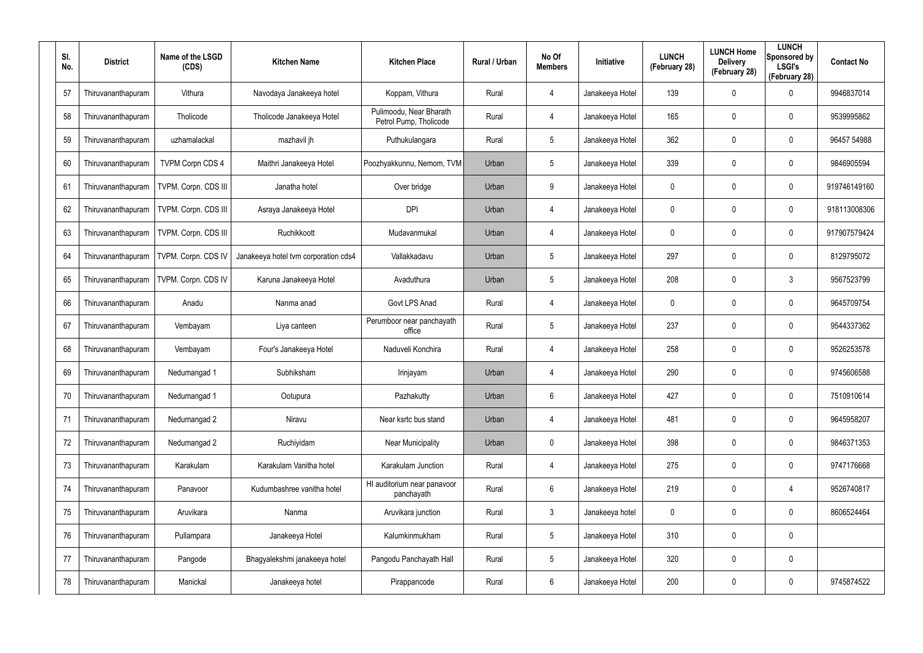| SI.<br>No. | <b>District</b>    | Name of the LSGD<br>(CDS) | <b>Kitchen Name</b>                  | <b>Kitchen Place</b>                              | Rural / Urban | No Of<br><b>Members</b> | <b>Initiative</b> | <b>LUNCH</b><br>(February 28) | <b>LUNCH Home</b><br><b>Delivery</b><br>(February 28) | <b>LUNCH</b><br>Sponsored by<br><b>LSGI's</b><br>(February 28) | <b>Contact No</b> |
|------------|--------------------|---------------------------|--------------------------------------|---------------------------------------------------|---------------|-------------------------|-------------------|-------------------------------|-------------------------------------------------------|----------------------------------------------------------------|-------------------|
| 57         | Thiruvananthapuram | Vithura                   | Navodaya Janakeeya hotel             | Koppam, Vithura                                   | Rural         | $\overline{4}$          | Janakeeya Hotel   | 139                           | $\mathbf 0$                                           | $\mathbf 0$                                                    | 9946837014        |
| 58         | Thiruvananthapuram | Tholicode                 | Tholicode Janakeeya Hotel            | Pulimoodu, Near Bharath<br>Petrol Pump, Tholicode | Rural         | $\overline{4}$          | Janakeeya Hotel   | 165                           | $\mathbf 0$                                           | $\mathbf 0$                                                    | 9539995862        |
| 59         | Thiruvananthapuram | uzhamalackal              | mazhavil jh                          | Puthukulangara                                    | Rural         | $5\overline{)}$         | Janakeeya Hotel   | 362                           | $\mathbf 0$                                           | $\mathbf 0$                                                    | 96457 54988       |
| 60         | Thiruvananthapuram | <b>TVPM Corpn CDS 4</b>   | Maithri Janakeeya Hotel              | Poozhyakkunnu, Nemom, TVM                         | Urban         | $5\phantom{.0}$         | Janakeeya Hotel   | 339                           | $\mathbf 0$                                           | $\mathbf 0$                                                    | 9846905594        |
| 61         | Thiruvananthapuram | TVPM. Corpn. CDS III      | Janatha hotel                        | Over bridge                                       | Urban         | 9                       | Janakeeya Hotel   | 0                             | $\mathbf 0$                                           | $\mathbf 0$                                                    | 919746149160      |
| 62         | Thiruvananthapuram | TVPM. Corpn. CDS III      | Asraya Janakeeya Hotel               | <b>DPI</b>                                        | Urban         | $\overline{4}$          | Janakeeya Hotel   | 0                             | 0                                                     | $\mathbf 0$                                                    | 918113008306      |
| 63         | Thiruvananthapuram | TVPM. Corpn. CDS III      | Ruchikkoott                          | Mudavanmukal                                      | Urban         | 4                       | Janakeeya Hotel   | 0                             | $\mathbf 0$                                           | $\mathbf 0$                                                    | 917907579424      |
| 64         | Thiruvananthapuram | TVPM. Corpn. CDS IV       | Janakeeya hotel tvm corporation cds4 | Vallakkadavu                                      | Urban         | $5\overline{)}$         | Janakeeya Hotel   | 297                           | 0                                                     | $\mathbf 0$                                                    | 8129795072        |
| 65         | Thiruvananthapuram | TVPM. Corpn. CDS IV       | Karuna Janakeeya Hotel               | Avaduthura                                        | Urban         | $5\overline{)}$         | Janakeeya Hotel   | 208                           | $\mathbf 0$                                           | $\mathbf{3}$                                                   | 9567523799        |
| 66         | Thiruvananthapuram | Anadu                     | Nanma anad                           | Govt LPS Anad                                     | Rural         | $\overline{4}$          | Janakeeya Hotel   | 0                             | 0                                                     | $\mathbf 0$                                                    | 9645709754        |
| 67         | Thiruvananthapuram | Vembayam                  | Liya canteen                         | Perumboor near panchayath<br>office               | Rural         | $5\overline{)}$         | Janakeeya Hotel   | 237                           | $\mathbf 0$                                           | $\mathbf 0$                                                    | 9544337362        |
| 68         | Thiruvananthapuram | Vembayam                  | Four's Janakeeya Hotel               | Naduveli Konchira                                 | Rural         | $\overline{4}$          | Janakeeya Hotel   | 258                           | $\mathbf 0$                                           | $\mathbf 0$                                                    | 9526253578        |
| 69         | Thiruvananthapuram | Nedumangad 1              | Subhiksham                           | Irinjayam                                         | Urban         | 4                       | Janakeeya Hotel   | 290                           | $\mathbf 0$                                           | $\mathbf 0$                                                    | 9745606588        |
| 70         | Thiruvananthapuram | Nedumangad 1              | Ootupura                             | Pazhakutty                                        | Urban         | 6                       | Janakeeya Hotel   | 427                           | $\mathbf 0$                                           | $\mathbf 0$                                                    | 7510910614        |
| 71         | Thiruvananthapuram | Nedumangad 2              | Niravu                               | Near ksrtc bus stand                              | Urban         | 4                       | Janakeeya Hotel   | 481                           | $\mathbf 0$                                           | $\mathbf 0$                                                    | 9645958207        |
| 72         | Thiruvananthapuram | Nedumangad 2              | Ruchiyidam                           | <b>Near Municipality</b>                          | Urban         | $\mathbf 0$             | Janakeeya Hotel   | 398                           | $\mathbf 0$                                           | $\mathbf 0$                                                    | 9846371353        |
| 73         | Thiruvananthapuram | Karakulam                 | Karakulam Vanitha hotel              | Karakulam Junction                                | Rural         | 4                       | Janakeeya Hotel   | 275                           | $\mathbf 0$                                           | $\mathbf 0$                                                    | 9747176668        |
| 74         | Thiruvananthapuram | Panavoor                  | Kudumbashree vanitha hotel           | HI auditorium near panavoor<br>panchayath         | Rural         | 6                       | Janakeeya Hotel   | 219                           | $\mathbf 0$                                           | 4                                                              | 9526740817        |
| 75         | Thiruvananthapuram | Aruvikara                 | Nanma                                | Aruvikara junction                                | Rural         | 3                       | Janakeeya hotel   | $\mathbf 0$                   | 0                                                     | $\mathbf 0$                                                    | 8606524464        |
| 76         | Thiruvananthapuram | Pullampara                | Janakeeya Hotel                      | Kalumkinmukham                                    | Rural         | $5\overline{)}$         | Janakeeya Hotel   | 310                           | $\overline{0}$                                        | $\mathbf 0$                                                    |                   |
| 77         | Thiruvananthapuram | Pangode                   | Bhagyalekshmi janakeeya hotel        | Pangodu Panchayath Hall                           | Rural         | $5\overline{)}$         | Janakeeya Hotel   | 320                           | $\mathbf 0$                                           | $\mathbf 0$                                                    |                   |
| 78         | Thiruvananthapuram | Manickal                  | Janakeeya hotel                      | Pirappancode                                      | Rural         | 6                       | Janakeeya Hotel   | 200                           | $\mathbf 0$                                           | $\pmb{0}$                                                      | 9745874522        |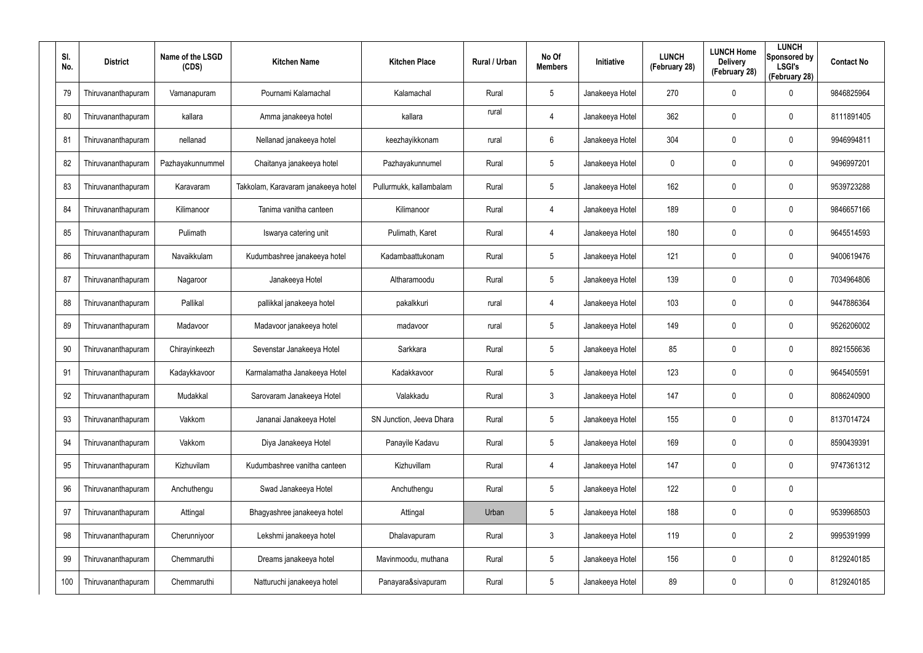| SI.<br>No. | <b>District</b>    | Name of the LSGD<br>(CDS) | <b>Kitchen Name</b>                 | <b>Kitchen Place</b>     | <b>Rural / Urban</b> | No Of<br><b>Members</b> | Initiative      | <b>LUNCH</b><br>(February 28) | <b>LUNCH Home</b><br><b>Delivery</b><br>(February 28) | <b>LUNCH</b><br>Sponsored by<br><b>LSGI's</b><br>(February 28) | <b>Contact No</b> |
|------------|--------------------|---------------------------|-------------------------------------|--------------------------|----------------------|-------------------------|-----------------|-------------------------------|-------------------------------------------------------|----------------------------------------------------------------|-------------------|
| 79         | Thiruvananthapuram | Vamanapuram               | Pournami Kalamachal                 | Kalamachal               | Rural                | 5                       | Janakeeya Hotel | 270                           | $\mathbf 0$                                           | $\mathbf 0$                                                    | 9846825964        |
| 80         | Thiruvananthapuram | kallara                   | Amma janakeeya hotel                | kallara                  | rural                | 4                       | Janakeeya Hotel | 362                           | $\mathbf 0$                                           | $\mathbf 0$                                                    | 8111891405        |
| 81         | Thiruvananthapuram | nellanad                  | Nellanad janakeeya hotel            | keezhayikkonam           | rural                | 6                       | Janakeeya Hotel | 304                           | $\mathbf 0$                                           | $\mathbf 0$                                                    | 9946994811        |
| 82         | Thiruvananthapuram | Pazhayakunnummel          | Chaitanya janakeeya hotel           | Pazhayakunnumel          | Rural                | $5\overline{)}$         | Janakeeya Hotel | 0                             | 0                                                     | $\mathbf 0$                                                    | 9496997201        |
| 83         | Thiruvananthapuram | Karavaram                 | Takkolam, Karavaram janakeeya hotel | Pullurmukk, kallambalam  | Rural                | $5\overline{)}$         | Janakeeya Hotel | 162                           | $\mathbf 0$                                           | $\mathbf 0$                                                    | 9539723288        |
| 84         | Thiruvananthapuram | Kilimanoor                | Tanima vanitha canteen              | Kilimanoor               | Rural                | 4                       | Janakeeya Hotel | 189                           | $\mathbf 0$                                           | $\mathbf 0$                                                    | 9846657166        |
| 85         | Thiruvananthapuram | Pulimath                  | Iswarya catering unit               | Pulimath, Karet          | Rural                | 4                       | Janakeeya Hotel | 180                           | $\mathbf 0$                                           | $\mathbf 0$                                                    | 9645514593        |
| 86         | Thiruvananthapuram | Navaikkulam               | Kudumbashree janakeeya hotel        | Kadambaattukonam         | Rural                | 5                       | Janakeeya Hotel | 121                           | $\mathbf 0$                                           | $\mathbf 0$                                                    | 9400619476        |
| 87         | Thiruvananthapuram | Nagaroor                  | Janakeeya Hotel                     | Altharamoodu             | Rural                | 5                       | Janakeeya Hotel | 139                           | $\mathbf 0$                                           | $\mathbf 0$                                                    | 7034964806        |
| 88         | Thiruvananthapuram | Pallikal                  | pallikkal janakeeya hotel           | pakalkkuri               | rural                | 4                       | Janakeeya Hotel | 103                           | $\mathbf 0$                                           | $\mathbf 0$                                                    | 9447886364        |
| 89         | Thiruvananthapuram | Madavoor                  | Madavoor janakeeya hotel            | madavoor                 | rural                | 5                       | Janakeeya Hotel | 149                           | $\mathbf 0$                                           | $\mathbf 0$                                                    | 9526206002        |
| 90         | Thiruvananthapuram | Chirayinkeezh             | Sevenstar Janakeeya Hotel           | Sarkkara                 | Rural                | 5                       | Janakeeya Hotel | 85                            | 0                                                     | $\mathbf 0$                                                    | 8921556636        |
| 91         | Thiruvananthapuram | Kadaykkavoor              | Karmalamatha Janakeeya Hotel        | Kadakkavoor              | Rural                | $5\overline{)}$         | Janakeeya Hotel | 123                           | $\mathbf 0$                                           | $\mathbf 0$                                                    | 9645405591        |
| 92         | Thiruvananthapuram | Mudakkal                  | Sarovaram Janakeeya Hotel           | Valakkadu                | Rural                | $\mathbf{3}$            | Janakeeya Hotel | 147                           | $\mathbf 0$                                           | $\mathbf 0$                                                    | 8086240900        |
| 93         | Thiruvananthapuram | Vakkom                    | Jananai Janakeeya Hotel             | SN Junction, Jeeva Dhara | Rural                | 5                       | Janakeeya Hotel | 155                           | 0                                                     | $\mathbf 0$                                                    | 8137014724        |
| 94         | Thiruvananthapuram | Vakkom                    | Diya Janakeeya Hotel                | Panayile Kadavu          | Rural                | 5                       | Janakeeya Hotel | 169                           | $\mathbf 0$                                           | $\mathbf 0$                                                    | 8590439391        |
| 95         | Thiruvananthapuram | Kizhuvilam                | Kudumbashree vanitha canteen        | Kizhuvillam              | Rural                | $\overline{4}$          | Janakeeya Hotel | 147                           | 0                                                     | $\mathbf 0$                                                    | 9747361312        |
| 96         | Thiruvananthapuram | Anchuthengu               | Swad Janakeeya Hotel                | Anchuthengu              | Rural                | 5                       | Janakeeya Hotel | 122                           | $\mathbf 0$                                           | $\pmb{0}$                                                      |                   |
| 97         | Thiruvananthapuram | Attingal                  | Bhagyashree janakeeya hotel         | Attingal                 | Urban                | 5                       | Janakeeya Hotel | 188                           | 0                                                     | $\mathbf 0$                                                    | 9539968503        |
| 98         | Thiruvananthapuram | Cherunniyoor              | Lekshmi janakeeya hotel             | Dhalavapuram             | Rural                | $\mathbf{3}$            | Janakeeya Hotel | 119                           | $\mathbf 0$                                           | $\overline{2}$                                                 | 9995391999        |
| 99         | Thiruvananthapuram | Chemmaruthi               | Dreams janakeeya hotel              | Mavinmoodu, muthana      | Rural                | 5                       | Janakeeya Hotel | 156                           | 0                                                     | $\mathbf 0$                                                    | 8129240185        |
| 100        | Thiruvananthapuram | Chemmaruthi               | Natturuchi janakeeya hotel          | Panayara&sivapuram       | Rural                | $5\phantom{.0}$         | Janakeeya Hotel | 89                            | $\mathbf 0$                                           | $\pmb{0}$                                                      | 8129240185        |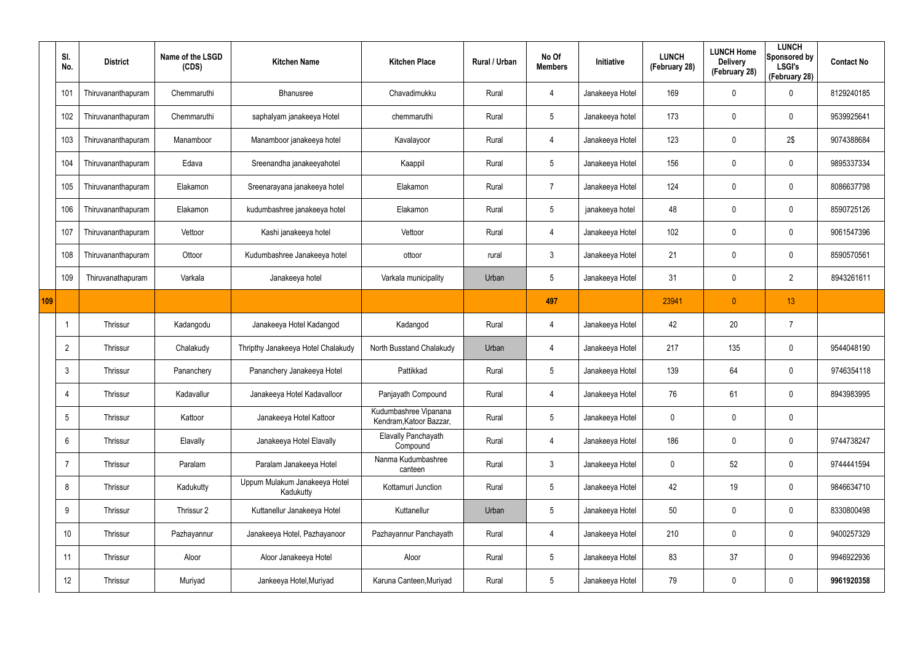|     | SI.<br>No.      | <b>District</b>    | Name of the LSGD<br>(CDS) | <b>Kitchen Name</b>                        | <b>Kitchen Place</b>                             | Rural / Urban | No Of<br><b>Members</b> | Initiative      | <b>LUNCH</b><br>(February 28) | <b>LUNCH Home</b><br><b>Delivery</b><br>(February 28) | <b>LUNCH</b><br>Sponsored by<br><b>LSGI's</b><br>(February 28) | <b>Contact No</b> |
|-----|-----------------|--------------------|---------------------------|--------------------------------------------|--------------------------------------------------|---------------|-------------------------|-----------------|-------------------------------|-------------------------------------------------------|----------------------------------------------------------------|-------------------|
|     | 101             | Thiruvananthapuram | Chemmaruthi               | Bhanusree                                  | Chavadimukku                                     | Rural         | $\overline{4}$          | Janakeeya Hotel | 169                           | 0                                                     | $\mathbf 0$                                                    | 8129240185        |
|     | 102             | Thiruvananthapuram | Chemmaruthi               | saphalyam janakeeya Hotel                  | chemmaruthi                                      | Rural         | $5\phantom{.0}$         | Janakeeya hotel | 173                           | 0                                                     | $\mathbf 0$                                                    | 9539925641        |
|     | 103             | Thiruvananthapuram | Manamboor                 | Manamboor janakeeya hotel                  | Kavalayoor                                       | Rural         | $\overline{4}$          | Janakeeya Hotel | 123                           | 0                                                     | 2\$                                                            | 9074388684        |
|     | 104             | Thiruvananthapuram | Edava                     | Sreenandha janakeeyahotel                  | Kaappil                                          | Rural         | $5\phantom{.0}$         | Janakeeya Hotel | 156                           | 0                                                     | $\mathbf 0$                                                    | 9895337334        |
|     | 105             | Thiruvananthapuram | Elakamon                  | Sreenarayana janakeeya hotel               | Elakamon                                         | Rural         | $\overline{7}$          | Janakeeya Hotel | 124                           | 0                                                     | $\mathbf 0$                                                    | 8086637798        |
|     | 106             | Thiruvananthapuram | Elakamon                  | kudumbashree janakeeya hotel               | Elakamon                                         | Rural         | $5\phantom{.0}$         | janakeeya hotel | 48                            | 0                                                     | $\mathbf 0$                                                    | 8590725126        |
|     | 107             | Thiruvananthapuram | Vettoor                   | Kashi janakeeya hotel                      | Vettoor                                          | Rural         | $\overline{4}$          | Janakeeya Hotel | 102                           | 0                                                     | $\mathbf 0$                                                    | 9061547396        |
|     | 108             | Thiruvananthapuram | Ottoor                    | Kudumbashree Janakeeya hotel               | ottoor                                           | rural         | $\mathbf{3}$            | Janakeeya Hotel | 21                            | 0                                                     | $\mathbf 0$                                                    | 8590570561        |
|     | 109             | Thiruvanathapuram  | Varkala                   | Janakeeya hotel                            | Varkala municipality                             | Urban         | $5\phantom{.0}$         | Janakeeya Hotel | 31                            | 0                                                     | $\overline{2}$                                                 | 8943261611        |
| 109 |                 |                    |                           |                                            |                                                  |               | 497                     |                 | 23941                         | $\mathbf{0}$                                          | 13                                                             |                   |
|     |                 | Thrissur           | Kadangodu                 | Janakeeya Hotel Kadangod                   | Kadangod                                         | Rural         | $\overline{4}$          | Janakeeya Hotel | 42                            | 20                                                    | 7                                                              |                   |
|     | $\overline{2}$  | Thrissur           | Chalakudy                 | Thripthy Janakeeya Hotel Chalakudy         | North Busstand Chalakudy                         | Urban         | 4                       | Janakeeya Hotel | 217                           | 135                                                   | $\boldsymbol{0}$                                               | 9544048190        |
|     | 3               | Thrissur           | Pananchery                | Pananchery Janakeeya Hotel                 | Pattikkad                                        | Rural         | $5\phantom{.0}$         | Janakeeya Hotel | 139                           | 64                                                    | $\boldsymbol{0}$                                               | 9746354118        |
|     | 4               | Thrissur           | Kadavallur                | Janakeeya Hotel Kadavalloor                | Panjayath Compound                               | Rural         | $\overline{4}$          | Janakeeya Hotel | 76                            | 61                                                    | $\pmb{0}$                                                      | 8943983995        |
|     | $5\phantom{.0}$ | Thrissur           | Kattoor                   | Janakeeya Hotel Kattoor                    | Kudumbashree Vipanana<br>Kendram, Katoor Bazzar, | Rural         | $5\phantom{.0}$         | Janakeeya Hotel | 0                             | 0                                                     | $\pmb{0}$                                                      |                   |
|     | $6\overline{6}$ | Thrissur           | Elavally                  | Janakeeya Hotel Elavally                   | <b>Elavally Panchayath</b><br>Compound           | Rural         | $\overline{4}$          | Janakeeya Hotel | 186                           | 0                                                     | $\mathbf 0$                                                    | 9744738247        |
|     | $\overline{7}$  | Thrissur           | Paralam                   | Paralam Janakeeya Hotel                    | Nanma Kudumbashree<br>canteen                    | Rural         | $\mathbf{3}$            | Janakeeya Hotel | 0                             | 52                                                    | $\pmb{0}$                                                      | 9744441594        |
|     | 8               | Thrissur           | Kadukutty                 | Uppum Mulakum Janakeeya Hotel<br>Kadukutty | Kottamuri Junction                               | Rural         | $5\phantom{.0}$         | Janakeeya Hotel | 42                            | 19                                                    | $\pmb{0}$                                                      | 9846634710        |
|     | 9               | Thrissur           | Thrissur 2                | Kuttanellur Janakeeya Hotel                | Kuttanellur                                      | Urban         | $\sqrt{5}$              | Janakeeya Hotel | 50                            | $\mathbf 0$                                           | $\pmb{0}$                                                      | 8330800498        |
|     | 10              | Thrissur           | Pazhayannur               | Janakeeya Hotel, Pazhayanoor               | Pazhayannur Panchayath                           | Rural         | $\overline{4}$          | Janakeeya Hotel | 210                           | 0                                                     | $\pmb{0}$                                                      | 9400257329        |
|     | 11              | Thrissur           | Aloor                     | Aloor Janakeeya Hotel                      | Aloor                                            | Rural         | $\sqrt{5}$              | Janakeeya Hotel | 83                            | 37                                                    | $\pmb{0}$                                                      | 9946922936        |
|     | 12              | Thrissur           | Muriyad                   | Jankeeya Hotel, Muriyad                    | Karuna Canteen, Muriyad                          | Rural         | $5\phantom{.0}$         | Janakeeya Hotel | 79                            | 0                                                     | $\pmb{0}$                                                      | 9961920358        |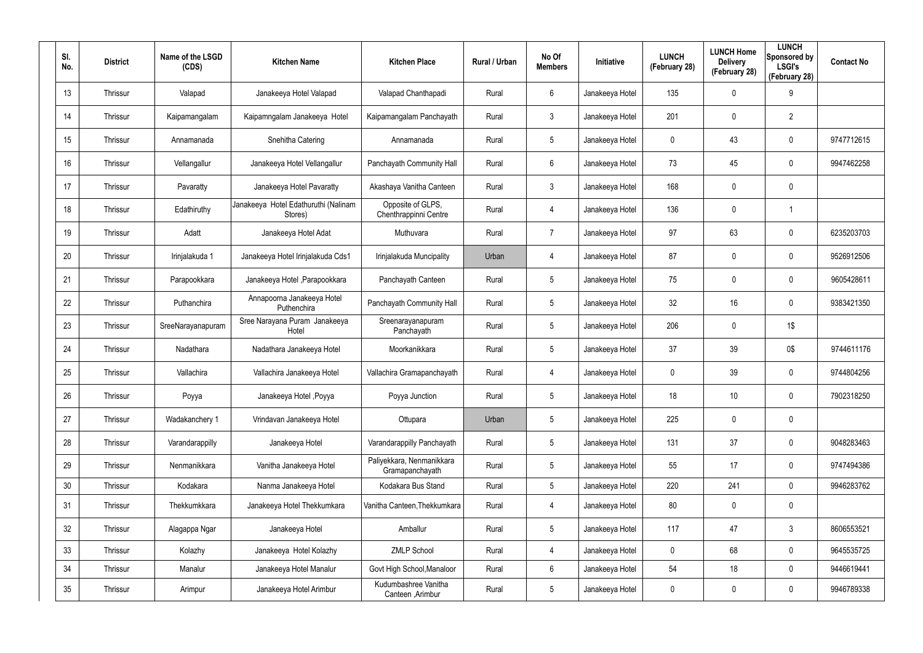| SI.<br>No. | <b>District</b> | Name of the LSGD<br>(CDS) | <b>Kitchen Name</b>                             | <b>Kitchen Place</b>                         | Rural / Urban | No Of<br><b>Members</b> | <b>Initiative</b> | <b>LUNCH</b><br>(February 28) | <b>LUNCH Home</b><br><b>Delivery</b><br>(February 28) | <b>LUNCH</b><br>Sponsored by<br><b>LSGI's</b><br>(February 28) | <b>Contact No</b> |
|------------|-----------------|---------------------------|-------------------------------------------------|----------------------------------------------|---------------|-------------------------|-------------------|-------------------------------|-------------------------------------------------------|----------------------------------------------------------------|-------------------|
| 13         | Thrissur        | Valapad                   | Janakeeya Hotel Valapad                         | Valapad Chanthapadi                          | Rural         | 6                       | Janakeeya Hotel   | 135                           | 0                                                     | 9                                                              |                   |
| 14         | Thrissur        | Kaipamangalam             | Kaipamngalam Janakeeya Hotel                    | Kaipamangalam Panchayath                     | Rural         | $\mathbf{3}$            | Janakeeya Hotel   | 201                           | 0                                                     | $\overline{2}$                                                 |                   |
| 15         | Thrissur        | Annamanada                | Snehitha Catering                               | Annamanada                                   | Rural         | $5\phantom{.0}$         | Janakeeya Hotel   | 0                             | 43                                                    | $\mathbf 0$                                                    | 9747712615        |
| 16         | Thrissur        | Vellangallur              | Janakeeya Hotel Vellangallur                    | Panchayath Community Hall                    | Rural         | $6\phantom{.}$          | Janakeeya Hotel   | 73                            | 45                                                    | 0                                                              | 9947462258        |
| 17         | Thrissur        | Pavaratty                 | Janakeeya Hotel Pavaratty                       | Akashaya Vanitha Canteen                     | Rural         | $\mathbf{3}$            | Janakeeya Hotel   | 168                           | $\mathbf 0$                                           | $\mathbf 0$                                                    |                   |
| 18         | Thrissur        | Edathiruthy               | Janakeeya Hotel Edathuruthi (Nalinam<br>Stores) | Opposite of GLPS,<br>Chenthrappinni Centre   | Rural         | 4                       | Janakeeya Hotel   | 136                           | 0                                                     | $\mathbf 1$                                                    |                   |
| 19         | Thrissur        | Adatt                     | Janakeeya Hotel Adat                            | Muthuvara                                    | Rural         | $\overline{7}$          | Janakeeya Hotel   | 97                            | 63                                                    | $\mathbf 0$                                                    | 6235203703        |
| 20         | Thrissur        | Irinjalakuda 1            | Janakeeya Hotel Irinjalakuda Cds1               | Irinjalakuda Muncipality                     | Urban         | 4                       | Janakeeya Hotel   | 87                            | 0                                                     | $\mathbf 0$                                                    | 9526912506        |
| 21         | Thrissur        | Parapookkara              | Janakeeya Hotel, Parapookkara                   | Panchayath Canteen                           | Rural         | $5\phantom{.0}$         | Janakeeya Hotel   | 75                            | 0                                                     | $\mathbf 0$                                                    | 9605428611        |
| 22         | Thrissur        | Puthanchira               | Annapoorna Janakeeya Hotel<br>Puthenchira       | Panchayath Community Hall                    | Rural         | $5\phantom{.0}$         | Janakeeya Hotel   | 32 <sup>°</sup>               | 16                                                    | $\mathbf 0$                                                    | 9383421350        |
| 23         | Thrissur        | SreeNarayanapuram         | Sree Narayana Puram Janakeeya<br>Hotel          | Sreenarayanapuram<br>Panchayath              | Rural         | $5\phantom{.0}$         | Janakeeya Hotel   | 206                           | 0                                                     | 1\$                                                            |                   |
| 24         | Thrissur        | Nadathara                 | Nadathara Janakeeya Hotel                       | Moorkanikkara                                | Rural         | $5\phantom{.0}$         | Janakeeya Hotel   | 37                            | 39                                                    | 0\$                                                            | 9744611176        |
| 25         | Thrissur        | Vallachira                | Vallachira Janakeeya Hotel                      | Vallachira Gramapanchayath                   | Rural         | 4                       | Janakeeya Hotel   | 0                             | 39                                                    | $\mathbf 0$                                                    | 9744804256        |
| 26         | Thrissur        | Poyya                     | Janakeeya Hotel , Poyya                         | Poyya Junction                               | Rural         | $5\phantom{.0}$         | Janakeeya Hotel   | 18                            | 10                                                    | $\mathbf 0$                                                    | 7902318250        |
| 27         | Thrissur        | Wadakanchery 1            | Vrindavan Janakeeya Hotel                       | Ottupara                                     | Urban         | $5\phantom{.0}$         | Janakeeya Hotel   | 225                           | $\mathbf 0$                                           | $\pmb{0}$                                                      |                   |
| 28         | Thrissur        | Varandarappilly           | Janakeeya Hotel                                 | Varandarappilly Panchayath                   | Rural         | $5\phantom{.0}$         | Janakeeya Hotel   | 131                           | 37                                                    | $\pmb{0}$                                                      | 9048283463        |
| 29         | Thrissur        | Nenmanikkara              | Vanitha Janakeeya Hotel                         | Paliyekkara, Nenmanikkara<br>Gramapanchayath | Rural         | $5\phantom{.0}$         | Janakeeya Hotel   | 55                            | 17                                                    | $\mathbf 0$                                                    | 9747494386        |
| 30         | Thrissur        | Kodakara                  | Nanma Janakeeya Hotel                           | Kodakara Bus Stand                           | Rural         | $5\phantom{.0}$         | Janakeeya Hotel   | 220                           | 241                                                   | $\mathbf 0$                                                    | 9946283762        |
| 31         | Thrissur        | Thekkumkkara              | Janakeeya Hotel Thekkumkara                     | Vanitha Canteen, Thekkumkara                 | Rural         | 4                       | Janakeeya Hotel   | 80                            | 0                                                     | $\pmb{0}$                                                      |                   |
| 32         | Thrissur        | Alagappa Ngar             | Janakeeya Hotel                                 | Amballur                                     | Rural         | $5\phantom{.0}$         | Janakeeya Hotel   | 117                           | 47                                                    | $\mathfrak{Z}$                                                 | 8606553521        |
| 33         | Thrissur        | Kolazhy                   | Janakeeya Hotel Kolazhy                         | <b>ZMLP School</b>                           | Rural         | 4                       | Janakeeya Hotel   | $\mathbf 0$                   | 68                                                    | $\mathbf 0$                                                    | 9645535725        |
| 34         | Thrissur        | Manalur                   | Janakeeya Hotel Manalur                         | Govt High School, Manaloor                   | Rural         | $6\phantom{.}$          | Janakeeya Hotel   | 54                            | 18                                                    | $\mathbf 0$                                                    | 9446619441        |
| $35\,$     | Thrissur        | Arimpur                   | Janakeeya Hotel Arimbur                         | Kudumbashree Vanitha<br>Canteen, Arimbur     | Rural         | $5\phantom{.0}$         | Janakeeya Hotel   | 0                             | 0                                                     | $\boldsymbol{0}$                                               | 9946789338        |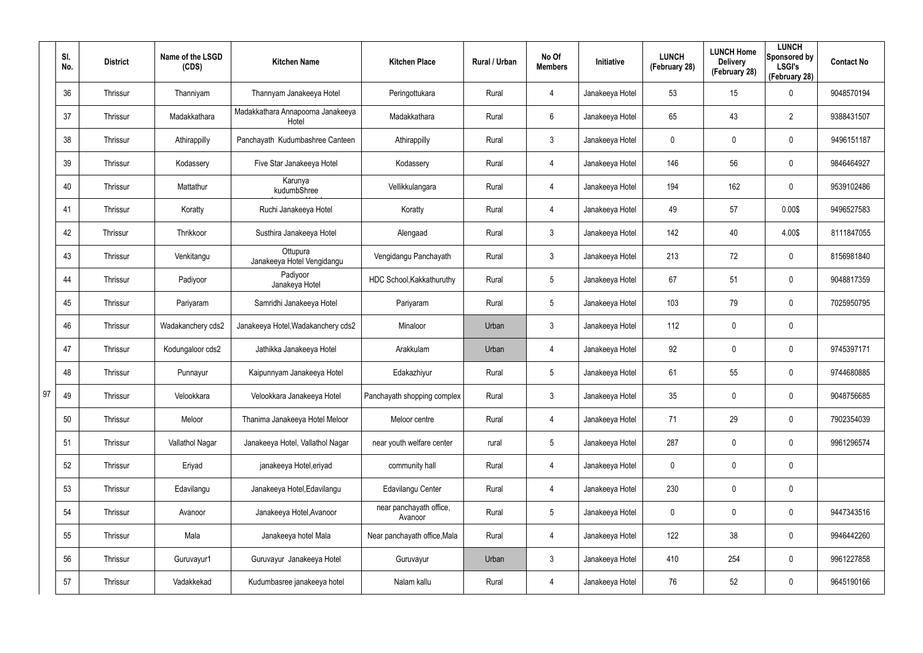|    | SI.<br>No. | <b>District</b> | Name of the LSGD<br>(CDS) | <b>Kitchen Name</b>                        | <b>Kitchen Place</b>               | Rural / Urban | No Of<br><b>Members</b> | Initiative      | <b>LUNCH</b><br>(February 28) | <b>LUNCH Home</b><br><b>Delivery</b><br>(February 28) | <b>LUNCH</b><br>Sponsored by<br><b>LSGI's</b><br>(February 28) | <b>Contact No</b> |
|----|------------|-----------------|---------------------------|--------------------------------------------|------------------------------------|---------------|-------------------------|-----------------|-------------------------------|-------------------------------------------------------|----------------------------------------------------------------|-------------------|
|    | 36         | Thrissur        | Thanniyam                 | Thannyam Janakeeya Hotel                   | Peringottukara                     | Rural         | 4                       | Janakeeya Hotel | 53                            | 15                                                    | $\mathbf 0$                                                    | 9048570194        |
|    | 37         | Thrissur        | Madakkathara              | Madakkathara Annapoorna Janakeeya<br>Hotel | Madakkathara                       | Rural         | 6                       | Janakeeya Hotel | 65                            | 43                                                    | $\overline{2}$                                                 | 9388431507        |
|    | 38         | Thrissur        | Athirappilly              | Panchayath Kudumbashree Canteen            | Athirappilly                       | Rural         | 3                       | Janakeeya Hotel | 0                             | 0                                                     | $\mathbf 0$                                                    | 9496151187        |
|    | 39         | Thrissur        | Kodassery                 | Five Star Janakeeya Hotel                  | Kodassery                          | Rural         | 4                       | Janakeeya Hotel | 146                           | 56                                                    | $\mathbf 0$                                                    | 9846464927        |
|    | 40         | Thrissur        | Mattathur                 | Karunya<br>kudumbShree                     | Vellikkulangara                    | Rural         | 4                       | Janakeeya Hotel | 194                           | 162                                                   | $\mathbf 0$                                                    | 9539102486        |
|    | 41         | Thrissur        | Koratty                   | Ruchi Janakeeya Hotel                      | Koratty                            | Rural         | 4                       | Janakeeya Hotel | 49                            | 57                                                    | 0.00\$                                                         | 9496527583        |
|    | 42         | Thrissur        | Thrikkoor                 | Susthira Janakeeya Hotel                   | Alengaad                           | Rural         | $\mathbf{3}$            | Janakeeya Hotel | 142                           | 40                                                    | 4.00\$                                                         | 8111847055        |
|    | 43         | Thrissur        | Venkitangu                | Ottupura<br>Janakeeya Hotel Vengidangu     | Vengidangu Panchayath              | Rural         | 3                       | Janakeeya Hotel | 213                           | 72                                                    | $\mathbf 0$                                                    | 8156981840        |
|    | 44         | Thrissur        | Padiyoor                  | Padiyoor<br>Janakeya Hotel                 | HDC School, Kakkathuruthy          | Rural         | $\overline{5}$          | Janakeeya Hotel | 67                            | 51                                                    | $\mathbf 0$                                                    | 9048817359        |
|    | 45         | Thrissur        | Pariyaram                 | Samridhi Janakeeya Hotel                   | Pariyaram                          | Rural         | $5\overline{)}$         | Janakeeya Hotel | 103                           | 79                                                    | $\mathbf 0$                                                    | 7025950795        |
|    | 46         | Thrissur        | Wadakanchery cds2         | Janakeeya Hotel, Wadakanchery cds2         | Minaloor                           | Urban         | $\mathfrak{Z}$          | Janakeeya Hotel | 112                           | 0                                                     | $\pmb{0}$                                                      |                   |
|    | 47         | Thrissur        | Kodungaloor cds2          | Jathikka Janakeeya Hotel                   | Arakkulam                          | Urban         | 4                       | Janakeeya Hotel | 92                            | 0                                                     | $\mathbf 0$                                                    | 9745397171        |
|    | 48         | Thrissur        | Punnayur                  | Kaipunnyam Janakeeya Hotel                 | Edakazhiyur                        | Rural         | $\overline{5}$          | Janakeeya Hotel | 61                            | 55                                                    | $\mathbf 0$                                                    | 9744680885        |
| 97 | 49         | Thrissur        | Velookkara                | Velookkara Janakeeya Hotel                 | Panchayath shopping complex        | Rural         | $\mathfrak{Z}$          | Janakeeya Hotel | $35\,$                        | $\pmb{0}$                                             | $\pmb{0}$                                                      | 9048756685        |
|    | 50         | Thrissur        | Meloor                    | Thanima Janakeeya Hotel Meloor             | Meloor centre                      | Rural         | 4                       | Janakeeya Hotel | 71                            | 29                                                    | $\mathsf{0}$                                                   | 7902354039        |
|    | 51         | Thrissur        | Vallathol Nagar           | Janakeeya Hotel, Vallathol Nagar           | near youth welfare center          | rural         | $5\phantom{.0}$         | Janakeeya Hotel | 287                           | $\pmb{0}$                                             | $\pmb{0}$                                                      | 9961296574        |
|    | 52         | Thrissur        | Eriyad                    | janakeeya Hotel, eriyad                    | community hall                     | Rural         | 4                       | Janakeeya Hotel | 0                             | $\pmb{0}$                                             | $\pmb{0}$                                                      |                   |
|    | 53         | Thrissur        | Edavilangu                | Janakeeya Hotel, Edavilangu                | Edavilangu Center                  | Rural         | $\overline{4}$          | Janakeeya Hotel | 230                           | $\pmb{0}$                                             | $\pmb{0}$                                                      |                   |
|    | 54         | Thrissur        | Avanoor                   | Janakeeya Hotel, Avanoor                   | near panchayath office,<br>Avanoor | Rural         | $5\phantom{.0}$         | Janakeeya Hotel | 0                             | $\pmb{0}$                                             | $\pmb{0}$                                                      | 9447343516        |
|    | 55         | Thrissur        | Mala                      | Janakeeya hotel Mala                       | Near panchayath office, Mala       | Rural         | $\overline{4}$          | Janakeeya Hotel | 122                           | 38                                                    | $\pmb{0}$                                                      | 9946442260        |
|    | 56         | Thrissur        | Guruvayur1                | Guruvayur Janakeeya Hotel                  | Guruvayur                          | Urban         | $\mathfrak{Z}$          | Janakeeya Hotel | 410                           | 254                                                   | $\mathsf{0}$                                                   | 9961227858        |
|    | 57         | Thrissur        | Vadakkekad                | Kudumbasree janakeeya hotel                | Nalam kallu                        | Rural         | 4                       | Janakeeya Hotel | 76                            | 52                                                    | $\pmb{0}$                                                      | 9645190166        |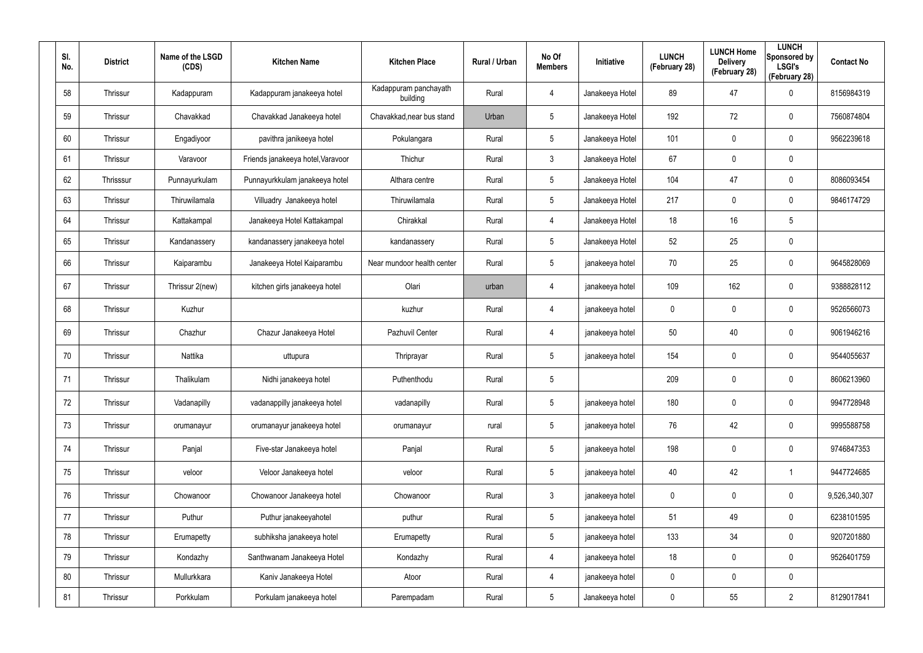| SI.<br>No. | <b>District</b> | Name of the LSGD<br>(CDS) | <b>Kitchen Name</b>               | <b>Kitchen Place</b>              | Rural / Urban | No Of<br><b>Members</b> | Initiative      | <b>LUNCH</b><br>(February 28) | <b>LUNCH Home</b><br><b>Delivery</b><br>(February 28) | <b>LUNCH</b><br>Sponsored by<br><b>LSGI's</b><br>(February 28) | <b>Contact No</b> |
|------------|-----------------|---------------------------|-----------------------------------|-----------------------------------|---------------|-------------------------|-----------------|-------------------------------|-------------------------------------------------------|----------------------------------------------------------------|-------------------|
| 58         | Thrissur        | Kadappuram                | Kadappuram janakeeya hotel        | Kadappuram panchayath<br>building | Rural         | 4                       | Janakeeya Hotel | 89                            | 47                                                    | $\mathbf 0$                                                    | 8156984319        |
| 59         | Thrissur        | Chavakkad                 | Chavakkad Janakeeya hotel         | Chavakkad, near bus stand         | Urban         | $5\phantom{.0}$         | Janakeeya Hotel | 192                           | 72                                                    | $\mathbf 0$                                                    | 7560874804        |
| 60         | Thrissur        | Engadiyoor                | pavithra janikeeya hotel          | Pokulangara                       | Rural         | $5\phantom{.0}$         | Janakeeya Hotel | 101                           | 0                                                     | $\pmb{0}$                                                      | 9562239618        |
| 61         | Thrissur        | Varavoor                  | Friends janakeeya hotel, Varavoor | Thichur                           | Rural         | $\mathbf{3}$            | Janakeeya Hotel | 67                            | 0                                                     | $\pmb{0}$                                                      |                   |
| 62         | Thrisssur       | Punnayurkulam             | Punnayurkkulam janakeeya hotel    | Althara centre                    | Rural         | $5\phantom{.0}$         | Janakeeya Hotel | 104                           | 47                                                    | $\mathbf 0$                                                    | 8086093454        |
| 63         | Thrissur        | Thiruwilamala             | Villuadry Janakeeya hotel         | Thiruwilamala                     | Rural         | $5\phantom{.0}$         | Janakeeya Hotel | 217                           | 0                                                     | $\mathbf 0$                                                    | 9846174729        |
| 64         | Thrissur        | Kattakampal               | Janakeeya Hotel Kattakampal       | Chirakkal                         | Rural         | 4                       | Janakeeya Hotel | 18                            | 16                                                    | 5                                                              |                   |
| 65         | Thrissur        | Kandanassery              | kandanassery janakeeya hotel      | kandanassery                      | Rural         | $5\phantom{.0}$         | Janakeeya Hotel | 52                            | 25                                                    | $\pmb{0}$                                                      |                   |
| 66         | Thrissur        | Kaiparambu                | Janakeeya Hotel Kaiparambu        | Near mundoor health center        | Rural         | $5\phantom{.0}$         | janakeeya hotel | 70                            | 25                                                    | $\pmb{0}$                                                      | 9645828069        |
| 67         | Thrissur        | Thrissur 2(new)           | kitchen girls janakeeya hotel     | Olari                             | urban         | 4                       | janakeeya hotel | 109                           | 162                                                   | $\pmb{0}$                                                      | 9388828112        |
| 68         | Thrissur        | Kuzhur                    |                                   | kuzhur                            | Rural         | 4                       | janakeeya hotel | 0                             | $\mathbf 0$                                           | $\pmb{0}$                                                      | 9526566073        |
| 69         | Thrissur        | Chazhur                   | Chazur Janakeeya Hotel            | Pazhuvil Center                   | Rural         | 4                       | janakeeya hotel | 50                            | 40                                                    | $\pmb{0}$                                                      | 9061946216        |
| 70         | Thrissur        | Nattika                   | uttupura                          | Thriprayar                        | Rural         | $5\phantom{.0}$         | janakeeya hotel | 154                           | 0                                                     | $\pmb{0}$                                                      | 9544055637        |
| 71         | Thrissur        | Thalikulam                | Nidhi janakeeya hotel             | Puthenthodu                       | Rural         | 5                       |                 | 209                           | 0                                                     | $\mathbf 0$                                                    | 8606213960        |
| 72         | Thrissur        | Vadanapilly               | vadanappilly janakeeya hotel      | vadanapilly                       | Rural         | $5\phantom{.0}$         | janakeeya hotel | 180                           | 0                                                     | $\pmb{0}$                                                      | 9947728948        |
| 73         | Thrissur        | orumanayur                | orumanayur janakeeya hotel        | orumanayur                        | rural         | $5\phantom{.0}$         | janakeeya hotel | 76                            | 42                                                    | $\mathbf 0$                                                    | 9995588758        |
| 74         | Thrissur        | Panjal                    | Five-star Janakeeya hotel         | Panjal                            | Rural         | $5\phantom{.0}$         | janakeeya hotel | 198                           | 0                                                     | $\mathbf 0$                                                    | 9746847353        |
| 75         | Thrissur        | veloor                    | Veloor Janakeeya hotel            | veloor                            | Rural         | $5\phantom{.0}$         | janakeeya hotel | 40                            | 42                                                    | $\mathbf{1}$                                                   | 9447724685        |
| 76         | Thrissur        | Chowanoor                 | Chowanoor Janakeeya hotel         | Chowanoor                         | Rural         | $\mathbf{3}$            | janakeeya hotel | 0                             | 0                                                     | $\mathbf 0$                                                    | 9,526,340,307     |
| 77         | Thrissur        | Puthur                    | Puthur janakeeyahotel             | puthur                            | Rural         | $5\phantom{.0}$         | janakeeya hotel | 51                            | 49                                                    | $\mathbf 0$                                                    | 6238101595        |
| 78         | Thrissur        | Erumapetty                | subhiksha janakeeya hotel         | Erumapetty                        | Rural         | $5\phantom{.0}$         | janakeeya hotel | 133                           | 34                                                    | $\mathbf 0$                                                    | 9207201880        |
| 79         | Thrissur        | Kondazhy                  | Santhwanam Janakeeya Hotel        | Kondazhy                          | Rural         | $\overline{4}$          | janakeeya hotel | 18                            | 0                                                     | $\mathbf 0$                                                    | 9526401759        |
| 80         | Thrissur        | Mullurkkara               | Kaniv Janakeeya Hotel             | Atoor                             | Rural         | 4                       | janakeeya hotel | 0                             | 0                                                     | $\pmb{0}$                                                      |                   |
| 81         | Thrissur        | Porkkulam                 | Porkulam janakeeya hotel          | Parempadam                        | Rural         | $5\phantom{.0}$         | Janakeeya hotel | 0                             | 55                                                    | $\overline{2}$                                                 | 8129017841        |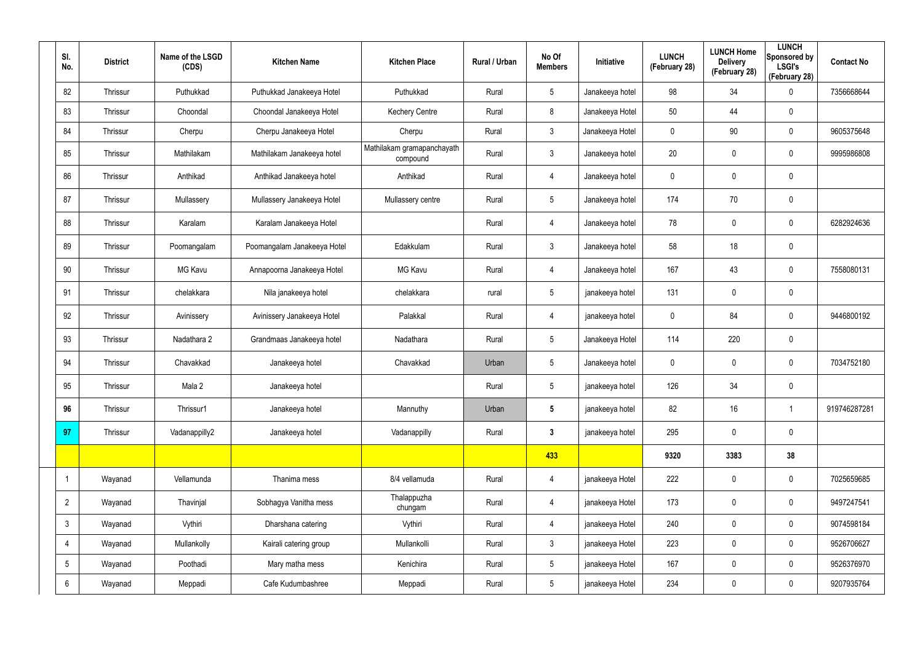| SI.<br>No.      | <b>District</b> | Name of the LSGD<br>(CDS) | <b>Kitchen Name</b>         | <b>Kitchen Place</b>                   | Rural / Urban | No Of<br><b>Members</b> | Initiative      | <b>LUNCH</b><br>(February 28) | <b>LUNCH Home</b><br><b>Delivery</b><br>(February 28) | <b>LUNCH</b><br>Sponsored by<br><b>LSGI's</b><br>(February 28) | <b>Contact No</b> |
|-----------------|-----------------|---------------------------|-----------------------------|----------------------------------------|---------------|-------------------------|-----------------|-------------------------------|-------------------------------------------------------|----------------------------------------------------------------|-------------------|
| 82              | Thrissur        | Puthukkad                 | Puthukkad Janakeeya Hotel   | Puthukkad                              | Rural         | $5\phantom{.0}$         | Janakeeya hotel | 98                            | 34                                                    | 0                                                              | 7356668644        |
| 83              | Thrissur        | Choondal                  | Choondal Janakeeya Hotel    | <b>Kechery Centre</b>                  | Rural         | 8                       | Janakeeya Hotel | 50                            | 44                                                    | $\mathbf 0$                                                    |                   |
| 84              | Thrissur        | Cherpu                    | Cherpu Janakeeya Hotel      | Cherpu                                 | Rural         | $\mathbf{3}$            | Janakeeya Hotel | 0                             | 90                                                    | $\mathbf 0$                                                    | 9605375648        |
| 85              | Thrissur        | Mathilakam                | Mathilakam Janakeeya hotel  | Mathilakam gramapanchayath<br>compound | Rural         | $\mathbf{3}$            | Janakeeya hotel | 20                            | 0                                                     | $\mathbf 0$                                                    | 9995986808        |
| 86              | Thrissur        | Anthikad                  | Anthikad Janakeeya hotel    | Anthikad                               | Rural         | $\overline{4}$          | Janakeeya hotel | $\mathbf 0$                   | 0                                                     | $\mathbf 0$                                                    |                   |
| 87              | Thrissur        | Mullassery                | Mullassery Janakeeya Hotel  | Mullassery centre                      | Rural         | $\sqrt{5}$              | Janakeeya hotel | 174                           | 70                                                    | $\pmb{0}$                                                      |                   |
| 88              | Thrissur        | Karalam                   | Karalam Janakeeya Hotel     |                                        | Rural         | $\overline{4}$          | Janakeeya hotel | 78                            | $\boldsymbol{0}$                                      | $\pmb{0}$                                                      | 6282924636        |
| 89              | Thrissur        | Poomangalam               | Poomangalam Janakeeya Hotel | Edakkulam                              | Rural         | $\mathfrak{Z}$          | Janakeeya hotel | 58                            | 18                                                    | $\pmb{0}$                                                      |                   |
| 90              | Thrissur        | <b>MG Kavu</b>            | Annapoorna Janakeeya Hotel  | <b>MG Kavu</b>                         | Rural         | $\overline{4}$          | Janakeeya hotel | 167                           | 43                                                    | $\pmb{0}$                                                      | 7558080131        |
| 91              | Thrissur        | chelakkara                | Nila janakeeya hotel        | chelakkara                             | rural         | $\sqrt{5}$              | janakeeya hotel | 131                           | 0                                                     | $\boldsymbol{0}$                                               |                   |
| 92              | Thrissur        | Avinissery                | Avinissery Janakeeya Hotel  | Palakkal                               | Rural         | $\overline{4}$          | janakeeya hotel | $\mathbf 0$                   | 84                                                    | $\boldsymbol{0}$                                               | 9446800192        |
| 93              | Thrissur        | Nadathara 2               | Grandmaas Janakeeya hotel   | Nadathara                              | Rural         | $5\phantom{.0}$         | Janakeeya Hotel | 114                           | 220                                                   | $\mathbf 0$                                                    |                   |
| 94              | Thrissur        | Chavakkad                 | Janakeeya hotel             | Chavakkad                              | Urban         | $\sqrt{5}$              | Janakeeya hotel | 0                             | 0                                                     | $\pmb{0}$                                                      | 7034752180        |
| 95              | Thrissur        | Mala 2                    | Janakeeya hotel             |                                        | Rural         | 5                       | janakeeya hotel | 126                           | 34                                                    | 0                                                              |                   |
| 96              | Thrissur        | Thrissur1                 | Janakeeya hotel             | Mannuthy                               | Urban         | $5\phantom{.0}$         | janakeeya hotel | 82                            | 16                                                    | $\mathbf 1$                                                    | 919746287281      |
| 97              | Thrissur        | Vadanappilly2             | Janakeeya hotel             | Vadanappilly                           | Rural         | $3\phantom{a}$          | janakeeya hotel | 295                           | $\pmb{0}$                                             | $\pmb{0}$                                                      |                   |
|                 |                 |                           |                             |                                        |               | 433                     |                 | 9320                          | 3383                                                  | 38                                                             |                   |
| $\mathbf 1$     | Wayanad         | Vellamunda                | Thanima mess                | 8/4 vellamuda                          | Rural         | $\overline{4}$          | janakeeya Hotel | 222                           | $\pmb{0}$                                             | $\pmb{0}$                                                      | 7025659685        |
| $\overline{2}$  | Wayanad         | Thavinjal                 | Sobhagya Vanitha mess       | Thalappuzha<br>chungam                 | Rural         | $\overline{4}$          | janakeeya Hotel | 173                           | $\pmb{0}$                                             | $\pmb{0}$                                                      | 9497247541        |
| $\mathbf{3}$    | Wayanad         | Vythiri                   | Dharshana catering          | Vythiri                                | Rural         | $\overline{4}$          | janakeeya Hotel | 240                           | 0                                                     | $\mathbf 0$                                                    | 9074598184        |
| $\overline{4}$  | Wayanad         | Mullankolly               | Kairali catering group      | Mullankolli                            | Rural         | $\mathbf{3}$            | janakeeya Hotel | 223                           | 0                                                     | $\mathbf 0$                                                    | 9526706627        |
| $5\overline{)}$ | Wayanad         | Poothadi                  | Mary matha mess             | Kenichira                              | Rural         | 5 <sub>5</sub>          | janakeeya Hotel | 167                           | $\pmb{0}$                                             | $\mathbf 0$                                                    | 9526376970        |
| $6\overline{6}$ | Wayanad         | Meppadi                   | Cafe Kudumbashree           | Meppadi                                | Rural         | $5\,$                   | janakeeya Hotel | 234                           | $\pmb{0}$                                             | $\pmb{0}$                                                      | 9207935764        |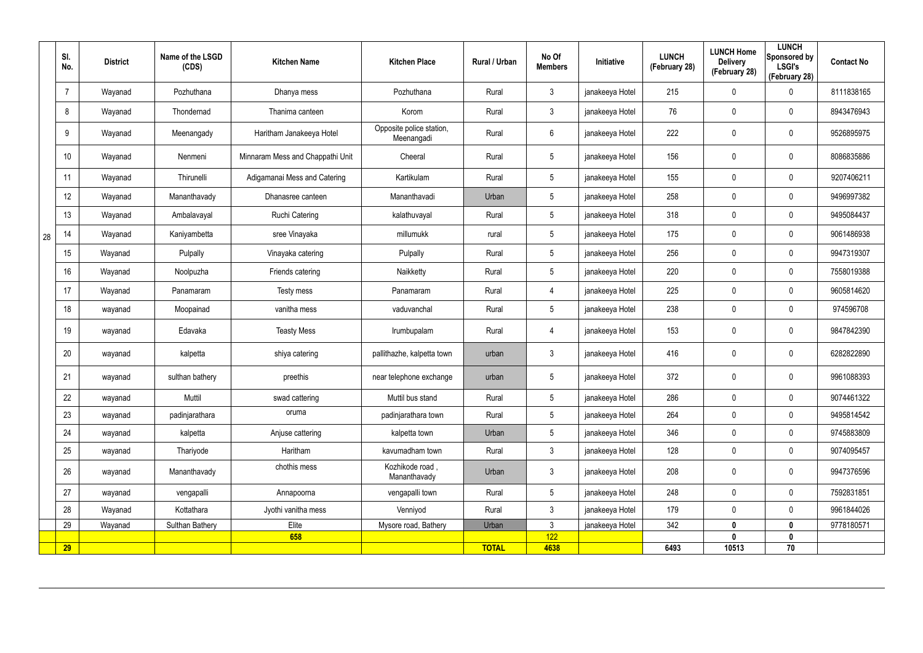|    | SI.<br>No. | <b>District</b> | Name of the LSGD<br>(CDS) | <b>Kitchen Name</b>              | <b>Kitchen Place</b>                   | Rural / Urban | No Of<br><b>Members</b> | Initiative      | <b>LUNCH</b><br>(February 28) | <b>LUNCH Home</b><br><b>Delivery</b><br>(February 28) | <b>LUNCH</b><br>Sponsored by<br><b>LSGI's</b><br>(February 28) | <b>Contact No</b> |
|----|------------|-----------------|---------------------------|----------------------------------|----------------------------------------|---------------|-------------------------|-----------------|-------------------------------|-------------------------------------------------------|----------------------------------------------------------------|-------------------|
|    |            | Wayanad         | Pozhuthana                | Dhanya mess                      | Pozhuthana                             | Rural         | $\mathfrak{Z}$          | janakeeya Hotel | 215                           | 0                                                     | $\mathbf 0$                                                    | 8111838165        |
|    | 8          | Wayanad         | Thondernad                | Thanima canteen                  | Korom                                  | Rural         | $\mathbf{3}$            | janakeeya Hotel | 76                            | 0                                                     | $\mathbf 0$                                                    | 8943476943        |
|    | 9          | Wayanad         | Meenangady                | Haritham Janakeeya Hotel         | Opposite police station,<br>Meenangadi | Rural         | $6\phantom{.}6$         | janakeeya Hotel | 222                           | 0                                                     | $\pmb{0}$                                                      | 9526895975        |
|    | 10         | Wayanad         | Nenmeni                   | Minnaram Mess and Chappathi Unit | Cheeral                                | Rural         | $5\,$                   | janakeeya Hotel | 156                           | 0                                                     | $\mathbf 0$                                                    | 8086835886        |
|    | 11         | Wayanad         | Thirunelli                | Adigamanai Mess and Catering     | Kartikulam                             | Rural         | $5\phantom{.0}$         | janakeeya Hotel | 155                           | 0                                                     | $\mathbf 0$                                                    | 9207406211        |
|    | 12         | Wayanad         | Mananthavady              | Dhanasree canteen                | Mananthavadi                           | Urban         | $\sqrt{5}$              | janakeeya Hotel | 258                           | 0                                                     | $\mathbf 0$                                                    | 9496997382        |
|    | 13         | Wayanad         | Ambalavayal               | Ruchi Catering                   | kalathuvayal                           | Rural         | $5\phantom{.0}$         | janakeeya Hotel | 318                           | 0                                                     | $\mathbf 0$                                                    | 9495084437        |
| 28 | 14         | Wayanad         | Kaniyambetta              | sree Vinayaka                    | millumukk                              | rural         | $\sqrt{5}$              | janakeeya Hotel | 175                           | 0                                                     | $\mathbf 0$                                                    | 9061486938        |
|    | 15         | Wayanad         | Pulpally                  | Vinayaka catering                | Pulpally                               | Rural         | $5\,$                   | janakeeya Hotel | 256                           | $\mathbf 0$                                           | $\pmb{0}$                                                      | 9947319307        |
|    | 16         | Wayanad         | Noolpuzha                 | Friends catering                 | Naikketty                              | Rural         | $5\,$                   | janakeeya Hotel | 220                           | $\mathbf 0$                                           | $\pmb{0}$                                                      | 7558019388        |
|    | 17         | Wayanad         | Panamaram                 | Testy mess                       | Panamaram                              | Rural         | $\overline{4}$          | janakeeya Hotel | 225                           | 0                                                     | $\mathbf 0$                                                    | 9605814620        |
|    | 18         | wayanad         | Moopainad                 | vanitha mess                     | vaduvanchal                            | Rural         | $\sqrt{5}$              | janakeeya Hotel | 238                           | 0                                                     | $\pmb{0}$                                                      | 974596708         |
|    | 19         | wayanad         | Edavaka                   | <b>Teasty Mess</b>               | Irumbupalam                            | Rural         | 4                       | janakeeya Hotel | 153                           | 0                                                     | $\mathbf 0$                                                    | 9847842390        |
|    | 20         | wayanad         | kalpetta                  | shiya catering                   | pallithazhe, kalpetta town             | urban         | $\mathfrak{Z}$          | janakeeya Hotel | 416                           | 0                                                     | $\mathbf 0$                                                    | 6282822890        |
|    | 21         | wayanad         | sulthan bathery           | preethis                         | near telephone exchange                | urban         | $5\phantom{.0}$         | janakeeya Hotel | 372                           | 0                                                     | $\mathbf 0$                                                    | 9961088393        |
|    | 22         | wayanad         | Muttil                    | swad cattering                   | Muttil bus stand                       | Rural         | $5\phantom{.0}$         | janakeeya Hotel | 286                           | $\pmb{0}$                                             | $\mathbf 0$                                                    | 9074461322        |
|    | 23         | wayanad         | padinjarathara            | oruma                            | padinjarathara town                    | Rural         | $5\phantom{.0}$         | janakeeya Hotel | 264                           | 0                                                     | $\mathbf 0$                                                    | 9495814542        |
|    | 24         | wayanad         | kalpetta                  | Anjuse cattering                 | kalpetta town                          | Urban         | $5\phantom{.0}$         | janakeeya Hotel | 346                           | $\mathbf 0$                                           | $\mathbf 0$                                                    | 9745883809        |
|    | 25         | wayanad         | Thariyode                 | Haritham                         | kavumadham town                        | Rural         | $\mathbf{3}$            | janakeeya Hotel | 128                           | $\mathbf 0$                                           | $\mathbf 0$                                                    | 9074095457        |
|    | 26         | wayanad         | Mananthavady              | chothis mess                     | Kozhikode road,<br>Mananthavady        | Urban         | $\mathbf{3}$            | janakeeya Hotel | 208                           | 0                                                     | $\mathbf 0$                                                    | 9947376596        |
|    | 27         | wayanad         | vengapalli                | Annapoorna                       | vengapalli town                        | Rural         | $5\phantom{.0}$         | janakeeya Hotel | 248                           | 0                                                     | $\mathbf 0$                                                    | 7592831851        |
|    | 28         | Wayanad         | Kottathara                | Jyothi vanitha mess              | Venniyod                               | Rural         | $\mathbf{3}$            | janakeeya Hotel | 179                           | 0                                                     | $\mathbf 0$                                                    | 9961844026        |
|    | 29         | Wayanad         | Sulthan Bathery           | Elite                            | Mysore road, Bathery                   | Urban         | $\mathbf{3}$<br>122     | janakeeya Hotel | 342                           | $\bf{0}$<br>$\mathbf{0}$                              | $\mathbf 0$                                                    | 9778180571        |
|    | 29         |                 |                           | 658                              |                                        | <b>TOTAL</b>  | 4638                    |                 | 6493                          | 10513                                                 | $\mathbf 0$<br>70                                              |                   |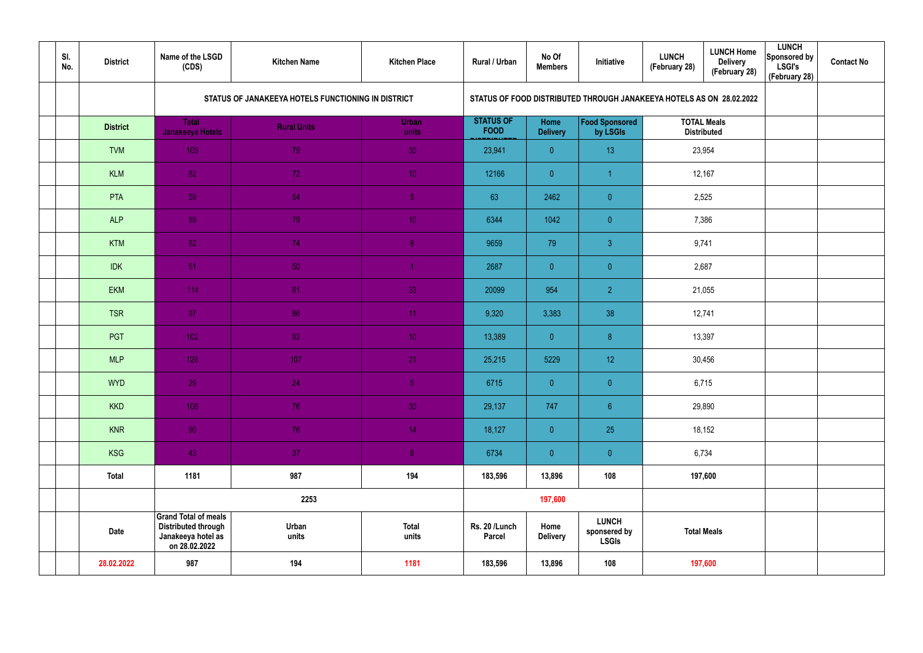| SI.<br>No. | <b>District</b> | Name of the LSGD<br>(CDS)                                                                        | <b>Kitchen Name</b>                                | <b>Kitchen Place</b>  | Rural / Urban                   | No Of<br><b>Members</b> | Initiative                                                           | <b>LUNCH</b><br>(February 28) | <b>LUNCH Home</b><br><b>Delivery</b><br>(February 28) | <b>LUNCH</b><br>Sponsored by<br><b>LSGI's</b><br>(February 28) | <b>Contact No</b> |  |  |
|------------|-----------------|--------------------------------------------------------------------------------------------------|----------------------------------------------------|-----------------------|---------------------------------|-------------------------|----------------------------------------------------------------------|-------------------------------|-------------------------------------------------------|----------------------------------------------------------------|-------------------|--|--|
|            |                 |                                                                                                  | STATUS OF JANAKEEYA HOTELS FUNCTIONING IN DISTRICT |                       |                                 |                         | STATUS OF FOOD DISTRIBUTED THROUGH JANAKEEYA HOTELS AS ON 28.02.2022 |                               |                                                       |                                                                |                   |  |  |
|            | <b>District</b> | <b>Total</b><br>Janakeeya Hotels                                                                 | <b>Rural Units</b>                                 | Urban<br>units        | <b>STATUS OF</b><br><b>FOOD</b> | Home<br><b>Delivery</b> | <b>Food Sponsored</b><br>by LSGIs                                    | <b>Distributed</b>            | <b>TOTAL Meals</b>                                    |                                                                |                   |  |  |
|            | <b>TVM</b>      | 109                                                                                              | 79                                                 | 30                    | 23,941                          | $\overline{0}$          | 13                                                                   |                               | 23,954                                                |                                                                |                   |  |  |
|            | <b>KLM</b>      | 82                                                                                               | 72                                                 | 10 <sup>°</sup>       | 12166                           | $\overline{0}$          | -1                                                                   |                               | 12,167                                                |                                                                |                   |  |  |
|            | PTA             | 59                                                                                               | 54                                                 | 5 <sub>1</sub>        | 63                              | 2462                    | $\overline{0}$                                                       | 2,525                         |                                                       |                                                                |                   |  |  |
|            | <b>ALP</b>      | 89                                                                                               | 79                                                 | 10 <sub>1</sub>       | 6344                            | 1042                    | $\overline{0}$                                                       | 7,386                         |                                                       |                                                                |                   |  |  |
|            | <b>KTM</b>      | 82                                                                                               | 74                                                 | 8 <sup>°</sup>        | 9659                            | 79                      | $\mathbf{3}$                                                         | 9,741                         |                                                       |                                                                |                   |  |  |
|            | <b>IDK</b>      | 51                                                                                               | 50 <sub>1</sub>                                    |                       | 2687                            | $\overline{0}$          | $\overline{0}$                                                       | 2,687                         |                                                       |                                                                |                   |  |  |
|            | <b>EKM</b>      | 114                                                                                              | 81                                                 | 33                    | 20099                           | 954                     | $\overline{2}$                                                       | 21,055                        |                                                       |                                                                |                   |  |  |
|            | <b>TSR</b>      | 97                                                                                               | 86                                                 | 11                    | 9,320                           | 3,383                   | 38                                                                   |                               | 12,741                                                |                                                                |                   |  |  |
|            | PGT             | 102 <sub>1</sub>                                                                                 | 92 <sub>1</sub>                                    | 10 <sup>°</sup>       | 13,389                          | $\overline{0}$          | 8 <sup>°</sup>                                                       |                               | 13,397                                                |                                                                |                   |  |  |
|            | <b>MLP</b>      | 128                                                                                              | 107                                                | 21                    | 25,215                          | 5229                    | 12 <sup>°</sup>                                                      |                               | 30,456                                                |                                                                |                   |  |  |
|            | <b>WYD</b>      | 29                                                                                               | 24                                                 | 5 <sub>1</sub>        | 6715                            | $\overline{0}$          | $\overline{0}$                                                       | 6,715                         |                                                       |                                                                |                   |  |  |
|            | <b>KKD</b>      | 106                                                                                              | 76                                                 | 30                    | 29,137                          | 747                     | $6\,$                                                                |                               | 29,890                                                |                                                                |                   |  |  |
|            | <b>KNR</b>      | 90                                                                                               | 76                                                 | 14 <sup>°</sup>       | 18,127                          | $\overline{0}$          | 25                                                                   |                               | 18,152                                                |                                                                |                   |  |  |
|            | KSG             | 43                                                                                               | 37 <sub>z</sub>                                    | 6 <sup>1</sup>        | 6734                            | $\overline{0}$          | $\pmb{0}$                                                            | 6,734                         |                                                       |                                                                |                   |  |  |
|            | <b>Total</b>    | 1181                                                                                             | 987                                                | 194                   | 183,596                         | 13,896                  | 108                                                                  |                               | 197,600                                               |                                                                |                   |  |  |
|            |                 |                                                                                                  | 2253                                               |                       |                                 | 197,600                 |                                                                      |                               |                                                       |                                                                |                   |  |  |
|            | <b>Date</b>     | <b>Grand Total of meals</b><br><b>Distributed through</b><br>Janakeeya hotel as<br>on 28.02.2022 | Urban<br>units                                     | <b>Total</b><br>units | Rs. 20 /Lunch<br>Parcel         | Home<br><b>Delivery</b> | <b>LUNCH</b><br>sponsered by<br><b>LSGIs</b>                         | <b>Total Meals</b>            |                                                       |                                                                |                   |  |  |
|            | 28.02.2022      | 987                                                                                              | 194                                                | 1181                  | 183,596                         | 13,896                  | 108                                                                  |                               | 197,600                                               |                                                                |                   |  |  |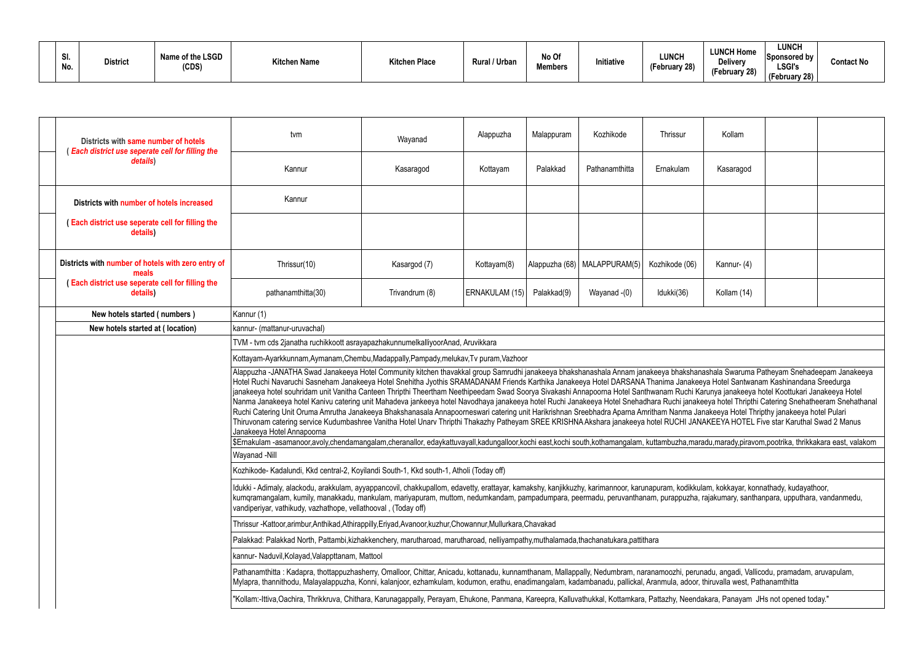| Name of the LSGD<br>31.<br><b>District</b><br>"itchen Place"<br><b>Kitchen Name</b><br>Rural / Urban<br>(CDS)<br>No. | No Of<br>Initiative<br><b>Members</b> | <b>LUNCH Home</b><br><b>LUNCH</b><br>Deliverv<br>0 <sub>0</sub><br><i><b>Eahruary</b></i><br>-epruary zo)<br>(February 28) | <b>LUNCH</b><br>Sponsored by<br><b>Contact No</b><br><b>LSGI's</b><br>(February 28) |
|----------------------------------------------------------------------------------------------------------------------|---------------------------------------|----------------------------------------------------------------------------------------------------------------------------|-------------------------------------------------------------------------------------|
|----------------------------------------------------------------------------------------------------------------------|---------------------------------------|----------------------------------------------------------------------------------------------------------------------------|-------------------------------------------------------------------------------------|

|                                                                                 | Districts with same number of hotels<br>Each district use seperate cell for filling the             | tvm                                                                                                                                                                                                                                                                                                                                                                                                                                                                                                                                                                                                                                                                                                                                                                                                                                                                                                                                                                                                                                                                                                                                                                           | Wayanad        | Alappuzha      | Malappuram     | Kozhikode      | Thrissur       | Kollam      |  |  |  |  |  |  |
|---------------------------------------------------------------------------------|-----------------------------------------------------------------------------------------------------|-------------------------------------------------------------------------------------------------------------------------------------------------------------------------------------------------------------------------------------------------------------------------------------------------------------------------------------------------------------------------------------------------------------------------------------------------------------------------------------------------------------------------------------------------------------------------------------------------------------------------------------------------------------------------------------------------------------------------------------------------------------------------------------------------------------------------------------------------------------------------------------------------------------------------------------------------------------------------------------------------------------------------------------------------------------------------------------------------------------------------------------------------------------------------------|----------------|----------------|----------------|----------------|----------------|-------------|--|--|--|--|--|--|
|                                                                                 | details)                                                                                            | Kannur                                                                                                                                                                                                                                                                                                                                                                                                                                                                                                                                                                                                                                                                                                                                                                                                                                                                                                                                                                                                                                                                                                                                                                        | Kasaragod      | Kottayam       | Palakkad       | Pathanamthitta | Ernakulam      | Kasaragod   |  |  |  |  |  |  |
|                                                                                 | Districts with number of hotels increased                                                           | Kannur                                                                                                                                                                                                                                                                                                                                                                                                                                                                                                                                                                                                                                                                                                                                                                                                                                                                                                                                                                                                                                                                                                                                                                        |                |                |                |                |                |             |  |  |  |  |  |  |
|                                                                                 | (Each district use seperate cell for filling the<br>details)                                        |                                                                                                                                                                                                                                                                                                                                                                                                                                                                                                                                                                                                                                                                                                                                                                                                                                                                                                                                                                                                                                                                                                                                                                               |                |                |                |                |                |             |  |  |  |  |  |  |
|                                                                                 | Districts with number of hotels with zero entry of<br>meals                                         | Thrissur(10)                                                                                                                                                                                                                                                                                                                                                                                                                                                                                                                                                                                                                                                                                                                                                                                                                                                                                                                                                                                                                                                                                                                                                                  | Kasargod (7)   | Kottayam(8)    | Alappuzha (68) | MALAPPURAM(5)  | Kozhikode (06) | Kannur- (4) |  |  |  |  |  |  |
|                                                                                 | (Each district use seperate cell for filling the<br>details)                                        | pathanamthitta(30)                                                                                                                                                                                                                                                                                                                                                                                                                                                                                                                                                                                                                                                                                                                                                                                                                                                                                                                                                                                                                                                                                                                                                            | Trivandrum (8) | ERNAKULAM (15) | Palakkad(9)    | Wayanad -(0)   | Idukki(36)     | Kollam (14) |  |  |  |  |  |  |
|                                                                                 | New hotels started (numbers)                                                                        | Kannur (1)                                                                                                                                                                                                                                                                                                                                                                                                                                                                                                                                                                                                                                                                                                                                                                                                                                                                                                                                                                                                                                                                                                                                                                    |                |                |                |                |                |             |  |  |  |  |  |  |
|                                                                                 | New hotels started at (location)                                                                    | kannur- (mattanur-uruvachal)                                                                                                                                                                                                                                                                                                                                                                                                                                                                                                                                                                                                                                                                                                                                                                                                                                                                                                                                                                                                                                                                                                                                                  |                |                |                |                |                |             |  |  |  |  |  |  |
| TVM - tvm cds 2janatha ruchikkoott asrayapazhakunnumelkalliyoorAnad, Aruvikkara |                                                                                                     |                                                                                                                                                                                                                                                                                                                                                                                                                                                                                                                                                                                                                                                                                                                                                                                                                                                                                                                                                                                                                                                                                                                                                                               |                |                |                |                |                |             |  |  |  |  |  |  |
|                                                                                 |                                                                                                     | Kottayam-Ayarkkunnam,Aymanam,Chembu,Madappally,Pampady,melukav,Tv puram,Vazhoor                                                                                                                                                                                                                                                                                                                                                                                                                                                                                                                                                                                                                                                                                                                                                                                                                                                                                                                                                                                                                                                                                               |                |                |                |                |                |             |  |  |  |  |  |  |
|                                                                                 |                                                                                                     | Alappuzha -JANATHA Swad Janakeeya Hotel Community kitchen thavakkal group Samrudhi janakeeya bhakshanashala Annam janakeeya bhakshanashala Swaruma Patheyam Snehadeepam Janakeeya<br>Hotel Ruchi Navaruchi Sasneham Janakeeya Hotel Snehitha Jyothis SRAMADANAM Friends Karthika Janakeeya Hotel DARSANA Thanima Janakeeya Hotel Santwanam Kashinandana Sreedurga<br>janakeeya hotel souhridam unit Vanitha Canteen Thripthi Theertham Neethipeedam Swad Soorya Sivakashi Annapoorna Hotel Santhwanam Ruchi Karunya janakeeya hotel Koottukari Janakeeya Hotel<br>Nanma Janakeeya hotel Kanivu catering unit Mahadeva jankeeya hotel Navodhaya janakeeya hotel Ruchi Janakeeya Hotel Snehadhara Ruchi janakeeya hotel Thripthi Catering Snehatheeram Snehathanal<br>Ruchi Catering Unit Oruma Amrutha Janakeeya Bhakshanasala Annapoorneswari catering unit Harikrishnan Sreebhadra Aparna Amritham Nanma Janakeeya Hotel Thripthy janakeeya hotel Pulari<br>Thiruvonam catering service Kudumbashree Vanitha Hotel Unarv Thripthi Thakazhy Patheyam SREE KRISHNA Akshara janakeeya hotel RUCHI JANAKEEYA HOTEL Five star Karuthal Swad 2 Manus<br>Janakeeya Hotel Annapoorna |                |                |                |                |                |             |  |  |  |  |  |  |
|                                                                                 |                                                                                                     | \$Ernakulam-asamanoor,avoly,chendamangalam,cheranallor, edaykattuvayall,kadungalloor,kochi east,kochi south,kothamangalam, kuttambuzha,maradu,marady,piravom,pootrika, thrikkakara east, valakom                                                                                                                                                                                                                                                                                                                                                                                                                                                                                                                                                                                                                                                                                                                                                                                                                                                                                                                                                                              |                |                |                |                |                |             |  |  |  |  |  |  |
|                                                                                 |                                                                                                     | Wayanad -Nill                                                                                                                                                                                                                                                                                                                                                                                                                                                                                                                                                                                                                                                                                                                                                                                                                                                                                                                                                                                                                                                                                                                                                                 |                |                |                |                |                |             |  |  |  |  |  |  |
|                                                                                 |                                                                                                     | Kozhikode- Kadalundi, Kkd central-2, Koyilandi South-1, Kkd south-1, Atholi (Today off)                                                                                                                                                                                                                                                                                                                                                                                                                                                                                                                                                                                                                                                                                                                                                                                                                                                                                                                                                                                                                                                                                       |                |                |                |                |                |             |  |  |  |  |  |  |
|                                                                                 |                                                                                                     | Idukki - Adimaly, alackodu, arakkulam, ayyappancovil, chakkupallom, edavetty, erattayar, kamakshy, kanjikkuzhy, karimannoor, karunapuram, kodikkulam, kokkayar, konnathady, kudayathoor,<br>kumqramangalam, kumily, manakkadu, mankulam, mariyapuram, muttom, nedumkandam, pampadumpara, peermadu, peruvanthanam, purappuzha, rajakumary, santhanpara, upputhara, vandanmedu,<br>vandiperiyar, vathikudy, vazhathope, vellathooval, (Today off)                                                                                                                                                                                                                                                                                                                                                                                                                                                                                                                                                                                                                                                                                                                               |                |                |                |                |                |             |  |  |  |  |  |  |
|                                                                                 | Thrissur -Kattoor,arimbur,Anthikad,Athirappilly,Eriyad,Avanoor,kuzhur,Chowannur,Mullurkara,Chavakad |                                                                                                                                                                                                                                                                                                                                                                                                                                                                                                                                                                                                                                                                                                                                                                                                                                                                                                                                                                                                                                                                                                                                                                               |                |                |                |                |                |             |  |  |  |  |  |  |
|                                                                                 |                                                                                                     | Palakkad: Palakkad North, Pattambi,kizhakkenchery, marutharoad, marutharoad, nelliyampathy,muthalamada,thachanatukara,pattithara                                                                                                                                                                                                                                                                                                                                                                                                                                                                                                                                                                                                                                                                                                                                                                                                                                                                                                                                                                                                                                              |                |                |                |                |                |             |  |  |  |  |  |  |
|                                                                                 |                                                                                                     | kannur- Naduvil, Kolayad, Valappttanam, Mattool                                                                                                                                                                                                                                                                                                                                                                                                                                                                                                                                                                                                                                                                                                                                                                                                                                                                                                                                                                                                                                                                                                                               |                |                |                |                |                |             |  |  |  |  |  |  |
|                                                                                 |                                                                                                     | Pathanamthitta: Kadapra, thottappuzhasherry, Omalloor, Chittar, Anicadu, kottanadu, kunnamthanam, Mallappally, Nedumbram, naranamoozhi, perunadu, angadi, Vallicodu, pramadam, aruvapulam,<br>Mylapra, thannithodu, Malayalappuzha, Konni, kalanjoor, ezhamkulam, kodumon, erathu, enadimangalam, kadambanadu, pallickal, Aranmula, adoor, thiruvalla west, Pathanamthitta                                                                                                                                                                                                                                                                                                                                                                                                                                                                                                                                                                                                                                                                                                                                                                                                    |                |                |                |                |                |             |  |  |  |  |  |  |
|                                                                                 |                                                                                                     | "Kollam:-Ittiva,Oachira, Thrikkruva, Chithara, Karunagappally, Perayam, Ehukone, Panmana, Kareepra, Kalluvathukkal, Kottamkara, Pattazhy, Neendakara, Panayam JHs not opened today."                                                                                                                                                                                                                                                                                                                                                                                                                                                                                                                                                                                                                                                                                                                                                                                                                                                                                                                                                                                          |                |                |                |                |                |             |  |  |  |  |  |  |
|                                                                                 |                                                                                                     |                                                                                                                                                                                                                                                                                                                                                                                                                                                                                                                                                                                                                                                                                                                                                                                                                                                                                                                                                                                                                                                                                                                                                                               |                |                |                |                |                |             |  |  |  |  |  |  |

| Kollam                                                                                                                                                                                                                                                                                                                    |  |  |  |  |  |  |  |  |  |
|---------------------------------------------------------------------------------------------------------------------------------------------------------------------------------------------------------------------------------------------------------------------------------------------------------------------------|--|--|--|--|--|--|--|--|--|
| Kasaragod                                                                                                                                                                                                                                                                                                                 |  |  |  |  |  |  |  |  |  |
|                                                                                                                                                                                                                                                                                                                           |  |  |  |  |  |  |  |  |  |
|                                                                                                                                                                                                                                                                                                                           |  |  |  |  |  |  |  |  |  |
| Kannur- (4)                                                                                                                                                                                                                                                                                                               |  |  |  |  |  |  |  |  |  |
| Kollam (14)                                                                                                                                                                                                                                                                                                               |  |  |  |  |  |  |  |  |  |
|                                                                                                                                                                                                                                                                                                                           |  |  |  |  |  |  |  |  |  |
|                                                                                                                                                                                                                                                                                                                           |  |  |  |  |  |  |  |  |  |
|                                                                                                                                                                                                                                                                                                                           |  |  |  |  |  |  |  |  |  |
|                                                                                                                                                                                                                                                                                                                           |  |  |  |  |  |  |  |  |  |
| anashala Swaruma Patheyam Snehadeepam Janakeeya<br>eeya Hotel Santwanam Kashinandana Sreedurga<br>Karunya janakeeya hotel Koottukari Janakeeya Hotel<br>keeya hotel Thripthi Catering Snehatheeram Snehathanal<br>lanakeeya Hotel Thripthy janakeeya hotel Pulari<br><b>NAKEEYA HOTEL Five star Karuthal Swad 2 Manus</b> |  |  |  |  |  |  |  |  |  |
| aradu,marady,piravom,pootrika, thrikkakara east, valakom                                                                                                                                                                                                                                                                  |  |  |  |  |  |  |  |  |  |
|                                                                                                                                                                                                                                                                                                                           |  |  |  |  |  |  |  |  |  |
|                                                                                                                                                                                                                                                                                                                           |  |  |  |  |  |  |  |  |  |
| ulam, kokkayar, konnathady, kudayathoor,<br>a, rajakumary, santhanpara, upputhara, vandanmedu,                                                                                                                                                                                                                            |  |  |  |  |  |  |  |  |  |
|                                                                                                                                                                                                                                                                                                                           |  |  |  |  |  |  |  |  |  |
|                                                                                                                                                                                                                                                                                                                           |  |  |  |  |  |  |  |  |  |
|                                                                                                                                                                                                                                                                                                                           |  |  |  |  |  |  |  |  |  |
| unadu, angadi, Vallicodu, pramadam, aruvapulam,<br>r, thiruvalla west, Pathanamthitta                                                                                                                                                                                                                                     |  |  |  |  |  |  |  |  |  |
| dakara, Panayam JHs not opened today."                                                                                                                                                                                                                                                                                    |  |  |  |  |  |  |  |  |  |